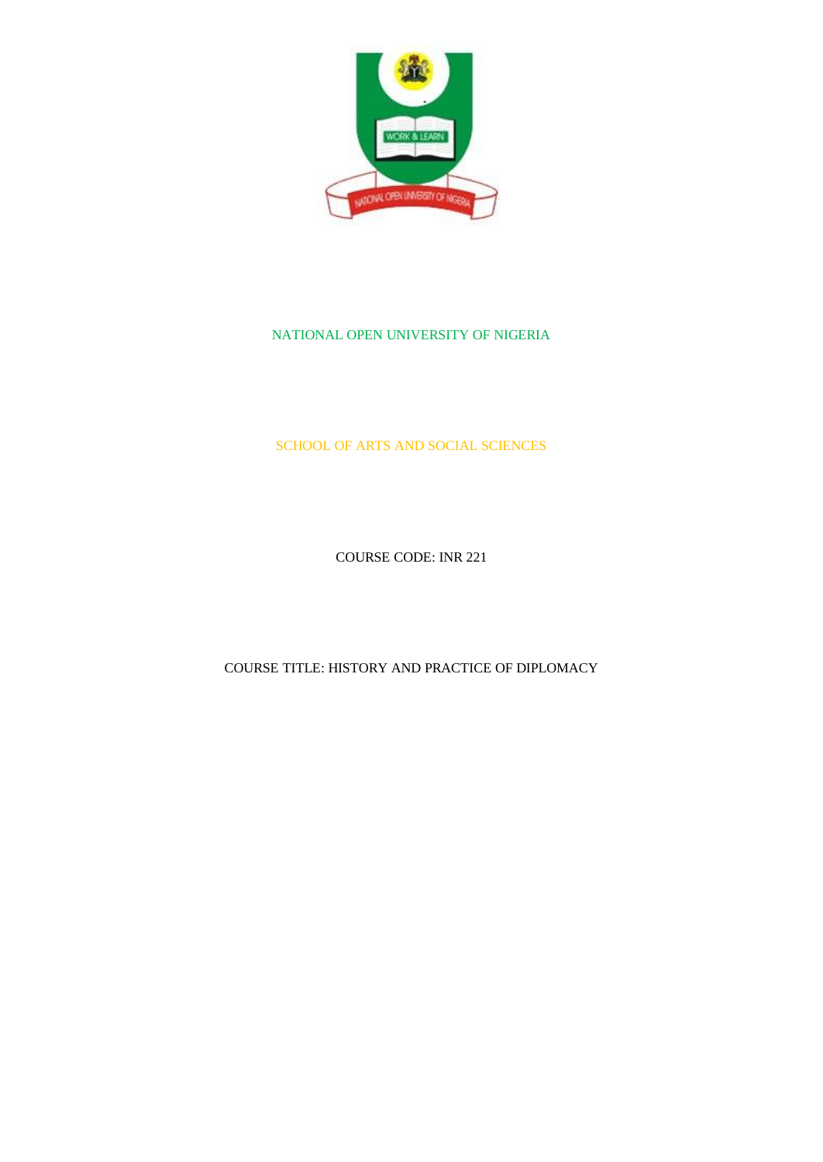

#### NATIONAL OPEN UNIVERSITY OF NIGERIA

#### SCHOOL OF ARTS AND SOCIAL SCIENCES

COURSE CODE: INR 221

COURSE TITLE: HISTORY AND PRACTICE OF DIPLOMACY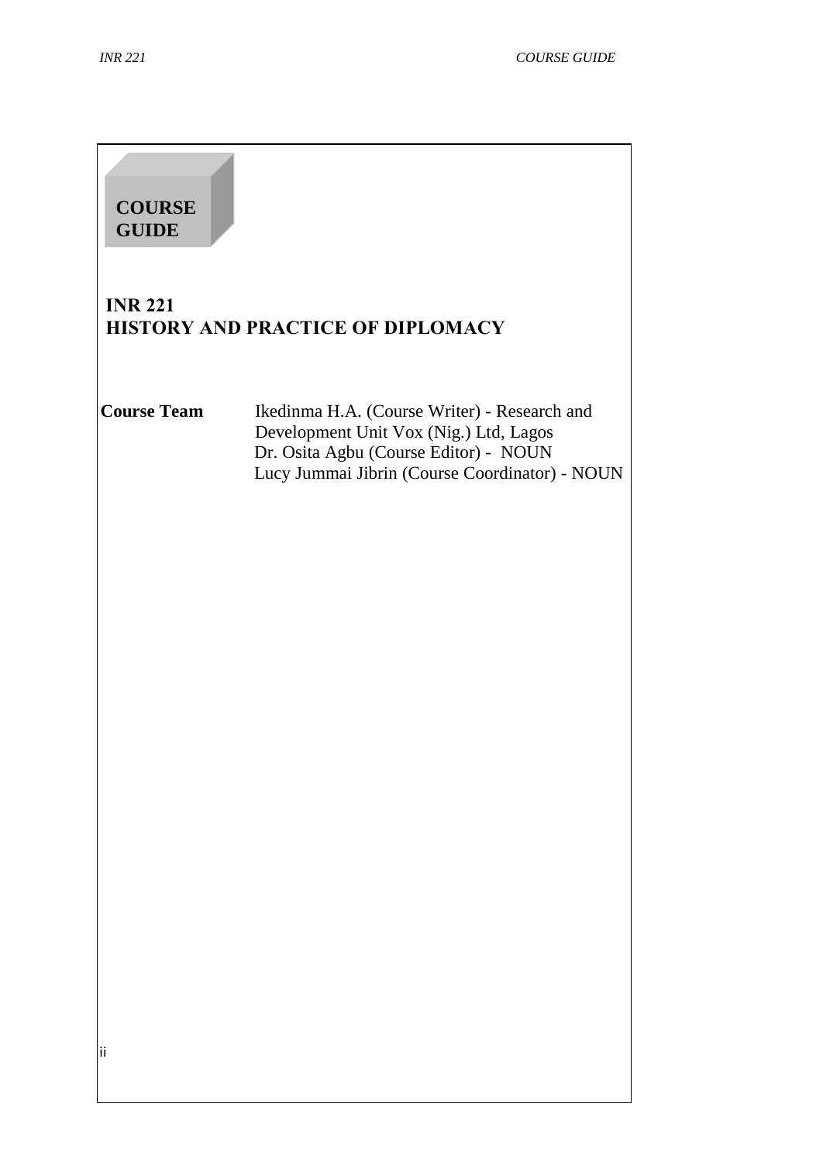| <b>COURSE</b><br><b>GUIDE</b> |                                                                                                                                                                                   |
|-------------------------------|-----------------------------------------------------------------------------------------------------------------------------------------------------------------------------------|
| <b>INR 221</b>                | HISTORY AND PRACTICE OF DIPLOMACY                                                                                                                                                 |
| <b>Course Team</b>            | Ikedinma H.A. (Course Writer) - Research and<br>Development Unit Vox (Nig.) Ltd, Lagos<br>Dr. Osita Agbu (Course Editor) - NOUN<br>Lucy Jummai Jibrin (Course Coordinator) - NOUN |
| ii                            |                                                                                                                                                                                   |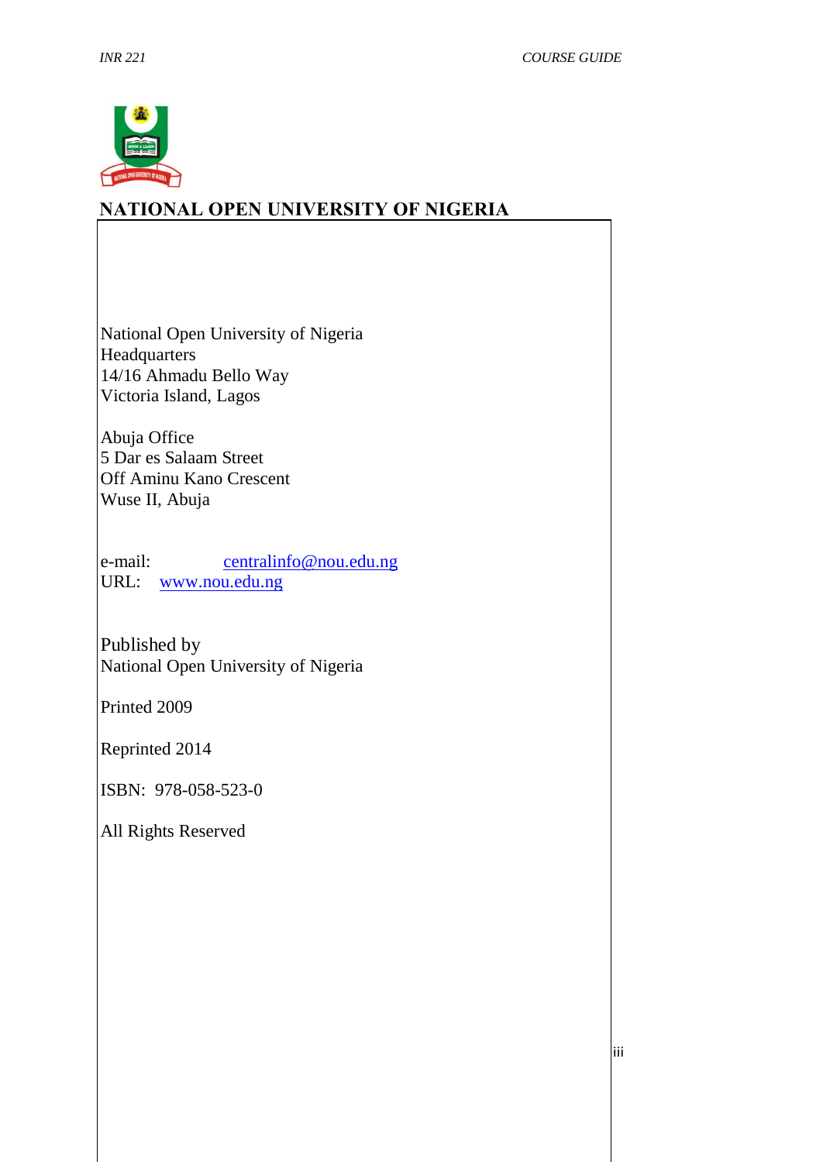

# **NATIONAL OPEN UNIVERSITY OF NIGERIA**

National Open University of Nigeria **Headquarters** 14/16 Ahmadu Bello Way Victoria Island, Lagos

Abuja Office 5 Dar es Salaam Street Off Aminu Kano Crescent Wuse II, Abuja

e-mail: centralinfo@nou.edu.ng URL: [www.nou.edu.ng](http://www.nou.edu.ng/)

Published by National Open University of Nigeria

Printed 2009

Reprinted 2014

ISBN: 978-058-523-0

All Rights Reserved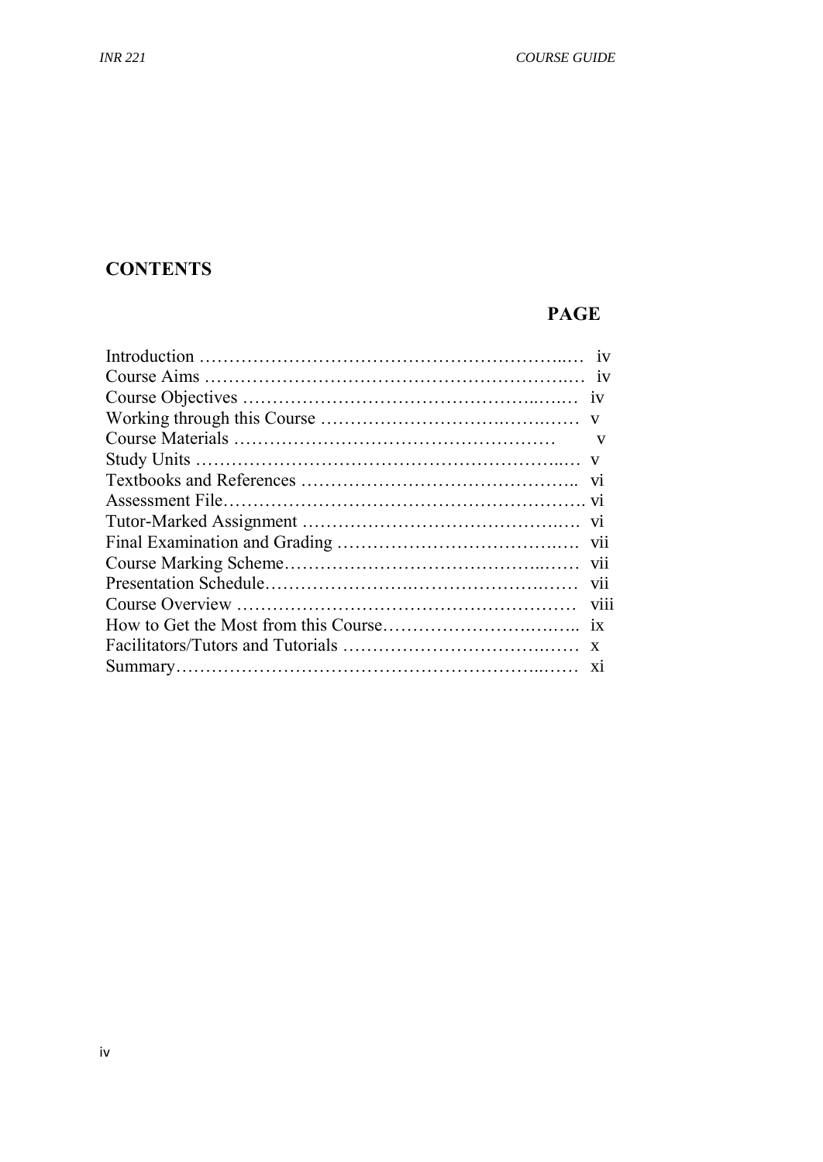# **CONTENTS**

# **PAGE**

| $\mathbf{V}$ |
|--------------|
|              |
|              |
|              |
|              |
|              |
|              |
|              |
|              |
|              |
|              |
|              |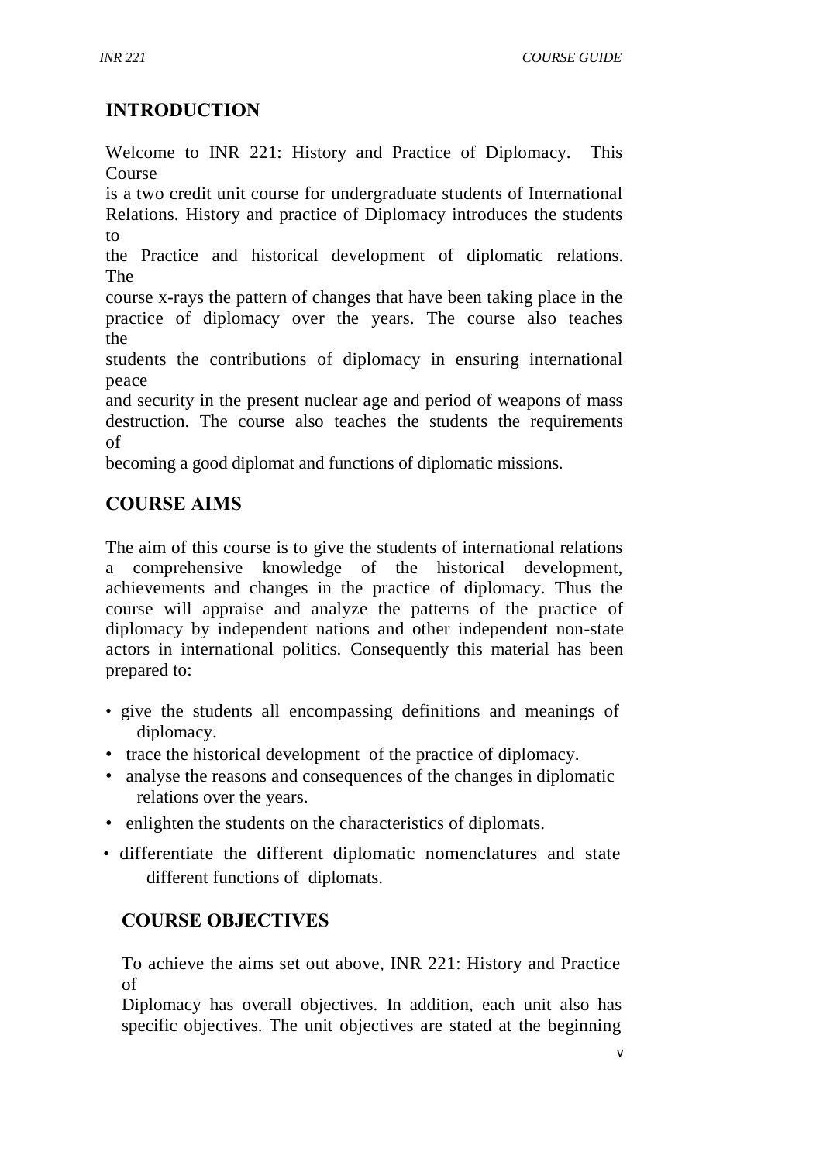# **INTRODUCTION**

Welcome to INR 221: History and Practice of Diplomacy. This Course

is a two credit unit course for undergraduate students of International Relations. History and practice of Diplomacy introduces the students to

the Practice and historical development of diplomatic relations. The

course x-rays the pattern of changes that have been taking place in the practice of diplomacy over the years. The course also teaches the

students the contributions of diplomacy in ensuring international peace

and security in the present nuclear age and period of weapons of mass destruction. The course also teaches the students the requirements of

becoming a good diplomat and functions of diplomatic missions.

# **COURSE AIMS**

The aim of this course is to give the students of international relations a comprehensive knowledge of the historical development, achievements and changes in the practice of diplomacy. Thus the course will appraise and analyze the patterns of the practice of diplomacy by independent nations and other independent non-state actors in international politics. Consequently this material has been prepared to:

- give the students all encompassing definitions and meanings of diplomacy.
- trace the historical development of the practice of diplomacy.
- analyse the reasons and consequences of the changes in diplomatic relations over the years.
- enlighten the students on the characteristics of diplomats.
- differentiate the different diplomatic nomenclatures and state different functions of diplomats.

# **COURSE OBJECTIVES**

To achieve the aims set out above, INR 221: History and Practice of

Diplomacy has overall objectives. In addition, each unit also has specific objectives. The unit objectives are stated at the beginning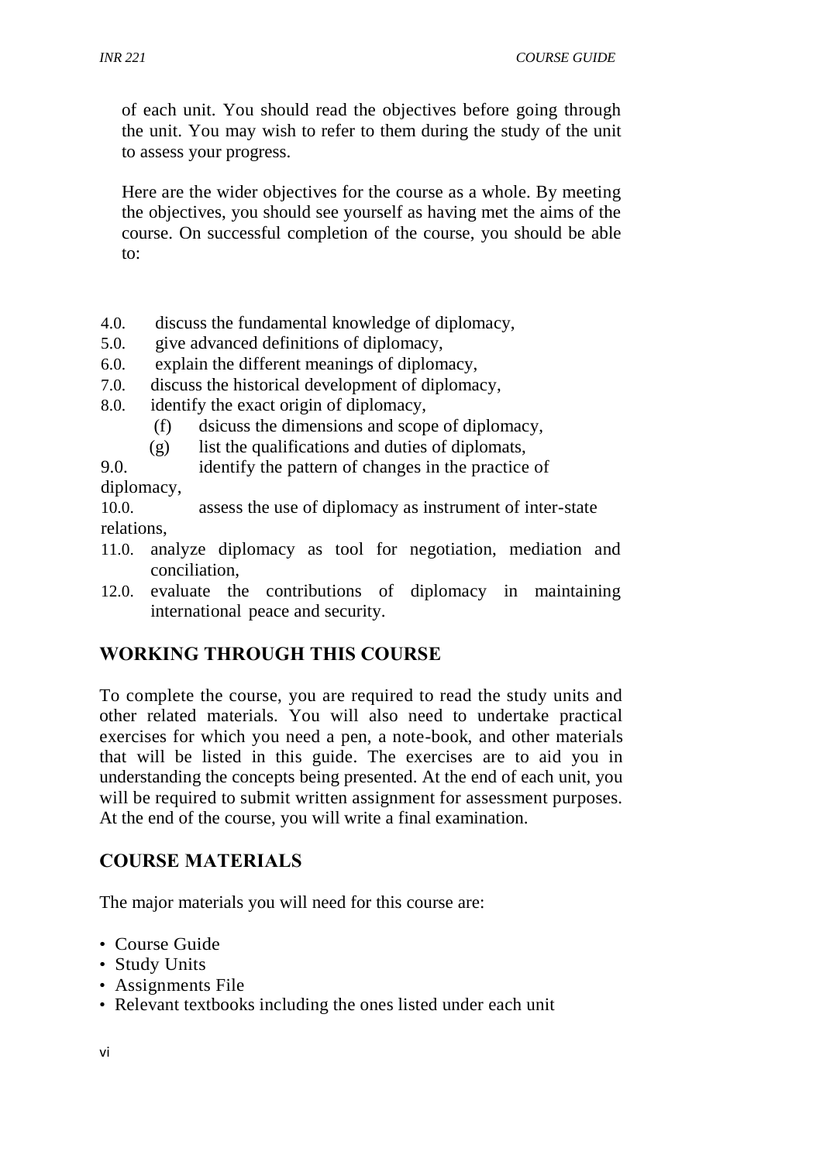*INR 221 COURSE GUIDE*

of each unit. You should read the objectives before going through the unit. You may wish to refer to them during the study of the unit to assess your progress.

Here are the wider objectives for the course as a whole. By meeting the objectives, you should see yourself as having met the aims of the course. On successful completion of the course, you should be able to:

- 4.0. discuss the fundamental knowledge of diplomacy,
- 5.0. give advanced definitions of diplomacy,
- 6.0. explain the different meanings of diplomacy,
- 7.0. discuss the historical development of diplomacy,
- 8.0. identify the exact origin of diplomacy,
	- (f) dsicuss the dimensions and scope of diplomacy,
	- (g) list the qualifications and duties of diplomats,

9.0. identify the pattern of changes in the practice of diplomacy,

10.0. assess the use of diplomacy as instrument of inter-state relations,

- 11.0. analyze diplomacy as tool for negotiation, mediation and conciliation,
- 12.0. evaluate the contributions of diplomacy in maintaining international peace and security.

# **WORKING THROUGH THIS COURSE**

To complete the course, you are required to read the study units and other related materials. You will also need to undertake practical exercises for which you need a pen, a note-book, and other materials that will be listed in this guide. The exercises are to aid you in understanding the concepts being presented. At the end of each unit, you will be required to submit written assignment for assessment purposes. At the end of the course, you will write a final examination.

# **COURSE MATERIALS**

The major materials you will need for this course are:

- Course Guide
- Study Units
- Assignments File
- Relevant textbooks including the ones listed under each unit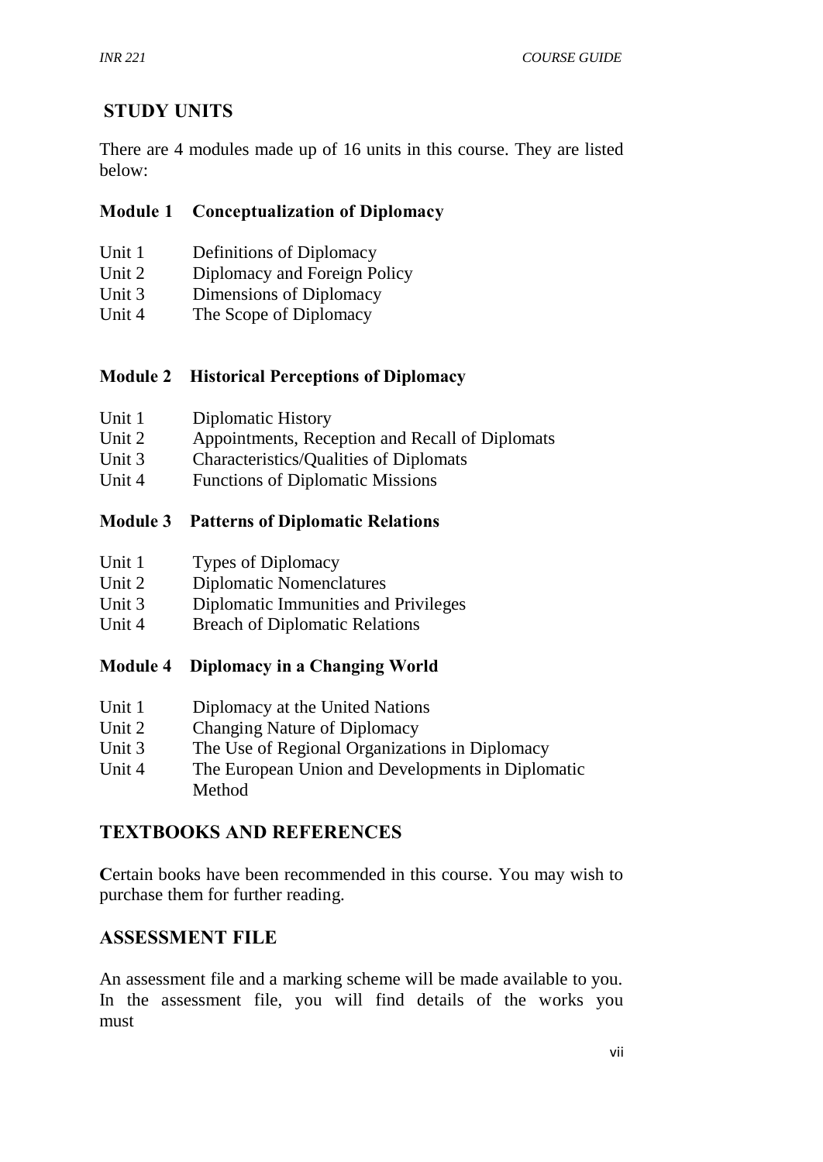# **STUDY UNITS**

There are 4 modules made up of 16 units in this course. They are listed below:

## **Module 1 Conceptualization of Diplomacy**

- Unit 1 Definitions of Diplomacy
- Unit 2 Diplomacy and Foreign Policy
- Unit 3 Dimensions of Diplomacy
- Unit 4 The Scope of Diplomacy

## **Module 2 Historical Perceptions of Diplomacy**

| Unit 1 | Diplomatic History |
|--------|--------------------|
|--------|--------------------|

- Unit 2 Appointments, Reception and Recall of Diplomats
- Unit 3 Characteristics/Qualities of Diplomats
- Unit 4 Functions of Diplomatic Missions

## **Module 3 Patterns of Diplomatic Relations**

| Unit 1 | Types of Diplomacy |
|--------|--------------------|
|--------|--------------------|

- Unit 2 Diplomatic Nomenclatures<br>
Unit 3 Diplomatic Immunities and
- Diplomatic Immunities and Privileges
- Unit 4 Breach of Diplomatic Relations

## **Module 4 Diplomacy in a Changing World**

- Unit 1 Diplomacy at the United Nations
- Unit 2 Changing Nature of Diplomacy
- Unit 3 The Use of Regional Organizations in Diplomacy
- Unit 4 The European Union and Developments in Diplomatic Method

## **TEXTBOOKS AND REFERENCES**

**C**ertain books have been recommended in this course. You may wish to purchase them for further reading.

# **ASSESSMENT FILE**

An assessment file and a marking scheme will be made available to you. In the assessment file, you will find details of the works you must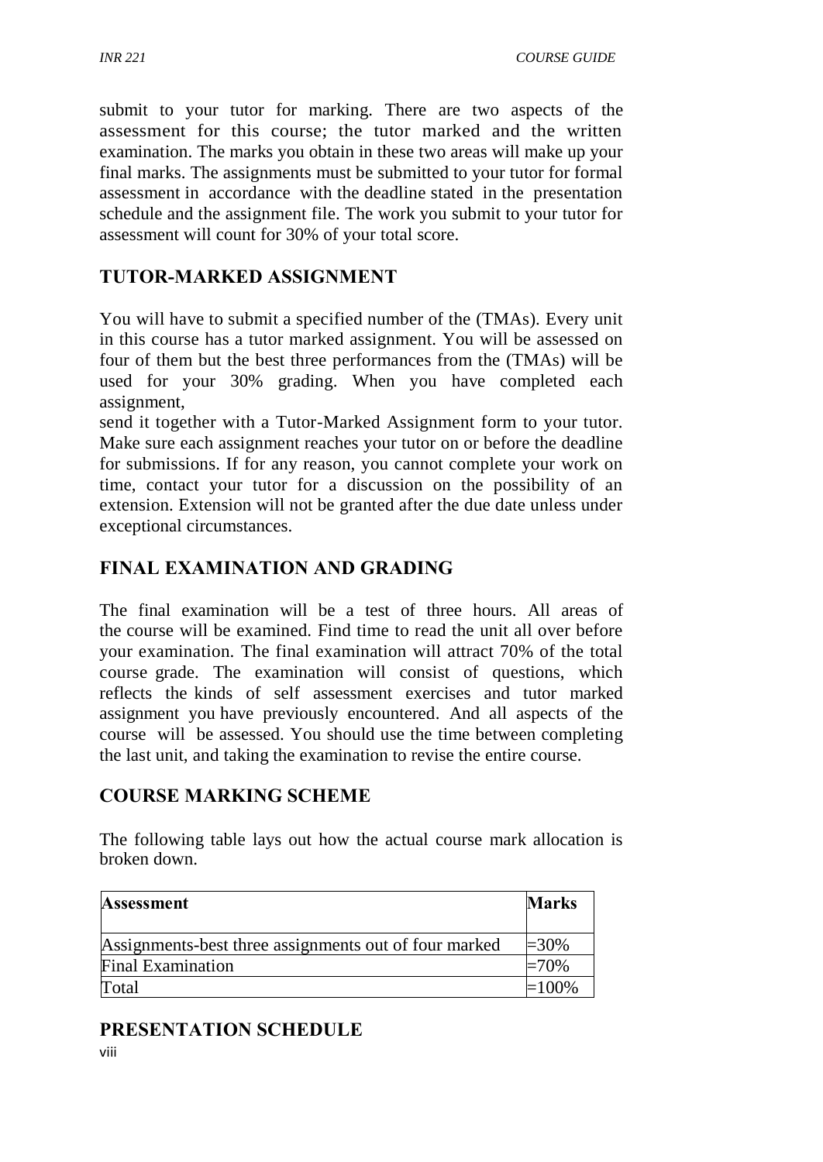submit to your tutor for marking. There are two aspects of the assessment for this course; the tutor marked and the written examination. The marks you obtain in these two areas will make up your final marks. The assignments must be submitted to your tutor for formal assessment in accordance with the deadline stated in the presentation schedule and the assignment file. The work you submit to your tutor for assessment will count for 30% of your total score.

## **TUTOR-MARKED ASSIGNMENT**

You will have to submit a specified number of the (TMAs). Every unit in this course has a tutor marked assignment. You will be assessed on four of them but the best three performances from the (TMAs) will be used for your 30% grading. When you have completed each assignment,

send it together with a Tutor-Marked Assignment form to your tutor. Make sure each assignment reaches your tutor on or before the deadline for submissions. If for any reason, you cannot complete your work on time, contact your tutor for a discussion on the possibility of an extension. Extension will not be granted after the due date unless under exceptional circumstances.

## **FINAL EXAMINATION AND GRADING**

The final examination will be a test of three hours. All areas of the course will be examined. Find time to read the unit all over before your examination. The final examination will attract 70% of the total course grade. The examination will consist of questions, which reflects the kinds of self assessment exercises and tutor marked assignment you have previously encountered. And all aspects of the course will be assessed. You should use the time between completing the last unit, and taking the examination to revise the entire course.

## **COURSE MARKING SCHEME**

The following table lays out how the actual course mark allocation is broken down.

| <b>Assessment</b>                                     | <b>Marks</b> |
|-------------------------------------------------------|--------------|
| Assignments-best three assignments out of four marked | $=30\%$      |
| <b>Final Examination</b>                              | =70%         |
| Total                                                 | $\pm 100\%$  |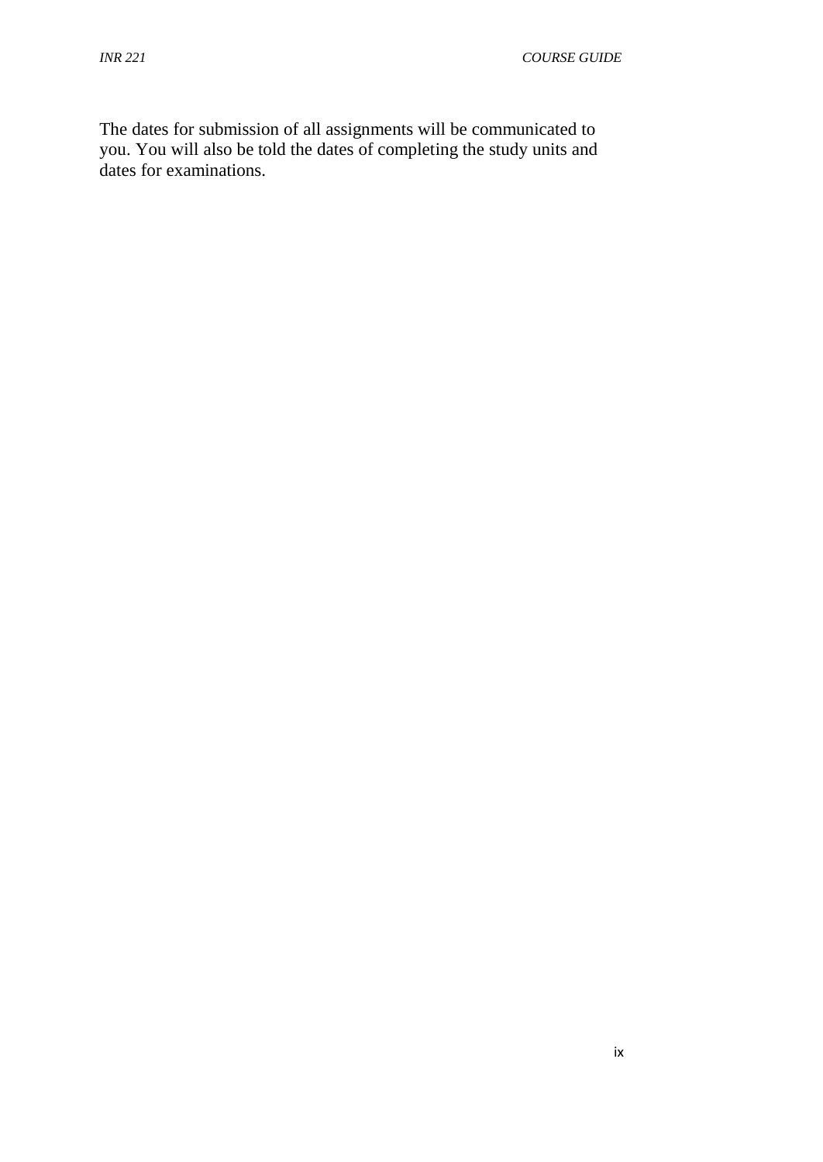The dates for submission of all assignments will be communicated to you. You will also be told the dates of completing the study units and dates for examinations.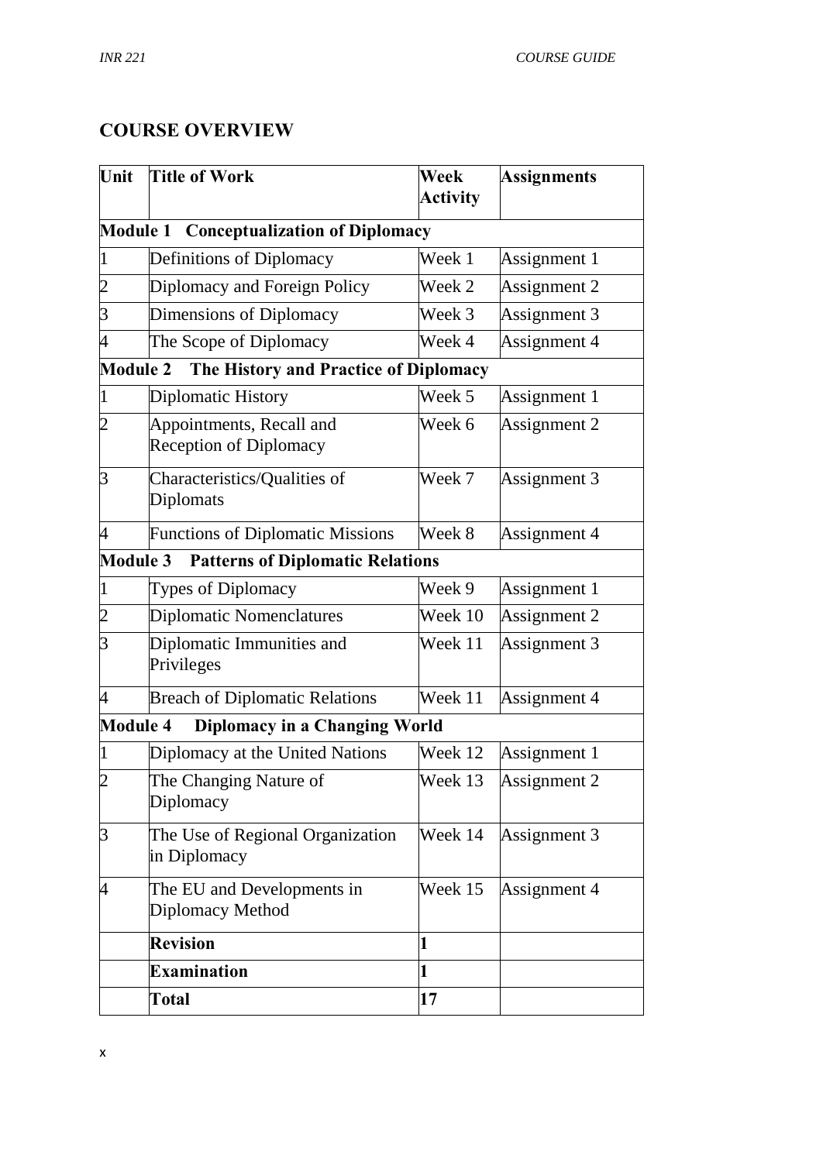## **COURSE OVERVIEW**

| Unit                     | Title of Work                                             | Week            | <b>Assignments</b> |
|--------------------------|-----------------------------------------------------------|-----------------|--------------------|
|                          |                                                           | <b>Activity</b> |                    |
| <b>Module 1</b>          | <b>Conceptualization of Diplomacy</b>                     |                 |                    |
| $\mathbf{1}$             | Definitions of Diplomacy                                  | Week 1          | Assignment 1       |
| $\overline{c}$           | Diplomacy and Foreign Policy                              | Week 2          | Assignment 2       |
| $\overline{3}$           | Dimensions of Diplomacy                                   | Week 3          | Assignment 3       |
| $\overline{\mathcal{A}}$ | The Scope of Diplomacy                                    | Week 4          | Assignment 4       |
| <b>Module 2</b>          | The History and Practice of Diplomacy                     |                 |                    |
| $\overline{1}$           | Diplomatic History                                        | Week 5          | Assignment 1       |
| $\overline{c}$           | Appointments, Recall and<br><b>Reception of Diplomacy</b> | Week 6          | Assignment 2       |
| $\overline{3}$           | Characteristics/Qualities of<br>Diplomats                 | Week 7          | Assignment 3       |
| 4                        | <b>Functions of Diplomatic Missions</b>                   | Week 8          | Assignment 4       |
| <b>Module 3</b>          | <b>Patterns of Diplomatic Relations</b>                   |                 |                    |
| $\overline{1}$           | Types of Diplomacy                                        | Week 9          | Assignment 1       |
| $\overline{2}$           | Diplomatic Nomenclatures                                  | Week 10         | Assignment 2       |
| 3                        | Diplomatic Immunities and<br>Privileges                   | Week 11         | Assignment 3       |
| $\overline{4}$           | <b>Breach of Diplomatic Relations</b>                     | Week 11         | Assignment 4       |
| <b>Module 4</b>          | <b>Diplomacy in a Changing World</b>                      |                 |                    |
| 1                        | Diplomacy at the United Nations                           | Week 12         | Assignment 1       |
| $\overline{c}$           | The Changing Nature of<br>Diplomacy                       | Week 13         | Assignment 2       |
| $\overline{3}$           | The Use of Regional Organization<br>in Diplomacy          | Week 14         | Assignment 3       |
| 4                        | The EU and Developments in<br>Diplomacy Method            | Week 15         | Assignment 4       |
|                          | <b>Revision</b>                                           | 1               |                    |
|                          | <b>Examination</b>                                        | 1               |                    |
|                          | Total                                                     | 17              |                    |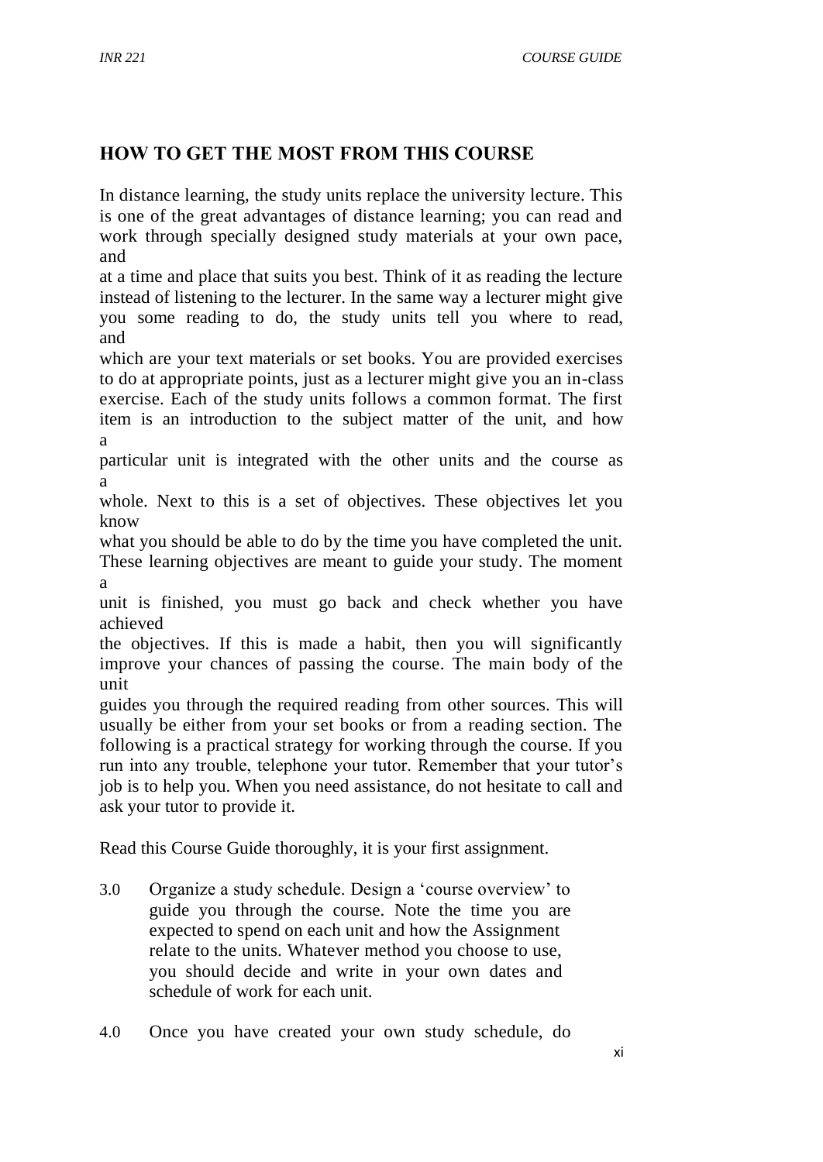# **HOW TO GET THE MOST FROM THIS COURSE**

In distance learning, the study units replace the university lecture. This is one of the great advantages of distance learning; you can read and work through specially designed study materials at your own pace, and

at a time and place that suits you best. Think of it as reading the lecture instead of listening to the lecturer. In the same way a lecturer might give you some reading to do, the study units tell you where to read, and

which are your text materials or set books. You are provided exercises to do at appropriate points, just as a lecturer might give you an in-class exercise. Each of the study units follows a common format. The first item is an introduction to the subject matter of the unit, and how a

particular unit is integrated with the other units and the course as a

whole. Next to this is a set of objectives. These objectives let you know

what you should be able to do by the time you have completed the unit. These learning objectives are meant to guide your study. The moment a

unit is finished, you must go back and check whether you have achieved

the objectives. If this is made a habit, then you will significantly improve your chances of passing the course. The main body of the unit

guides you through the required reading from other sources. This will usually be either from your set books or from a reading section. The following is a practical strategy for working through the course. If you run into any trouble, telephone your tutor. Remember that your tutor's job is to help you. When you need assistance, do not hesitate to call and ask your tutor to provide it.

Read this Course Guide thoroughly, it is your first assignment.

- 3.0 Organize a study schedule. Design a 'course overview' to guide you through the course. Note the time you are expected to spend on each unit and how the Assignment relate to the units. Whatever method you choose to use, you should decide and write in your own dates and schedule of work for each unit.
- 4.0 Once you have created your own study schedule, do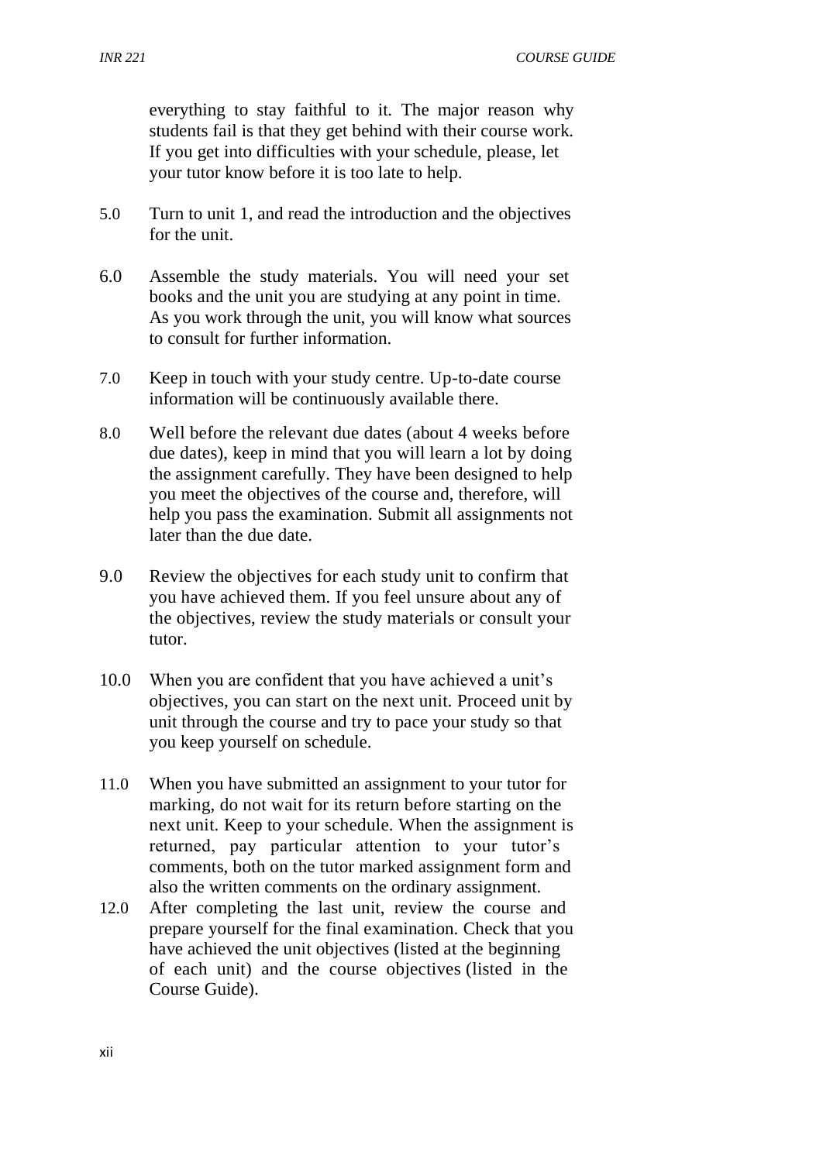everything to stay faithful to it. The major reason why students fail is that they get behind with their course work. If you get into difficulties with your schedule, please, let your tutor know before it is too late to help.

- 5.0 Turn to unit 1, and read the introduction and the objectives for the unit.
- 6.0 Assemble the study materials. You will need your set books and the unit you are studying at any point in time. As you work through the unit, you will know what sources to consult for further information.
- 7.0 Keep in touch with your study centre. Up-to-date course information will be continuously available there.
- 8.0 Well before the relevant due dates (about 4 weeks before due dates), keep in mind that you will learn a lot by doing the assignment carefully. They have been designed to help you meet the objectives of the course and, therefore, will help you pass the examination. Submit all assignments not later than the due date.
- 9.0 Review the objectives for each study unit to confirm that you have achieved them. If you feel unsure about any of the objectives, review the study materials or consult your tutor.
- 10.0 When you are confident that you have achieved a unit's objectives, you can start on the next unit. Proceed unit by unit through the course and try to pace your study so that you keep yourself on schedule.
- 11.0 When you have submitted an assignment to your tutor for marking, do not wait for its return before starting on the next unit. Keep to your schedule. When the assignment is returned, pay particular attention to your tutor's comments, both on the tutor marked assignment form and also the written comments on the ordinary assignment.
- 12.0 After completing the last unit, review the course and prepare yourself for the final examination. Check that you have achieved the unit objectives (listed at the beginning of each unit) and the course objectives (listed in the Course Guide).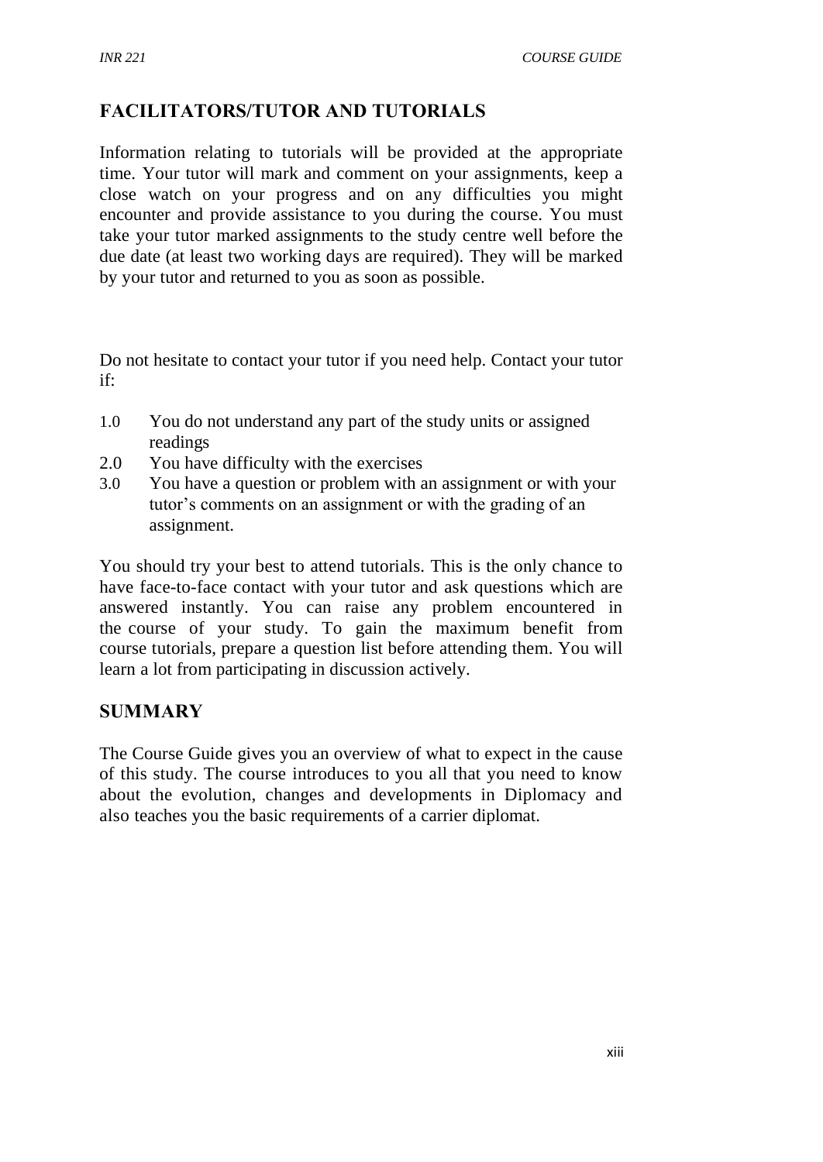# **FACILITATORS/TUTOR AND TUTORIALS**

Information relating to tutorials will be provided at the appropriate time. Your tutor will mark and comment on your assignments, keep a close watch on your progress and on any difficulties you might encounter and provide assistance to you during the course. You must take your tutor marked assignments to the study centre well before the due date (at least two working days are required). They will be marked by your tutor and returned to you as soon as possible.

Do not hesitate to contact your tutor if you need help. Contact your tutor if:

- 1.0 You do not understand any part of the study units or assigned readings
- 2.0 You have difficulty with the exercises
- 3.0 You have a question or problem with an assignment or with your tutor's comments on an assignment or with the grading of an assignment.

You should try your best to attend tutorials. This is the only chance to have face-to-face contact with your tutor and ask questions which are answered instantly. You can raise any problem encountered in the course of your study. To gain the maximum benefit from course tutorials, prepare a question list before attending them. You will learn a lot from participating in discussion actively.

## **SUMMARY**

The Course Guide gives you an overview of what to expect in the cause of this study. The course introduces to you all that you need to know about the evolution, changes and developments in Diplomacy and also teaches you the basic requirements of a carrier diplomat.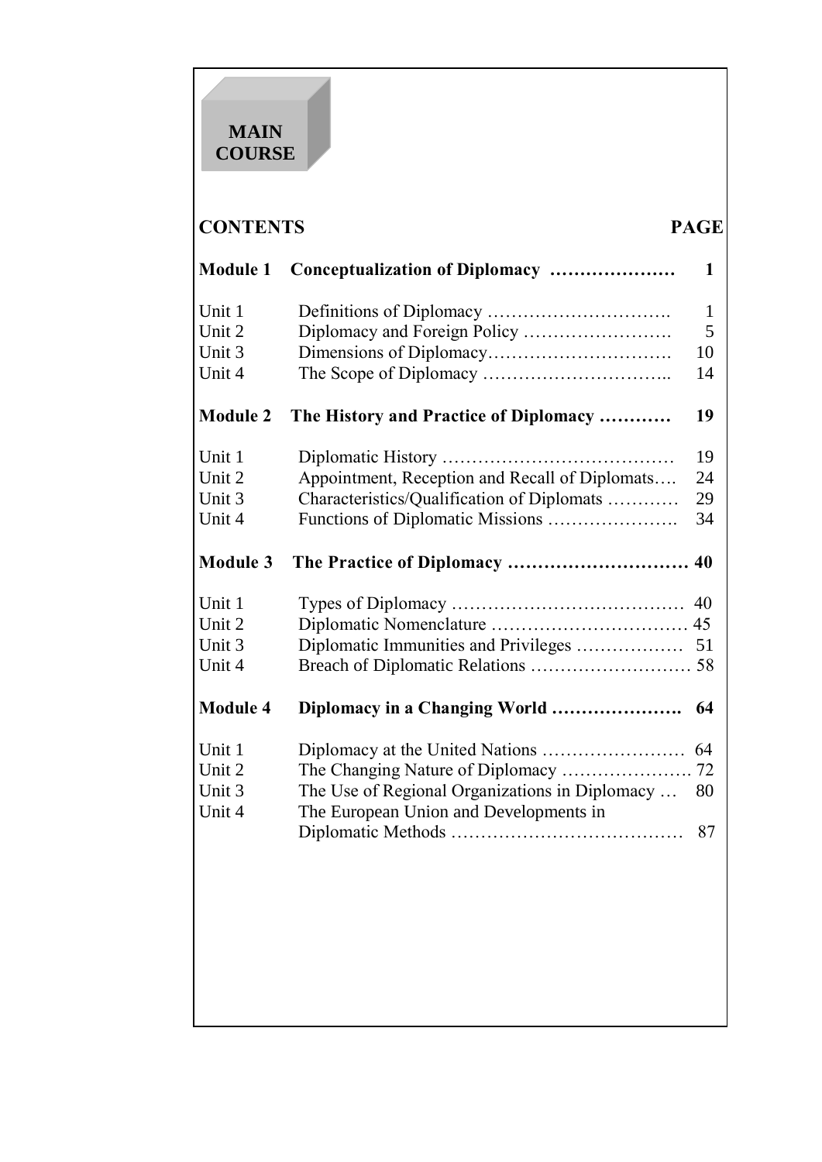# **MAIN COURSE**

# **CONTENTS PAGE**

| <b>Module 1</b>  | Conceptualization of Diplomacy                 | 1            |
|------------------|------------------------------------------------|--------------|
| Unit 1           |                                                | $\mathbf{1}$ |
| Unit 2           |                                                | 5            |
| Unit 3           |                                                | 10           |
| Unit 4           |                                                | 14           |
| <b>Module 2</b>  | The History and Practice of Diplomacy          | 19           |
| Unit 1           |                                                | 19           |
| Unit 2           | Appointment, Reception and Recall of Diplomats | 24           |
| Unit 3           | Characteristics/Qualification of Diplomats     | 29           |
| Unit 4           | Functions of Diplomatic Missions               | 34           |
| <b>Module 3</b>  |                                                |              |
| Unit 1           |                                                | 40           |
| Unit 2           |                                                | 45           |
| Unit 3           | Diplomatic Immunities and Privileges           | 51           |
| Unit 4           |                                                |              |
| <b>Module 4</b>  | Diplomacy in a Changing World                  | 64           |
| Unit 1           |                                                | 64           |
| Unit 2           | The Changing Nature of Diplomacy               | 72           |
| Unit 3<br>Unit 4 | The Use of Regional Organizations in Diplomacy | 80           |
|                  | The European Union and Developments in         | 87           |
|                  |                                                |              |
|                  |                                                |              |
|                  |                                                |              |
|                  |                                                |              |
|                  |                                                |              |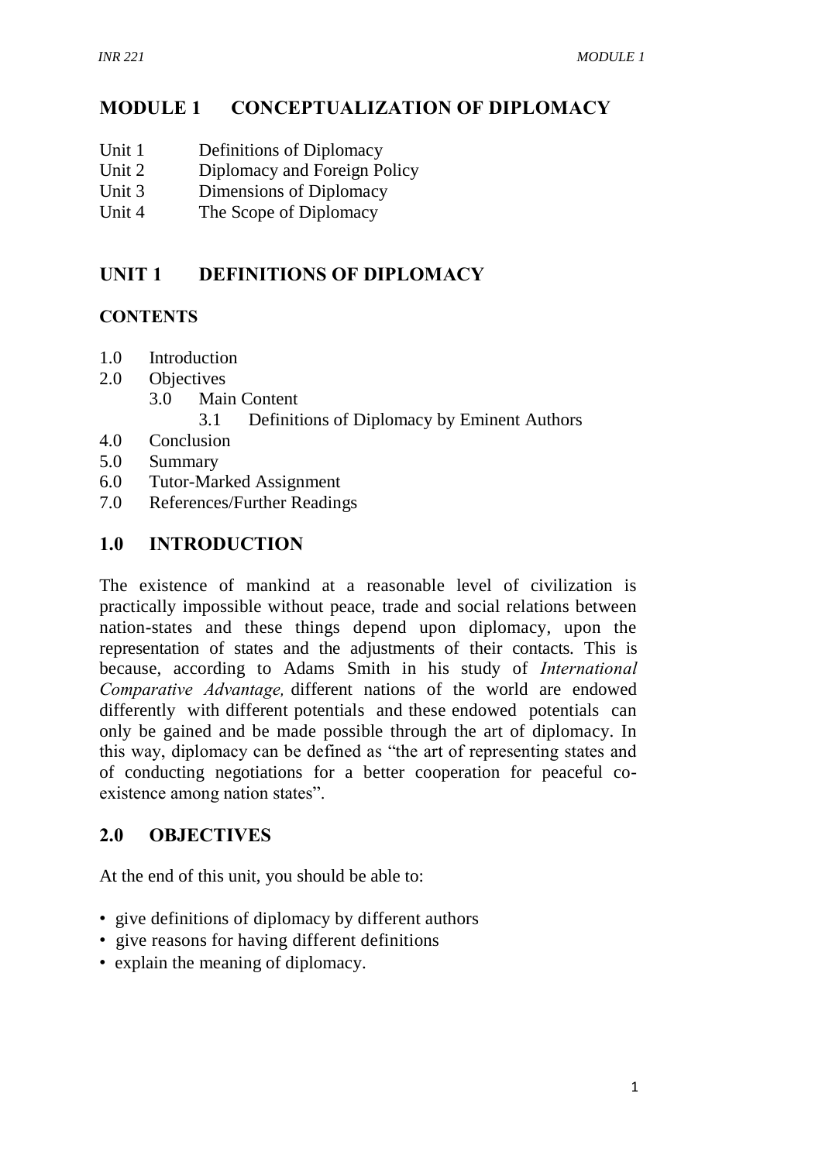#### **MODULE 1 CONCEPTUALIZATION OF DIPLOMACY**

- Unit 1 Definitions of Diplomacy
- Unit 2 Diplomacy and Foreign Policy
- Unit 3 Dimensions of Diplomacy
- Unit 4 The Scope of Diplomacy

# **UNIT 1 DEFINITIONS OF DIPLOMACY**

#### **CONTENTS**

- 1.0 Introduction
- 2.0 Objectives
	- 3.0 Main Content
		- 3.1 Definitions of Diplomacy by Eminent Authors
- 4.0 Conclusion
- 5.0 Summary
- 6.0 Tutor-Marked Assignment
- 7.0 References/Further Readings

#### **1.0 INTRODUCTION**

The existence of mankind at a reasonable level of civilization is practically impossible without peace, trade and social relations between nation-states and these things depend upon diplomacy, upon the representation of states and the adjustments of their contacts. This is because, according to Adams Smith in his study of *International Comparative Advantage,* different nations of the world are endowed differently with different potentials and these endowed potentials can only be gained and be made possible through the art of diplomacy. In this way, diplomacy can be defined as "the art of representing states and of conducting negotiations for a better cooperation for peaceful coexistence among nation states".

## **2.0 OBJECTIVES**

At the end of this unit, you should be able to:

- give definitions of diplomacy by different authors
- give reasons for having different definitions
- explain the meaning of diplomacy.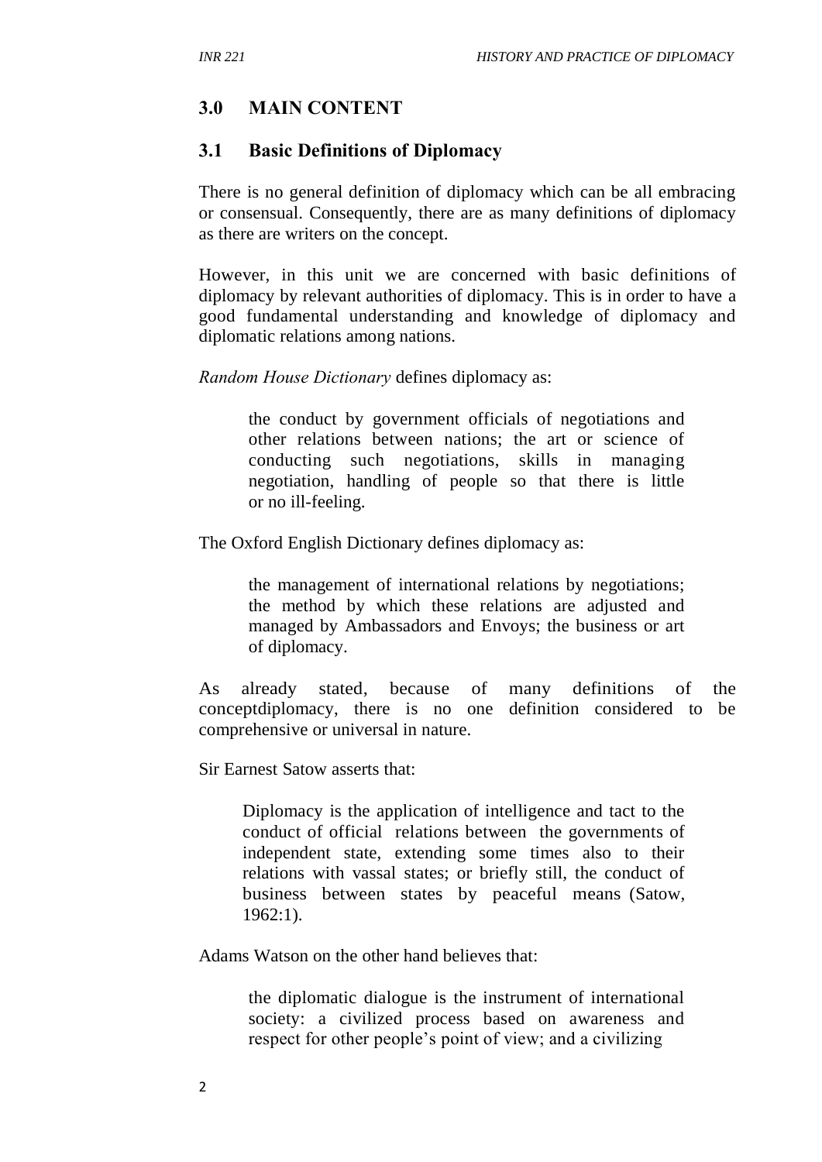#### **3.0 MAIN CONTENT**

#### **3.1 Basic Definitions of Diplomacy**

There is no general definition of diplomacy which can be all embracing or consensual. Consequently, there are as many definitions of diplomacy as there are writers on the concept.

However, in this unit we are concerned with basic definitions of diplomacy by relevant authorities of diplomacy. This is in order to have a good fundamental understanding and knowledge of diplomacy and diplomatic relations among nations.

*Random House Dictionary* defines diplomacy as:

the conduct by government officials of negotiations and other relations between nations; the art or science of conducting such negotiations, skills in managing negotiation, handling of people so that there is little or no ill-feeling.

The Oxford English Dictionary defines diplomacy as:

the management of international relations by negotiations; the method by which these relations are adjusted and managed by Ambassadors and Envoys; the business or art of diplomacy.

As already stated, because of many definitions of the conceptdiplomacy, there is no one definition considered to be comprehensive or universal in nature.

Sir Earnest Satow asserts that:

Diplomacy is the application of intelligence and tact to the conduct of official relations between the governments of independent state, extending some times also to their relations with vassal states; or briefly still, the conduct of business between states by peaceful means (Satow, 1962:1).

Adams Watson on the other hand believes that:

the diplomatic dialogue is the instrument of international society: a civilized process based on awareness and respect for other people's point of view; and a civilizing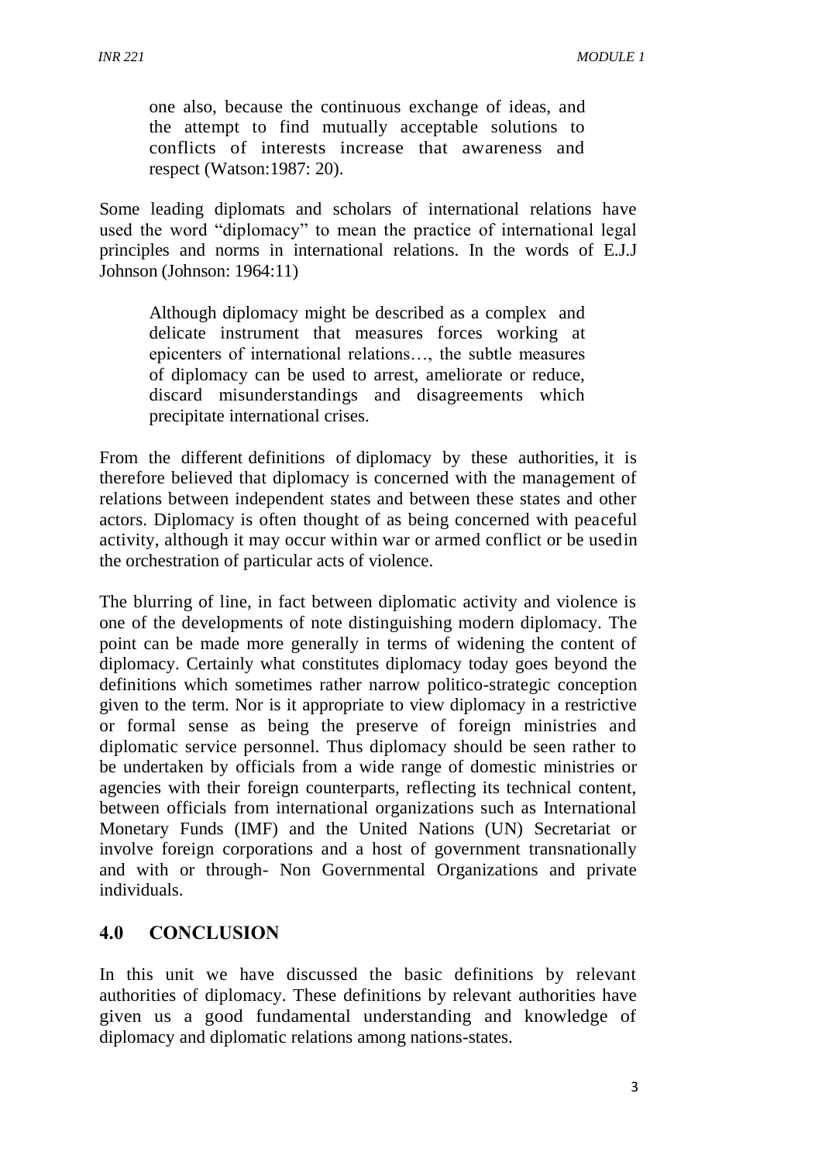one also, because the continuous exchange of ideas, and the attempt to find mutually acceptable solutions to conflicts of interests increase that awareness and respect (Watson:1987: 20).

Some leading diplomats and scholars of international relations have used the word "diplomacy" to mean the practice of international legal principles and norms in international relations. In the words of E.J.J Johnson (Johnson: 1964:11)

Although diplomacy might be described as a complex and delicate instrument that measures forces working at epicenters of international relations…, the subtle measures of diplomacy can be used to arrest, ameliorate or reduce, discard misunderstandings and disagreements which precipitate international crises.

From the different definitions of diplomacy by these authorities, it is therefore believed that diplomacy is concerned with the management of relations between independent states and between these states and other actors. Diplomacy is often thought of as being concerned with peaceful activity, although it may occur within war or armed conflict or be usedin the orchestration of particular acts of violence.

The blurring of line, in fact between diplomatic activity and violence is one of the developments of note distinguishing modern diplomacy. The point can be made more generally in terms of widening the content of diplomacy. Certainly what constitutes diplomacy today goes beyond the definitions which sometimes rather narrow politico-strategic conception given to the term. Nor is it appropriate to view diplomacy in a restrictive or formal sense as being the preserve of foreign ministries and diplomatic service personnel. Thus diplomacy should be seen rather to be undertaken by officials from a wide range of domestic ministries or agencies with their foreign counterparts, reflecting its technical content, between officials from international organizations such as International Monetary Funds (IMF) and the United Nations (UN) Secretariat or involve foreign corporations and a host of government transnationally and with or through- Non Governmental Organizations and private individuals.

#### **4.0 CONCLUSION**

In this unit we have discussed the basic definitions by relevant authorities of diplomacy. These definitions by relevant authorities have given us a good fundamental understanding and knowledge of diplomacy and diplomatic relations among nations-states.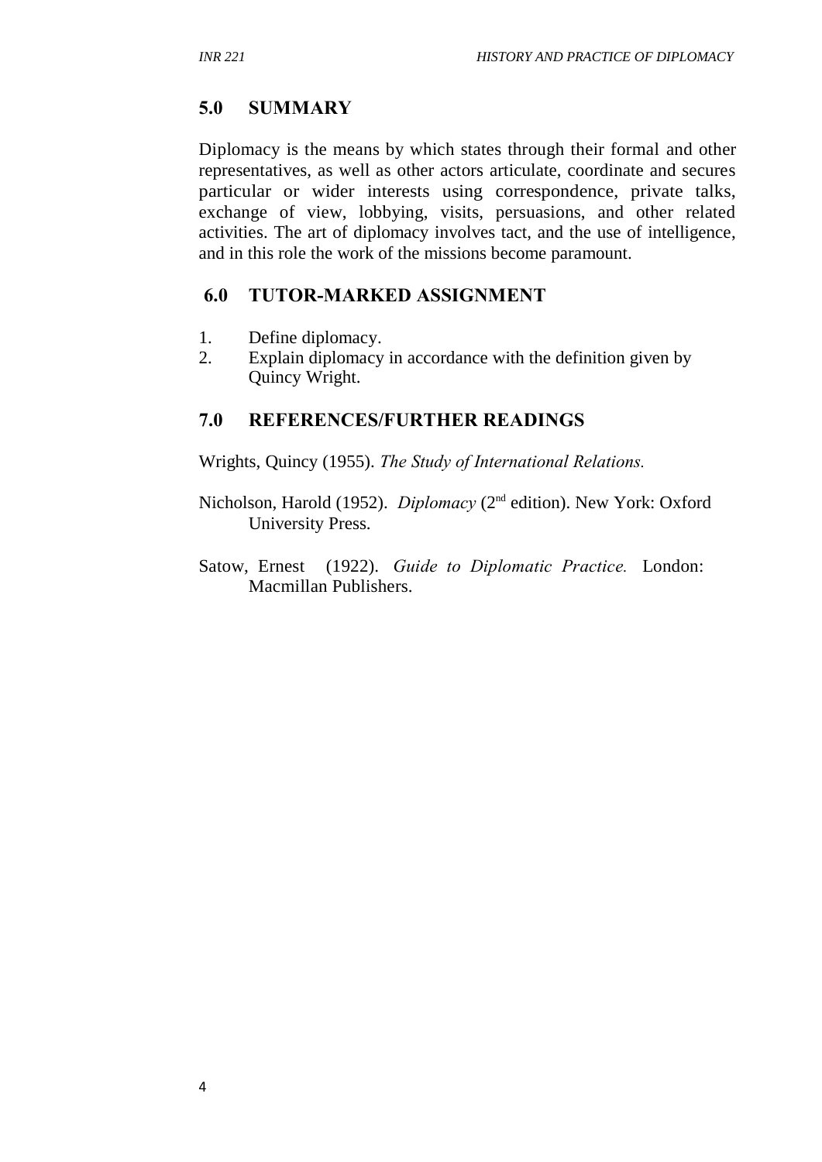## **5.0 SUMMARY**

Diplomacy is the means by which states through their formal and other representatives, as well as other actors articulate, coordinate and secures particular or wider interests using correspondence, private talks, exchange of view, lobbying, visits, persuasions, and other related activities. The art of diplomacy involves tact, and the use of intelligence, and in this role the work of the missions become paramount.

## **6.0 TUTOR-MARKED ASSIGNMENT**

- 1. Define diplomacy.
- 2. Explain diplomacy in accordance with the definition given by Quincy Wright.

## **7.0 REFERENCES/FURTHER READINGS**

Wrights, Quincy (1955). *The Study of International Relations.* 

- Nicholson, Harold (1952). *Diplomacy* (2<sup>nd</sup> edition). New York: Oxford University Press.
- Satow, Ernest (1922). *Guide to Diplomatic Practice.* London: Macmillan Publishers.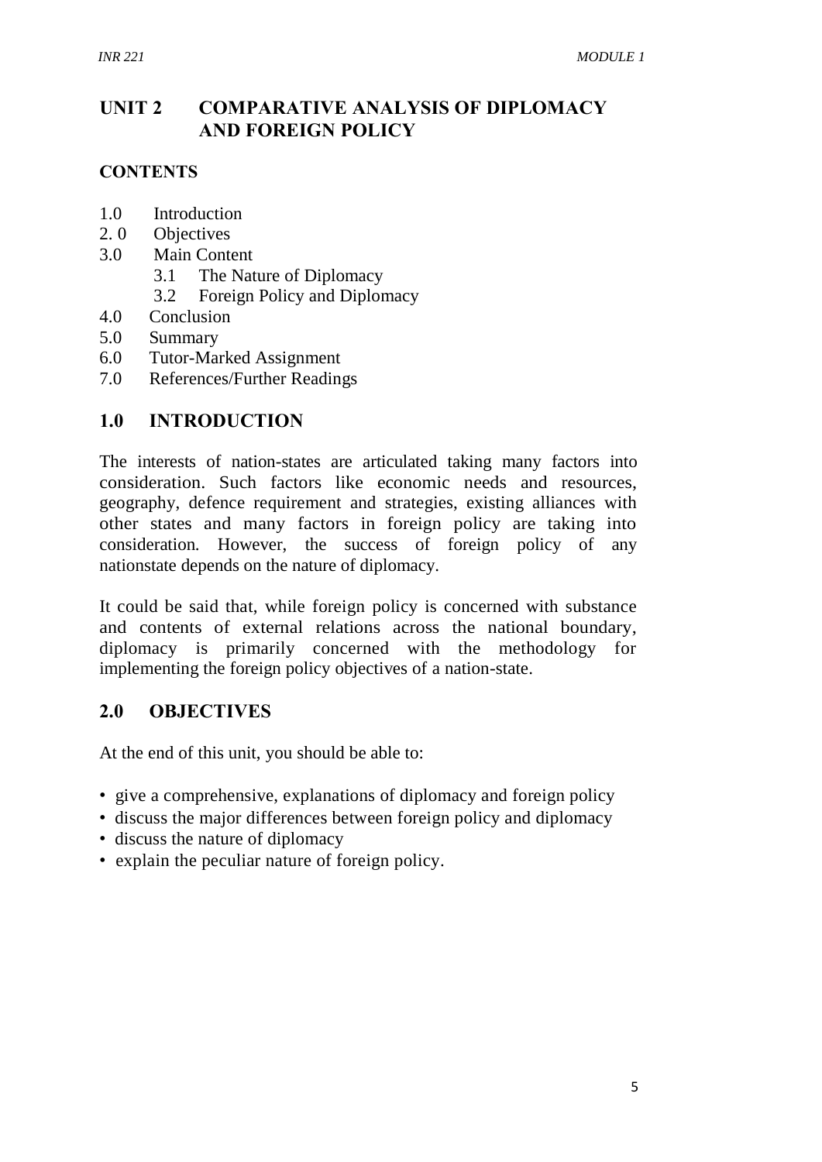# **UNIT 2 COMPARATIVE ANALYSIS OF DIPLOMACY AND FOREIGN POLICY**

## **CONTENTS**

- 1.0 Introduction
- 2. 0 Objectives
- 3.0 Main Content
	- 3.1 The Nature of Diplomacy
	- 3.2 Foreign Policy and Diplomacy
- 4.0 Conclusion
- 5.0 Summary
- 6.0 Tutor-Marked Assignment
- 7.0 References/Further Readings

## **1.0 INTRODUCTION**

The interests of nation-states are articulated taking many factors into consideration. Such factors like economic needs and resources, geography, defence requirement and strategies, existing alliances with other states and many factors in foreign policy are taking into consideration. However, the success of foreign policy of any nationstate depends on the nature of diplomacy.

It could be said that, while foreign policy is concerned with substance and contents of external relations across the national boundary, diplomacy is primarily concerned with the methodology for implementing the foreign policy objectives of a nation-state.

## **2.0 OBJECTIVES**

At the end of this unit, you should be able to:

- give a comprehensive, explanations of diplomacy and foreign policy
- discuss the major differences between foreign policy and diplomacy
- discuss the nature of diplomacy
- explain the peculiar nature of foreign policy.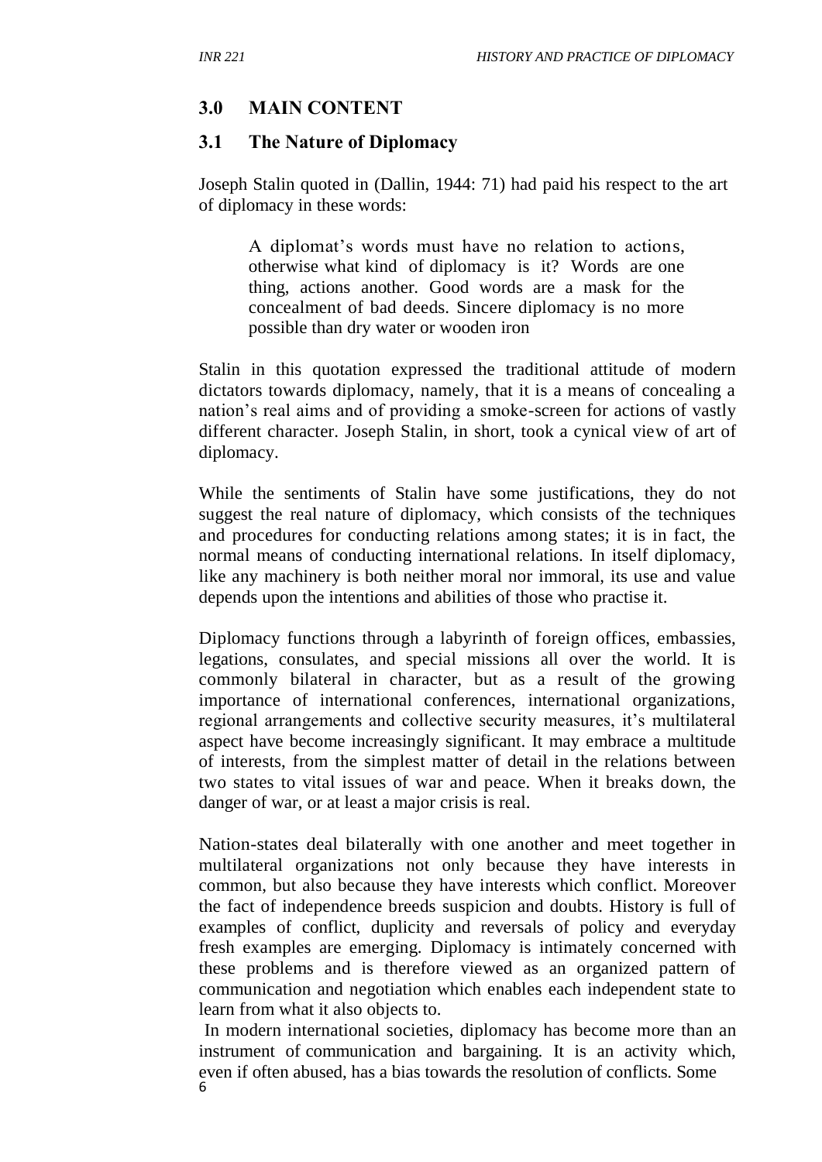#### **3.0 MAIN CONTENT**

#### **3.1 The Nature of Diplomacy**

Joseph Stalin quoted in (Dallin, 1944: 71) had paid his respect to the art of diplomacy in these words:

A diplomat's words must have no relation to actions, otherwise what kind of diplomacy is it? Words are one thing, actions another. Good words are a mask for the concealment of bad deeds. Sincere diplomacy is no more possible than dry water or wooden iron

Stalin in this quotation expressed the traditional attitude of modern dictators towards diplomacy, namely, that it is a means of concealing a nation's real aims and of providing a smoke-screen for actions of vastly different character. Joseph Stalin, in short, took a cynical view of art of diplomacy.

While the sentiments of Stalin have some justifications, they do not suggest the real nature of diplomacy, which consists of the techniques and procedures for conducting relations among states; it is in fact, the normal means of conducting international relations. In itself diplomacy, like any machinery is both neither moral nor immoral, its use and value depends upon the intentions and abilities of those who practise it.

Diplomacy functions through a labyrinth of foreign offices, embassies, legations, consulates, and special missions all over the world. It is commonly bilateral in character, but as a result of the growing importance of international conferences, international organizations, regional arrangements and collective security measures, it's multilateral aspect have become increasingly significant. It may embrace a multitude of interests, from the simplest matter of detail in the relations between two states to vital issues of war and peace. When it breaks down, the danger of war, or at least a major crisis is real.

Nation-states deal bilaterally with one another and meet together in multilateral organizations not only because they have interests in common, but also because they have interests which conflict. Moreover the fact of independence breeds suspicion and doubts. History is full of examples of conflict, duplicity and reversals of policy and everyday fresh examples are emerging. Diplomacy is intimately concerned with these problems and is therefore viewed as an organized pattern of communication and negotiation which enables each independent state to learn from what it also objects to.

6 In modern international societies, diplomacy has become more than an instrument of communication and bargaining. It is an activity which, even if often abused, has a bias towards the resolution of conflicts. Some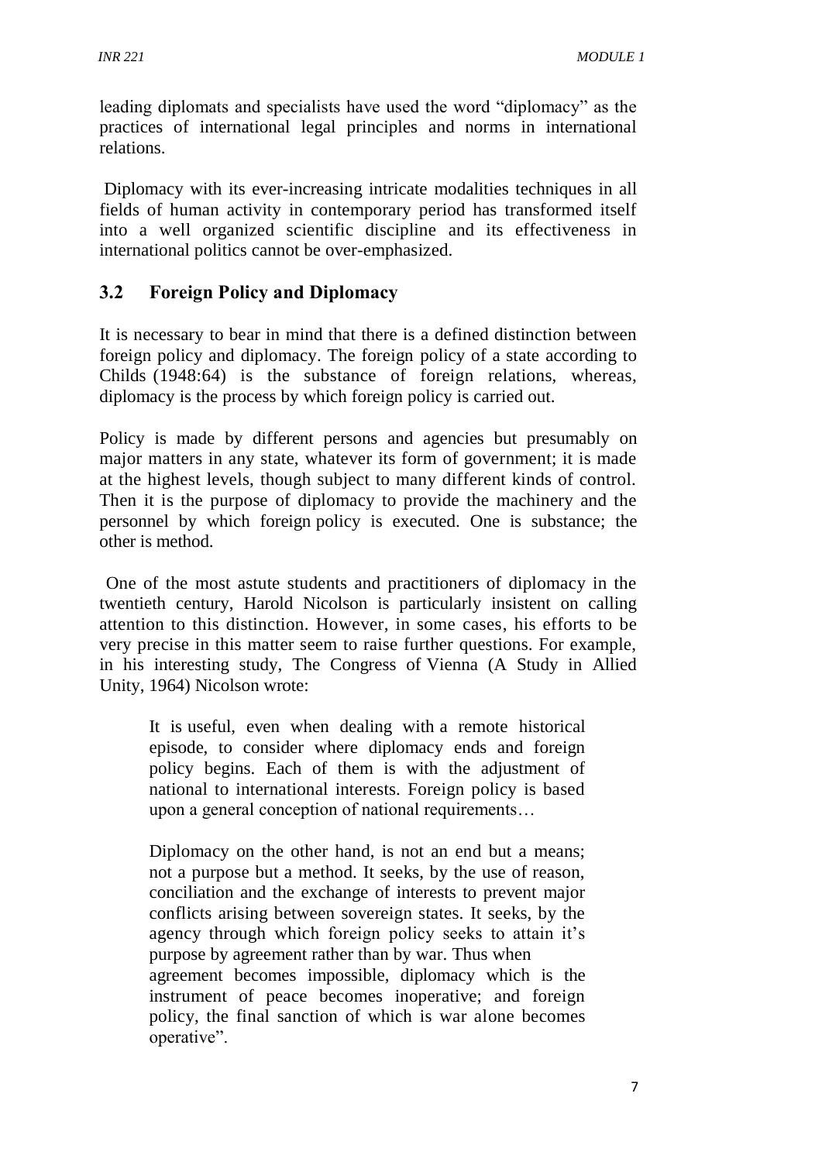leading diplomats and specialists have used the word "diplomacy" as the practices of international legal principles and norms in international relations.

Diplomacy with its ever-increasing intricate modalities techniques in all fields of human activity in contemporary period has transformed itself into a well organized scientific discipline and its effectiveness in international politics cannot be over-emphasized.

## **3.2 Foreign Policy and Diplomacy**

It is necessary to bear in mind that there is a defined distinction between foreign policy and diplomacy. The foreign policy of a state according to Childs (1948:64) is the substance of foreign relations, whereas, diplomacy is the process by which foreign policy is carried out.

Policy is made by different persons and agencies but presumably on major matters in any state, whatever its form of government; it is made at the highest levels, though subject to many different kinds of control. Then it is the purpose of diplomacy to provide the machinery and the personnel by which foreign policy is executed. One is substance; the other is method.

One of the most astute students and practitioners of diplomacy in the twentieth century, Harold Nicolson is particularly insistent on calling attention to this distinction. However, in some cases, his efforts to be very precise in this matter seem to raise further questions. For example, in his interesting study, The Congress of Vienna (A Study in Allied Unity, 1964) Nicolson wrote:

It is useful, even when dealing with a remote historical episode, to consider where diplomacy ends and foreign policy begins. Each of them is with the adjustment of national to international interests. Foreign policy is based upon a general conception of national requirements…

Diplomacy on the other hand, is not an end but a means; not a purpose but a method. It seeks, by the use of reason, conciliation and the exchange of interests to prevent major conflicts arising between sovereign states. It seeks, by the agency through which foreign policy seeks to attain it's purpose by agreement rather than by war. Thus when agreement becomes impossible, diplomacy which is the instrument of peace becomes inoperative; and foreign policy, the final sanction of which is war alone becomes operative".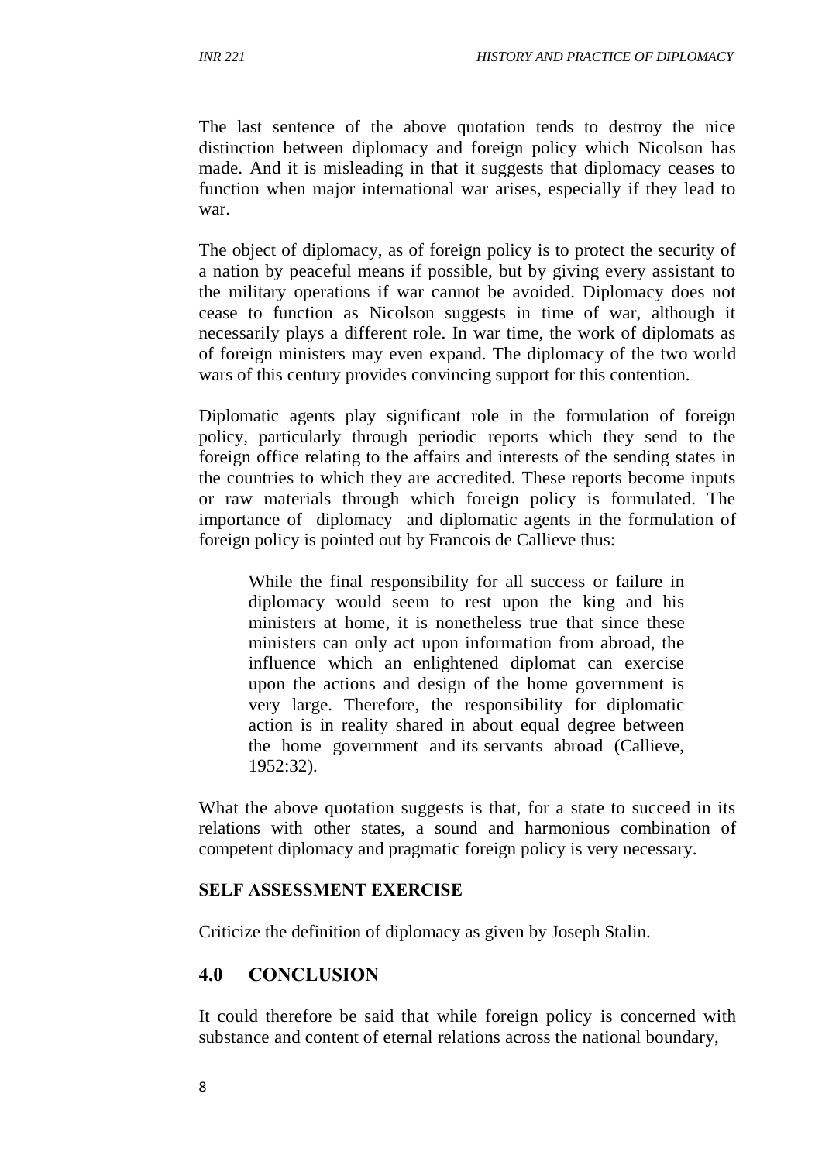The last sentence of the above quotation tends to destroy the nice distinction between diplomacy and foreign policy which Nicolson has made. And it is misleading in that it suggests that diplomacy ceases to function when major international war arises, especially if they lead to war.

The object of diplomacy, as of foreign policy is to protect the security of a nation by peaceful means if possible, but by giving every assistant to the military operations if war cannot be avoided. Diplomacy does not cease to function as Nicolson suggests in time of war, although it necessarily plays a different role. In war time, the work of diplomats as of foreign ministers may even expand. The diplomacy of the two world wars of this century provides convincing support for this contention.

Diplomatic agents play significant role in the formulation of foreign policy, particularly through periodic reports which they send to the foreign office relating to the affairs and interests of the sending states in the countries to which they are accredited. These reports become inputs or raw materials through which foreign policy is formulated. The importance of diplomacy and diplomatic agents in the formulation of foreign policy is pointed out by Francois de Callieve thus:

While the final responsibility for all success or failure in diplomacy would seem to rest upon the king and his ministers at home, it is nonetheless true that since these ministers can only act upon information from abroad, the influence which an enlightened diplomat can exercise upon the actions and design of the home government is very large. Therefore, the responsibility for diplomatic action is in reality shared in about equal degree between the home government and its servants abroad (Callieve, 1952:32).

What the above quotation suggests is that, for a state to succeed in its relations with other states, a sound and harmonious combination of competent diplomacy and pragmatic foreign policy is very necessary.

#### **SELF ASSESSMENT EXERCISE**

Criticize the definition of diplomacy as given by Joseph Stalin.

#### **4.0 CONCLUSION**

It could therefore be said that while foreign policy is concerned with substance and content of eternal relations across the national boundary,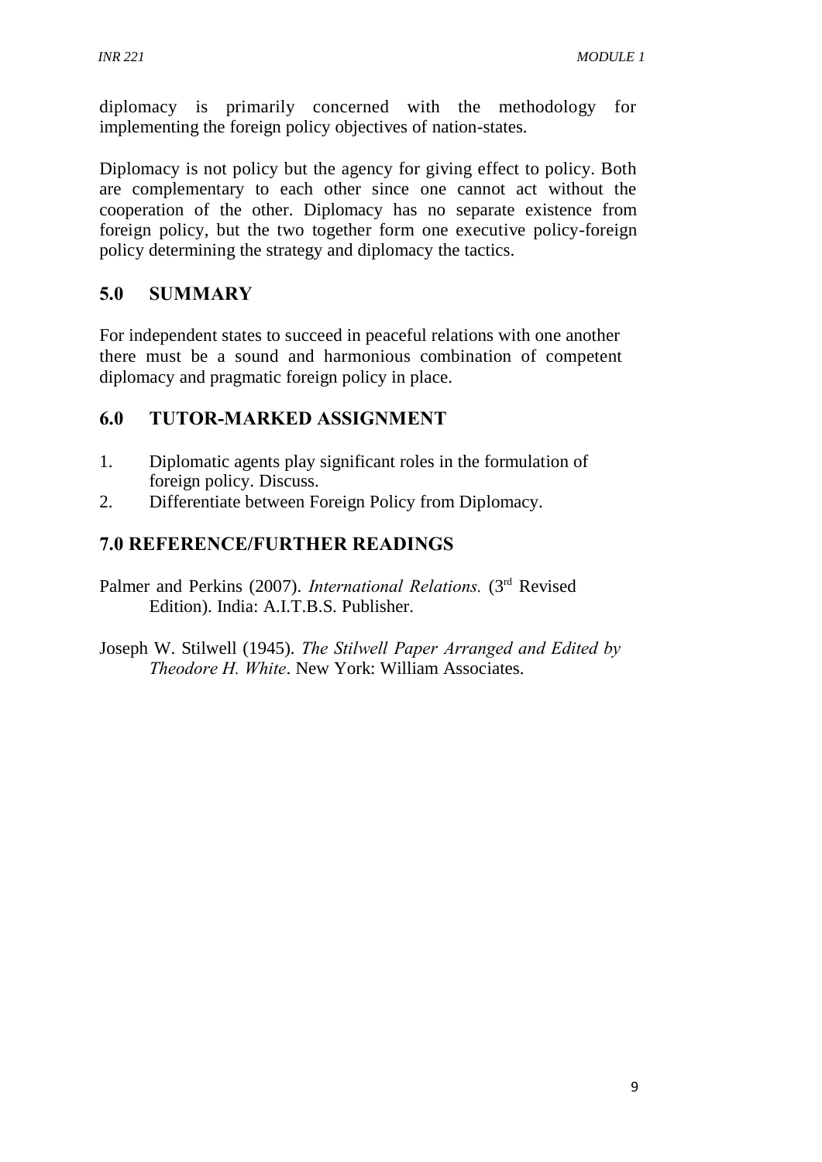diplomacy is primarily concerned with the methodology for implementing the foreign policy objectives of nation-states.

Diplomacy is not policy but the agency for giving effect to policy. Both are complementary to each other since one cannot act without the cooperation of the other. Diplomacy has no separate existence from foreign policy, but the two together form one executive policy-foreign policy determining the strategy and diplomacy the tactics.

# **5.0 SUMMARY**

For independent states to succeed in peaceful relations with one another there must be a sound and harmonious combination of competent diplomacy and pragmatic foreign policy in place.

# **6.0 TUTOR-MARKED ASSIGNMENT**

- 1. Diplomatic agents play significant roles in the formulation of foreign policy. Discuss.
- 2. Differentiate between Foreign Policy from Diplomacy.

# **7.0 REFERENCE/FURTHER READINGS**

- Palmer and Perkins (2007). *International Relations*. (3<sup>rd</sup> Revised Edition). India: A.I.T.B.S. Publisher.
- Joseph W. Stilwell (1945). *The Stilwell Paper Arranged and Edited by Theodore H. White*. New York: William Associates.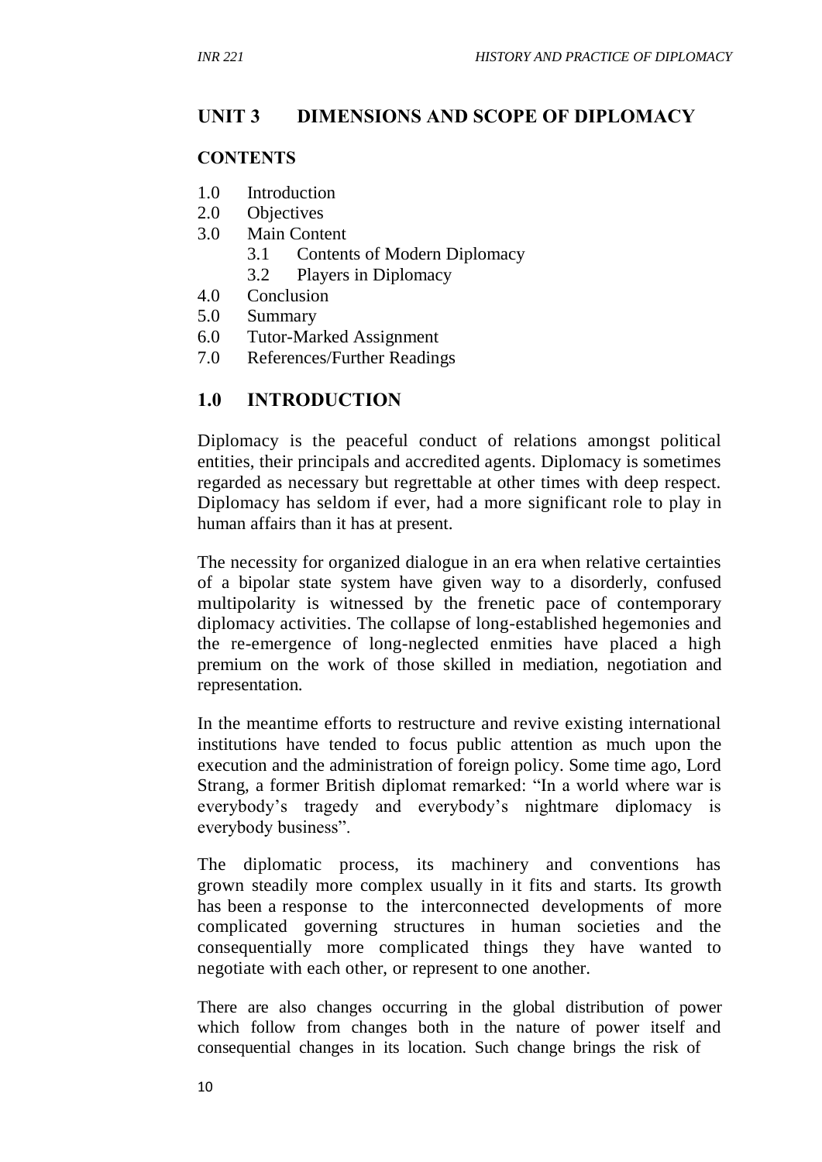# **UNIT 3 DIMENSIONS AND SCOPE OF DIPLOMACY**

#### **CONTENTS**

- 1.0 Introduction
- 2.0 Objectives
- 3.0 Main Content
	- 3.1 Contents of Modern Diplomacy
	- 3.2 Players in Diplomacy
- 4.0 Conclusion
- 5.0 Summary
- 6.0 Tutor-Marked Assignment
- 7.0 References/Further Readings

## **1.0 INTRODUCTION**

Diplomacy is the peaceful conduct of relations amongst political entities, their principals and accredited agents. Diplomacy is sometimes regarded as necessary but regrettable at other times with deep respect. Diplomacy has seldom if ever, had a more significant role to play in human affairs than it has at present.

The necessity for organized dialogue in an era when relative certainties of a bipolar state system have given way to a disorderly, confused multipolarity is witnessed by the frenetic pace of contemporary diplomacy activities. The collapse of long-established hegemonies and the re-emergence of long-neglected enmities have placed a high premium on the work of those skilled in mediation, negotiation and representation.

In the meantime efforts to restructure and revive existing international institutions have tended to focus public attention as much upon the execution and the administration of foreign policy. Some time ago, Lord Strang, a former British diplomat remarked: "In a world where war is everybody's tragedy and everybody's nightmare diplomacy is everybody business".

The diplomatic process, its machinery and conventions has grown steadily more complex usually in it fits and starts. Its growth has been a response to the interconnected developments of more complicated governing structures in human societies and the consequentially more complicated things they have wanted to negotiate with each other, or represent to one another.

There are also changes occurring in the global distribution of power which follow from changes both in the nature of power itself and consequential changes in its location. Such change brings the risk of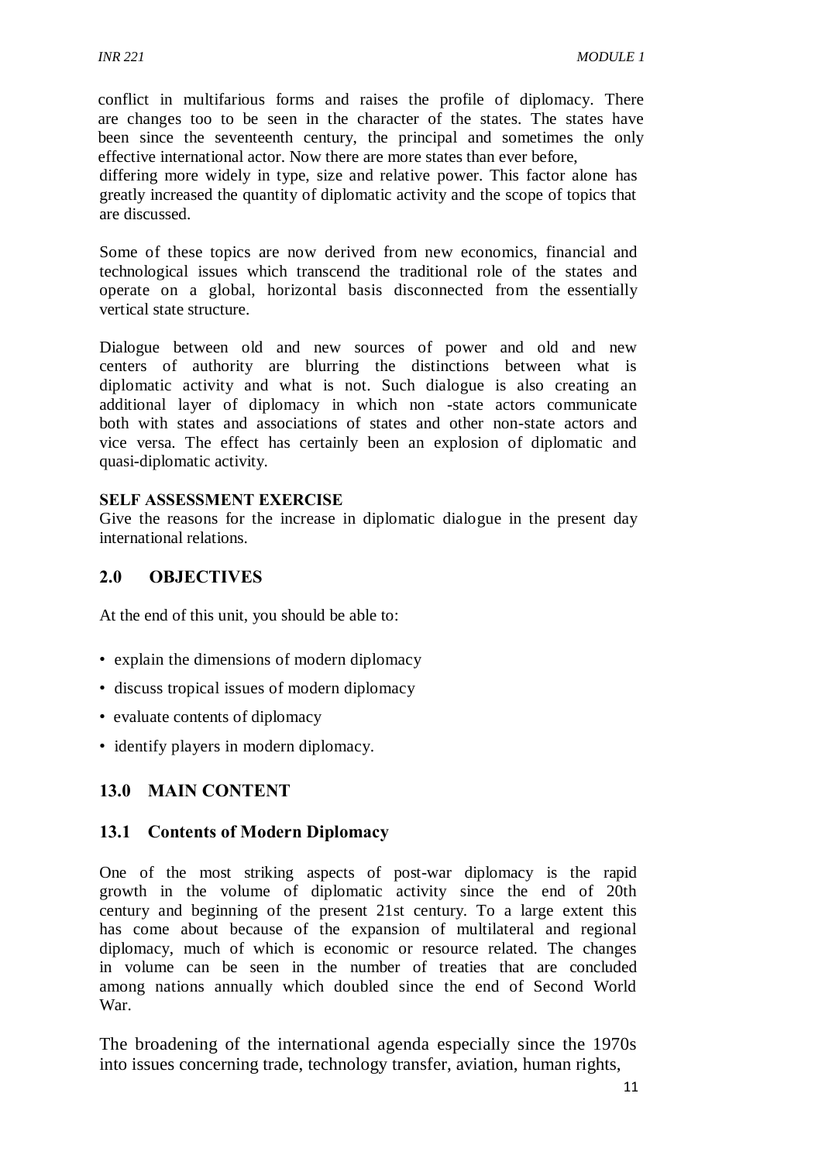conflict in multifarious forms and raises the profile of diplomacy. There are changes too to be seen in the character of the states. The states have been since the seventeenth century, the principal and sometimes the only effective international actor. Now there are more states than ever before,

differing more widely in type, size and relative power. This factor alone has greatly increased the quantity of diplomatic activity and the scope of topics that are discussed.

Some of these topics are now derived from new economics, financial and technological issues which transcend the traditional role of the states and operate on a global, horizontal basis disconnected from the essentially vertical state structure.

Dialogue between old and new sources of power and old and new centers of authority are blurring the distinctions between what is diplomatic activity and what is not. Such dialogue is also creating an additional layer of diplomacy in which non -state actors communicate both with states and associations of states and other non-state actors and vice versa. The effect has certainly been an explosion of diplomatic and quasi-diplomatic activity.

#### **SELF ASSESSMENT EXERCISE**

Give the reasons for the increase in diplomatic dialogue in the present day international relations.

#### **2.0 OBJECTIVES**

At the end of this unit, you should be able to:

- explain the dimensions of modern diplomacy
- discuss tropical issues of modern diplomacy
- evaluate contents of diplomacy
- identify players in modern diplomacy.

## **13.0 MAIN CONTENT**

#### **13.1 Contents of Modern Diplomacy**

One of the most striking aspects of post-war diplomacy is the rapid growth in the volume of diplomatic activity since the end of 20th century and beginning of the present 21st century. To a large extent this has come about because of the expansion of multilateral and regional diplomacy, much of which is economic or resource related. The changes in volume can be seen in the number of treaties that are concluded among nations annually which doubled since the end of Second World War.

The broadening of the international agenda especially since the 1970s into issues concerning trade, technology transfer, aviation, human rights,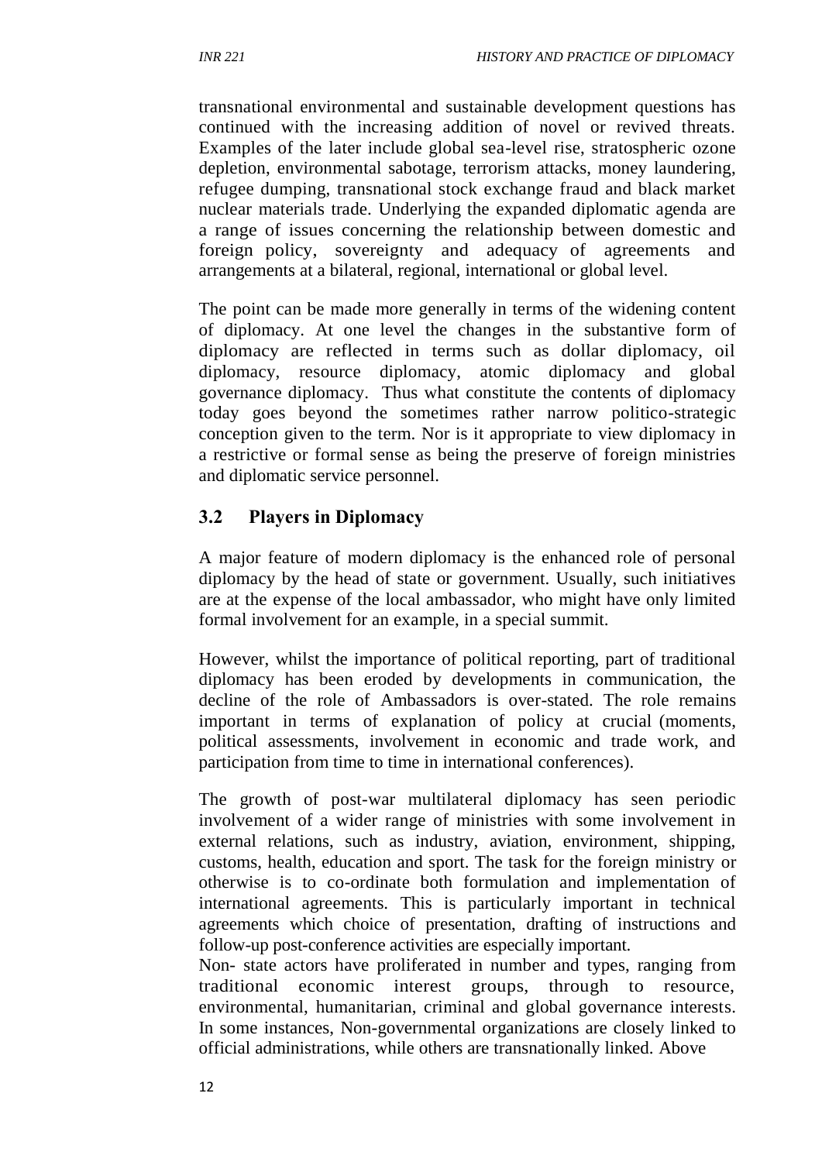transnational environmental and sustainable development questions has continued with the increasing addition of novel or revived threats. Examples of the later include global sea-level rise, stratospheric ozone depletion, environmental sabotage, terrorism attacks, money laundering, refugee dumping, transnational stock exchange fraud and black market nuclear materials trade. Underlying the expanded diplomatic agenda are a range of issues concerning the relationship between domestic and foreign policy, sovereignty and adequacy of agreements and arrangements at a bilateral, regional, international or global level.

The point can be made more generally in terms of the widening content of diplomacy. At one level the changes in the substantive form of diplomacy are reflected in terms such as dollar diplomacy, oil diplomacy, resource diplomacy, atomic diplomacy and global governance diplomacy. Thus what constitute the contents of diplomacy today goes beyond the sometimes rather narrow politico-strategic conception given to the term. Nor is it appropriate to view diplomacy in a restrictive or formal sense as being the preserve of foreign ministries and diplomatic service personnel.

# **3.2 Players in Diplomacy**

A major feature of modern diplomacy is the enhanced role of personal diplomacy by the head of state or government. Usually, such initiatives are at the expense of the local ambassador, who might have only limited formal involvement for an example, in a special summit.

However, whilst the importance of political reporting, part of traditional diplomacy has been eroded by developments in communication, the decline of the role of Ambassadors is over-stated. The role remains important in terms of explanation of policy at crucial (moments, political assessments, involvement in economic and trade work, and participation from time to time in international conferences).

The growth of post-war multilateral diplomacy has seen periodic involvement of a wider range of ministries with some involvement in external relations, such as industry, aviation, environment, shipping, customs, health, education and sport. The task for the foreign ministry or otherwise is to co-ordinate both formulation and implementation of international agreements. This is particularly important in technical agreements which choice of presentation, drafting of instructions and follow-up post-conference activities are especially important.

Non- state actors have proliferated in number and types, ranging from traditional economic interest groups, through to resource, environmental, humanitarian, criminal and global governance interests. In some instances, Non-governmental organizations are closely linked to official administrations, while others are transnationally linked. Above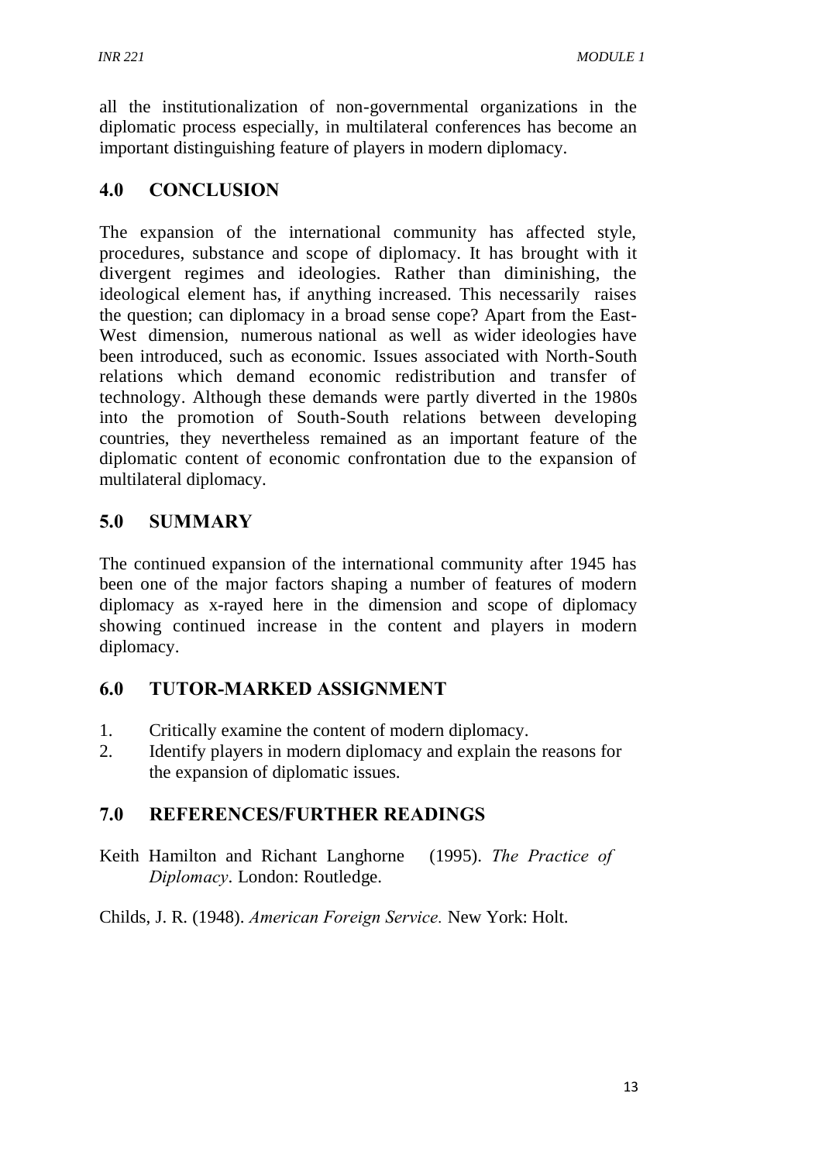all the institutionalization of non-governmental organizations in the diplomatic process especially, in multilateral conferences has become an important distinguishing feature of players in modern diplomacy.

# **4.0 CONCLUSION**

The expansion of the international community has affected style, procedures, substance and scope of diplomacy. It has brought with it divergent regimes and ideologies. Rather than diminishing, the ideological element has, if anything increased. This necessarily raises the question; can diplomacy in a broad sense cope? Apart from the East-West dimension, numerous national as well as wider ideologies have been introduced, such as economic. Issues associated with North-South relations which demand economic redistribution and transfer of technology. Although these demands were partly diverted in the 1980s into the promotion of South-South relations between developing countries, they nevertheless remained as an important feature of the diplomatic content of economic confrontation due to the expansion of multilateral diplomacy.

## **5.0 SUMMARY**

The continued expansion of the international community after 1945 has been one of the major factors shaping a number of features of modern diplomacy as x-rayed here in the dimension and scope of diplomacy showing continued increase in the content and players in modern diplomacy.

# **6.0 TUTOR-MARKED ASSIGNMENT**

- 1. Critically examine the content of modern diplomacy.
- 2. Identify players in modern diplomacy and explain the reasons for the expansion of diplomatic issues.

# **7.0 REFERENCES/FURTHER READINGS**

Keith Hamilton and Richant Langhorne (1995). *The Practice of Diplomacy*. London: Routledge.

Childs, J. R. (1948). *American Foreign Service.* New York: Holt.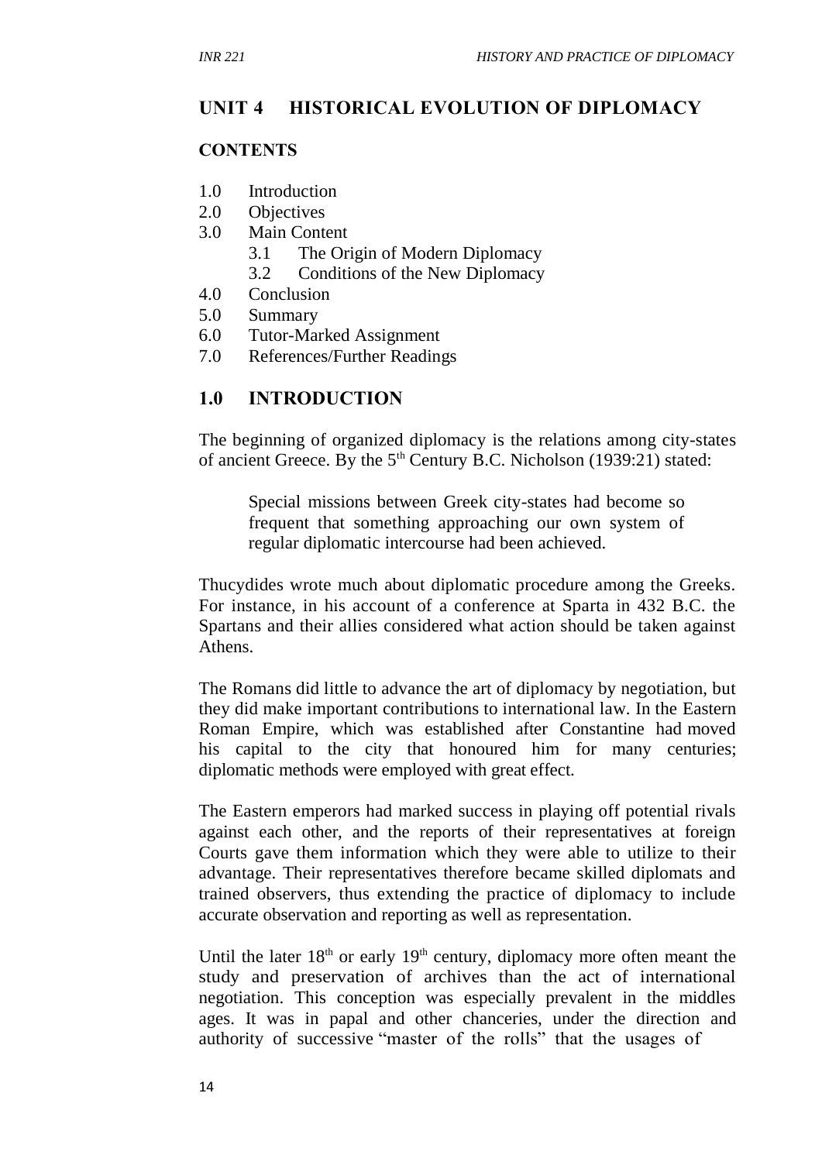# **UNIT 4 HISTORICAL EVOLUTION OF DIPLOMACY**

#### **CONTENTS**

- 1.0 Introduction
- 2.0 Objectives
- 3.0 Main Content
	- 3.1 The Origin of Modern Diplomacy
	- 3.2 Conditions of the New Diplomacy
- 4.0 Conclusion
- 5.0 Summary
- 6.0 Tutor-Marked Assignment
- 7.0 References/Further Readings

#### **1.0 INTRODUCTION**

The beginning of organized diplomacy is the relations among city-states of ancient Greece. By the  $5<sup>th</sup>$  Century B.C. Nicholson (1939:21) stated:

Special missions between Greek city-states had become so frequent that something approaching our own system of regular diplomatic intercourse had been achieved.

Thucydides wrote much about diplomatic procedure among the Greeks. For instance, in his account of a conference at Sparta in 432 B.C. the Spartans and their allies considered what action should be taken against Athens.

The Romans did little to advance the art of diplomacy by negotiation, but they did make important contributions to international law. In the Eastern Roman Empire, which was established after Constantine had moved his capital to the city that honoured him for many centuries; diplomatic methods were employed with great effect.

The Eastern emperors had marked success in playing off potential rivals against each other, and the reports of their representatives at foreign Courts gave them information which they were able to utilize to their advantage. Their representatives therefore became skilled diplomats and trained observers, thus extending the practice of diplomacy to include accurate observation and reporting as well as representation.

Until the later  $18<sup>th</sup>$  or early  $19<sup>th</sup>$  century, diplomacy more often meant the study and preservation of archives than the act of international negotiation. This conception was especially prevalent in the middles ages. It was in papal and other chanceries, under the direction and authority of successive "master of the rolls" that the usages of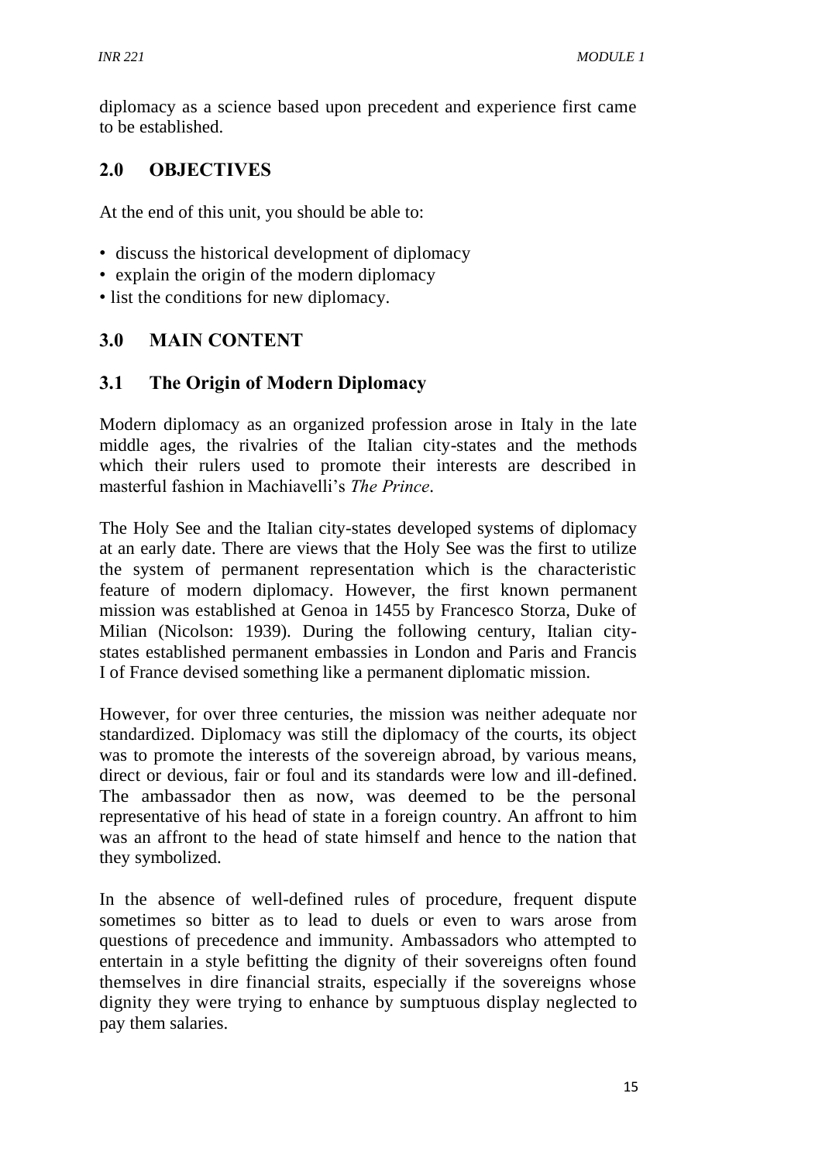diplomacy as a science based upon precedent and experience first came to be established.

## **2.0 OBJECTIVES**

At the end of this unit, you should be able to:

- discuss the historical development of diplomacy
- explain the origin of the modern diplomacy
- list the conditions for new diplomacy.

## **3.0 MAIN CONTENT**

#### **3.1 The Origin of Modern Diplomacy**

Modern diplomacy as an organized profession arose in Italy in the late middle ages, the rivalries of the Italian city-states and the methods which their rulers used to promote their interests are described in masterful fashion in Machiavelli's *The Prince*.

The Holy See and the Italian city-states developed systems of diplomacy at an early date. There are views that the Holy See was the first to utilize the system of permanent representation which is the characteristic feature of modern diplomacy. However, the first known permanent mission was established at Genoa in 1455 by Francesco Storza, Duke of Milian (Nicolson: 1939). During the following century, Italian citystates established permanent embassies in London and Paris and Francis I of France devised something like a permanent diplomatic mission.

However, for over three centuries, the mission was neither adequate nor standardized. Diplomacy was still the diplomacy of the courts, its object was to promote the interests of the sovereign abroad, by various means, direct or devious, fair or foul and its standards were low and ill-defined. The ambassador then as now, was deemed to be the personal representative of his head of state in a foreign country. An affront to him was an affront to the head of state himself and hence to the nation that they symbolized.

In the absence of well-defined rules of procedure, frequent dispute sometimes so bitter as to lead to duels or even to wars arose from questions of precedence and immunity. Ambassadors who attempted to entertain in a style befitting the dignity of their sovereigns often found themselves in dire financial straits, especially if the sovereigns whose dignity they were trying to enhance by sumptuous display neglected to pay them salaries.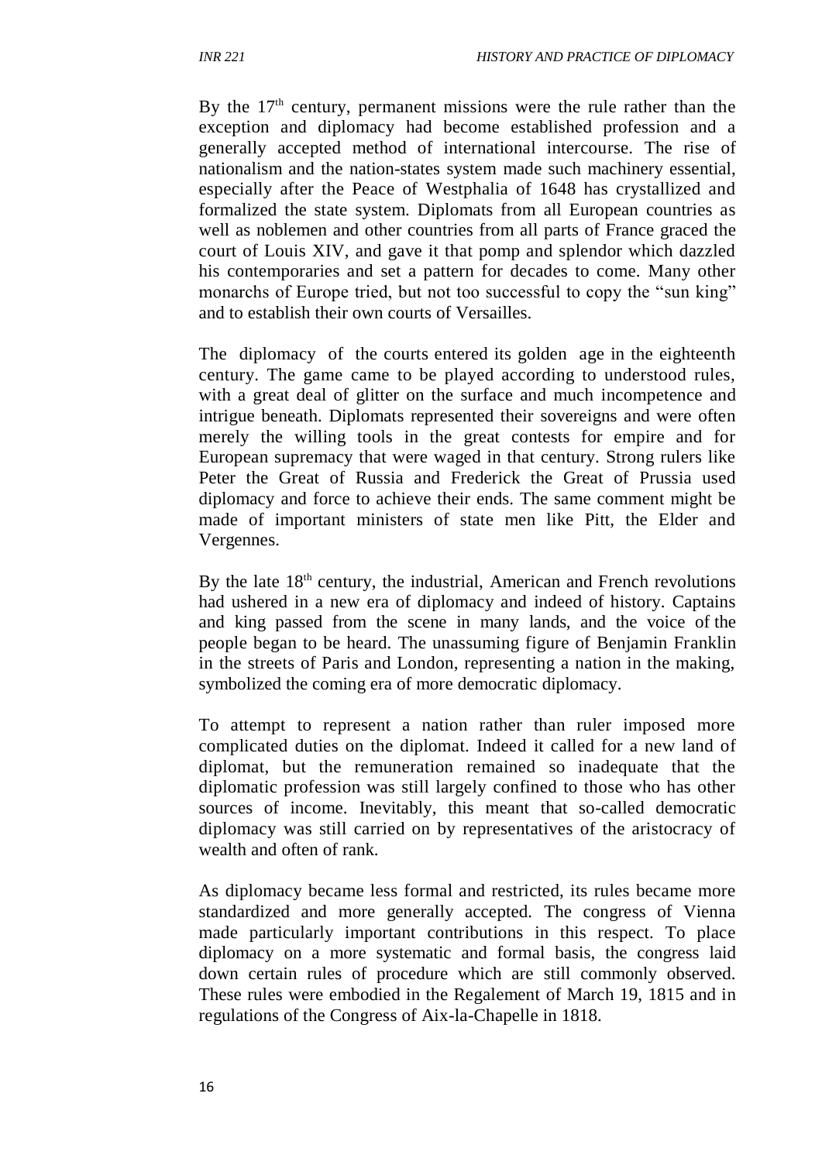By the  $17<sup>th</sup>$  century, permanent missions were the rule rather than the exception and diplomacy had become established profession and a generally accepted method of international intercourse. The rise of nationalism and the nation-states system made such machinery essential, especially after the Peace of Westphalia of 1648 has crystallized and formalized the state system. Diplomats from all European countries as well as noblemen and other countries from all parts of France graced the court of Louis XIV, and gave it that pomp and splendor which dazzled his contemporaries and set a pattern for decades to come. Many other monarchs of Europe tried, but not too successful to copy the "sun king" and to establish their own courts of Versailles.

The diplomacy of the courts entered its golden age in the eighteenth century. The game came to be played according to understood rules, with a great deal of glitter on the surface and much incompetence and intrigue beneath. Diplomats represented their sovereigns and were often merely the willing tools in the great contests for empire and for European supremacy that were waged in that century. Strong rulers like Peter the Great of Russia and Frederick the Great of Prussia used diplomacy and force to achieve their ends. The same comment might be made of important ministers of state men like Pitt, the Elder and Vergennes.

By the late  $18<sup>th</sup>$  century, the industrial, American and French revolutions had ushered in a new era of diplomacy and indeed of history. Captains and king passed from the scene in many lands, and the voice of the people began to be heard. The unassuming figure of Benjamin Franklin in the streets of Paris and London, representing a nation in the making, symbolized the coming era of more democratic diplomacy.

To attempt to represent a nation rather than ruler imposed more complicated duties on the diplomat. Indeed it called for a new land of diplomat, but the remuneration remained so inadequate that the diplomatic profession was still largely confined to those who has other sources of income. Inevitably, this meant that so-called democratic diplomacy was still carried on by representatives of the aristocracy of wealth and often of rank.

As diplomacy became less formal and restricted, its rules became more standardized and more generally accepted. The congress of Vienna made particularly important contributions in this respect. To place diplomacy on a more systematic and formal basis, the congress laid down certain rules of procedure which are still commonly observed. These rules were embodied in the Regalement of March 19, 1815 and in regulations of the Congress of Aix-la-Chapelle in 1818.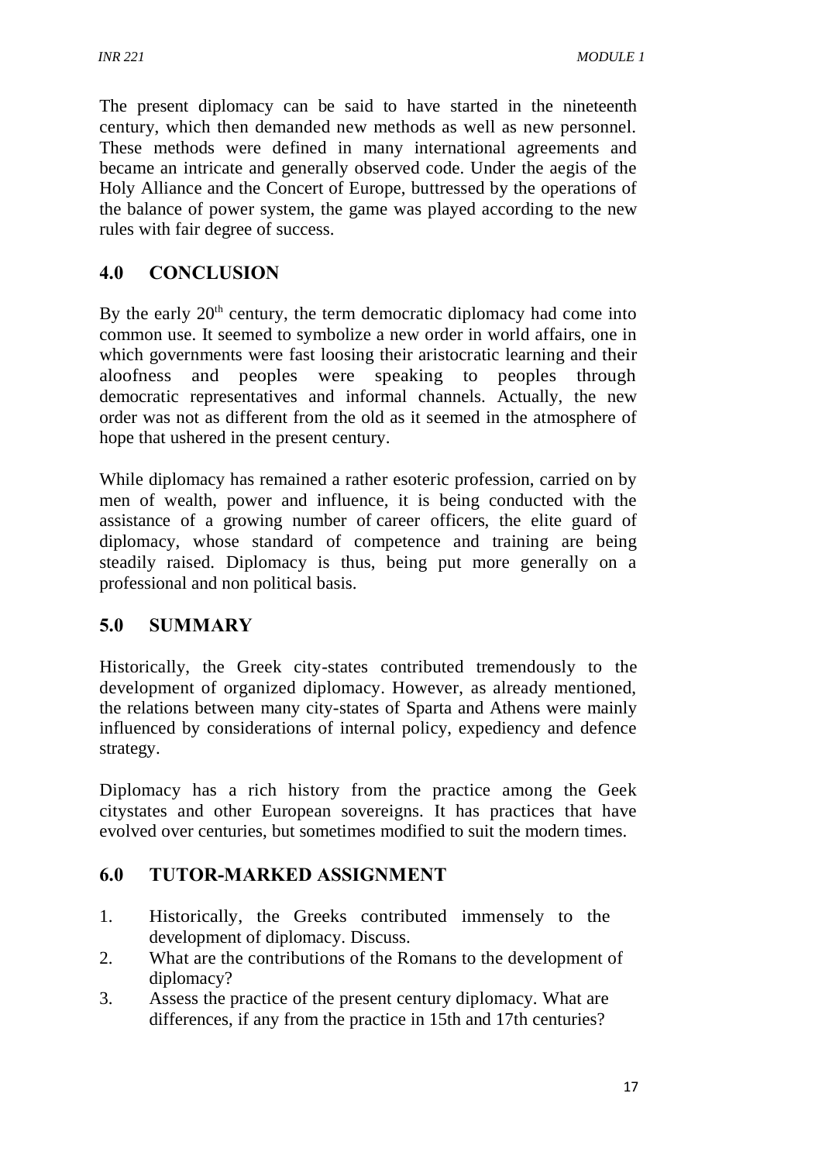The present diplomacy can be said to have started in the nineteenth century, which then demanded new methods as well as new personnel. These methods were defined in many international agreements and became an intricate and generally observed code. Under the aegis of the Holy Alliance and the Concert of Europe, buttressed by the operations of the balance of power system, the game was played according to the new rules with fair degree of success.

# **4.0 CONCLUSION**

By the early  $20<sup>th</sup>$  century, the term democratic diplomacy had come into common use. It seemed to symbolize a new order in world affairs, one in which governments were fast loosing their aristocratic learning and their aloofness and peoples were speaking to peoples through democratic representatives and informal channels. Actually, the new order was not as different from the old as it seemed in the atmosphere of hope that ushered in the present century.

While diplomacy has remained a rather esoteric profession, carried on by men of wealth, power and influence, it is being conducted with the assistance of a growing number of career officers, the elite guard of diplomacy, whose standard of competence and training are being steadily raised. Diplomacy is thus, being put more generally on a professional and non political basis.

# **5.0 SUMMARY**

Historically, the Greek city-states contributed tremendously to the development of organized diplomacy. However, as already mentioned, the relations between many city-states of Sparta and Athens were mainly influenced by considerations of internal policy, expediency and defence strategy.

Diplomacy has a rich history from the practice among the Geek citystates and other European sovereigns. It has practices that have evolved over centuries, but sometimes modified to suit the modern times.

# **6.0 TUTOR-MARKED ASSIGNMENT**

- 1. Historically, the Greeks contributed immensely to the development of diplomacy. Discuss.
- 2. What are the contributions of the Romans to the development of diplomacy?
- 3. Assess the practice of the present century diplomacy. What are differences, if any from the practice in 15th and 17th centuries?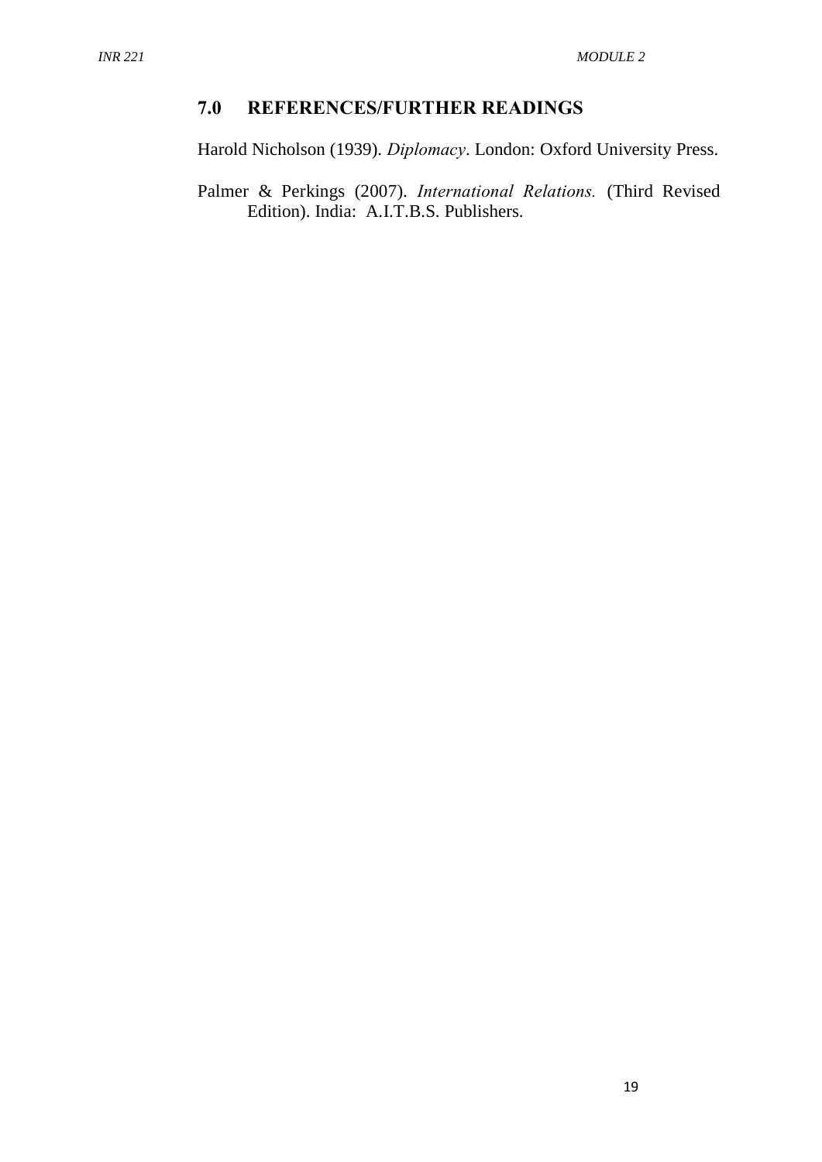## **7.0 REFERENCES/FURTHER READINGS**

Harold Nicholson (1939). *Diplomacy*. London: Oxford University Press.

Palmer & Perkings (2007). *International Relations.* (Third Revised Edition). India: A.I.T.B.S. Publishers.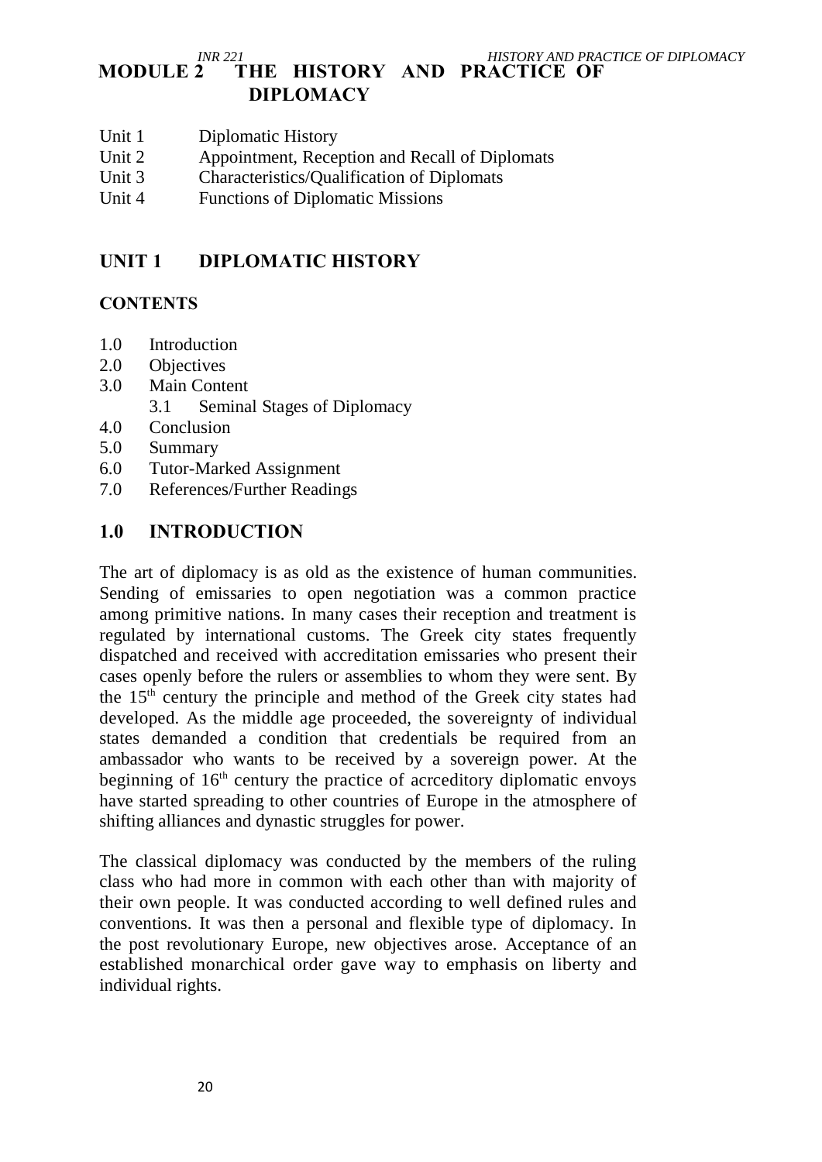#### *INR 221* **HISTORY AND PRACTICE OF DIPLOMACY**<br>**MODULE 2 THE HISTORY AND PRACTICE OF** THE HISTORY AND PRACTICE OF **DIPLOMACY**

- Unit 1 Diplomatic History
- Unit 2 Appointment, Reception and Recall of Diplomats
- Unit 3 Characteristics/Qualification of Diplomats
- Unit 4 Functions of Diplomatic Missions

## **UNIT 1 DIPLOMATIC HISTORY**

#### **CONTENTS**

- 1.0 Introduction
- 2.0 Objectives
- 3.0 Main Content
	- 3.1 Seminal Stages of Diplomacy
- 4.0 Conclusion
- 5.0 Summary
- 6.0 Tutor-Marked Assignment
- 7.0 References/Further Readings

#### **1.0 INTRODUCTION**

The art of diplomacy is as old as the existence of human communities. Sending of emissaries to open negotiation was a common practice among primitive nations. In many cases their reception and treatment is regulated by international customs. The Greek city states frequently dispatched and received with accreditation emissaries who present their cases openly before the rulers or assemblies to whom they were sent. By the 15th century the principle and method of the Greek city states had developed. As the middle age proceeded, the sovereignty of individual states demanded a condition that credentials be required from an ambassador who wants to be received by a sovereign power. At the beginning of  $16<sup>th</sup>$  century the practice of acrceditory diplomatic envoys have started spreading to other countries of Europe in the atmosphere of shifting alliances and dynastic struggles for power.

The classical diplomacy was conducted by the members of the ruling class who had more in common with each other than with majority of their own people. It was conducted according to well defined rules and conventions. It was then a personal and flexible type of diplomacy. In the post revolutionary Europe, new objectives arose. Acceptance of an established monarchical order gave way to emphasis on liberty and individual rights.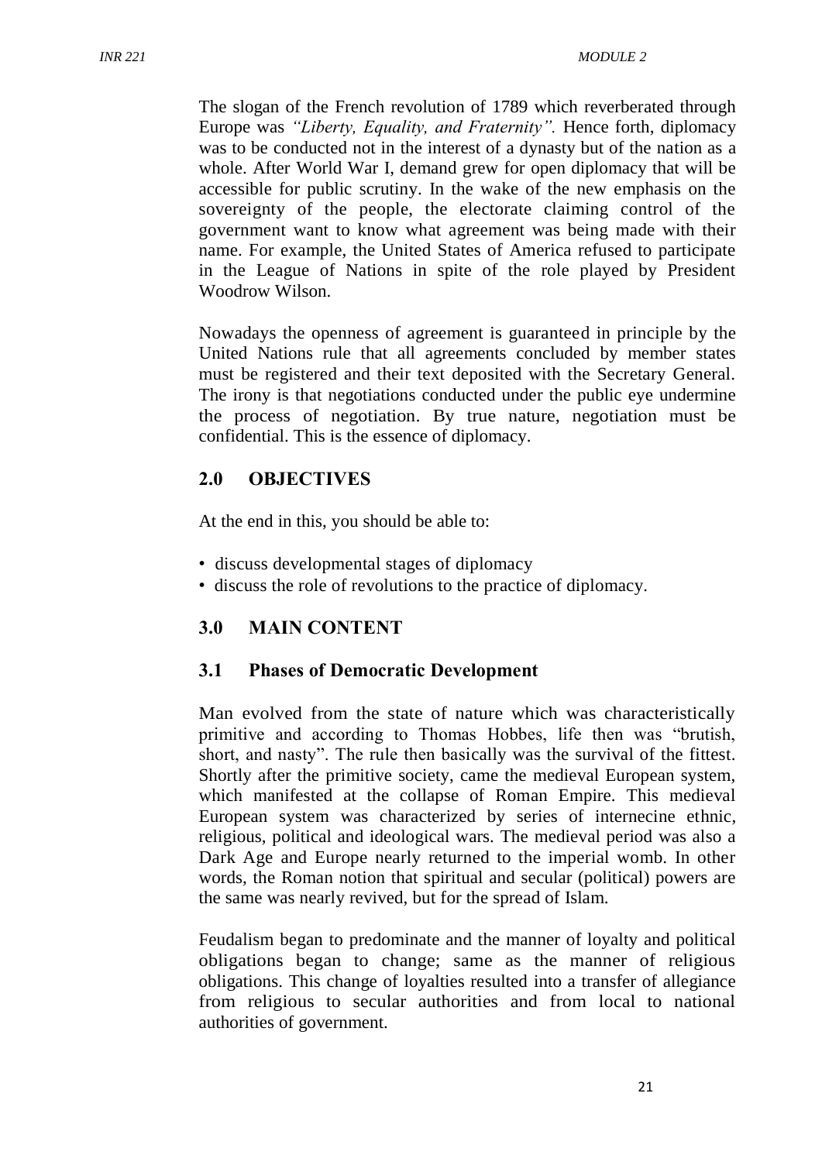The slogan of the French revolution of 1789 which reverberated through Europe was *"Liberty, Equality, and Fraternity".* Hence forth, diplomacy was to be conducted not in the interest of a dynasty but of the nation as a whole. After World War I, demand grew for open diplomacy that will be accessible for public scrutiny. In the wake of the new emphasis on the sovereignty of the people, the electorate claiming control of the government want to know what agreement was being made with their name. For example, the United States of America refused to participate in the League of Nations in spite of the role played by President Woodrow Wilson.

Nowadays the openness of agreement is guaranteed in principle by the United Nations rule that all agreements concluded by member states must be registered and their text deposited with the Secretary General. The irony is that negotiations conducted under the public eye undermine the process of negotiation. By true nature, negotiation must be confidential. This is the essence of diplomacy.

### **2.0 OBJECTIVES**

At the end in this, you should be able to:

- discuss developmental stages of diplomacy
- discuss the role of revolutions to the practice of diplomacy.

### **3.0 MAIN CONTENT**

#### **3.1 Phases of Democratic Development**

Man evolved from the state of nature which was characteristically primitive and according to Thomas Hobbes, life then was "brutish, short, and nasty". The rule then basically was the survival of the fittest. Shortly after the primitive society, came the medieval European system, which manifested at the collapse of Roman Empire. This medieval European system was characterized by series of internecine ethnic, religious, political and ideological wars. The medieval period was also a Dark Age and Europe nearly returned to the imperial womb. In other words, the Roman notion that spiritual and secular (political) powers are the same was nearly revived, but for the spread of Islam.

Feudalism began to predominate and the manner of loyalty and political obligations began to change; same as the manner of religious obligations. This change of loyalties resulted into a transfer of allegiance from religious to secular authorities and from local to national authorities of government.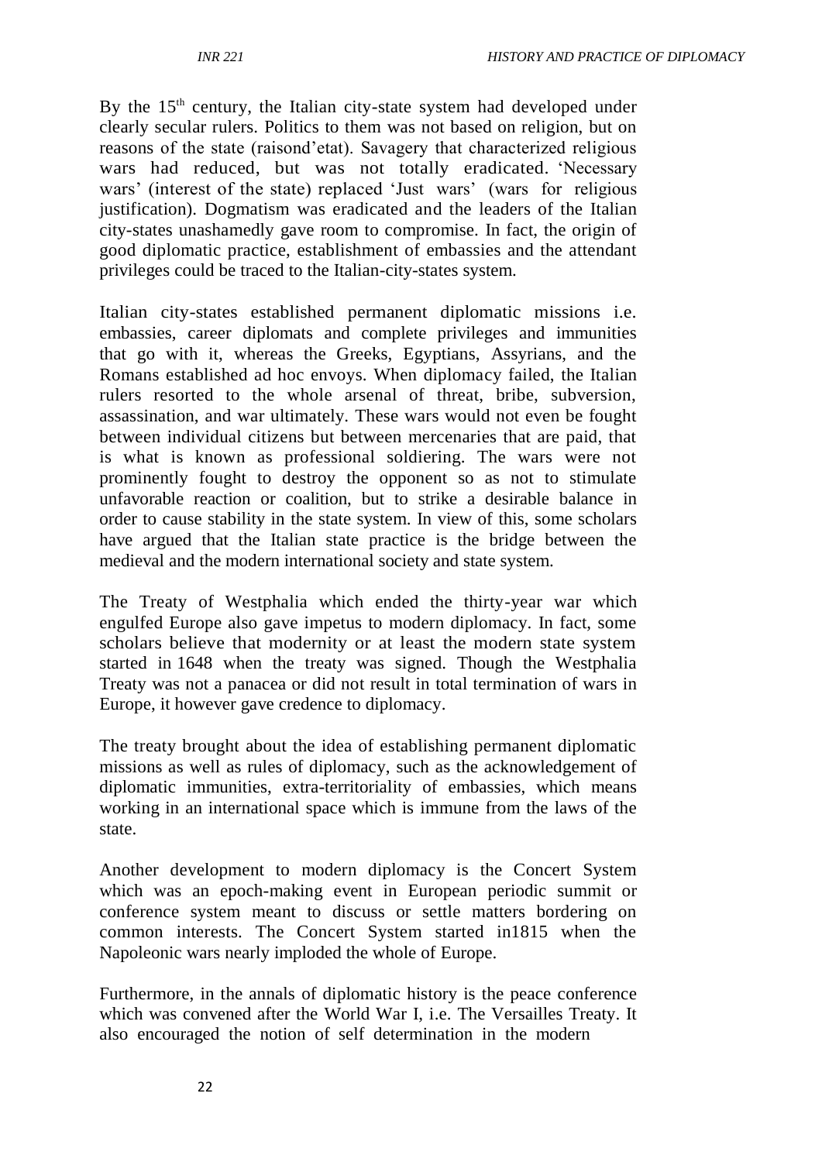By the  $15<sup>th</sup>$  century, the Italian city-state system had developed under clearly secular rulers. Politics to them was not based on religion, but on reasons of the state (raisond'etat). Savagery that characterized religious wars had reduced, but was not totally eradicated. 'Necessary wars' (interest of the state) replaced 'Just wars' (wars for religious justification). Dogmatism was eradicated and the leaders of the Italian city-states unashamedly gave room to compromise. In fact, the origin of good diplomatic practice, establishment of embassies and the attendant privileges could be traced to the Italian-city-states system.

Italian city-states established permanent diplomatic missions i.e. embassies, career diplomats and complete privileges and immunities that go with it, whereas the Greeks, Egyptians, Assyrians, and the Romans established ad hoc envoys. When diplomacy failed, the Italian rulers resorted to the whole arsenal of threat, bribe, subversion, assassination, and war ultimately. These wars would not even be fought between individual citizens but between mercenaries that are paid, that is what is known as professional soldiering. The wars were not prominently fought to destroy the opponent so as not to stimulate unfavorable reaction or coalition, but to strike a desirable balance in order to cause stability in the state system. In view of this, some scholars have argued that the Italian state practice is the bridge between the medieval and the modern international society and state system.

The Treaty of Westphalia which ended the thirty-year war which engulfed Europe also gave impetus to modern diplomacy. In fact, some scholars believe that modernity or at least the modern state system started in 1648 when the treaty was signed. Though the Westphalia Treaty was not a panacea or did not result in total termination of wars in Europe, it however gave credence to diplomacy.

The treaty brought about the idea of establishing permanent diplomatic missions as well as rules of diplomacy, such as the acknowledgement of diplomatic immunities, extra-territoriality of embassies, which means working in an international space which is immune from the laws of the state.

Another development to modern diplomacy is the Concert System which was an epoch-making event in European periodic summit or conference system meant to discuss or settle matters bordering on common interests. The Concert System started in1815 when the Napoleonic wars nearly imploded the whole of Europe.

Furthermore, in the annals of diplomatic history is the peace conference which was convened after the World War I, i.e. The Versailles Treaty. It also encouraged the notion of self determination in the modern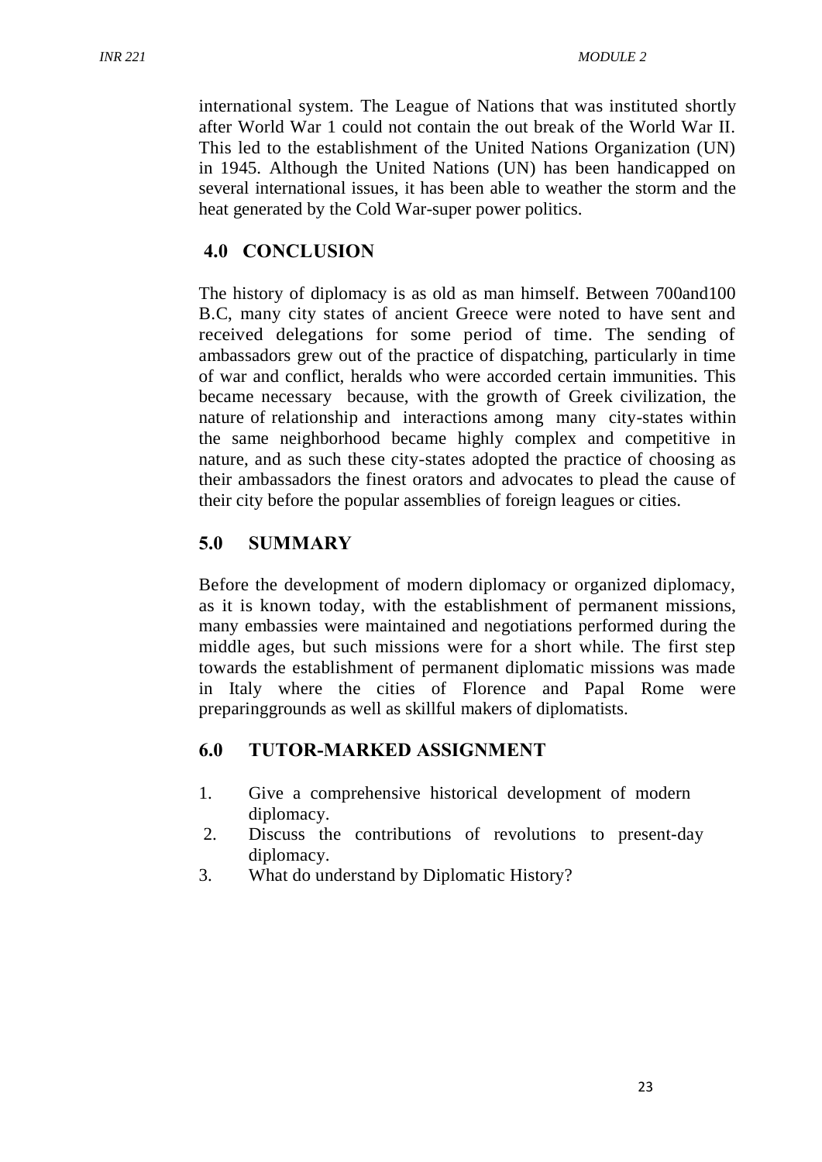international system. The League of Nations that was instituted shortly after World War 1 could not contain the out break of the World War II. This led to the establishment of the United Nations Organization (UN) in 1945. Although the United Nations (UN) has been handicapped on several international issues, it has been able to weather the storm and the heat generated by the Cold War-super power politics.

# **4.0 CONCLUSION**

The history of diplomacy is as old as man himself. Between 700and100 B.C, many city states of ancient Greece were noted to have sent and received delegations for some period of time. The sending of ambassadors grew out of the practice of dispatching, particularly in time of war and conflict, heralds who were accorded certain immunities. This became necessary because, with the growth of Greek civilization, the nature of relationship and interactions among many city-states within the same neighborhood became highly complex and competitive in nature, and as such these city-states adopted the practice of choosing as their ambassadors the finest orators and advocates to plead the cause of their city before the popular assemblies of foreign leagues or cities.

# **5.0 SUMMARY**

Before the development of modern diplomacy or organized diplomacy, as it is known today, with the establishment of permanent missions, many embassies were maintained and negotiations performed during the middle ages, but such missions were for a short while. The first step towards the establishment of permanent diplomatic missions was made in Italy where the cities of Florence and Papal Rome were preparinggrounds as well as skillful makers of diplomatists.

# **6.0 TUTOR-MARKED ASSIGNMENT**

- 1. Give a comprehensive historical development of modern diplomacy.
- 2. Discuss the contributions of revolutions to present-day diplomacy.
- 3. What do understand by Diplomatic History?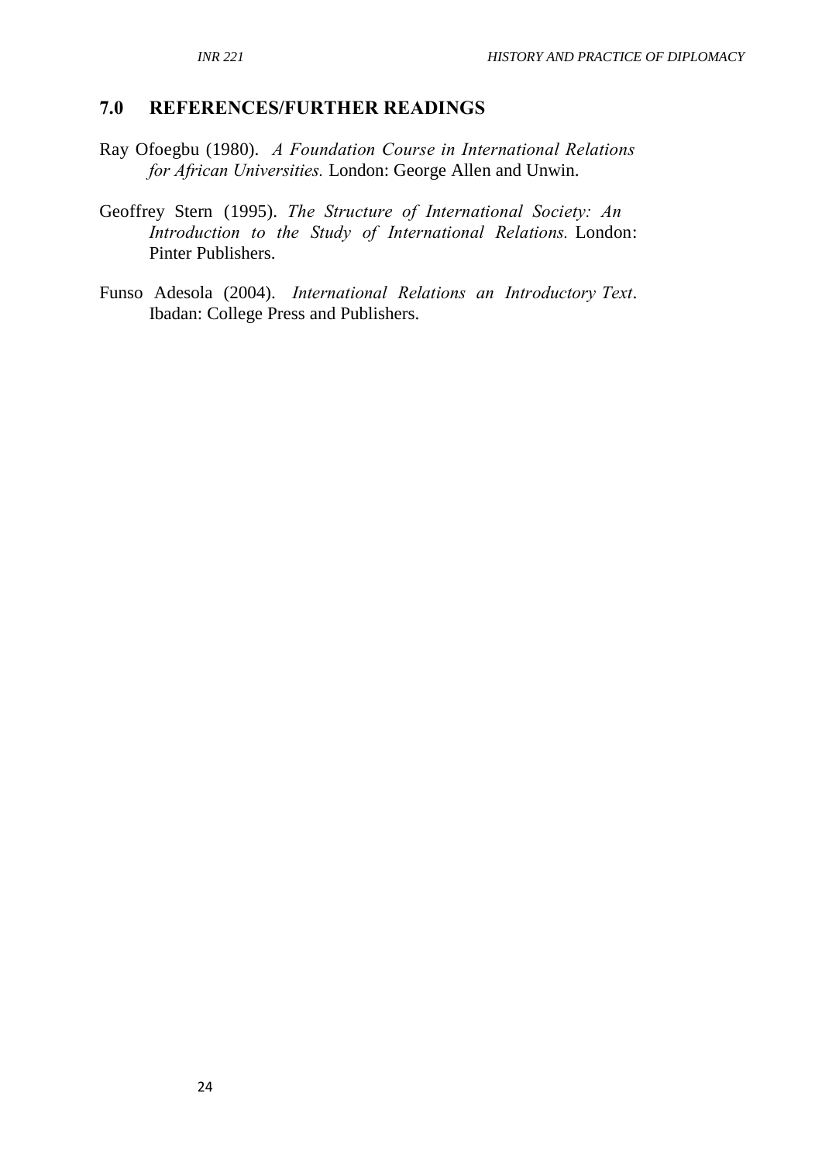### **7.0 REFERENCES/FURTHER READINGS**

- Ray Ofoegbu (1980). *A Foundation Course in International Relations for African Universities.* London: George Allen and Unwin.
- Geoffrey Stern (1995). *The Structure of International Society: An Introduction to the Study of International Relations.* London: Pinter Publishers.
- Funso Adesola (2004). *International Relations an Introductory Text*. Ibadan: College Press and Publishers.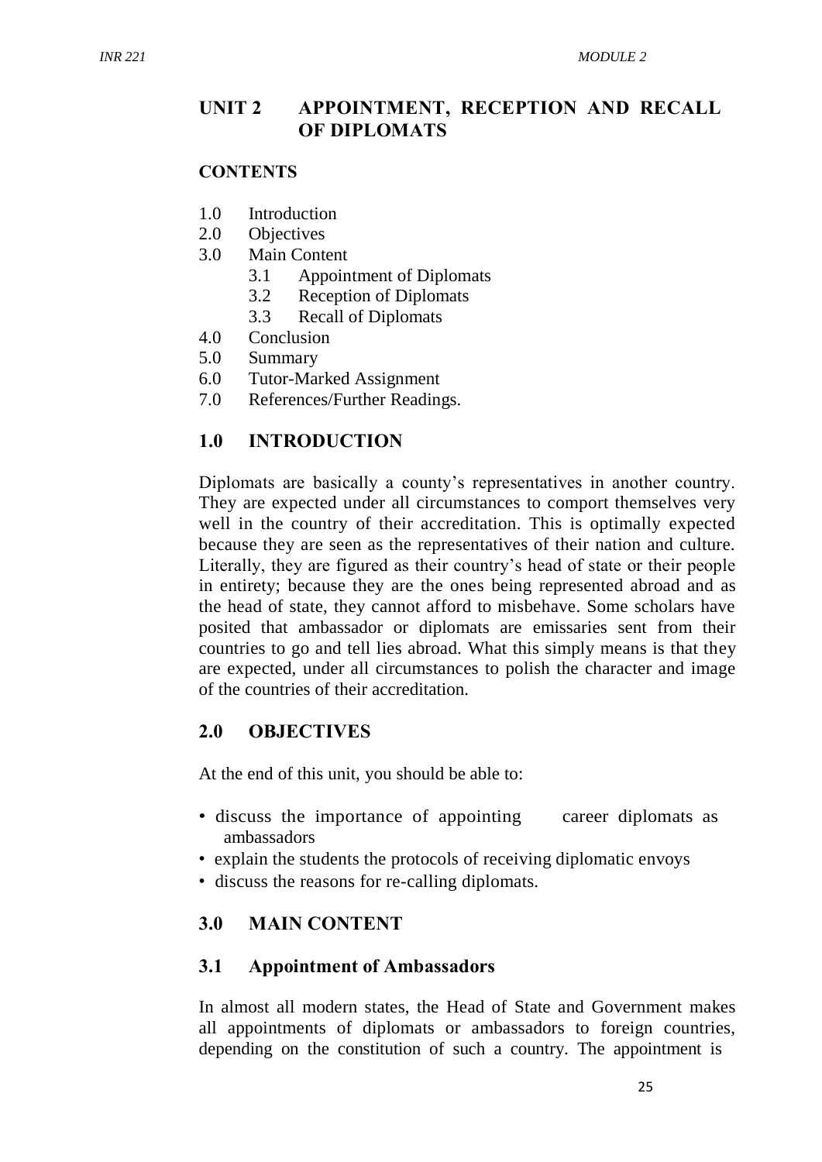### **UNIT 2 APPOINTMENT, RECEPTION AND RECALL OF DIPLOMATS**

#### **CONTENTS**

- 1.0 Introduction
- 2.0 Objectives
- 3.0 Main Content
	- 3.1 Appointment of Diplomats
	- 3.2 Reception of Diplomats
	- 3.3 Recall of Diplomats
- 4.0 Conclusion
- 5.0 Summary
- 6.0 Tutor-Marked Assignment
- 7.0 References/Further Readings.

### **1.0 INTRODUCTION**

Diplomats are basically a county's representatives in another country. They are expected under all circumstances to comport themselves very well in the country of their accreditation. This is optimally expected because they are seen as the representatives of their nation and culture. Literally, they are figured as their country's head of state or their people in entirety; because they are the ones being represented abroad and as the head of state, they cannot afford to misbehave. Some scholars have posited that ambassador or diplomats are emissaries sent from their countries to go and tell lies abroad. What this simply means is that they are expected, under all circumstances to polish the character and image of the countries of their accreditation.

#### **2.0 OBJECTIVES**

At the end of this unit, you should be able to:

- discuss the importance of appointing career diplomats as ambassadors
- explain the students the protocols of receiving diplomatic envoys
- discuss the reasons for re-calling diplomats.

### **3.0 MAIN CONTENT**

#### **3.1 Appointment of Ambassadors**

In almost all modern states, the Head of State and Government makes all appointments of diplomats or ambassadors to foreign countries, depending on the constitution of such a country. The appointment is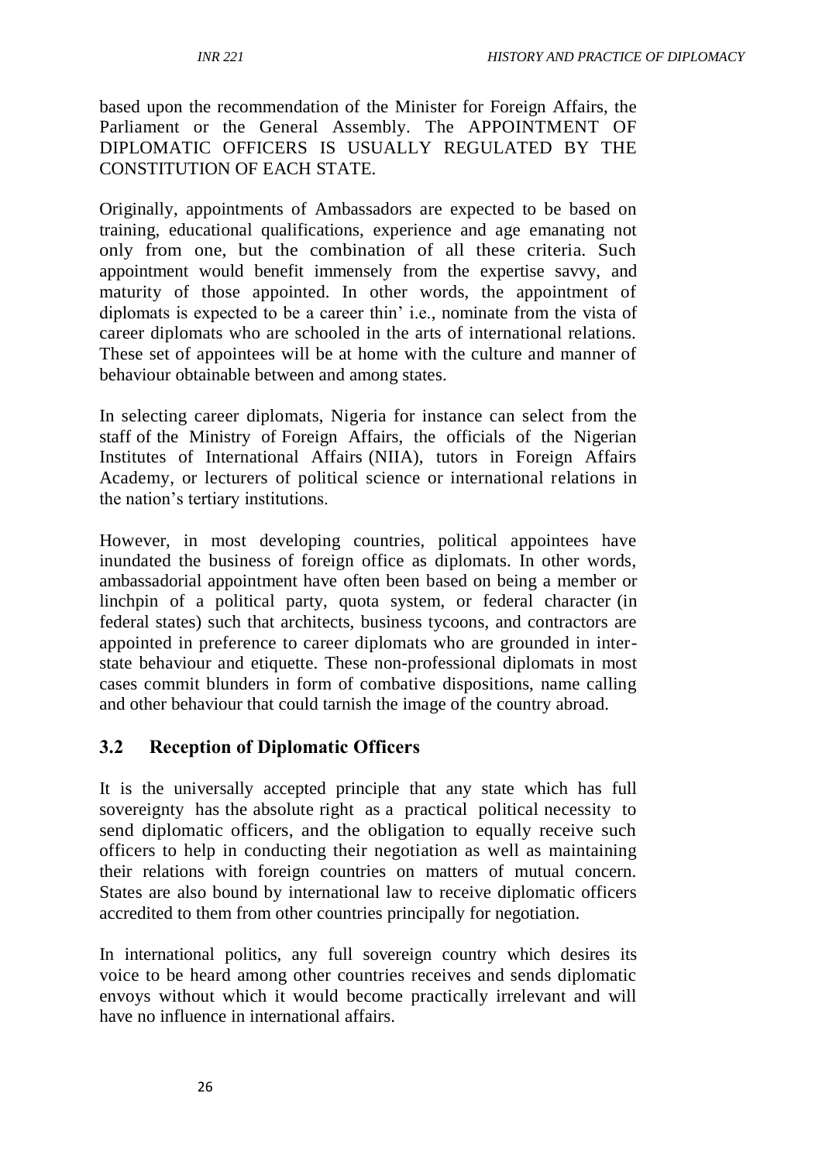based upon the recommendation of the Minister for Foreign Affairs, the Parliament or the General Assembly. The APPOINTMENT OF DIPLOMATIC OFFICERS IS USUALLY REGULATED BY THE CONSTITUTION OF EACH STATE.

Originally, appointments of Ambassadors are expected to be based on training, educational qualifications, experience and age emanating not only from one, but the combination of all these criteria. Such appointment would benefit immensely from the expertise savvy, and maturity of those appointed. In other words, the appointment of diplomats is expected to be a career thin' i.e., nominate from the vista of career diplomats who are schooled in the arts of international relations. These set of appointees will be at home with the culture and manner of behaviour obtainable between and among states.

In selecting career diplomats, Nigeria for instance can select from the staff of the Ministry of Foreign Affairs, the officials of the Nigerian Institutes of International Affairs (NIIA), tutors in Foreign Affairs Academy, or lecturers of political science or international relations in the nation's tertiary institutions.

However, in most developing countries, political appointees have inundated the business of foreign office as diplomats. In other words, ambassadorial appointment have often been based on being a member or linchpin of a political party, quota system, or federal character (in federal states) such that architects, business tycoons, and contractors are appointed in preference to career diplomats who are grounded in interstate behaviour and etiquette. These non-professional diplomats in most cases commit blunders in form of combative dispositions, name calling and other behaviour that could tarnish the image of the country abroad.

### **3.2 Reception of Diplomatic Officers**

It is the universally accepted principle that any state which has full sovereignty has the absolute right as a practical political necessity to send diplomatic officers, and the obligation to equally receive such officers to help in conducting their negotiation as well as maintaining their relations with foreign countries on matters of mutual concern. States are also bound by international law to receive diplomatic officers accredited to them from other countries principally for negotiation.

In international politics, any full sovereign country which desires its voice to be heard among other countries receives and sends diplomatic envoys without which it would become practically irrelevant and will have no influence in international affairs.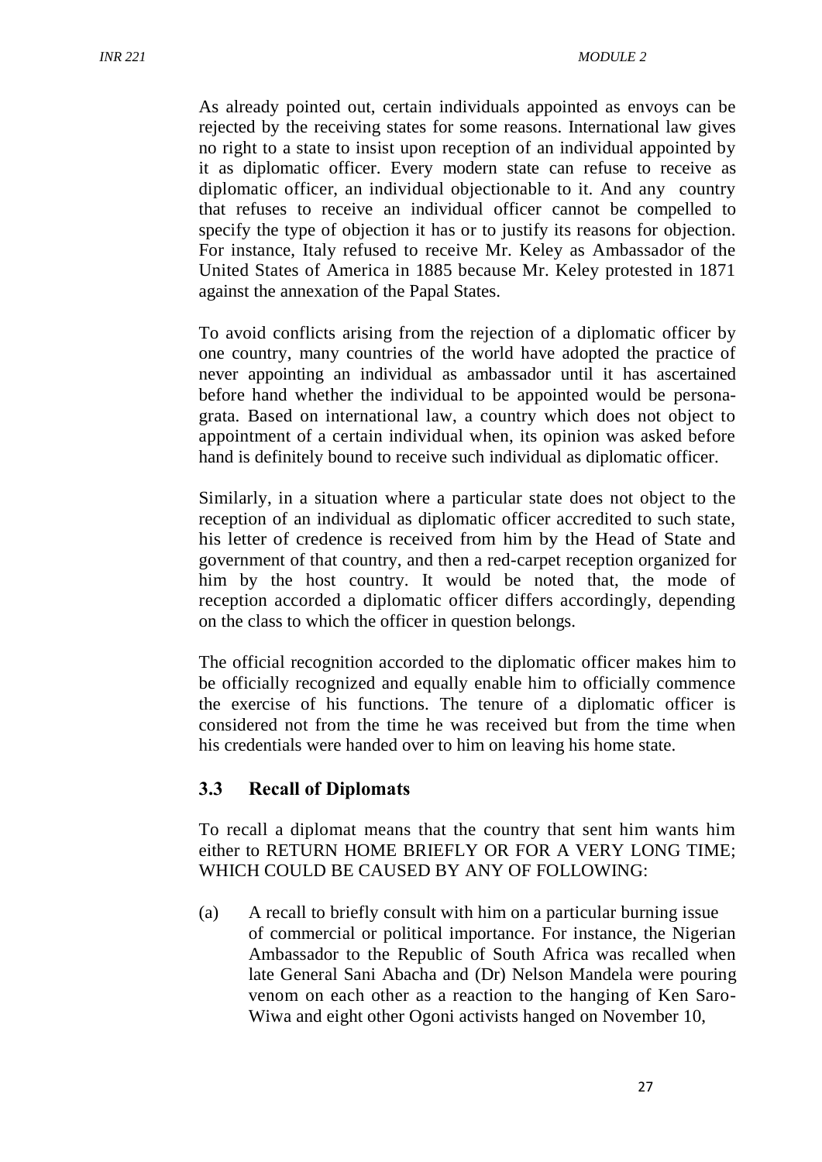As already pointed out, certain individuals appointed as envoys can be rejected by the receiving states for some reasons. International law gives no right to a state to insist upon reception of an individual appointed by it as diplomatic officer. Every modern state can refuse to receive as diplomatic officer, an individual objectionable to it. And any country that refuses to receive an individual officer cannot be compelled to specify the type of objection it has or to justify its reasons for objection. For instance, Italy refused to receive Mr. Keley as Ambassador of the United States of America in 1885 because Mr. Keley protested in 1871 against the annexation of the Papal States.

To avoid conflicts arising from the rejection of a diplomatic officer by one country, many countries of the world have adopted the practice of never appointing an individual as ambassador until it has ascertained before hand whether the individual to be appointed would be personagrata. Based on international law, a country which does not object to appointment of a certain individual when, its opinion was asked before hand is definitely bound to receive such individual as diplomatic officer.

Similarly, in a situation where a particular state does not object to the reception of an individual as diplomatic officer accredited to such state, his letter of credence is received from him by the Head of State and government of that country, and then a red-carpet reception organized for him by the host country. It would be noted that, the mode of reception accorded a diplomatic officer differs accordingly, depending on the class to which the officer in question belongs.

The official recognition accorded to the diplomatic officer makes him to be officially recognized and equally enable him to officially commence the exercise of his functions. The tenure of a diplomatic officer is considered not from the time he was received but from the time when his credentials were handed over to him on leaving his home state.

### **3.3 Recall of Diplomats**

To recall a diplomat means that the country that sent him wants him either to RETURN HOME BRIEFLY OR FOR A VERY LONG TIME; WHICH COULD BE CAUSED BY ANY OF FOLLOWING:

(a) A recall to briefly consult with him on a particular burning issue of commercial or political importance. For instance, the Nigerian Ambassador to the Republic of South Africa was recalled when late General Sani Abacha and (Dr) Nelson Mandela were pouring venom on each other as a reaction to the hanging of Ken Saro-Wiwa and eight other Ogoni activists hanged on November 10,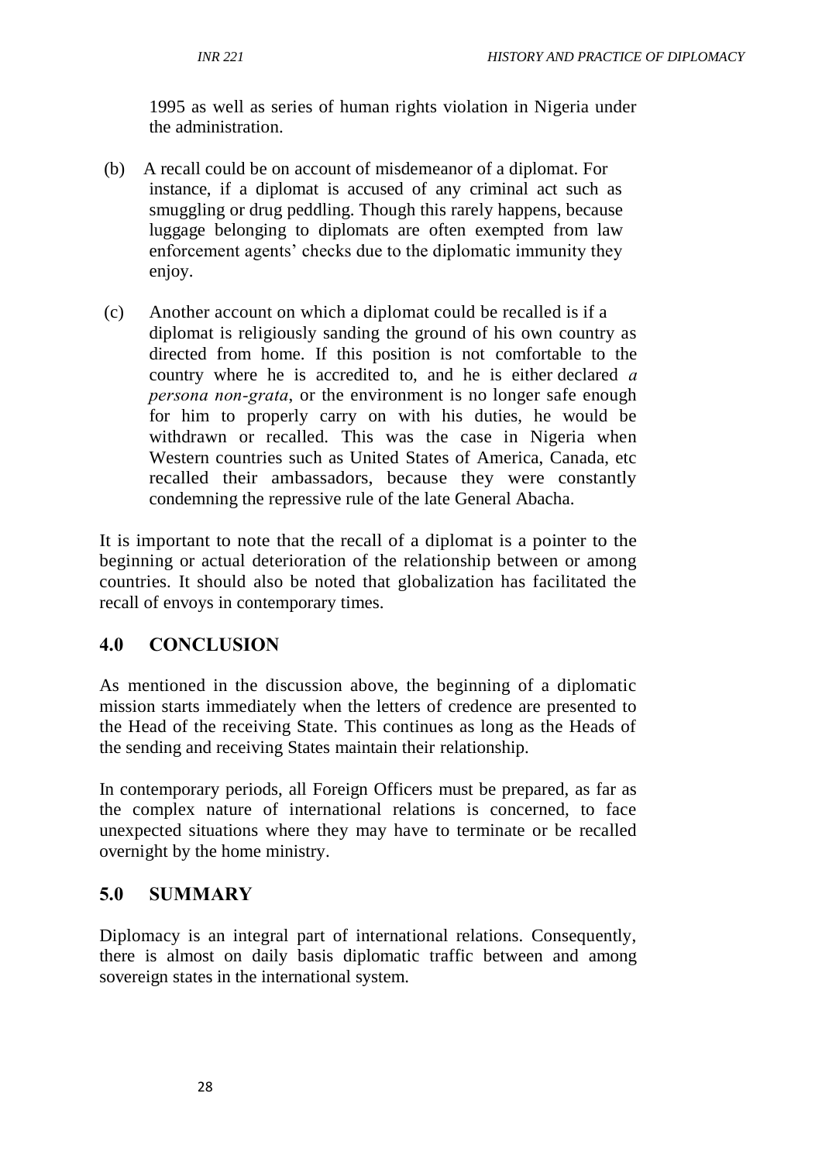1995 as well as series of human rights violation in Nigeria under the administration.

- (b) A recall could be on account of misdemeanor of a diplomat. For instance, if a diplomat is accused of any criminal act such as smuggling or drug peddling. Though this rarely happens, because luggage belonging to diplomats are often exempted from law enforcement agents' checks due to the diplomatic immunity they enjoy.
- (c) Another account on which a diplomat could be recalled is if a diplomat is religiously sanding the ground of his own country as directed from home. If this position is not comfortable to the country where he is accredited to, and he is either declared *a persona non-grata*, or the environment is no longer safe enough for him to properly carry on with his duties, he would be withdrawn or recalled. This was the case in Nigeria when Western countries such as United States of America, Canada, etc recalled their ambassadors, because they were constantly condemning the repressive rule of the late General Abacha.

It is important to note that the recall of a diplomat is a pointer to the beginning or actual deterioration of the relationship between or among countries. It should also be noted that globalization has facilitated the recall of envoys in contemporary times.

# **4.0 CONCLUSION**

As mentioned in the discussion above, the beginning of a diplomatic mission starts immediately when the letters of credence are presented to the Head of the receiving State. This continues as long as the Heads of the sending and receiving States maintain their relationship.

In contemporary periods, all Foreign Officers must be prepared, as far as the complex nature of international relations is concerned, to face unexpected situations where they may have to terminate or be recalled overnight by the home ministry.

### **5.0 SUMMARY**

Diplomacy is an integral part of international relations. Consequently, there is almost on daily basis diplomatic traffic between and among sovereign states in the international system.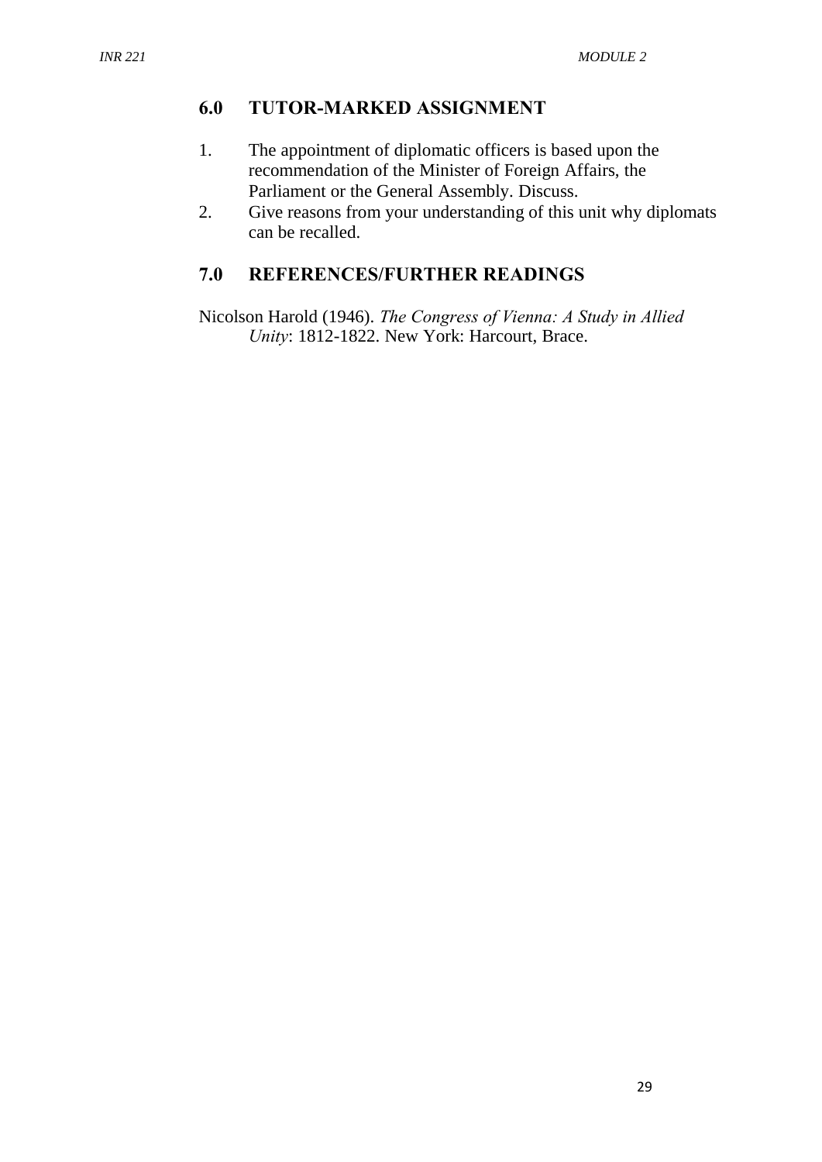## **6.0 TUTOR-MARKED ASSIGNMENT**

- 1. The appointment of diplomatic officers is based upon the recommendation of the Minister of Foreign Affairs, the Parliament or the General Assembly. Discuss.
- 2. Give reasons from your understanding of this unit why diplomats can be recalled.

# **7.0 REFERENCES/FURTHER READINGS**

Nicolson Harold (1946). *The Congress of Vienna: A Study in Allied Unity*: 1812-1822. New York: Harcourt, Brace.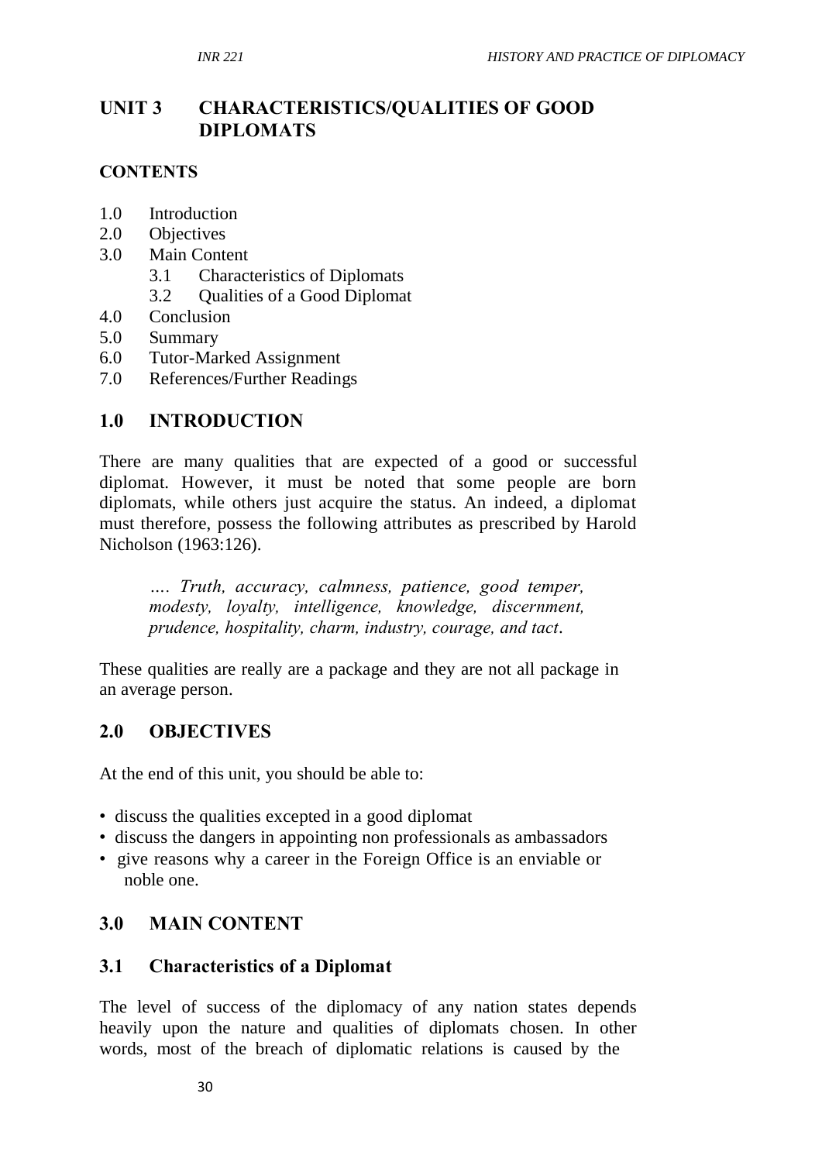# **UNIT 3 CHARACTERISTICS/QUALITIES OF GOOD DIPLOMATS**

### **CONTENTS**

- 1.0 Introduction
- 2.0 Objectives
- 3.0 Main Content
	- 3.1 Characteristics of Diplomats
	- 3.2 Qualities of a Good Diplomat
- 4.0 Conclusion
- 5.0 Summary
- 6.0 Tutor-Marked Assignment
- 7.0 References/Further Readings

### **1.0 INTRODUCTION**

There are many qualities that are expected of a good or successful diplomat. However, it must be noted that some people are born diplomats, while others just acquire the status. An indeed, a diplomat must therefore, possess the following attributes as prescribed by Harold Nicholson (1963:126).

*…. Truth, accuracy, calmness, patience, good temper, modesty, loyalty, intelligence, knowledge, discernment, prudence, hospitality, charm, industry, courage, and tact*.

These qualities are really are a package and they are not all package in an average person.

#### **2.0 OBJECTIVES**

At the end of this unit, you should be able to:

- discuss the qualities excepted in a good diplomat
- discuss the dangers in appointing non professionals as ambassadors
- give reasons why a career in the Foreign Office is an enviable or noble one.

#### **3.0 MAIN CONTENT**

#### **3.1 Characteristics of a Diplomat**

The level of success of the diplomacy of any nation states depends heavily upon the nature and qualities of diplomats chosen. In other words, most of the breach of diplomatic relations is caused by the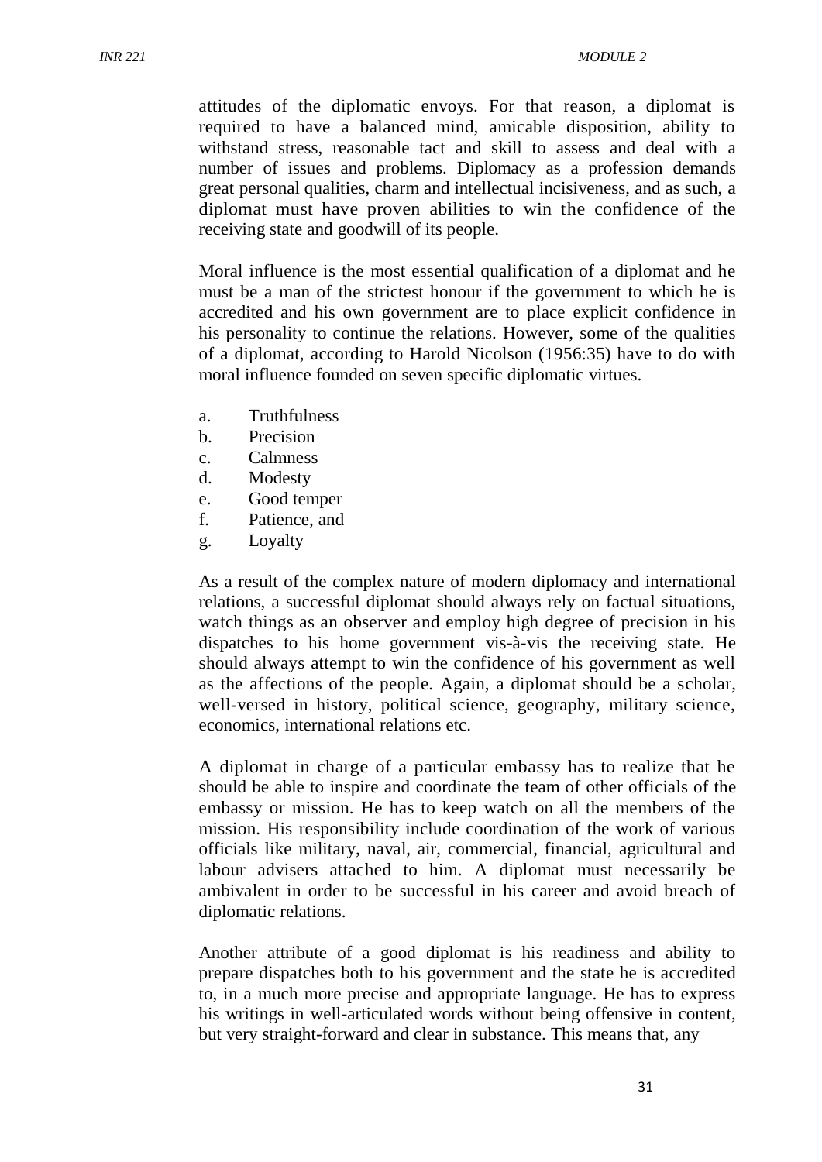attitudes of the diplomatic envoys. For that reason, a diplomat is required to have a balanced mind, amicable disposition, ability to withstand stress, reasonable tact and skill to assess and deal with a number of issues and problems. Diplomacy as a profession demands great personal qualities, charm and intellectual incisiveness, and as such, a diplomat must have proven abilities to win the confidence of the receiving state and goodwill of its people.

Moral influence is the most essential qualification of a diplomat and he must be a man of the strictest honour if the government to which he is accredited and his own government are to place explicit confidence in his personality to continue the relations. However, some of the qualities of a diplomat, according to Harold Nicolson (1956:35) have to do with moral influence founded on seven specific diplomatic virtues.

- a. Truthfulness
- b. Precision
- c. Calmness
- d. Modesty
- e. Good temper
- f. Patience, and
- g. Loyalty

As a result of the complex nature of modern diplomacy and international relations, a successful diplomat should always rely on factual situations, watch things as an observer and employ high degree of precision in his dispatches to his home government vis-à-vis the receiving state. He should always attempt to win the confidence of his government as well as the affections of the people. Again, a diplomat should be a scholar, well-versed in history, political science, geography, military science, economics, international relations etc.

A diplomat in charge of a particular embassy has to realize that he should be able to inspire and coordinate the team of other officials of the embassy or mission. He has to keep watch on all the members of the mission. His responsibility include coordination of the work of various officials like military, naval, air, commercial, financial, agricultural and labour advisers attached to him. A diplomat must necessarily be ambivalent in order to be successful in his career and avoid breach of diplomatic relations.

Another attribute of a good diplomat is his readiness and ability to prepare dispatches both to his government and the state he is accredited to, in a much more precise and appropriate language. He has to express his writings in well-articulated words without being offensive in content, but very straight-forward and clear in substance. This means that, any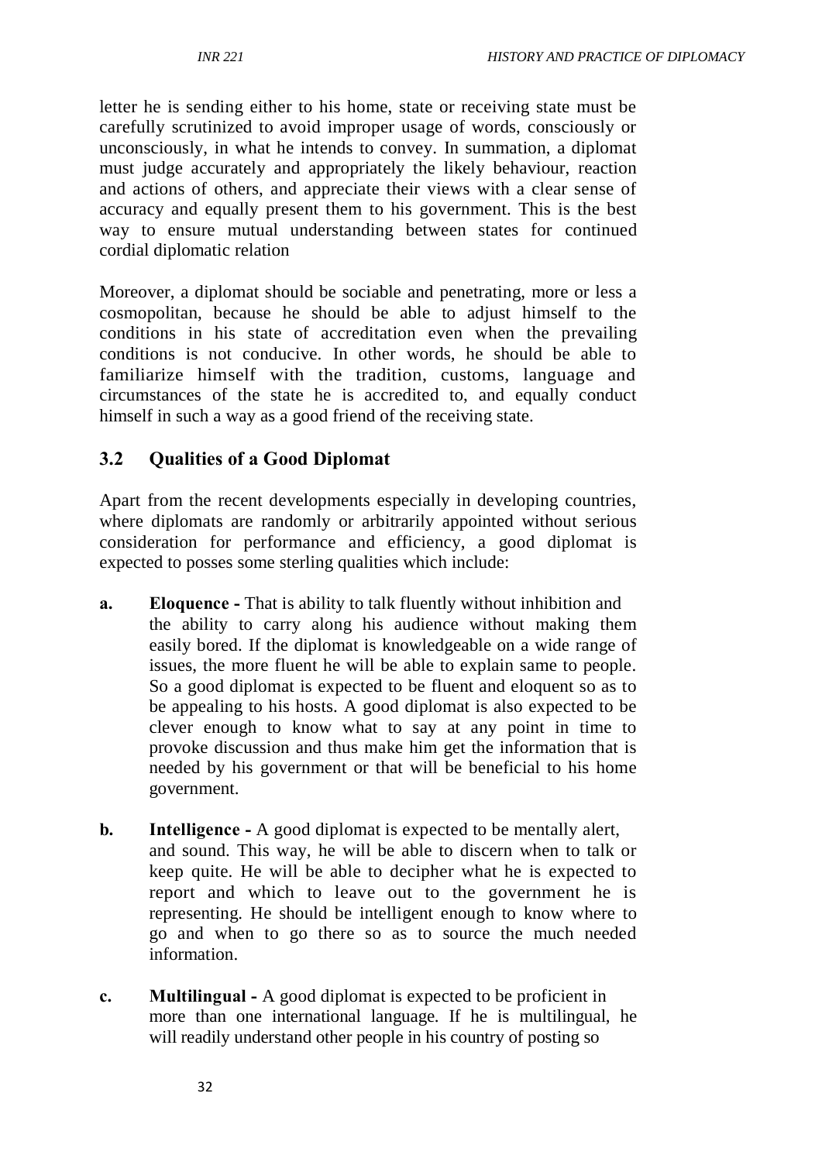letter he is sending either to his home, state or receiving state must be carefully scrutinized to avoid improper usage of words, consciously or unconsciously, in what he intends to convey. In summation, a diplomat must judge accurately and appropriately the likely behaviour, reaction and actions of others, and appreciate their views with a clear sense of accuracy and equally present them to his government. This is the best way to ensure mutual understanding between states for continued cordial diplomatic relation

Moreover, a diplomat should be sociable and penetrating, more or less a cosmopolitan, because he should be able to adjust himself to the conditions in his state of accreditation even when the prevailing conditions is not conducive. In other words, he should be able to familiarize himself with the tradition, customs, language and circumstances of the state he is accredited to, and equally conduct himself in such a way as a good friend of the receiving state.

# **3.2 Qualities of a Good Diplomat**

Apart from the recent developments especially in developing countries, where diplomats are randomly or arbitrarily appointed without serious consideration for performance and efficiency, a good diplomat is expected to posses some sterling qualities which include:

- **a. Eloquence -** That is ability to talk fluently without inhibition and the ability to carry along his audience without making them easily bored. If the diplomat is knowledgeable on a wide range of issues, the more fluent he will be able to explain same to people. So a good diplomat is expected to be fluent and eloquent so as to be appealing to his hosts. A good diplomat is also expected to be clever enough to know what to say at any point in time to provoke discussion and thus make him get the information that is needed by his government or that will be beneficial to his home government.
- **b. Intelligence -** A good diplomat is expected to be mentally alert, and sound. This way, he will be able to discern when to talk or keep quite. He will be able to decipher what he is expected to report and which to leave out to the government he is representing. He should be intelligent enough to know where to go and when to go there so as to source the much needed information.
- **c. Multilingual -** A good diplomat is expected to be proficient in more than one international language. If he is multilingual, he will readily understand other people in his country of posting so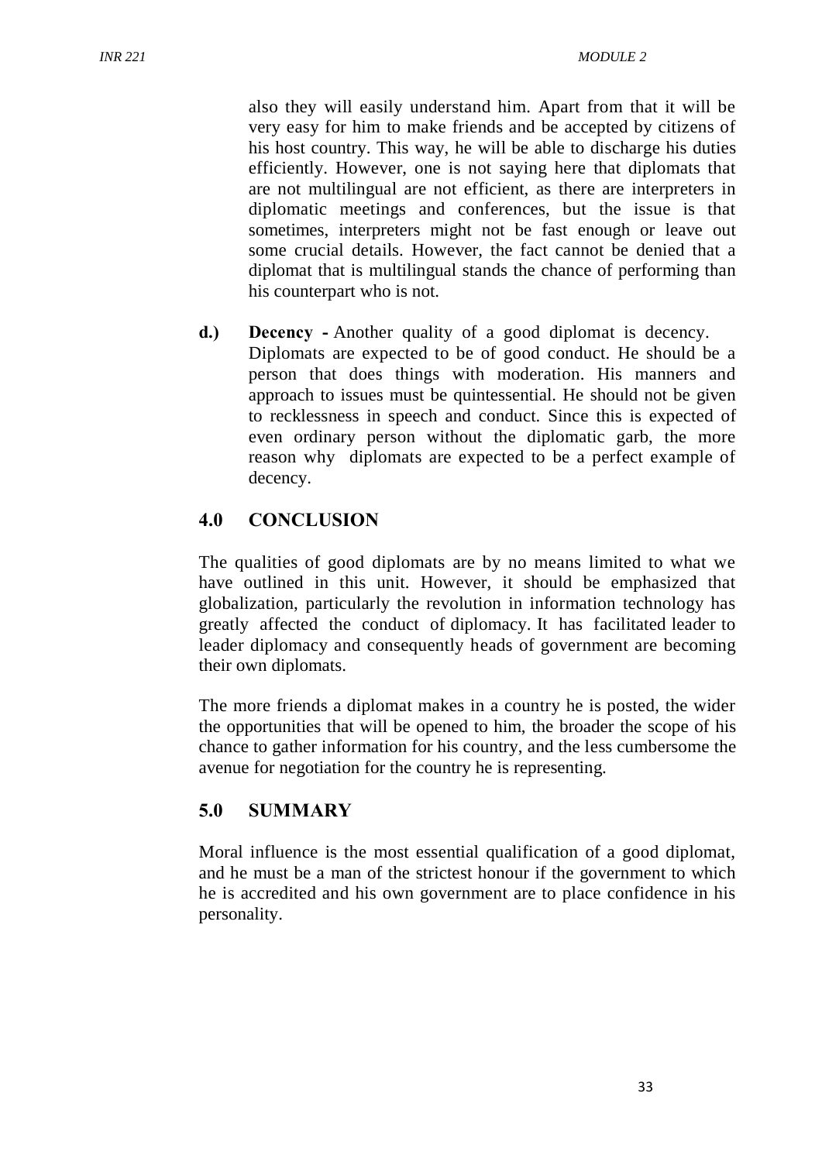also they will easily understand him. Apart from that it will be very easy for him to make friends and be accepted by citizens of his host country. This way, he will be able to discharge his duties efficiently. However, one is not saying here that diplomats that are not multilingual are not efficient, as there are interpreters in diplomatic meetings and conferences, but the issue is that sometimes, interpreters might not be fast enough or leave out some crucial details. However, the fact cannot be denied that a diplomat that is multilingual stands the chance of performing than his counterpart who is not.

**d.) Decency -** Another quality of a good diplomat is decency. Diplomats are expected to be of good conduct. He should be a person that does things with moderation. His manners and approach to issues must be quintessential. He should not be given to recklessness in speech and conduct. Since this is expected of even ordinary person without the diplomatic garb, the more reason why diplomats are expected to be a perfect example of decency.

### **4.0 CONCLUSION**

The qualities of good diplomats are by no means limited to what we have outlined in this unit. However, it should be emphasized that globalization, particularly the revolution in information technology has greatly affected the conduct of diplomacy. It has facilitated leader to leader diplomacy and consequently heads of government are becoming their own diplomats.

The more friends a diplomat makes in a country he is posted, the wider the opportunities that will be opened to him, the broader the scope of his chance to gather information for his country, and the less cumbersome the avenue for negotiation for the country he is representing.

### **5.0 SUMMARY**

Moral influence is the most essential qualification of a good diplomat, and he must be a man of the strictest honour if the government to which he is accredited and his own government are to place confidence in his personality.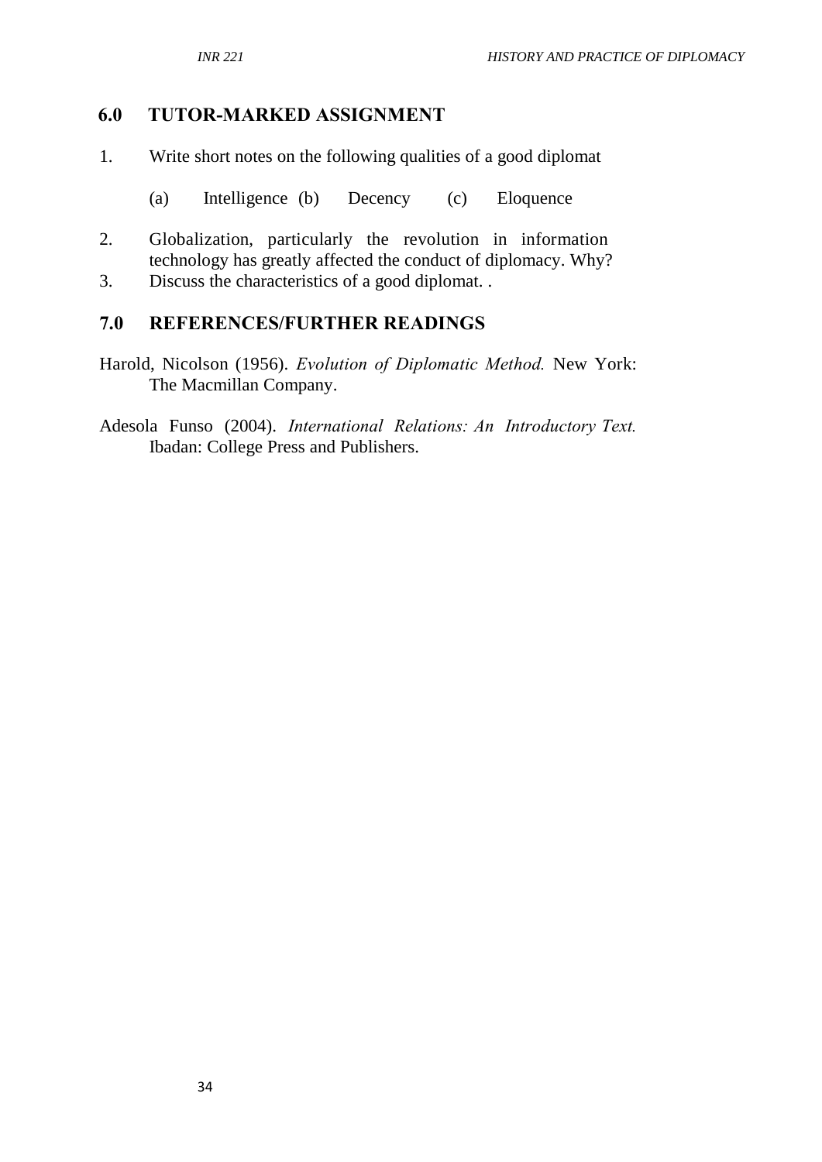## **6.0 TUTOR-MARKED ASSIGNMENT**

- 1. Write short notes on the following qualities of a good diplomat
	- (a) Intelligence (b) Decency (c) Eloquence
- 2. Globalization, particularly the revolution in information technology has greatly affected the conduct of diplomacy. Why?
- 3. Discuss the characteristics of a good diplomat. .

### **7.0 REFERENCES/FURTHER READINGS**

- Harold, Nicolson (1956). *Evolution of Diplomatic Method.* New York: The Macmillan Company.
- Adesola Funso (2004). *International Relations: An Introductory Text.*  Ibadan: College Press and Publishers.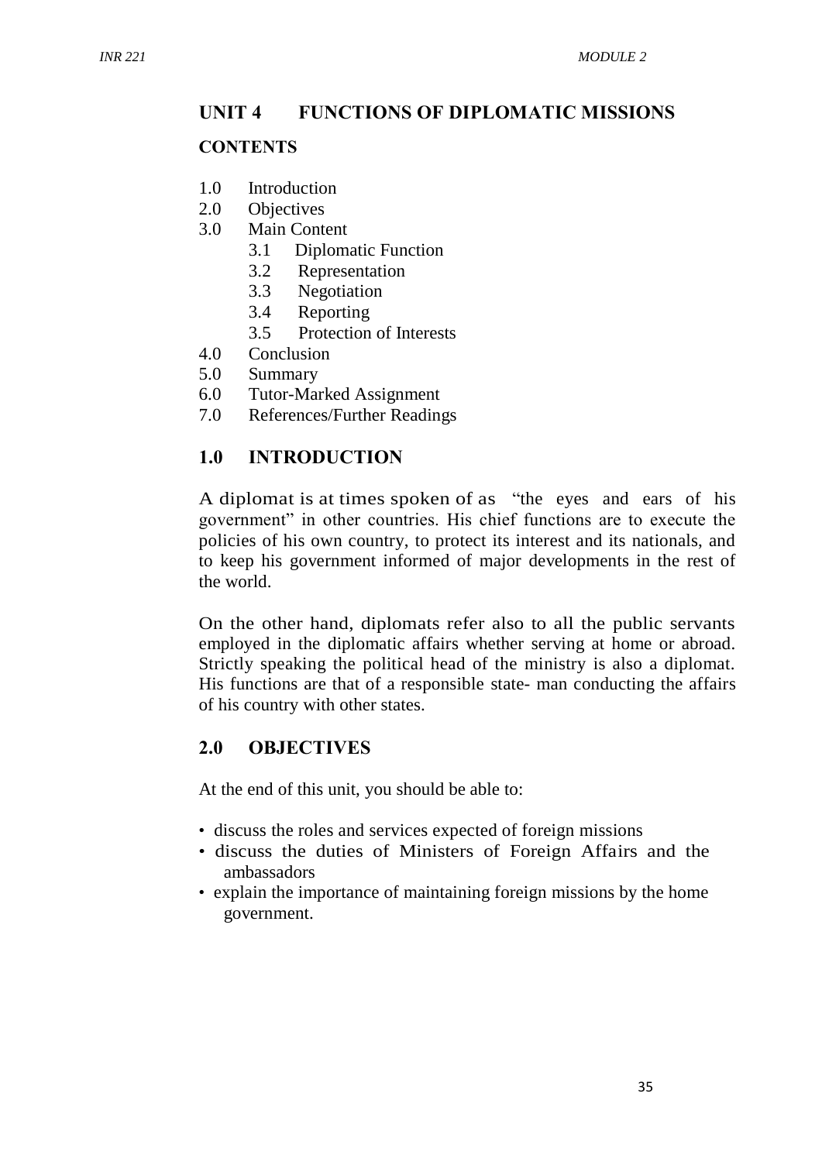### **UNIT 4 FUNCTIONS OF DIPLOMATIC MISSIONS**

#### **CONTENTS**

- 1.0 Introduction
- 2.0 Objectives
- 3.0 Main Content
	- 3.1 Diplomatic Function
	- 3.2 Representation
	- 3.3 Negotiation
	- 3.4 Reporting
	- 3.5 Protection of Interests
- 4.0 Conclusion
- 5.0 Summary
- 6.0 Tutor-Marked Assignment
- 7.0 References/Further Readings

### **1.0 INTRODUCTION**

A diplomat is at times spoken of as "the eyes and ears of his government" in other countries. His chief functions are to execute the policies of his own country, to protect its interest and its nationals, and to keep his government informed of major developments in the rest of the world.

On the other hand, diplomats refer also to all the public servants employed in the diplomatic affairs whether serving at home or abroad. Strictly speaking the political head of the ministry is also a diplomat. His functions are that of a responsible state- man conducting the affairs of his country with other states.

### **2.0 OBJECTIVES**

At the end of this unit, you should be able to:

- discuss the roles and services expected of foreign missions
- discuss the duties of Ministers of Foreign Affairs and the ambassadors
- explain the importance of maintaining foreign missions by the home government.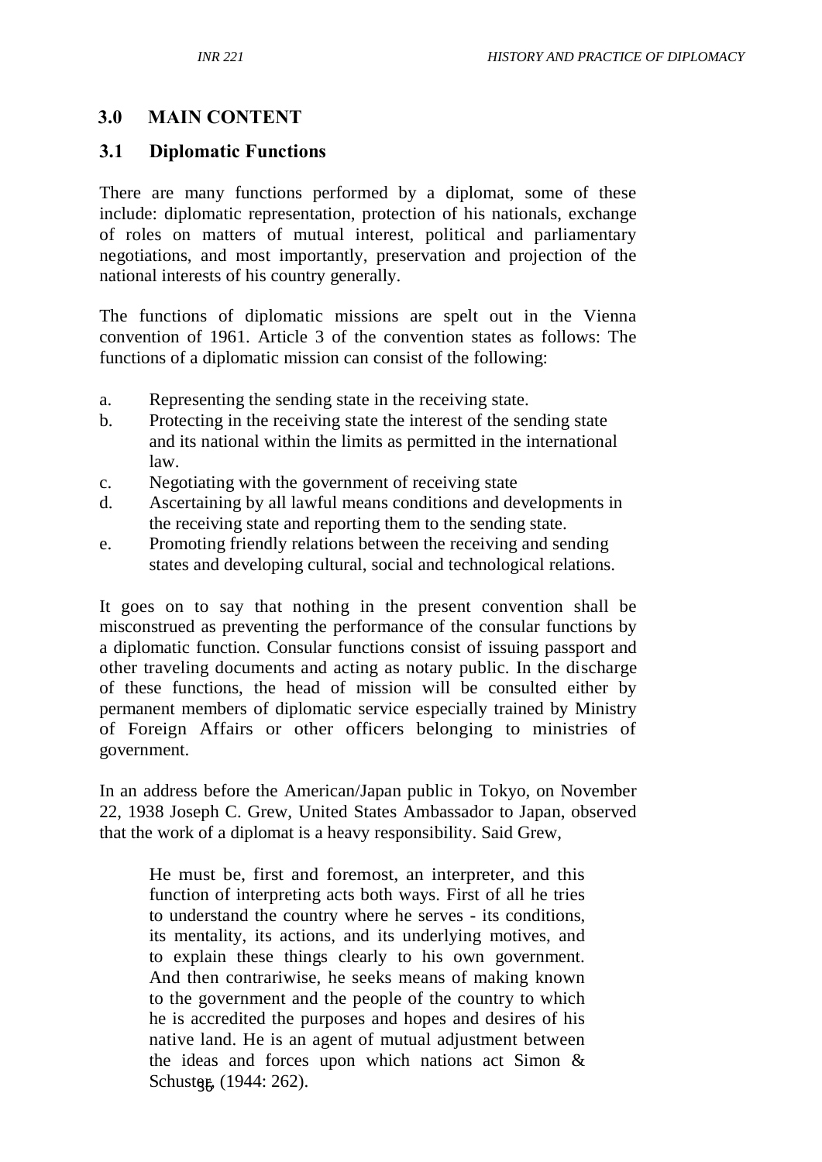### **3.0 MAIN CONTENT**

### **3.1 Diplomatic Functions**

There are many functions performed by a diplomat, some of these include: diplomatic representation, protection of his nationals, exchange of roles on matters of mutual interest, political and parliamentary negotiations, and most importantly, preservation and projection of the national interests of his country generally.

The functions of diplomatic missions are spelt out in the Vienna convention of 1961. Article 3 of the convention states as follows: The functions of a diplomatic mission can consist of the following:

- a. Representing the sending state in the receiving state.
- b. Protecting in the receiving state the interest of the sending state and its national within the limits as permitted in the international law.
- c. Negotiating with the government of receiving state
- d. Ascertaining by all lawful means conditions and developments in the receiving state and reporting them to the sending state.
- e. Promoting friendly relations between the receiving and sending states and developing cultural, social and technological relations.

It goes on to say that nothing in the present convention shall be misconstrued as preventing the performance of the consular functions by a diplomatic function. Consular functions consist of issuing passport and other traveling documents and acting as notary public. In the discharge of these functions, the head of mission will be consulted either by permanent members of diplomatic service especially trained by Ministry of Foreign Affairs or other officers belonging to ministries of government.

In an address before the American/Japan public in Tokyo, on November 22, 1938 Joseph C. Grew, United States Ambassador to Japan, observed that the work of a diplomat is a heavy responsibility. Said Grew,

Schusteg, (1944: 262). He must be, first and foremost, an interpreter, and this function of interpreting acts both ways. First of all he tries to understand the country where he serves - its conditions, its mentality, its actions, and its underlying motives, and to explain these things clearly to his own government. And then contrariwise, he seeks means of making known to the government and the people of the country to which he is accredited the purposes and hopes and desires of his native land. He is an agent of mutual adjustment between the ideas and forces upon which nations act Simon &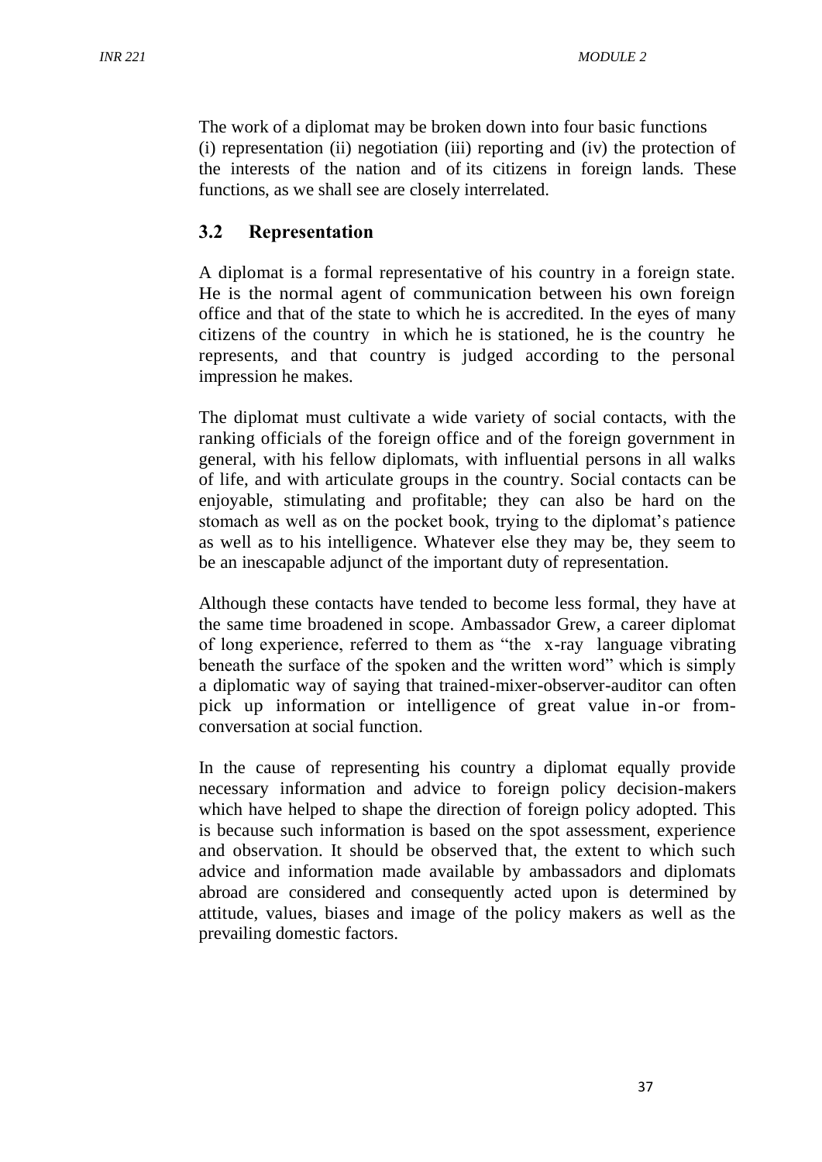The work of a diplomat may be broken down into four basic functions (i) representation (ii) negotiation (iii) reporting and (iv) the protection of the interests of the nation and of its citizens in foreign lands. These functions, as we shall see are closely interrelated.

### **3.2 Representation**

A diplomat is a formal representative of his country in a foreign state. He is the normal agent of communication between his own foreign office and that of the state to which he is accredited. In the eyes of many citizens of the country in which he is stationed, he is the country he represents, and that country is judged according to the personal impression he makes.

The diplomat must cultivate a wide variety of social contacts, with the ranking officials of the foreign office and of the foreign government in general, with his fellow diplomats, with influential persons in all walks of life, and with articulate groups in the country. Social contacts can be enjoyable, stimulating and profitable; they can also be hard on the stomach as well as on the pocket book, trying to the diplomat's patience as well as to his intelligence. Whatever else they may be, they seem to be an inescapable adjunct of the important duty of representation.

Although these contacts have tended to become less formal, they have at the same time broadened in scope. Ambassador Grew, a career diplomat of long experience, referred to them as "the x-ray language vibrating beneath the surface of the spoken and the written word" which is simply a diplomatic way of saying that trained-mixer-observer-auditor can often pick up information or intelligence of great value in-or fromconversation at social function.

In the cause of representing his country a diplomat equally provide necessary information and advice to foreign policy decision-makers which have helped to shape the direction of foreign policy adopted. This is because such information is based on the spot assessment, experience and observation. It should be observed that, the extent to which such advice and information made available by ambassadors and diplomats abroad are considered and consequently acted upon is determined by attitude, values, biases and image of the policy makers as well as the prevailing domestic factors.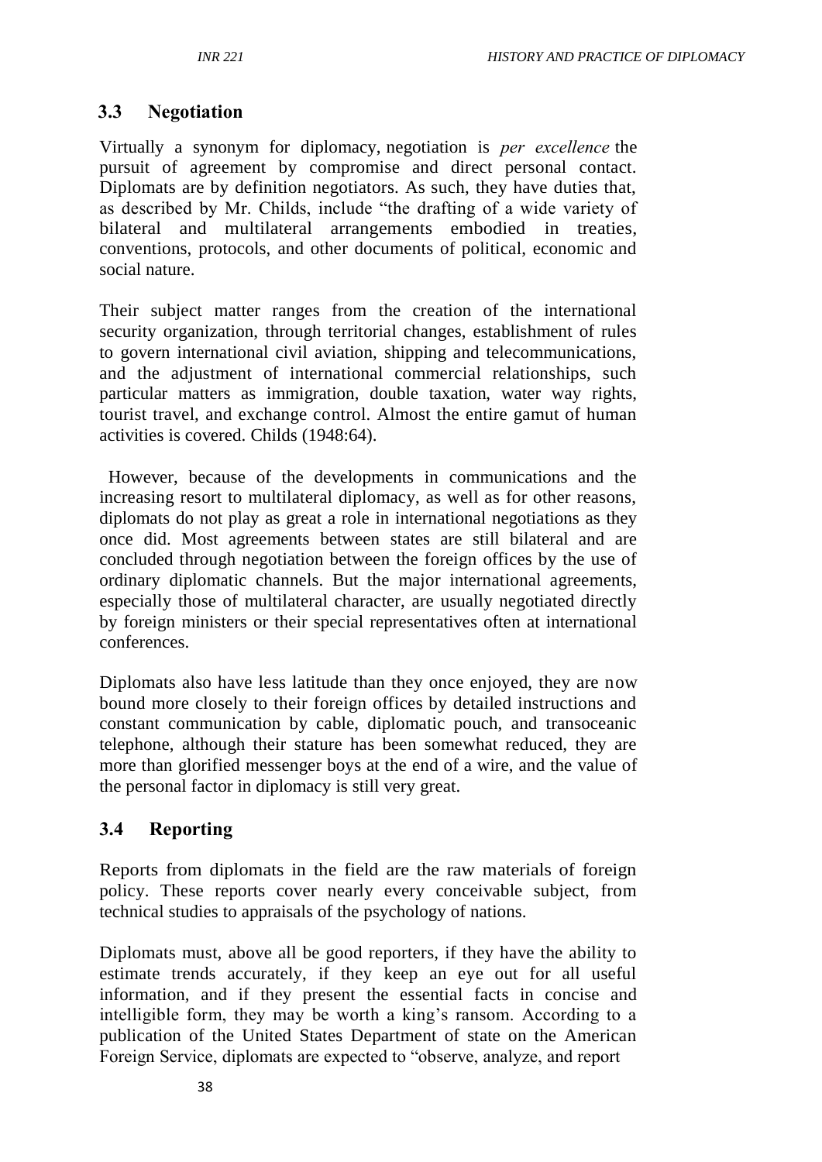### **3.3 Negotiation**

Virtually a synonym for diplomacy, negotiation is *per excellence* the pursuit of agreement by compromise and direct personal contact. Diplomats are by definition negotiators. As such, they have duties that, as described by Mr. Childs, include "the drafting of a wide variety of bilateral and multilateral arrangements embodied in treaties, conventions, protocols, and other documents of political, economic and social nature.

Their subject matter ranges from the creation of the international security organization, through territorial changes, establishment of rules to govern international civil aviation, shipping and telecommunications, and the adjustment of international commercial relationships, such particular matters as immigration, double taxation, water way rights, tourist travel, and exchange control. Almost the entire gamut of human activities is covered. Childs (1948:64).

However, because of the developments in communications and the increasing resort to multilateral diplomacy, as well as for other reasons, diplomats do not play as great a role in international negotiations as they once did. Most agreements between states are still bilateral and are concluded through negotiation between the foreign offices by the use of ordinary diplomatic channels. But the major international agreements, especially those of multilateral character, are usually negotiated directly by foreign ministers or their special representatives often at international conferences.

Diplomats also have less latitude than they once enjoyed, they are now bound more closely to their foreign offices by detailed instructions and constant communication by cable, diplomatic pouch, and transoceanic telephone, although their stature has been somewhat reduced, they are more than glorified messenger boys at the end of a wire, and the value of the personal factor in diplomacy is still very great.

### **3.4 Reporting**

Reports from diplomats in the field are the raw materials of foreign policy. These reports cover nearly every conceivable subject, from technical studies to appraisals of the psychology of nations.

Diplomats must, above all be good reporters, if they have the ability to estimate trends accurately, if they keep an eye out for all useful information, and if they present the essential facts in concise and intelligible form, they may be worth a king's ransom. According to a publication of the United States Department of state on the American Foreign Service, diplomats are expected to "observe, analyze, and report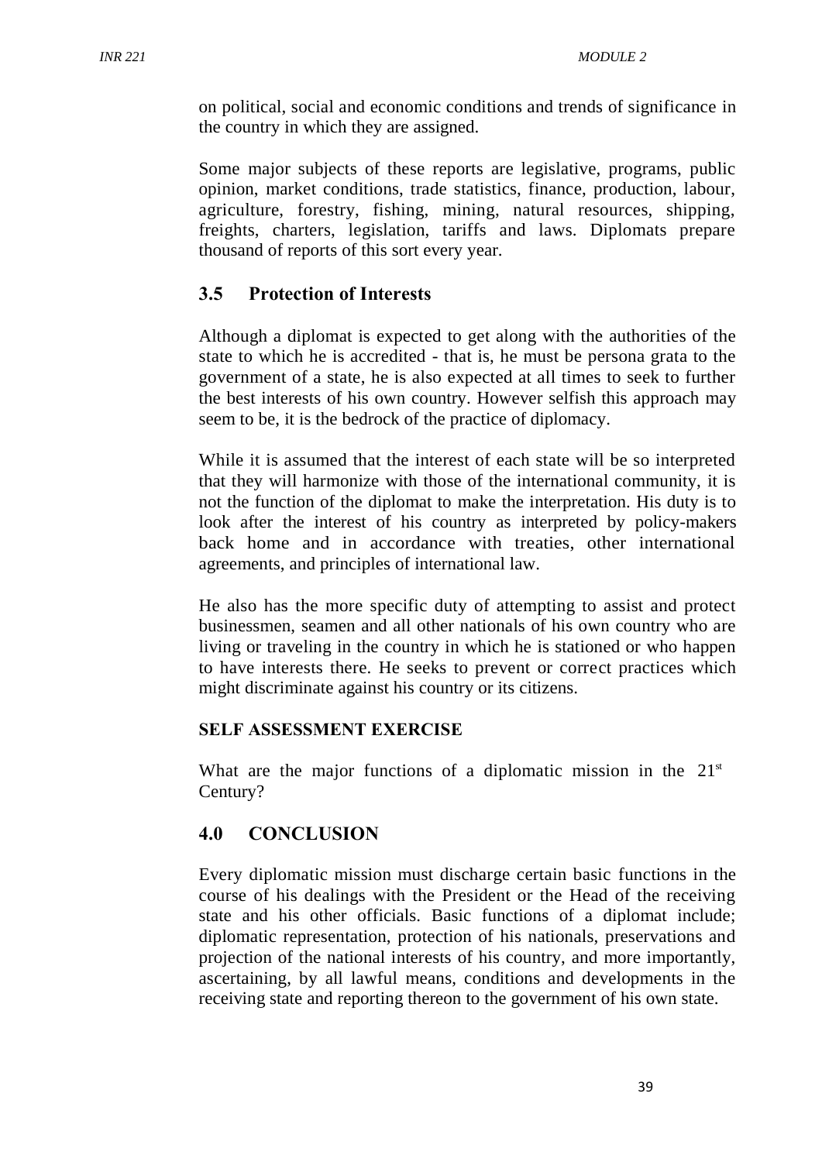on political, social and economic conditions and trends of significance in the country in which they are assigned.

Some major subjects of these reports are legislative, programs, public opinion, market conditions, trade statistics, finance, production, labour, agriculture, forestry, fishing, mining, natural resources, shipping, freights, charters, legislation, tariffs and laws. Diplomats prepare thousand of reports of this sort every year.

### **3.5 Protection of Interests**

Although a diplomat is expected to get along with the authorities of the state to which he is accredited - that is, he must be persona grata to the government of a state, he is also expected at all times to seek to further the best interests of his own country. However selfish this approach may seem to be, it is the bedrock of the practice of diplomacy.

While it is assumed that the interest of each state will be so interpreted that they will harmonize with those of the international community, it is not the function of the diplomat to make the interpretation. His duty is to look after the interest of his country as interpreted by policy-makers back home and in accordance with treaties, other international agreements, and principles of international law.

He also has the more specific duty of attempting to assist and protect businessmen, seamen and all other nationals of his own country who are living or traveling in the country in which he is stationed or who happen to have interests there. He seeks to prevent or correct practices which might discriminate against his country or its citizens.

#### **SELF ASSESSMENT EXERCISE**

What are the major functions of a diplomatic mission in the  $21<sup>st</sup>$ Century?

### **4.0 CONCLUSION**

Every diplomatic mission must discharge certain basic functions in the course of his dealings with the President or the Head of the receiving state and his other officials. Basic functions of a diplomat include; diplomatic representation, protection of his nationals, preservations and projection of the national interests of his country, and more importantly, ascertaining, by all lawful means, conditions and developments in the receiving state and reporting thereon to the government of his own state.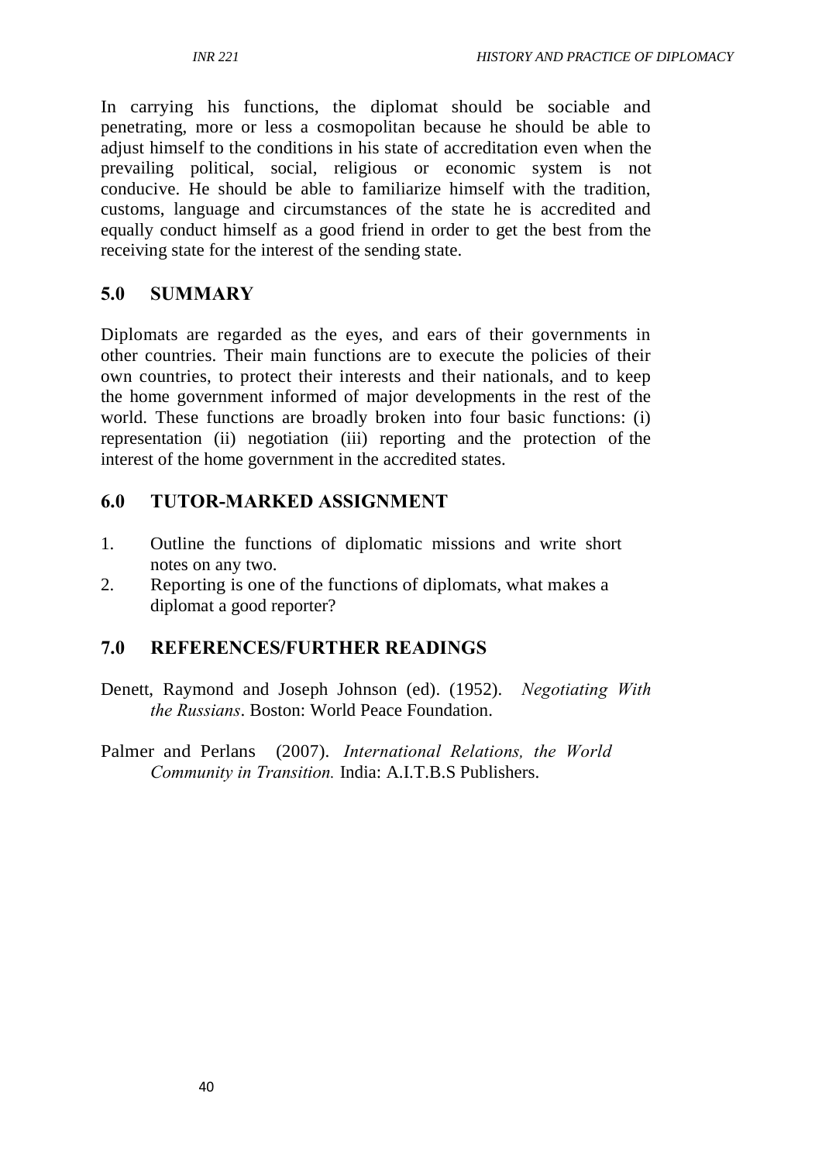In carrying his functions, the diplomat should be sociable and penetrating, more or less a cosmopolitan because he should be able to adjust himself to the conditions in his state of accreditation even when the prevailing political, social, religious or economic system is not conducive. He should be able to familiarize himself with the tradition, customs, language and circumstances of the state he is accredited and equally conduct himself as a good friend in order to get the best from the receiving state for the interest of the sending state.

# **5.0 SUMMARY**

Diplomats are regarded as the eyes, and ears of their governments in other countries. Their main functions are to execute the policies of their own countries, to protect their interests and their nationals, and to keep the home government informed of major developments in the rest of the world. These functions are broadly broken into four basic functions: (i) representation (ii) negotiation (iii) reporting and the protection of the interest of the home government in the accredited states.

# **6.0 TUTOR-MARKED ASSIGNMENT**

- 1. Outline the functions of diplomatic missions and write short notes on any two.
- 2. Reporting is one of the functions of diplomats, what makes a diplomat a good reporter?

# **7.0 REFERENCES/FURTHER READINGS**

- Denett, Raymond and Joseph Johnson (ed). (1952). *Negotiating With the Russians*. Boston: World Peace Foundation.
- Palmer and Perlans (2007). *International Relations, the World Community in Transition.* India: A.I.T.B.S Publishers.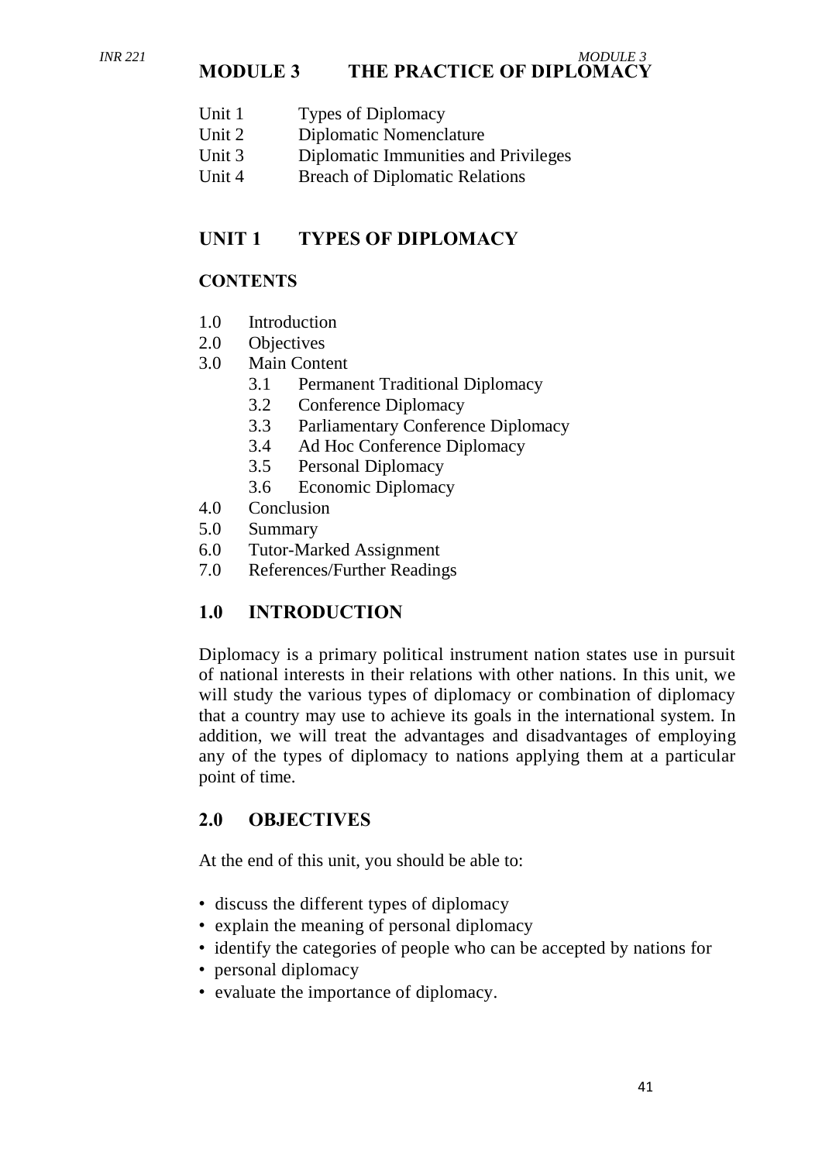#### *INR 221 MODULE 3* **MODULE 3 THE PRACTICE OF DIPLOMACY**

- Unit 1 Types of Diplomacy
- Unit 2 Diplomatic Nomenclature
- Unit 3 Diplomatic Immunities and Privileges
- Unit 4 Breach of Diplomatic Relations

### **UNIT 1 TYPES OF DIPLOMACY**

#### **CONTENTS**

- 1.0 Introduction
- 2.0 Objectives
- 3.0 Main Content
	- 3.1 Permanent Traditional Diplomacy
	- 3.2 Conference Diplomacy
	- 3.3 Parliamentary Conference Diplomacy
	- 3.4 Ad Hoc Conference Diplomacy
	- 3.5 Personal Diplomacy
	- 3.6 Economic Diplomacy
- 4.0 Conclusion
- 5.0 Summary
- 6.0 Tutor-Marked Assignment
- 7.0 References/Further Readings

### **1.0 INTRODUCTION**

Diplomacy is a primary political instrument nation states use in pursuit of national interests in their relations with other nations. In this unit, we will study the various types of diplomacy or combination of diplomacy that a country may use to achieve its goals in the international system. In addition, we will treat the advantages and disadvantages of employing any of the types of diplomacy to nations applying them at a particular point of time.

### **2.0 OBJECTIVES**

At the end of this unit, you should be able to:

- discuss the different types of diplomacy
- explain the meaning of personal diplomacy
- identify the categories of people who can be accepted by nations for
- personal diplomacy
- evaluate the importance of diplomacy.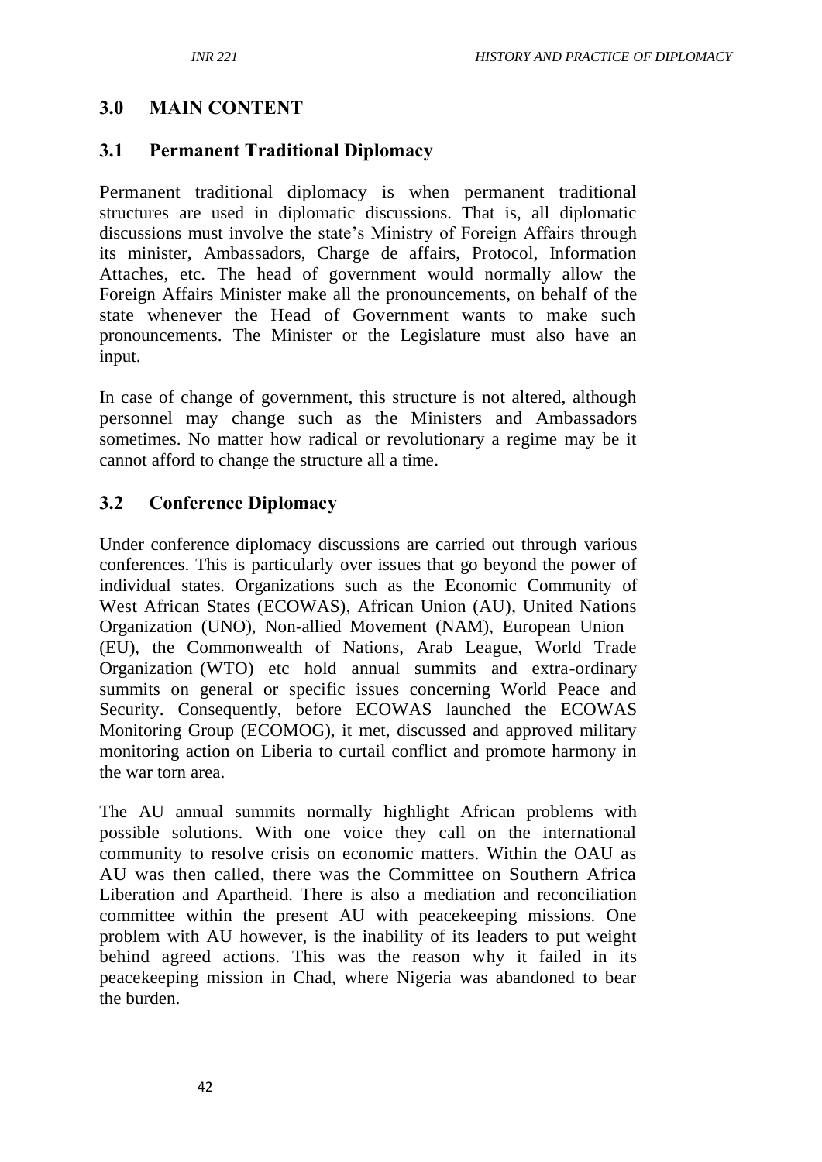### **3.0 MAIN CONTENT**

### **3.1 Permanent Traditional Diplomacy**

Permanent traditional diplomacy is when permanent traditional structures are used in diplomatic discussions. That is, all diplomatic discussions must involve the state's Ministry of Foreign Affairs through its minister, Ambassadors, Charge de affairs, Protocol, Information Attaches, etc. The head of government would normally allow the Foreign Affairs Minister make all the pronouncements, on behalf of the state whenever the Head of Government wants to make such pronouncements. The Minister or the Legislature must also have an input.

In case of change of government, this structure is not altered, although personnel may change such as the Ministers and Ambassadors sometimes. No matter how radical or revolutionary a regime may be it cannot afford to change the structure all a time.

### **3.2 Conference Diplomacy**

Under conference diplomacy discussions are carried out through various conferences. This is particularly over issues that go beyond the power of individual states. Organizations such as the Economic Community of West African States (ECOWAS), African Union (AU), United Nations Organization (UNO), Non-allied Movement (NAM), European Union (EU), the Commonwealth of Nations, Arab League, World Trade Organization (WTO) etc hold annual summits and extra-ordinary summits on general or specific issues concerning World Peace and Security. Consequently, before ECOWAS launched the ECOWAS Monitoring Group (ECOMOG), it met, discussed and approved military monitoring action on Liberia to curtail conflict and promote harmony in the war torn area.

The AU annual summits normally highlight African problems with possible solutions. With one voice they call on the international community to resolve crisis on economic matters. Within the OAU as AU was then called, there was the Committee on Southern Africa Liberation and Apartheid. There is also a mediation and reconciliation committee within the present AU with peacekeeping missions. One problem with AU however, is the inability of its leaders to put weight behind agreed actions. This was the reason why it failed in its peacekeeping mission in Chad, where Nigeria was abandoned to bear the burden.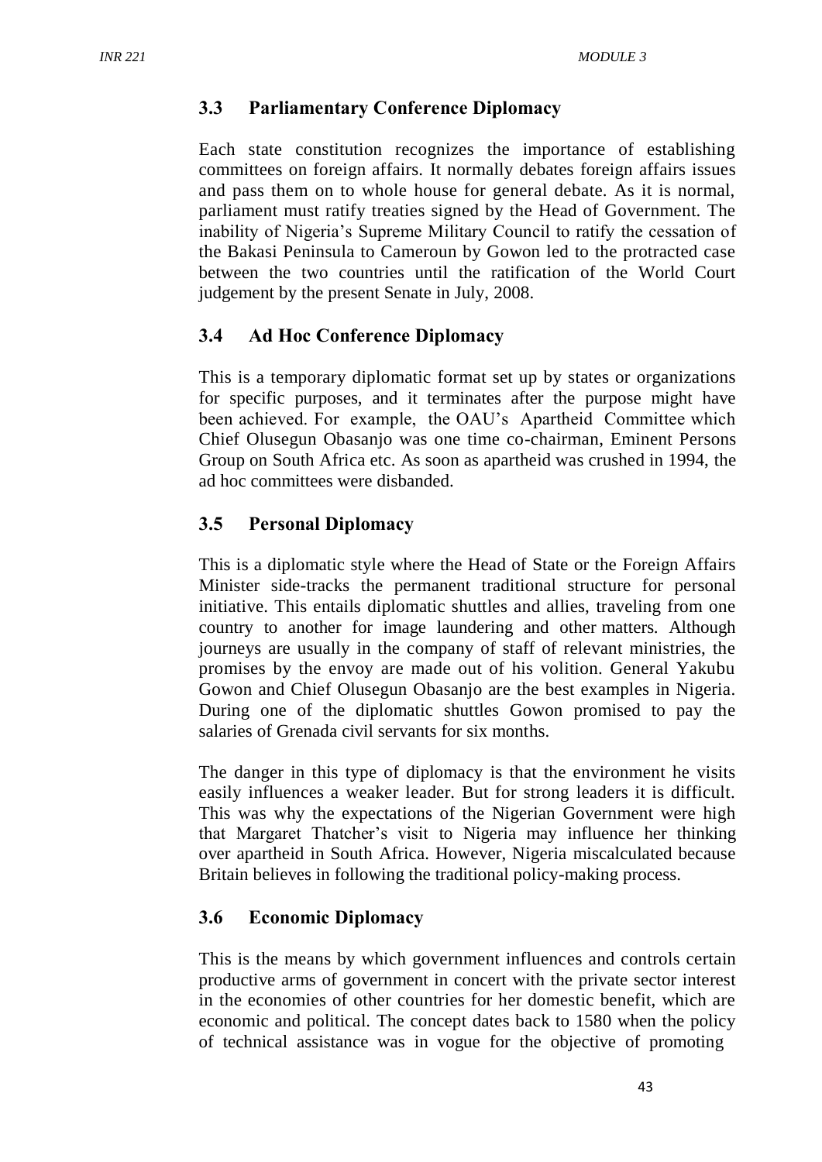### **3.3 Parliamentary Conference Diplomacy**

Each state constitution recognizes the importance of establishing committees on foreign affairs. It normally debates foreign affairs issues and pass them on to whole house for general debate. As it is normal, parliament must ratify treaties signed by the Head of Government. The inability of Nigeria's Supreme Military Council to ratify the cessation of the Bakasi Peninsula to Cameroun by Gowon led to the protracted case between the two countries until the ratification of the World Court judgement by the present Senate in July, 2008.

# **3.4 Ad Hoc Conference Diplomacy**

This is a temporary diplomatic format set up by states or organizations for specific purposes, and it terminates after the purpose might have been achieved. For example, the OAU's Apartheid Committee which Chief Olusegun Obasanjo was one time co-chairman, Eminent Persons Group on South Africa etc. As soon as apartheid was crushed in 1994, the ad hoc committees were disbanded.

# **3.5 Personal Diplomacy**

This is a diplomatic style where the Head of State or the Foreign Affairs Minister side-tracks the permanent traditional structure for personal initiative. This entails diplomatic shuttles and allies, traveling from one country to another for image laundering and other matters. Although journeys are usually in the company of staff of relevant ministries, the promises by the envoy are made out of his volition. General Yakubu Gowon and Chief Olusegun Obasanjo are the best examples in Nigeria. During one of the diplomatic shuttles Gowon promised to pay the salaries of Grenada civil servants for six months.

The danger in this type of diplomacy is that the environment he visits easily influences a weaker leader. But for strong leaders it is difficult. This was why the expectations of the Nigerian Government were high that Margaret Thatcher's visit to Nigeria may influence her thinking over apartheid in South Africa. However, Nigeria miscalculated because Britain believes in following the traditional policy-making process.

### **3.6 Economic Diplomacy**

This is the means by which government influences and controls certain productive arms of government in concert with the private sector interest in the economies of other countries for her domestic benefit, which are economic and political. The concept dates back to 1580 when the policy of technical assistance was in vogue for the objective of promoting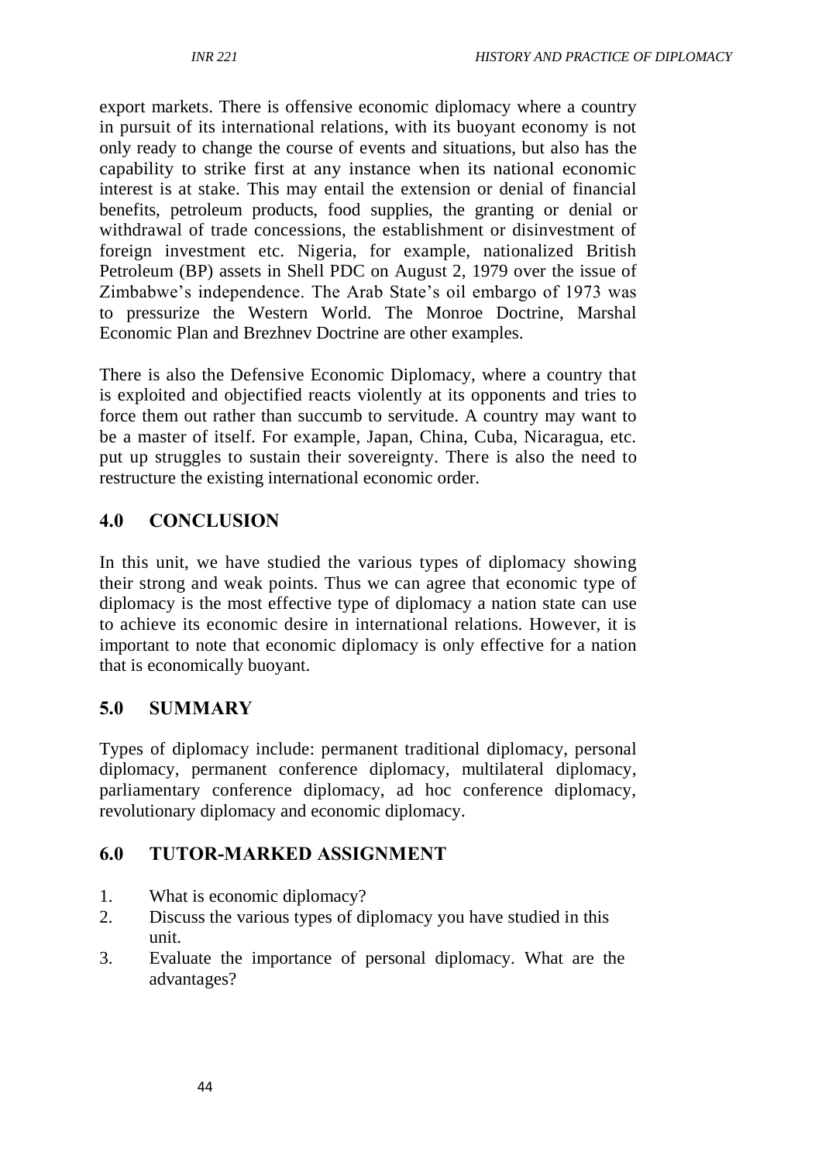export markets. There is offensive economic diplomacy where a country in pursuit of its international relations, with its buoyant economy is not only ready to change the course of events and situations, but also has the capability to strike first at any instance when its national economic interest is at stake. This may entail the extension or denial of financial benefits, petroleum products, food supplies, the granting or denial or withdrawal of trade concessions, the establishment or disinvestment of foreign investment etc. Nigeria, for example, nationalized British Petroleum (BP) assets in Shell PDC on August 2, 1979 over the issue of Zimbabwe's independence. The Arab State's oil embargo of 1973 was to pressurize the Western World. The Monroe Doctrine, Marshal Economic Plan and Brezhnev Doctrine are other examples.

There is also the Defensive Economic Diplomacy, where a country that is exploited and objectified reacts violently at its opponents and tries to force them out rather than succumb to servitude. A country may want to be a master of itself. For example, Japan, China, Cuba, Nicaragua, etc. put up struggles to sustain their sovereignty. There is also the need to restructure the existing international economic order.

### **4.0 CONCLUSION**

In this unit, we have studied the various types of diplomacy showing their strong and weak points. Thus we can agree that economic type of diplomacy is the most effective type of diplomacy a nation state can use to achieve its economic desire in international relations. However, it is important to note that economic diplomacy is only effective for a nation that is economically buoyant.

#### **5.0 SUMMARY**

Types of diplomacy include: permanent traditional diplomacy, personal diplomacy, permanent conference diplomacy, multilateral diplomacy, parliamentary conference diplomacy, ad hoc conference diplomacy, revolutionary diplomacy and economic diplomacy.

## **6.0 TUTOR-MARKED ASSIGNMENT**

- 1. What is economic diplomacy?
- 2. Discuss the various types of diplomacy you have studied in this unit.
- 3. Evaluate the importance of personal diplomacy. What are the advantages?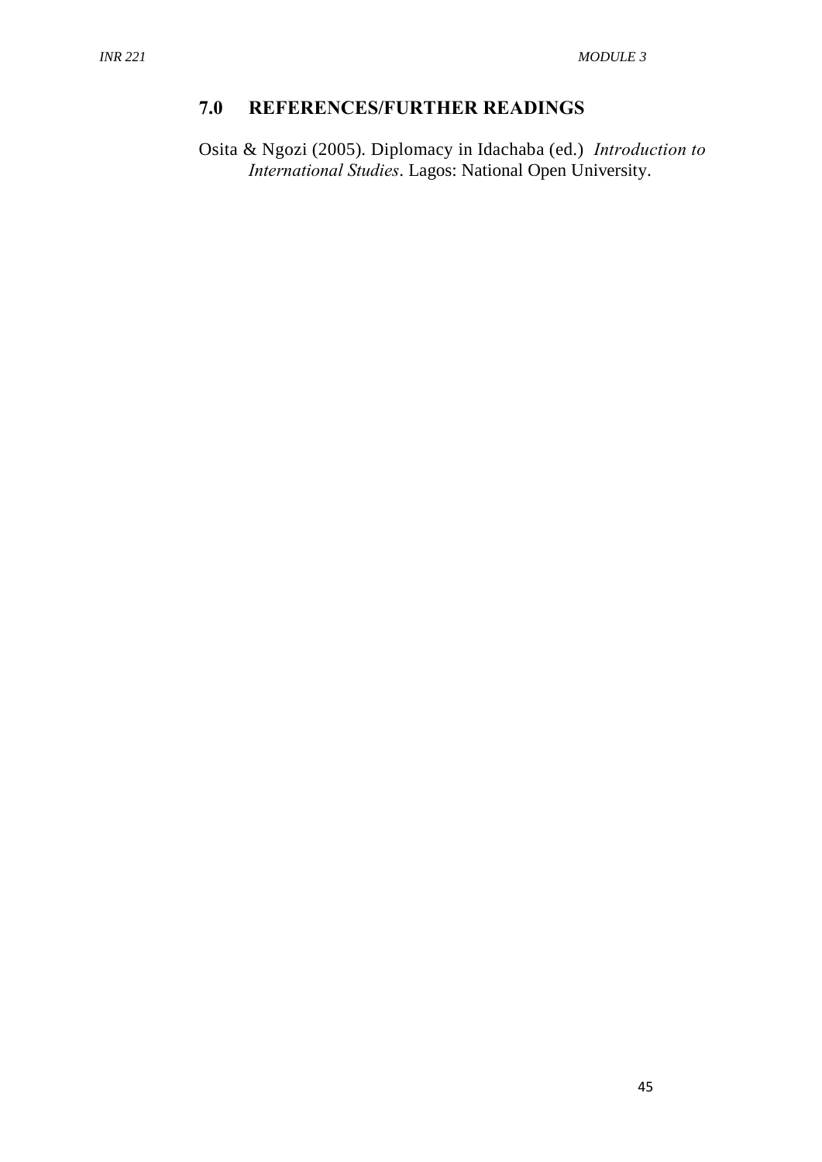# **7.0 REFERENCES/FURTHER READINGS**

Osita & Ngozi (2005). Diplomacy in Idachaba (ed.) *Introduction to International Studies*. Lagos: National Open University.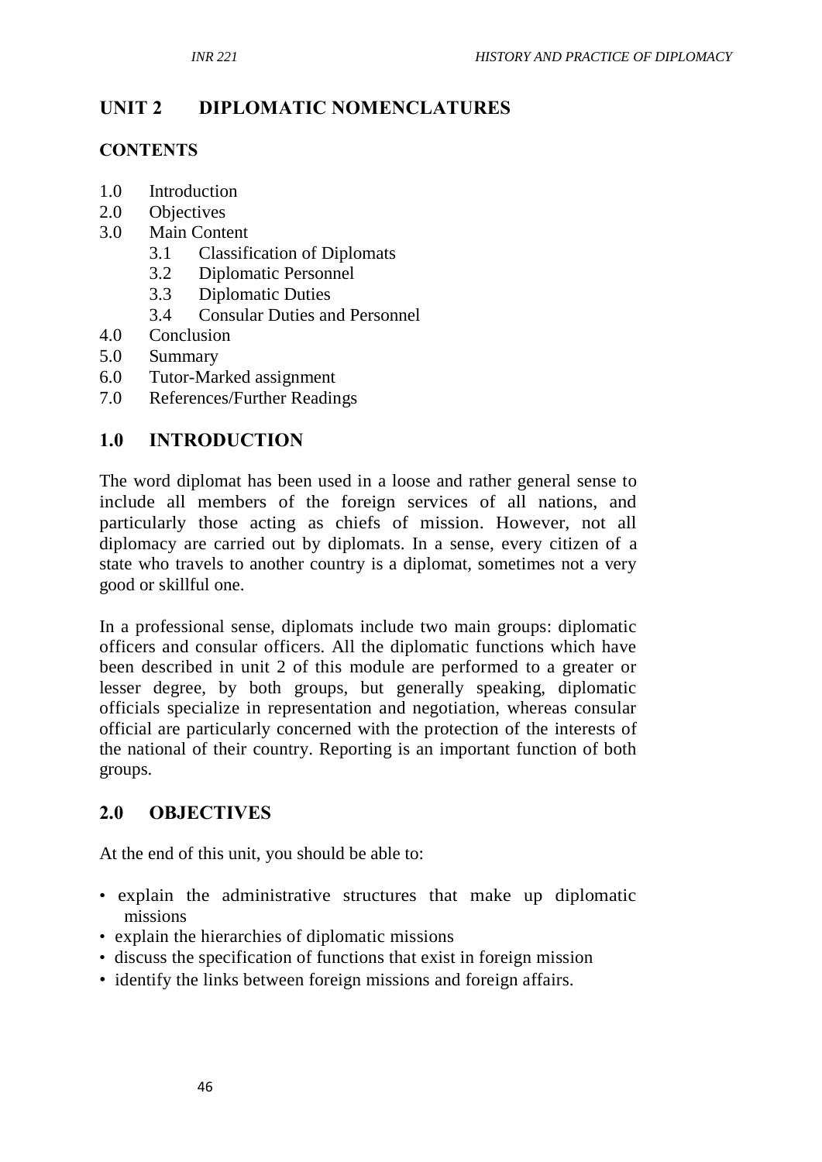# **UNIT 2 DIPLOMATIC NOMENCLATURES**

### **CONTENTS**

- 1.0 Introduction
- 2.0 Objectives
- 3.0 Main Content
	- 3.1 Classification of Diplomats
	- 3.2 Diplomatic Personnel
	- 3.3 Diplomatic Duties
	- 3.4 Consular Duties and Personnel
- 4.0 Conclusion
- 5.0 Summary
- 6.0 Tutor-Marked assignment
- 7.0 References/Further Readings

# **1.0 INTRODUCTION**

The word diplomat has been used in a loose and rather general sense to include all members of the foreign services of all nations, and particularly those acting as chiefs of mission. However, not all diplomacy are carried out by diplomats. In a sense, every citizen of a state who travels to another country is a diplomat, sometimes not a very good or skillful one.

In a professional sense, diplomats include two main groups: diplomatic officers and consular officers. All the diplomatic functions which have been described in unit 2 of this module are performed to a greater or lesser degree, by both groups, but generally speaking, diplomatic officials specialize in representation and negotiation, whereas consular official are particularly concerned with the protection of the interests of the national of their country. Reporting is an important function of both groups.

# **2.0 OBJECTIVES**

At the end of this unit, you should be able to:

- explain the administrative structures that make up diplomatic missions
- explain the hierarchies of diplomatic missions
- discuss the specification of functions that exist in foreign mission
- identify the links between foreign missions and foreign affairs.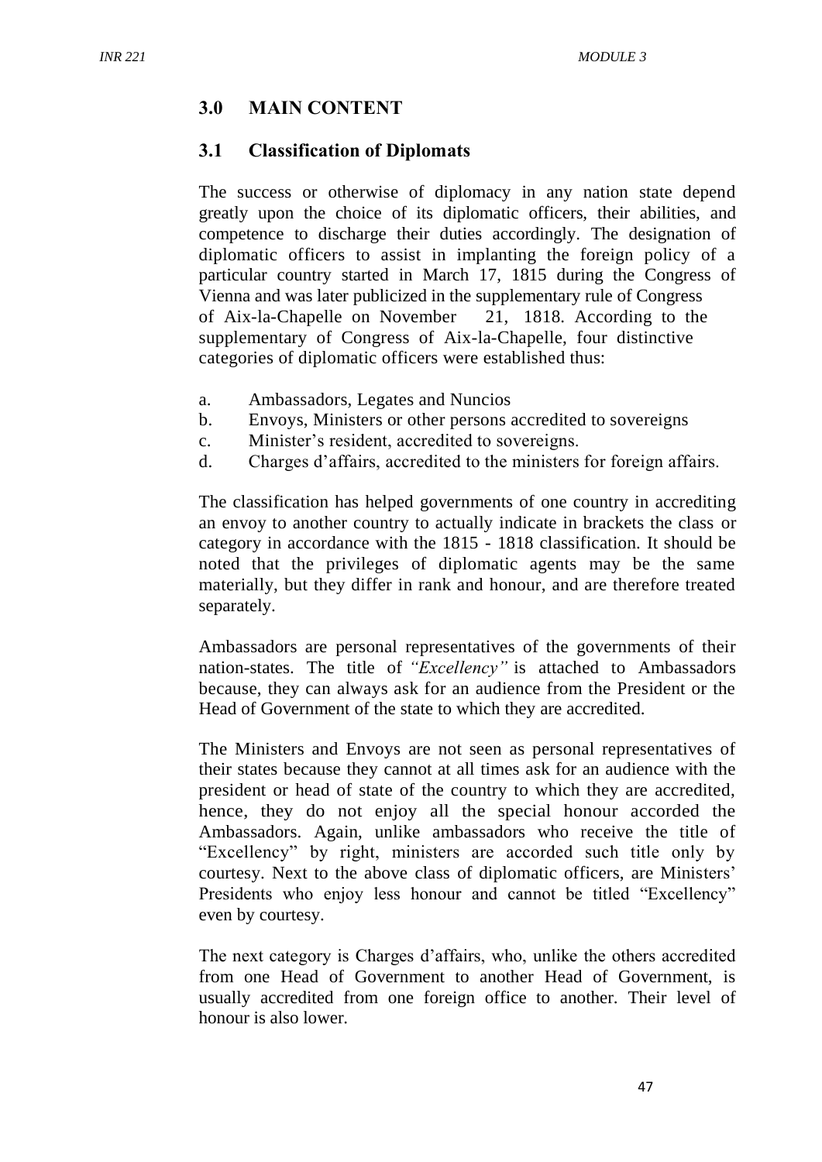### **3.0 MAIN CONTENT**

### **3.1 Classification of Diplomats**

The success or otherwise of diplomacy in any nation state depend greatly upon the choice of its diplomatic officers, their abilities, and competence to discharge their duties accordingly. The designation of diplomatic officers to assist in implanting the foreign policy of a particular country started in March 17, 1815 during the Congress of Vienna and was later publicized in the supplementary rule of Congress of Aix-la-Chapelle on November 21, 1818. According to the supplementary of Congress of Aix-la-Chapelle, four distinctive categories of diplomatic officers were established thus:

- a. Ambassadors, Legates and Nuncios
- b. Envoys, Ministers or other persons accredited to sovereigns
- c. Minister's resident, accredited to sovereigns.
- d. Charges d'affairs, accredited to the ministers for foreign affairs.

The classification has helped governments of one country in accrediting an envoy to another country to actually indicate in brackets the class or category in accordance with the 1815 - 1818 classification. It should be noted that the privileges of diplomatic agents may be the same materially, but they differ in rank and honour, and are therefore treated separately.

Ambassadors are personal representatives of the governments of their nation-states. The title of *"Excellency"* is attached to Ambassadors because, they can always ask for an audience from the President or the Head of Government of the state to which they are accredited.

The Ministers and Envoys are not seen as personal representatives of their states because they cannot at all times ask for an audience with the president or head of state of the country to which they are accredited, hence, they do not enjoy all the special honour accorded the Ambassadors. Again, unlike ambassadors who receive the title of "Excellency" by right, ministers are accorded such title only by courtesy. Next to the above class of diplomatic officers, are Ministers' Presidents who enjoy less honour and cannot be titled "Excellency" even by courtesy.

The next category is Charges d'affairs, who, unlike the others accredited from one Head of Government to another Head of Government, is usually accredited from one foreign office to another. Their level of honour is also lower.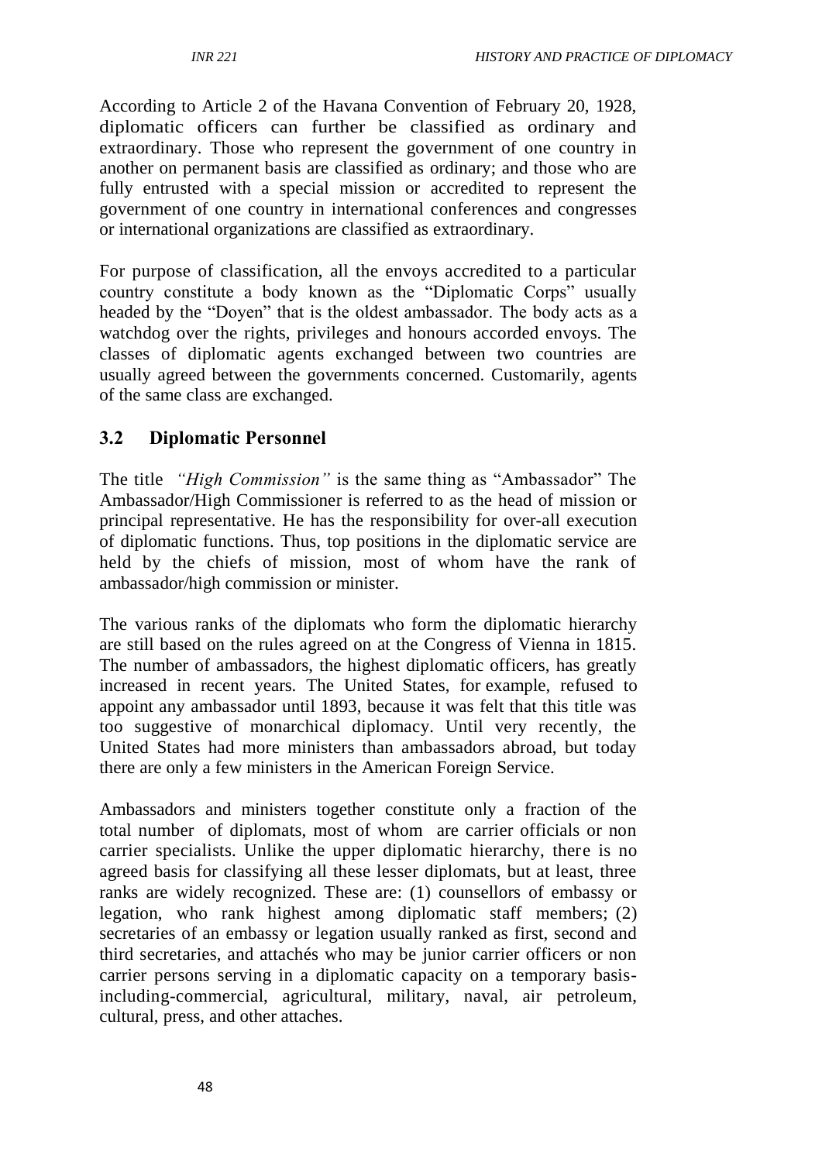According to Article 2 of the Havana Convention of February 20, 1928, diplomatic officers can further be classified as ordinary and extraordinary. Those who represent the government of one country in another on permanent basis are classified as ordinary; and those who are fully entrusted with a special mission or accredited to represent the government of one country in international conferences and congresses or international organizations are classified as extraordinary.

For purpose of classification, all the envoys accredited to a particular country constitute a body known as the "Diplomatic Corps" usually headed by the "Doyen" that is the oldest ambassador. The body acts as a watchdog over the rights, privileges and honours accorded envoys. The classes of diplomatic agents exchanged between two countries are usually agreed between the governments concerned. Customarily, agents of the same class are exchanged.

# **3.2 Diplomatic Personnel**

The title *"High Commission"* is the same thing as "Ambassador" The Ambassador/High Commissioner is referred to as the head of mission or principal representative. He has the responsibility for over-all execution of diplomatic functions. Thus, top positions in the diplomatic service are held by the chiefs of mission, most of whom have the rank of ambassador/high commission or minister.

The various ranks of the diplomats who form the diplomatic hierarchy are still based on the rules agreed on at the Congress of Vienna in 1815. The number of ambassadors, the highest diplomatic officers, has greatly increased in recent years. The United States, for example, refused to appoint any ambassador until 1893, because it was felt that this title was too suggestive of monarchical diplomacy. Until very recently, the United States had more ministers than ambassadors abroad, but today there are only a few ministers in the American Foreign Service.

Ambassadors and ministers together constitute only a fraction of the total number of diplomats, most of whom are carrier officials or non carrier specialists. Unlike the upper diplomatic hierarchy, there is no agreed basis for classifying all these lesser diplomats, but at least, three ranks are widely recognized. These are: (1) counsellors of embassy or legation, who rank highest among diplomatic staff members; (2) secretaries of an embassy or legation usually ranked as first, second and third secretaries, and attachés who may be junior carrier officers or non carrier persons serving in a diplomatic capacity on a temporary basisincluding-commercial, agricultural, military, naval, air petroleum, cultural, press, and other attaches.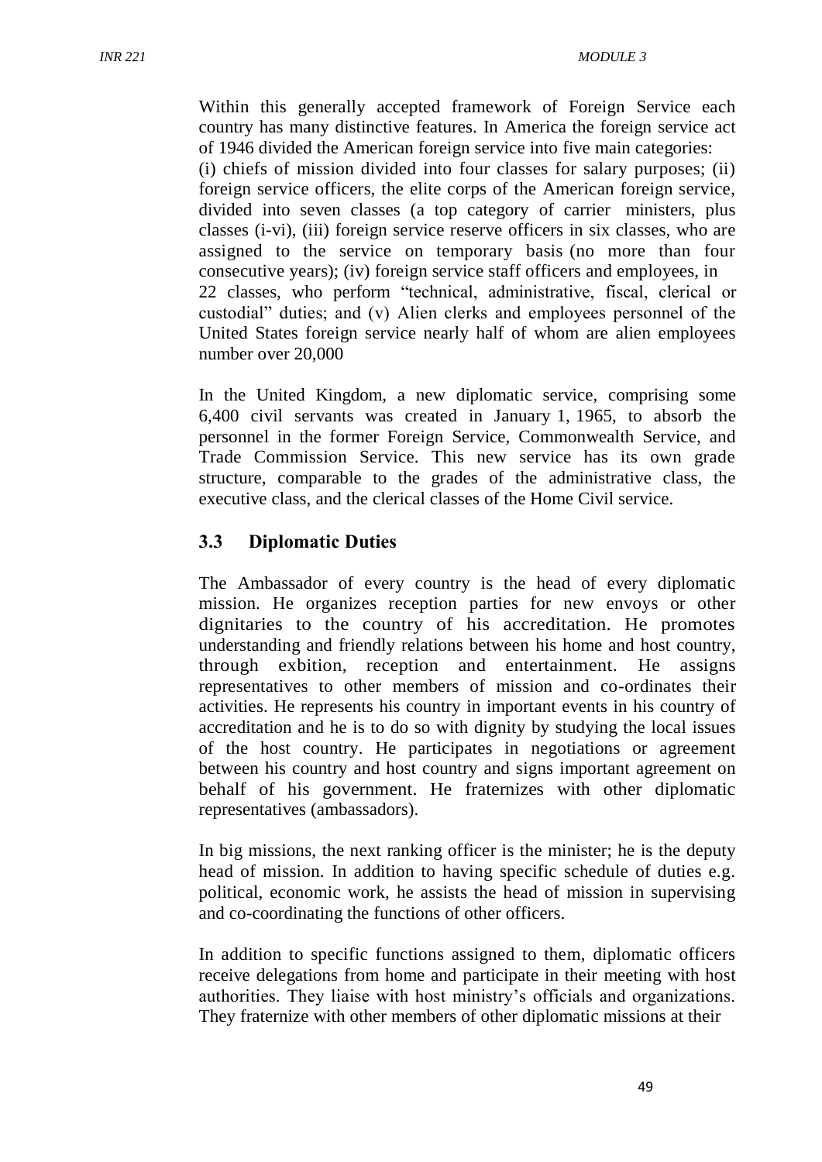Within this generally accepted framework of Foreign Service each country has many distinctive features. In America the foreign service act of 1946 divided the American foreign service into five main categories: (i) chiefs of mission divided into four classes for salary purposes; (ii) foreign service officers, the elite corps of the American foreign service, divided into seven classes (a top category of carrier ministers, plus classes (i-vi), (iii) foreign service reserve officers in six classes, who are assigned to the service on temporary basis (no more than four consecutive years); (iv) foreign service staff officers and employees, in 22 classes, who perform "technical, administrative, fiscal, clerical or custodial" duties; and (v) Alien clerks and employees personnel of the United States foreign service nearly half of whom are alien employees number over 20,000

In the United Kingdom, a new diplomatic service, comprising some 6,400 civil servants was created in January 1, 1965, to absorb the personnel in the former Foreign Service, Commonwealth Service, and Trade Commission Service. This new service has its own grade structure, comparable to the grades of the administrative class, the executive class, and the clerical classes of the Home Civil service.

### **3.3 Diplomatic Duties**

The Ambassador of every country is the head of every diplomatic mission. He organizes reception parties for new envoys or other dignitaries to the country of his accreditation. He promotes understanding and friendly relations between his home and host country, through exbition, reception and entertainment. He assigns representatives to other members of mission and co-ordinates their activities. He represents his country in important events in his country of accreditation and he is to do so with dignity by studying the local issues of the host country. He participates in negotiations or agreement between his country and host country and signs important agreement on behalf of his government. He fraternizes with other diplomatic representatives (ambassadors).

In big missions, the next ranking officer is the minister; he is the deputy head of mission. In addition to having specific schedule of duties e.g. political, economic work, he assists the head of mission in supervising and co-coordinating the functions of other officers.

In addition to specific functions assigned to them, diplomatic officers receive delegations from home and participate in their meeting with host authorities. They liaise with host ministry's officials and organizations. They fraternize with other members of other diplomatic missions at their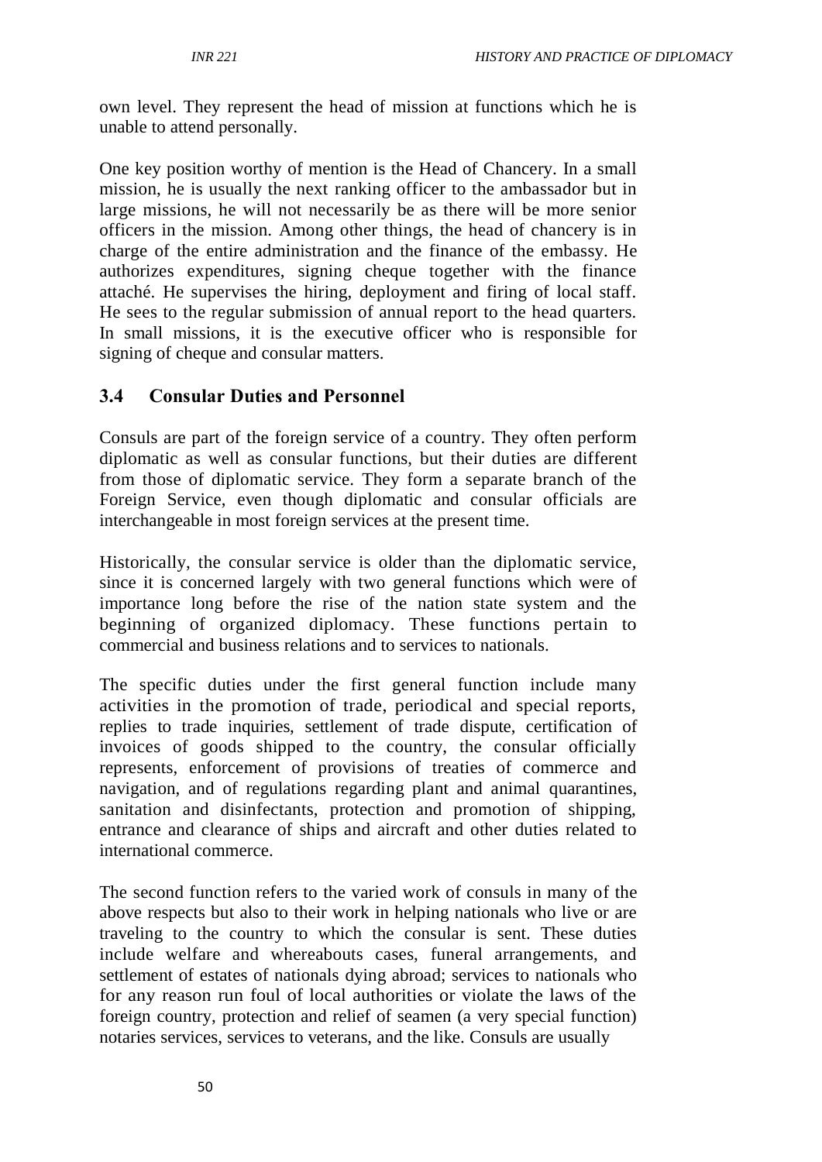own level. They represent the head of mission at functions which he is unable to attend personally.

One key position worthy of mention is the Head of Chancery. In a small mission, he is usually the next ranking officer to the ambassador but in large missions, he will not necessarily be as there will be more senior officers in the mission. Among other things, the head of chancery is in charge of the entire administration and the finance of the embassy. He authorizes expenditures, signing cheque together with the finance attaché. He supervises the hiring, deployment and firing of local staff. He sees to the regular submission of annual report to the head quarters. In small missions, it is the executive officer who is responsible for signing of cheque and consular matters.

### **3.4 Consular Duties and Personnel**

Consuls are part of the foreign service of a country. They often perform diplomatic as well as consular functions, but their duties are different from those of diplomatic service. They form a separate branch of the Foreign Service, even though diplomatic and consular officials are interchangeable in most foreign services at the present time.

Historically, the consular service is older than the diplomatic service, since it is concerned largely with two general functions which were of importance long before the rise of the nation state system and the beginning of organized diplomacy. These functions pertain to commercial and business relations and to services to nationals.

The specific duties under the first general function include many activities in the promotion of trade, periodical and special reports, replies to trade inquiries, settlement of trade dispute, certification of invoices of goods shipped to the country, the consular officially represents, enforcement of provisions of treaties of commerce and navigation, and of regulations regarding plant and animal quarantines, sanitation and disinfectants, protection and promotion of shipping, entrance and clearance of ships and aircraft and other duties related to international commerce.

The second function refers to the varied work of consuls in many of the above respects but also to their work in helping nationals who live or are traveling to the country to which the consular is sent. These duties include welfare and whereabouts cases, funeral arrangements, and settlement of estates of nationals dying abroad; services to nationals who for any reason run foul of local authorities or violate the laws of the foreign country, protection and relief of seamen (a very special function) notaries services, services to veterans, and the like. Consuls are usually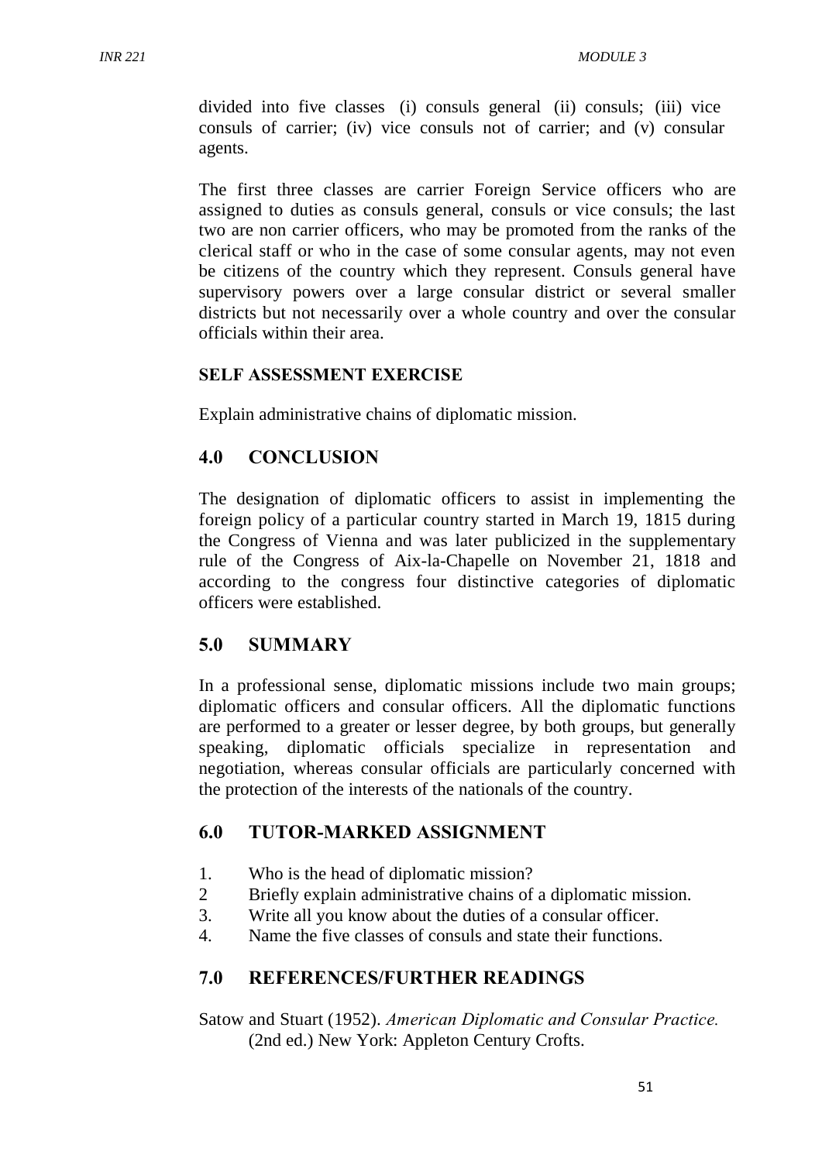divided into five classes (i) consuls general (ii) consuls; (iii) vice consuls of carrier; (iv) vice consuls not of carrier; and (v) consular agents.

The first three classes are carrier Foreign Service officers who are assigned to duties as consuls general, consuls or vice consuls; the last two are non carrier officers, who may be promoted from the ranks of the clerical staff or who in the case of some consular agents, may not even be citizens of the country which they represent. Consuls general have supervisory powers over a large consular district or several smaller districts but not necessarily over a whole country and over the consular officials within their area.

#### **SELF ASSESSMENT EXERCISE**

Explain administrative chains of diplomatic mission.

### **4.0 CONCLUSION**

The designation of diplomatic officers to assist in implementing the foreign policy of a particular country started in March 19, 1815 during the Congress of Vienna and was later publicized in the supplementary rule of the Congress of Aix-la-Chapelle on November 21, 1818 and according to the congress four distinctive categories of diplomatic officers were established.

#### **5.0 SUMMARY**

In a professional sense, diplomatic missions include two main groups; diplomatic officers and consular officers. All the diplomatic functions are performed to a greater or lesser degree, by both groups, but generally speaking, diplomatic officials specialize in representation and negotiation, whereas consular officials are particularly concerned with the protection of the interests of the nationals of the country.

### **6.0 TUTOR-MARKED ASSIGNMENT**

- 1. Who is the head of diplomatic mission?
- 2 Briefly explain administrative chains of a diplomatic mission.
- 3. Write all you know about the duties of a consular officer.
- 4. Name the five classes of consuls and state their functions.

#### **7.0 REFERENCES/FURTHER READINGS**

Satow and Stuart (1952). *American Diplomatic and Consular Practice.*  (2nd ed.) New York: Appleton Century Crofts.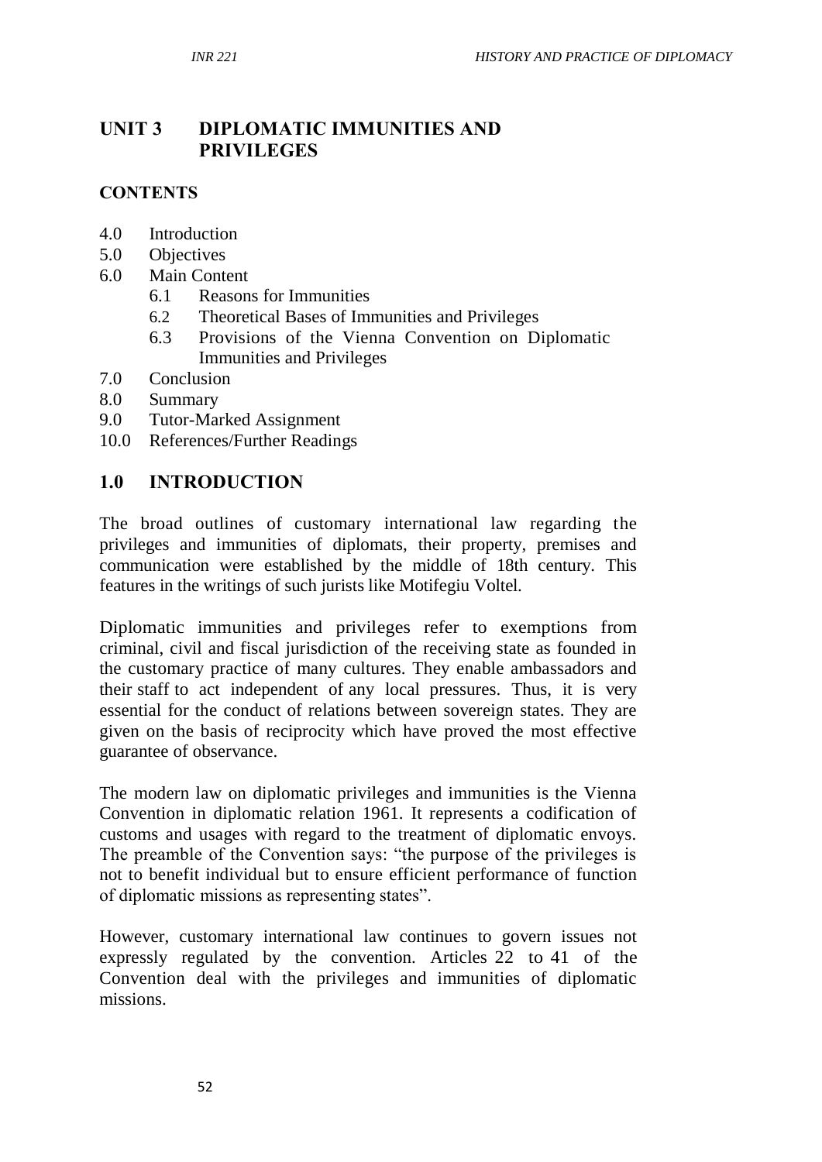# **UNIT 3 DIPLOMATIC IMMUNITIES AND PRIVILEGES**

#### **CONTENTS**

- 4.0 Introduction
- 5.0 Objectives
- 6.0 Main Content
	- 6.1 Reasons for Immunities
	- 6.2 Theoretical Bases of Immunities and Privileges
	- 6.3 Provisions of the Vienna Convention on Diplomatic Immunities and Privileges
- 7.0 Conclusion
- 8.0 Summary
- 9.0 Tutor-Marked Assignment
- 10.0 References/Further Readings

#### **1.0 INTRODUCTION**

The broad outlines of customary international law regarding the privileges and immunities of diplomats, their property, premises and communication were established by the middle of 18th century. This features in the writings of such jurists like Motifegiu Voltel.

Diplomatic immunities and privileges refer to exemptions from criminal, civil and fiscal jurisdiction of the receiving state as founded in the customary practice of many cultures. They enable ambassadors and their staff to act independent of any local pressures. Thus, it is very essential for the conduct of relations between sovereign states. They are given on the basis of reciprocity which have proved the most effective guarantee of observance.

The modern law on diplomatic privileges and immunities is the Vienna Convention in diplomatic relation 1961. It represents a codification of customs and usages with regard to the treatment of diplomatic envoys. The preamble of the Convention says: "the purpose of the privileges is not to benefit individual but to ensure efficient performance of function of diplomatic missions as representing states".

However, customary international law continues to govern issues not expressly regulated by the convention. Articles 22 to 41 of the Convention deal with the privileges and immunities of diplomatic missions.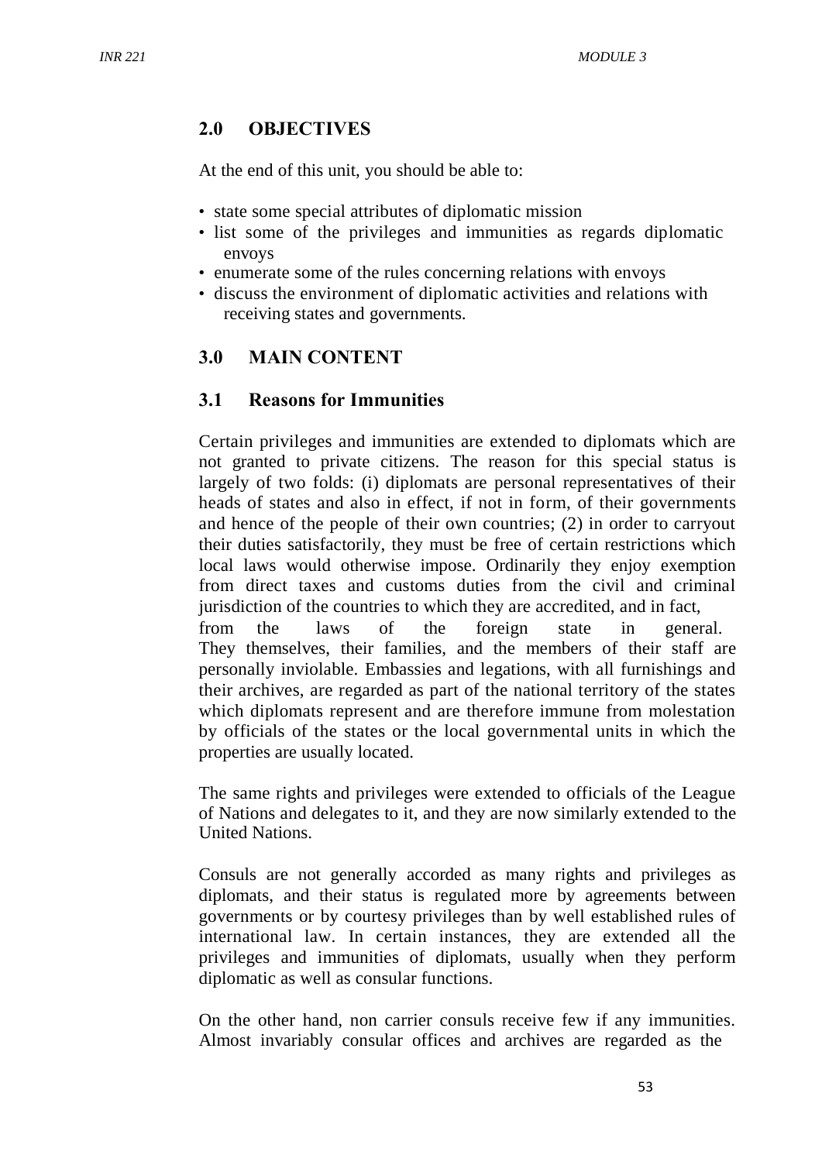## **2.0 OBJECTIVES**

At the end of this unit, you should be able to:

- state some special attributes of diplomatic mission
- list some of the privileges and immunities as regards diplomatic envoys
- enumerate some of the rules concerning relations with envoys
- discuss the environment of diplomatic activities and relations with receiving states and governments.

# **3.0 MAIN CONTENT**

### **3.1 Reasons for Immunities**

Certain privileges and immunities are extended to diplomats which are not granted to private citizens. The reason for this special status is largely of two folds: (i) diplomats are personal representatives of their heads of states and also in effect, if not in form, of their governments and hence of the people of their own countries; (2) in order to carryout their duties satisfactorily, they must be free of certain restrictions which local laws would otherwise impose. Ordinarily they enjoy exemption from direct taxes and customs duties from the civil and criminal jurisdiction of the countries to which they are accredited, and in fact, from the laws of the foreign state in general. They themselves, their families, and the members of their staff are personally inviolable. Embassies and legations, with all furnishings and their archives, are regarded as part of the national territory of the states which diplomats represent and are therefore immune from molestation by officials of the states or the local governmental units in which the properties are usually located.

The same rights and privileges were extended to officials of the League of Nations and delegates to it, and they are now similarly extended to the United Nations.

Consuls are not generally accorded as many rights and privileges as diplomats, and their status is regulated more by agreements between governments or by courtesy privileges than by well established rules of international law. In certain instances, they are extended all the privileges and immunities of diplomats, usually when they perform diplomatic as well as consular functions.

On the other hand, non carrier consuls receive few if any immunities. Almost invariably consular offices and archives are regarded as the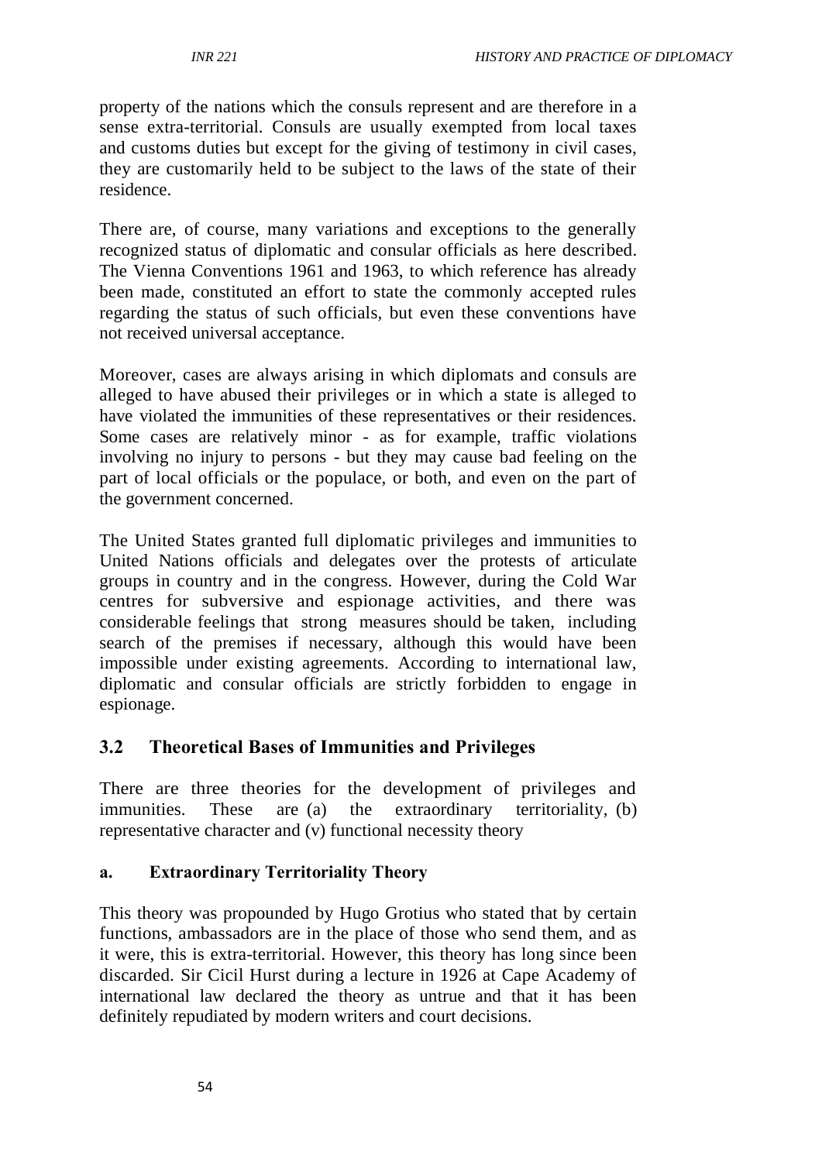property of the nations which the consuls represent and are therefore in a sense extra-territorial. Consuls are usually exempted from local taxes and customs duties but except for the giving of testimony in civil cases, they are customarily held to be subject to the laws of the state of their residence.

There are, of course, many variations and exceptions to the generally recognized status of diplomatic and consular officials as here described. The Vienna Conventions 1961 and 1963, to which reference has already been made, constituted an effort to state the commonly accepted rules regarding the status of such officials, but even these conventions have not received universal acceptance.

Moreover, cases are always arising in which diplomats and consuls are alleged to have abused their privileges or in which a state is alleged to have violated the immunities of these representatives or their residences. Some cases are relatively minor - as for example, traffic violations involving no injury to persons - but they may cause bad feeling on the part of local officials or the populace, or both, and even on the part of the government concerned.

The United States granted full diplomatic privileges and immunities to United Nations officials and delegates over the protests of articulate groups in country and in the congress. However, during the Cold War centres for subversive and espionage activities, and there was considerable feelings that strong measures should be taken, including search of the premises if necessary, although this would have been impossible under existing agreements. According to international law, diplomatic and consular officials are strictly forbidden to engage in espionage.

# **3.2 Theoretical Bases of Immunities and Privileges**

There are three theories for the development of privileges and immunities. These are (a) the extraordinary territoriality, (b) representative character and (v) functional necessity theory

#### **a. Extraordinary Territoriality Theory**

This theory was propounded by Hugo Grotius who stated that by certain functions, ambassadors are in the place of those who send them, and as it were, this is extra-territorial. However, this theory has long since been discarded. Sir Cicil Hurst during a lecture in 1926 at Cape Academy of international law declared the theory as untrue and that it has been definitely repudiated by modern writers and court decisions.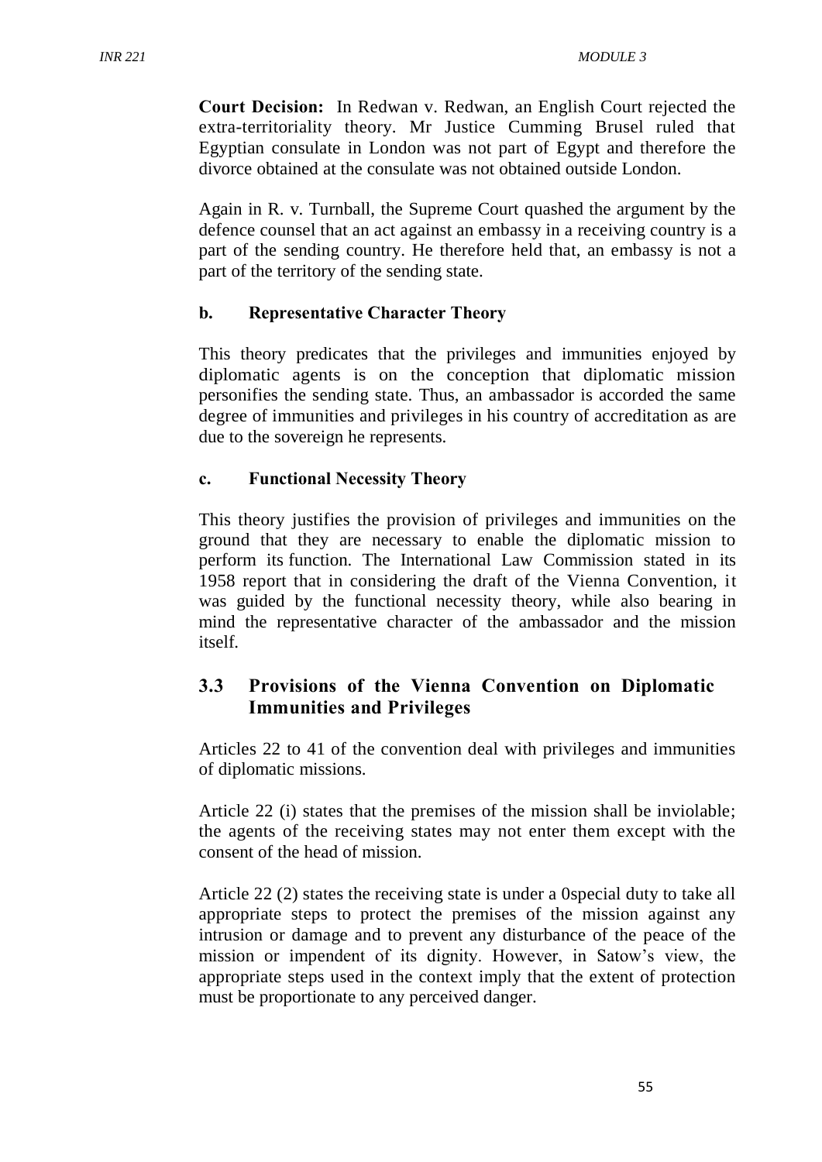**Court Decision:** In Redwan v. Redwan, an English Court rejected the extra-territoriality theory. Mr Justice Cumming Brusel ruled that Egyptian consulate in London was not part of Egypt and therefore the divorce obtained at the consulate was not obtained outside London.

Again in R. v. Turnball, the Supreme Court quashed the argument by the defence counsel that an act against an embassy in a receiving country is a part of the sending country. He therefore held that, an embassy is not a part of the territory of the sending state.

#### **b. Representative Character Theory**

This theory predicates that the privileges and immunities enjoyed by diplomatic agents is on the conception that diplomatic mission personifies the sending state. Thus, an ambassador is accorded the same degree of immunities and privileges in his country of accreditation as are due to the sovereign he represents.

#### **c. Functional Necessity Theory**

This theory justifies the provision of privileges and immunities on the ground that they are necessary to enable the diplomatic mission to perform its function. The International Law Commission stated in its 1958 report that in considering the draft of the Vienna Convention, it was guided by the functional necessity theory, while also bearing in mind the representative character of the ambassador and the mission itself.

# **3.3 Provisions of the Vienna Convention on Diplomatic Immunities and Privileges**

Articles 22 to 41 of the convention deal with privileges and immunities of diplomatic missions.

Article 22 (i) states that the premises of the mission shall be inviolable; the agents of the receiving states may not enter them except with the consent of the head of mission.

Article 22 (2) states the receiving state is under a 0special duty to take all appropriate steps to protect the premises of the mission against any intrusion or damage and to prevent any disturbance of the peace of the mission or impendent of its dignity. However, in Satow's view, the appropriate steps used in the context imply that the extent of protection must be proportionate to any perceived danger.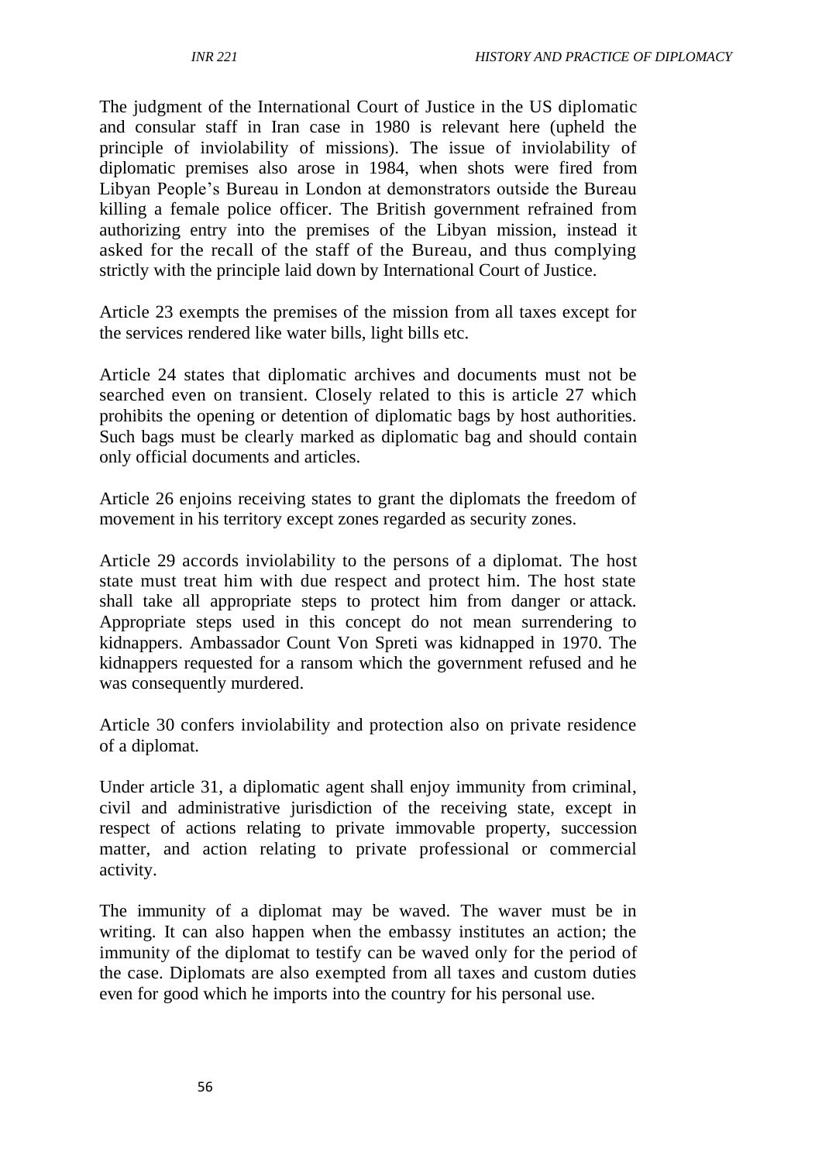The judgment of the International Court of Justice in the US diplomatic and consular staff in Iran case in 1980 is relevant here (upheld the principle of inviolability of missions). The issue of inviolability of diplomatic premises also arose in 1984, when shots were fired from Libyan People's Bureau in London at demonstrators outside the Bureau killing a female police officer. The British government refrained from authorizing entry into the premises of the Libyan mission, instead it asked for the recall of the staff of the Bureau, and thus complying strictly with the principle laid down by International Court of Justice.

Article 23 exempts the premises of the mission from all taxes except for the services rendered like water bills, light bills etc.

Article 24 states that diplomatic archives and documents must not be searched even on transient. Closely related to this is article 27 which prohibits the opening or detention of diplomatic bags by host authorities. Such bags must be clearly marked as diplomatic bag and should contain only official documents and articles.

Article 26 enjoins receiving states to grant the diplomats the freedom of movement in his territory except zones regarded as security zones.

Article 29 accords inviolability to the persons of a diplomat. The host state must treat him with due respect and protect him. The host state shall take all appropriate steps to protect him from danger or attack. Appropriate steps used in this concept do not mean surrendering to kidnappers. Ambassador Count Von Spreti was kidnapped in 1970. The kidnappers requested for a ransom which the government refused and he was consequently murdered.

Article 30 confers inviolability and protection also on private residence of a diplomat.

Under article 31, a diplomatic agent shall enjoy immunity from criminal, civil and administrative jurisdiction of the receiving state, except in respect of actions relating to private immovable property, succession matter, and action relating to private professional or commercial activity.

The immunity of a diplomat may be waved. The waver must be in writing. It can also happen when the embassy institutes an action; the immunity of the diplomat to testify can be waved only for the period of the case. Diplomats are also exempted from all taxes and custom duties even for good which he imports into the country for his personal use.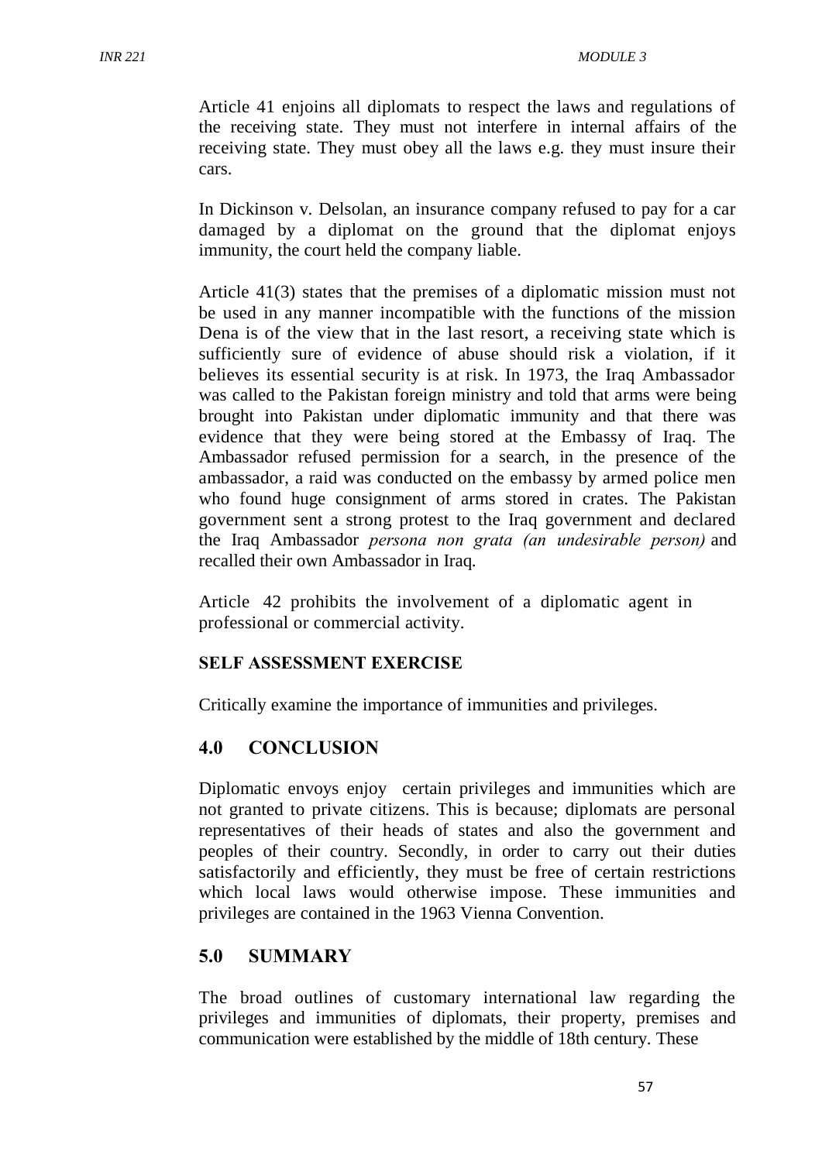Article 41 enjoins all diplomats to respect the laws and regulations of the receiving state. They must not interfere in internal affairs of the receiving state. They must obey all the laws e.g. they must insure their cars.

In Dickinson v. Delsolan, an insurance company refused to pay for a car damaged by a diplomat on the ground that the diplomat enjoys immunity, the court held the company liable.

Article 41(3) states that the premises of a diplomatic mission must not be used in any manner incompatible with the functions of the mission Dena is of the view that in the last resort, a receiving state which is sufficiently sure of evidence of abuse should risk a violation, if it believes its essential security is at risk. In 1973, the Iraq Ambassador was called to the Pakistan foreign ministry and told that arms were being brought into Pakistan under diplomatic immunity and that there was evidence that they were being stored at the Embassy of Iraq. The Ambassador refused permission for a search, in the presence of the ambassador, a raid was conducted on the embassy by armed police men who found huge consignment of arms stored in crates. The Pakistan government sent a strong protest to the Iraq government and declared the Iraq Ambassador *persona non grata (an undesirable person)* and recalled their own Ambassador in Iraq.

Article 42 prohibits the involvement of a diplomatic agent in professional or commercial activity.

#### **SELF ASSESSMENT EXERCISE**

Critically examine the importance of immunities and privileges.

#### **4.0 CONCLUSION**

Diplomatic envoys enjoy certain privileges and immunities which are not granted to private citizens. This is because; diplomats are personal representatives of their heads of states and also the government and peoples of their country. Secondly, in order to carry out their duties satisfactorily and efficiently, they must be free of certain restrictions which local laws would otherwise impose. These immunities and privileges are contained in the 1963 Vienna Convention.

## **5.0 SUMMARY**

The broad outlines of customary international law regarding the privileges and immunities of diplomats, their property, premises and communication were established by the middle of 18th century. These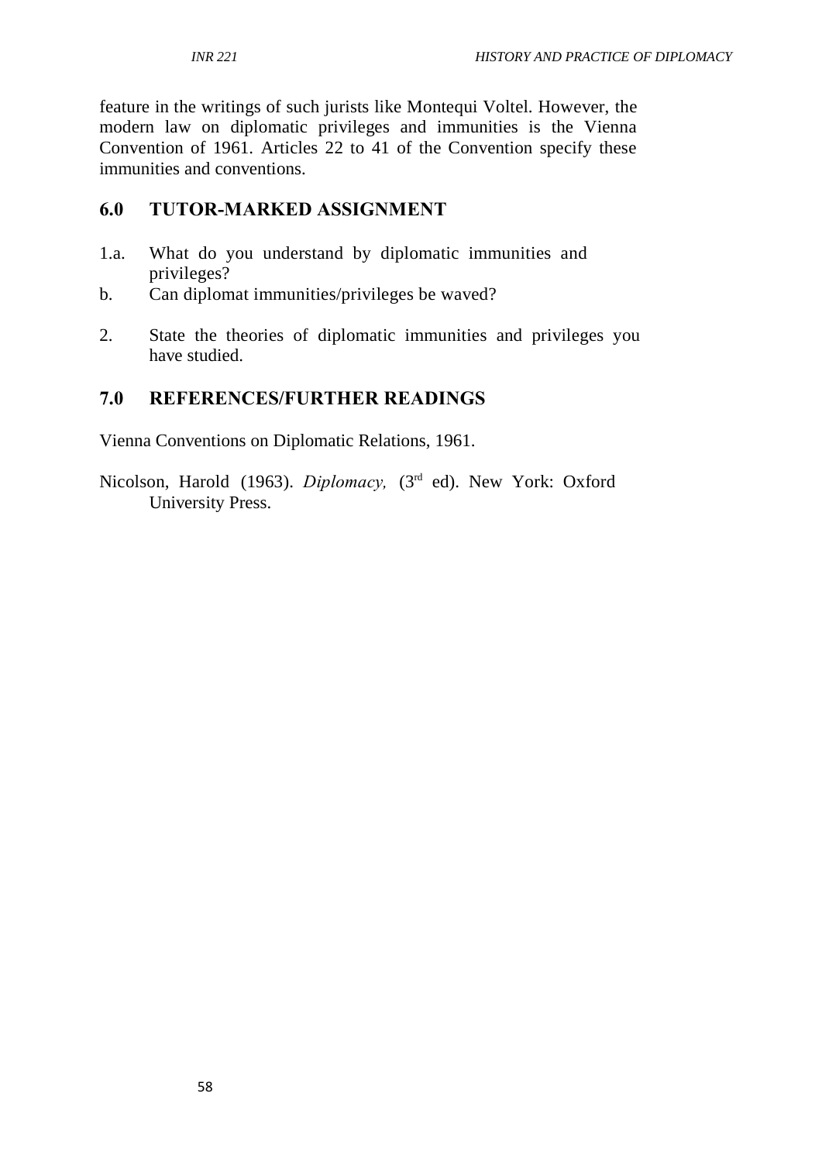feature in the writings of such jurists like Montequi Voltel. However, the modern law on diplomatic privileges and immunities is the Vienna Convention of 1961. Articles 22 to 41 of the Convention specify these immunities and conventions.

# **6.0 TUTOR-MARKED ASSIGNMENT**

- 1.a. What do you understand by diplomatic immunities and privileges?
- b. Can diplomat immunities/privileges be waved?
- 2. State the theories of diplomatic immunities and privileges you have studied.

# **7.0 REFERENCES/FURTHER READINGS**

Vienna Conventions on Diplomatic Relations, 1961.

Nicolson, Harold (1963). *Diplomacy*, (3<sup>rd</sup> ed). New York: Oxford University Press.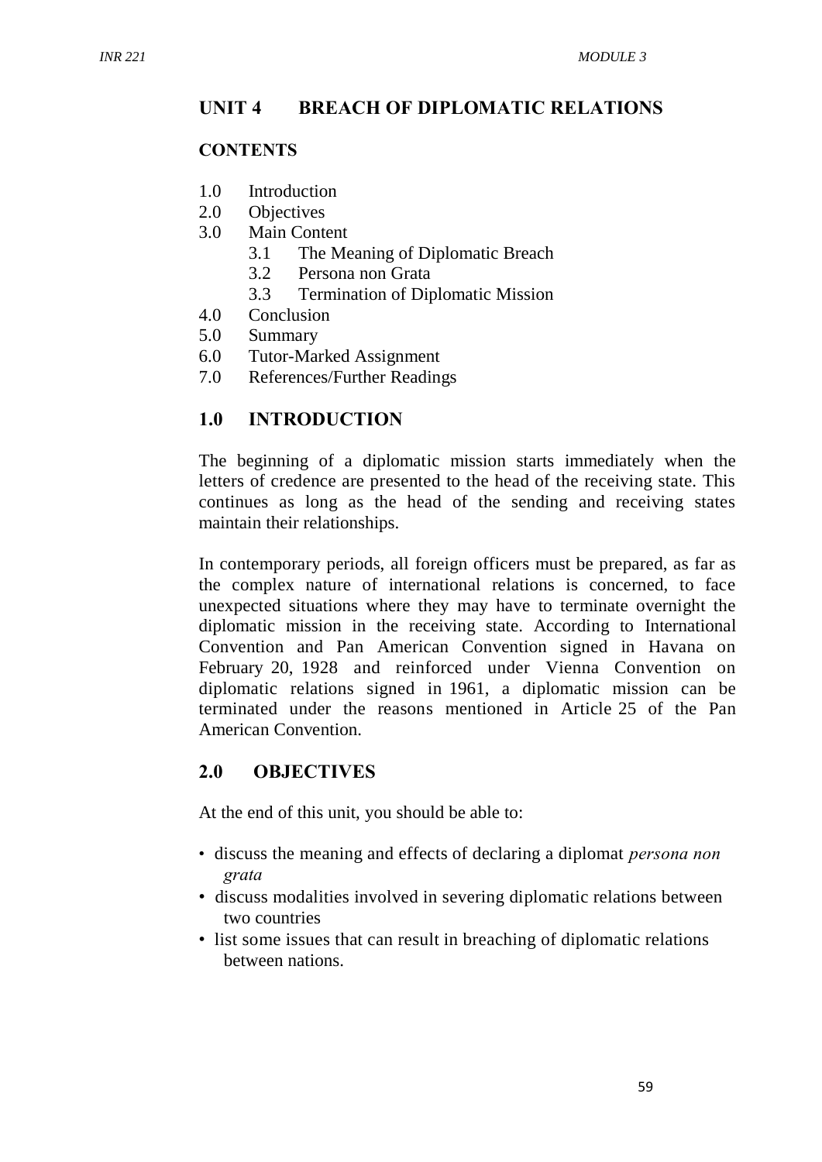#### **UNIT 4 BREACH OF DIPLOMATIC RELATIONS**

#### **CONTENTS**

- 1.0 Introduction
- 2.0 Objectives
- 3.0 Main Content
	- 3.1 The Meaning of Diplomatic Breach
	- 3.2 Persona non Grata
	- 3.3 Termination of Diplomatic Mission
- 4.0 Conclusion
- 5.0 Summary
- 6.0 Tutor-Marked Assignment
- 7.0 References/Further Readings

#### **1.0 INTRODUCTION**

The beginning of a diplomatic mission starts immediately when the letters of credence are presented to the head of the receiving state. This continues as long as the head of the sending and receiving states maintain their relationships.

In contemporary periods, all foreign officers must be prepared, as far as the complex nature of international relations is concerned, to face unexpected situations where they may have to terminate overnight the diplomatic mission in the receiving state. According to International Convention and Pan American Convention signed in Havana on February 20, 1928 and reinforced under Vienna Convention on diplomatic relations signed in 1961, a diplomatic mission can be terminated under the reasons mentioned in Article 25 of the Pan American Convention.

## **2.0 OBJECTIVES**

At the end of this unit, you should be able to:

- discuss the meaning and effects of declaring a diplomat *persona non grata*
- discuss modalities involved in severing diplomatic relations between two countries
- list some issues that can result in breaching of diplomatic relations between nations.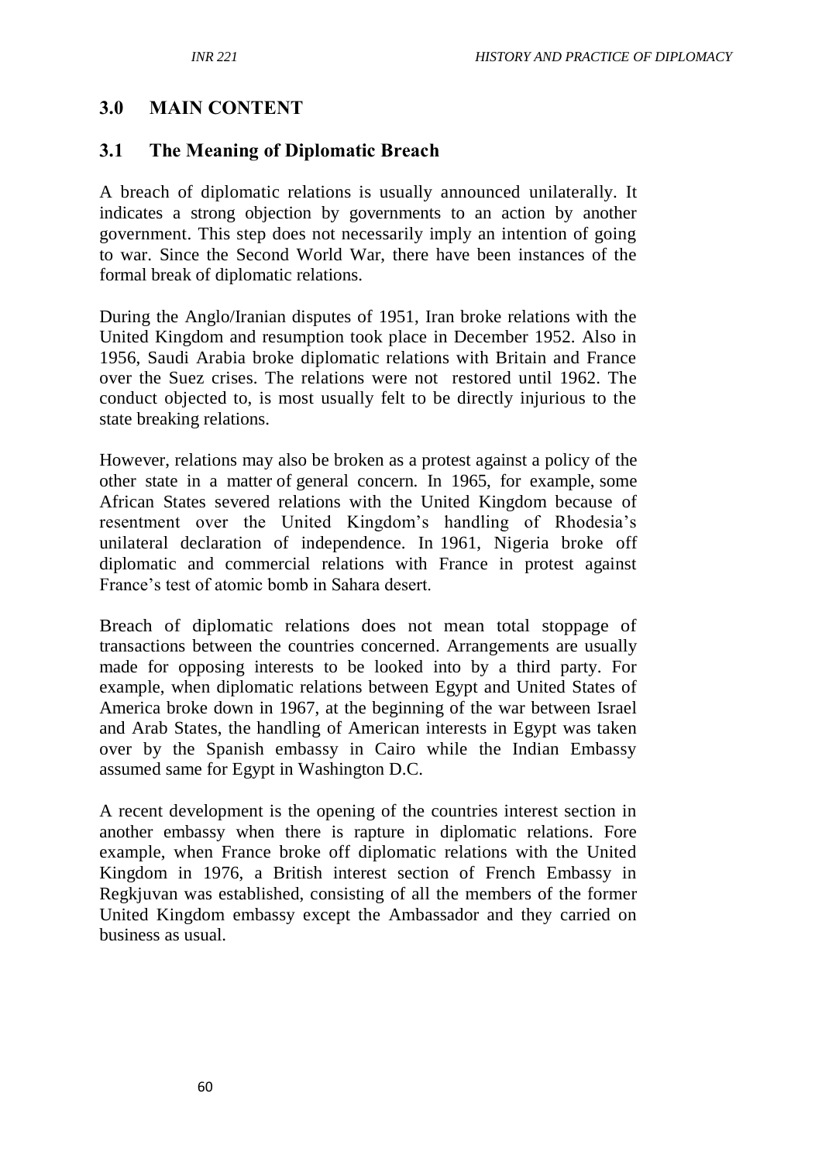#### **3.0 MAIN CONTENT**

#### **3.1 The Meaning of Diplomatic Breach**

A breach of diplomatic relations is usually announced unilaterally. It indicates a strong objection by governments to an action by another government. This step does not necessarily imply an intention of going to war. Since the Second World War, there have been instances of the formal break of diplomatic relations.

During the Anglo/Iranian disputes of 1951, Iran broke relations with the United Kingdom and resumption took place in December 1952. Also in 1956, Saudi Arabia broke diplomatic relations with Britain and France over the Suez crises. The relations were not restored until 1962. The conduct objected to, is most usually felt to be directly injurious to the state breaking relations.

However, relations may also be broken as a protest against a policy of the other state in a matter of general concern. In 1965, for example, some African States severed relations with the United Kingdom because of resentment over the United Kingdom's handling of Rhodesia's unilateral declaration of independence. In 1961, Nigeria broke off diplomatic and commercial relations with France in protest against France's test of atomic bomb in Sahara desert.

Breach of diplomatic relations does not mean total stoppage of transactions between the countries concerned. Arrangements are usually made for opposing interests to be looked into by a third party. For example, when diplomatic relations between Egypt and United States of America broke down in 1967, at the beginning of the war between Israel and Arab States, the handling of American interests in Egypt was taken over by the Spanish embassy in Cairo while the Indian Embassy assumed same for Egypt in Washington D.C.

A recent development is the opening of the countries interest section in another embassy when there is rapture in diplomatic relations. Fore example, when France broke off diplomatic relations with the United Kingdom in 1976, a British interest section of French Embassy in Regkjuvan was established, consisting of all the members of the former United Kingdom embassy except the Ambassador and they carried on business as usual.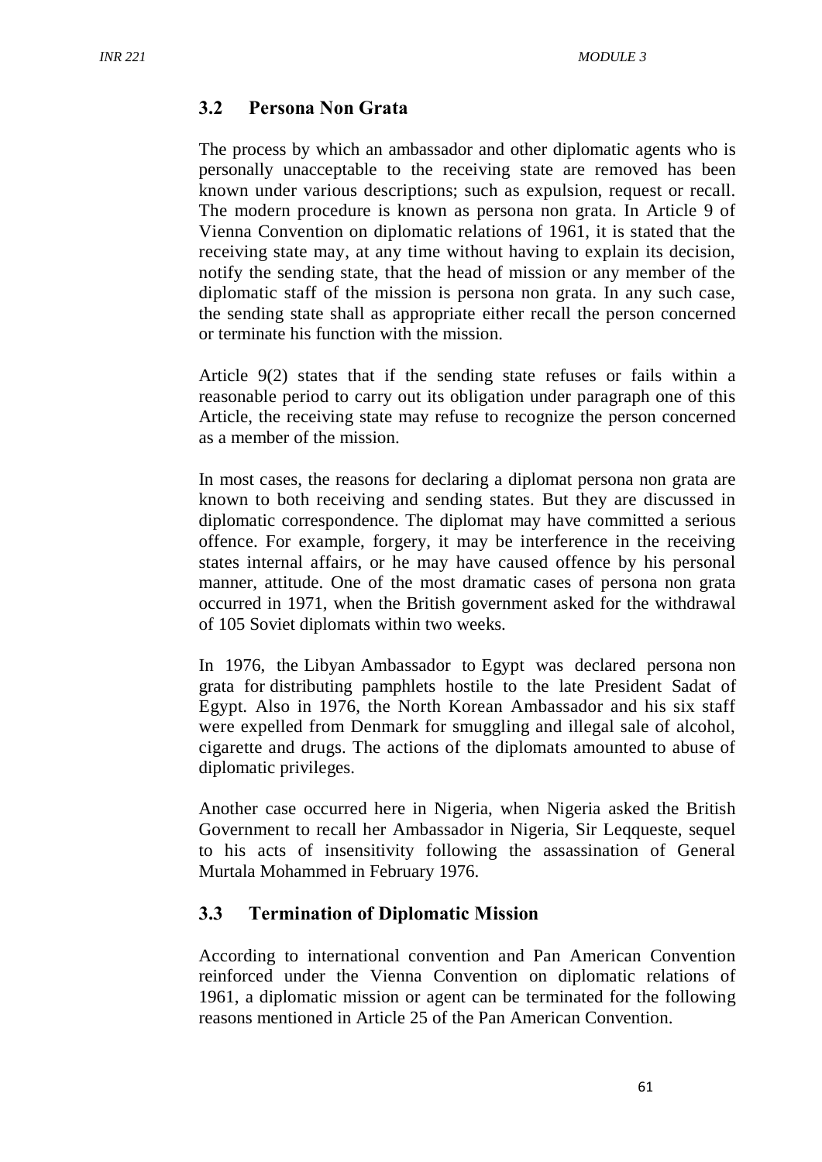#### **3.2 Persona Non Grata**

The process by which an ambassador and other diplomatic agents who is personally unacceptable to the receiving state are removed has been known under various descriptions; such as expulsion, request or recall. The modern procedure is known as persona non grata. In Article 9 of Vienna Convention on diplomatic relations of 1961, it is stated that the receiving state may, at any time without having to explain its decision, notify the sending state, that the head of mission or any member of the diplomatic staff of the mission is persona non grata. In any such case, the sending state shall as appropriate either recall the person concerned or terminate his function with the mission.

Article 9(2) states that if the sending state refuses or fails within a reasonable period to carry out its obligation under paragraph one of this Article, the receiving state may refuse to recognize the person concerned as a member of the mission.

In most cases, the reasons for declaring a diplomat persona non grata are known to both receiving and sending states. But they are discussed in diplomatic correspondence. The diplomat may have committed a serious offence. For example, forgery, it may be interference in the receiving states internal affairs, or he may have caused offence by his personal manner, attitude. One of the most dramatic cases of persona non grata occurred in 1971, when the British government asked for the withdrawal of 105 Soviet diplomats within two weeks.

In 1976, the Libyan Ambassador to Egypt was declared persona non grata for distributing pamphlets hostile to the late President Sadat of Egypt. Also in 1976, the North Korean Ambassador and his six staff were expelled from Denmark for smuggling and illegal sale of alcohol, cigarette and drugs. The actions of the diplomats amounted to abuse of diplomatic privileges.

Another case occurred here in Nigeria, when Nigeria asked the British Government to recall her Ambassador in Nigeria, Sir Leqqueste, sequel to his acts of insensitivity following the assassination of General Murtala Mohammed in February 1976.

## **3.3 Termination of Diplomatic Mission**

According to international convention and Pan American Convention reinforced under the Vienna Convention on diplomatic relations of 1961, a diplomatic mission or agent can be terminated for the following reasons mentioned in Article 25 of the Pan American Convention.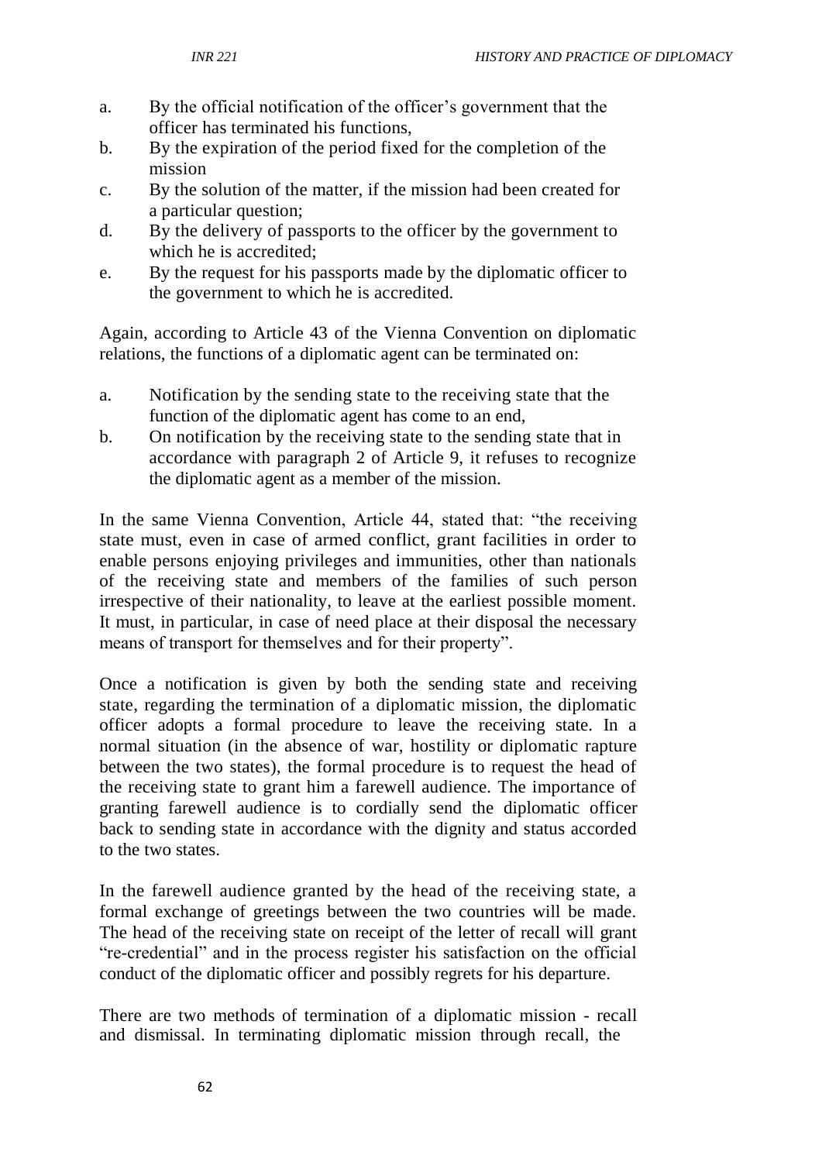- a. By the official notification of the officer's government that the officer has terminated his functions,
- b. By the expiration of the period fixed for the completion of the mission
- c. By the solution of the matter, if the mission had been created for a particular question;
- d. By the delivery of passports to the officer by the government to which he is accredited:
- e. By the request for his passports made by the diplomatic officer to the government to which he is accredited.

Again, according to Article 43 of the Vienna Convention on diplomatic relations, the functions of a diplomatic agent can be terminated on:

- a. Notification by the sending state to the receiving state that the function of the diplomatic agent has come to an end,
- b. On notification by the receiving state to the sending state that in accordance with paragraph 2 of Article 9, it refuses to recognize the diplomatic agent as a member of the mission.

In the same Vienna Convention, Article 44, stated that: "the receiving state must, even in case of armed conflict, grant facilities in order to enable persons enjoying privileges and immunities, other than nationals of the receiving state and members of the families of such person irrespective of their nationality, to leave at the earliest possible moment. It must, in particular, in case of need place at their disposal the necessary means of transport for themselves and for their property".

Once a notification is given by both the sending state and receiving state, regarding the termination of a diplomatic mission, the diplomatic officer adopts a formal procedure to leave the receiving state. In a normal situation (in the absence of war, hostility or diplomatic rapture between the two states), the formal procedure is to request the head of the receiving state to grant him a farewell audience. The importance of granting farewell audience is to cordially send the diplomatic officer back to sending state in accordance with the dignity and status accorded to the two states.

In the farewell audience granted by the head of the receiving state, a formal exchange of greetings between the two countries will be made. The head of the receiving state on receipt of the letter of recall will grant "re-credential" and in the process register his satisfaction on the official conduct of the diplomatic officer and possibly regrets for his departure.

There are two methods of termination of a diplomatic mission - recall and dismissal. In terminating diplomatic mission through recall, the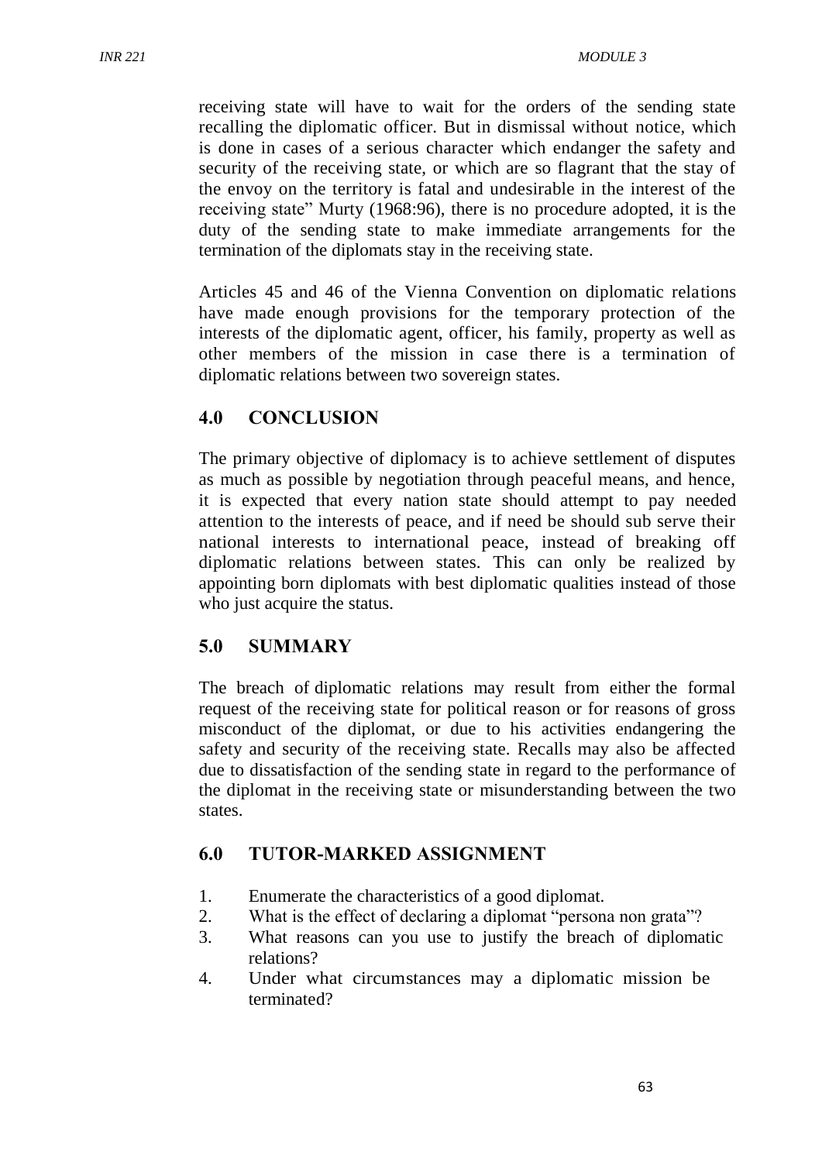receiving state will have to wait for the orders of the sending state recalling the diplomatic officer. But in dismissal without notice, which is done in cases of a serious character which endanger the safety and security of the receiving state, or which are so flagrant that the stay of the envoy on the territory is fatal and undesirable in the interest of the receiving state" Murty (1968:96), there is no procedure adopted, it is the duty of the sending state to make immediate arrangements for the termination of the diplomats stay in the receiving state.

Articles 45 and 46 of the Vienna Convention on diplomatic relations have made enough provisions for the temporary protection of the interests of the diplomatic agent, officer, his family, property as well as other members of the mission in case there is a termination of diplomatic relations between two sovereign states.

## **4.0 CONCLUSION**

The primary objective of diplomacy is to achieve settlement of disputes as much as possible by negotiation through peaceful means, and hence, it is expected that every nation state should attempt to pay needed attention to the interests of peace, and if need be should sub serve their national interests to international peace, instead of breaking off diplomatic relations between states. This can only be realized by appointing born diplomats with best diplomatic qualities instead of those who just acquire the status.

## **5.0 SUMMARY**

The breach of diplomatic relations may result from either the formal request of the receiving state for political reason or for reasons of gross misconduct of the diplomat, or due to his activities endangering the safety and security of the receiving state. Recalls may also be affected due to dissatisfaction of the sending state in regard to the performance of the diplomat in the receiving state or misunderstanding between the two states.

#### **6.0 TUTOR-MARKED ASSIGNMENT**

- 1. Enumerate the characteristics of a good diplomat.
- 2. What is the effect of declaring a diplomat "persona non grata"?
- 3. What reasons can you use to justify the breach of diplomatic relations?
- 4. Under what circumstances may a diplomatic mission be terminated?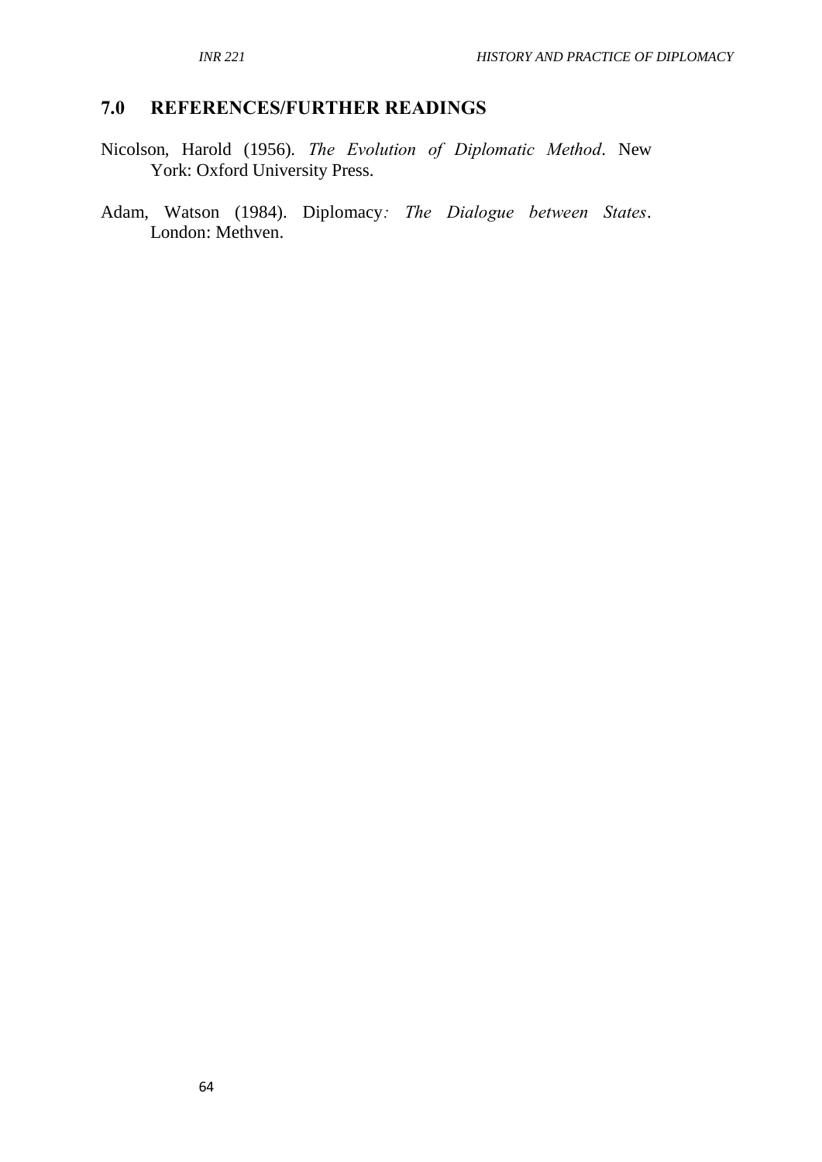# **7.0 REFERENCES/FURTHER READINGS**

- Nicolson, Harold (1956). *The Evolution of Diplomatic Method*. New York: Oxford University Press.
- Adam, Watson (1984). Diplomacy*: The Dialogue between States*. London: Methven.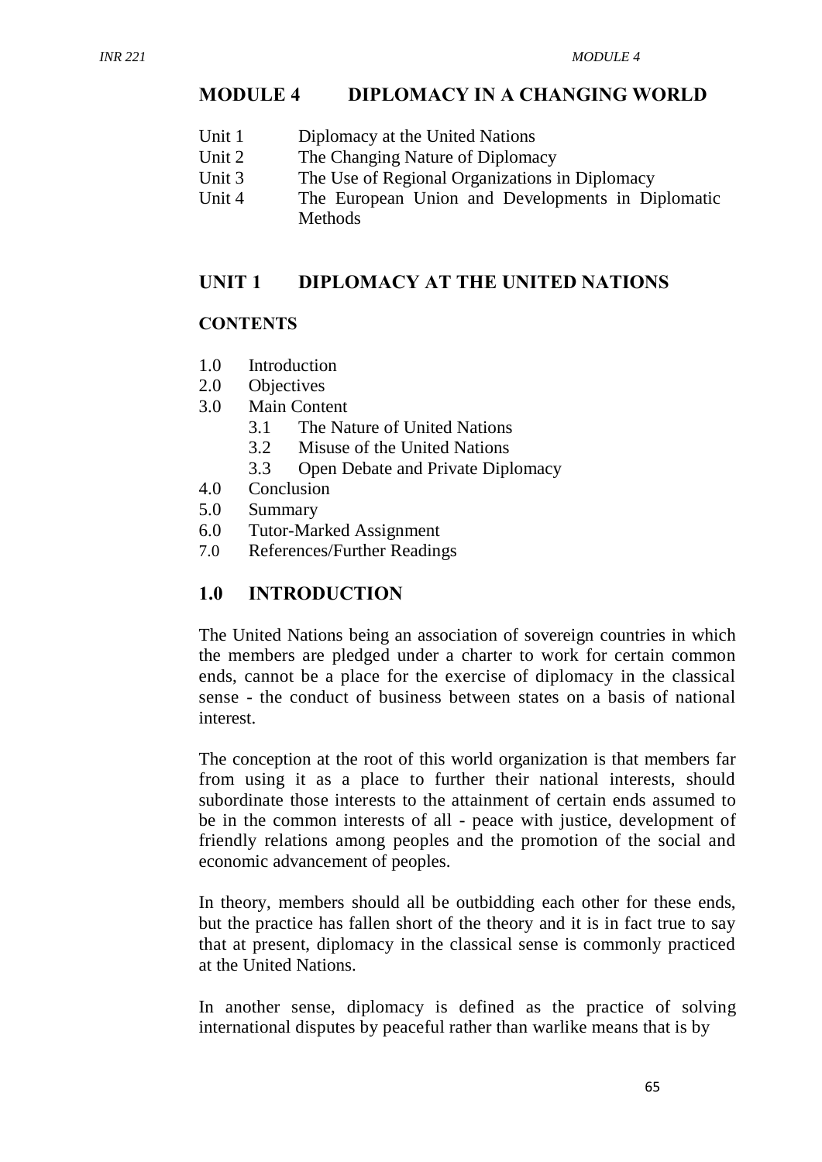# **MODULE 4 DIPLOMACY IN A CHANGING WORLD**

- Unit 1 Diplomacy at the United Nations
- Unit 2 The Changing Nature of Diplomacy
- Unit 3 The Use of Regional Organizations in Diplomacy
- Unit 4 The European Union and Developments in Diplomatic **Methods**

#### **UNIT 1 DIPLOMACY AT THE UNITED NATIONS**

#### **CONTENTS**

- 1.0 Introduction
- 2.0 Objectives
- 3.0 Main Content
	- 3.1 The Nature of United Nations
	- 3.2 Misuse of the United Nations
	- 3.3 Open Debate and Private Diplomacy
- 4.0 Conclusion
- 5.0 Summary
- 6.0 Tutor-Marked Assignment
- 7.0 References/Further Readings

#### **1.0 INTRODUCTION**

The United Nations being an association of sovereign countries in which the members are pledged under a charter to work for certain common ends, cannot be a place for the exercise of diplomacy in the classical sense - the conduct of business between states on a basis of national interest.

The conception at the root of this world organization is that members far from using it as a place to further their national interests, should subordinate those interests to the attainment of certain ends assumed to be in the common interests of all - peace with justice, development of friendly relations among peoples and the promotion of the social and economic advancement of peoples.

In theory, members should all be outbidding each other for these ends, but the practice has fallen short of the theory and it is in fact true to say that at present, diplomacy in the classical sense is commonly practiced at the United Nations.

In another sense, diplomacy is defined as the practice of solving international disputes by peaceful rather than warlike means that is by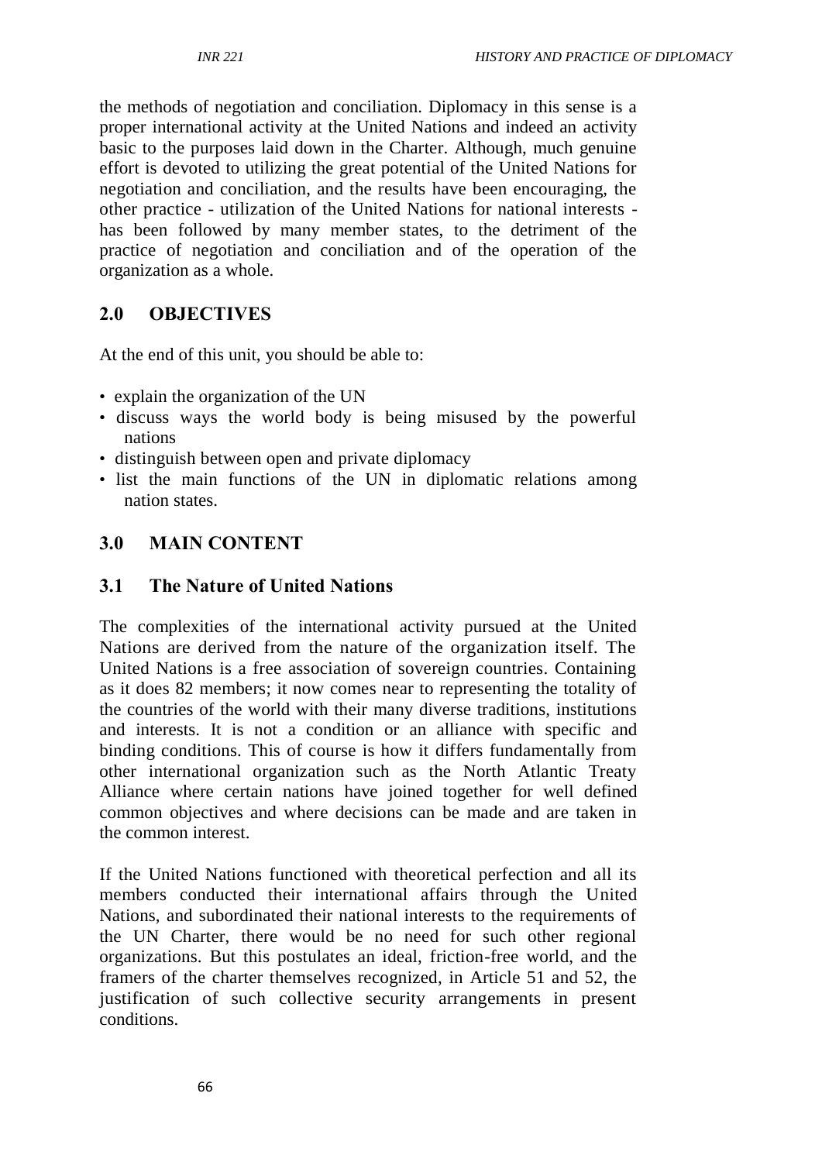the methods of negotiation and conciliation. Diplomacy in this sense is a proper international activity at the United Nations and indeed an activity basic to the purposes laid down in the Charter. Although, much genuine effort is devoted to utilizing the great potential of the United Nations for negotiation and conciliation, and the results have been encouraging, the other practice - utilization of the United Nations for national interests has been followed by many member states, to the detriment of the practice of negotiation and conciliation and of the operation of the organization as a whole.

# **2.0 OBJECTIVES**

At the end of this unit, you should be able to:

- explain the organization of the UN
- discuss ways the world body is being misused by the powerful nations
- distinguish between open and private diplomacy
- list the main functions of the UN in diplomatic relations among nation states.

## **3.0 MAIN CONTENT**

#### **3.1 The Nature of United Nations**

The complexities of the international activity pursued at the United Nations are derived from the nature of the organization itself. The United Nations is a free association of sovereign countries. Containing as it does 82 members; it now comes near to representing the totality of the countries of the world with their many diverse traditions, institutions and interests. It is not a condition or an alliance with specific and binding conditions. This of course is how it differs fundamentally from other international organization such as the North Atlantic Treaty Alliance where certain nations have joined together for well defined common objectives and where decisions can be made and are taken in the common interest.

If the United Nations functioned with theoretical perfection and all its members conducted their international affairs through the United Nations, and subordinated their national interests to the requirements of the UN Charter, there would be no need for such other regional organizations. But this postulates an ideal, friction-free world, and the framers of the charter themselves recognized, in Article 51 and 52, the justification of such collective security arrangements in present conditions.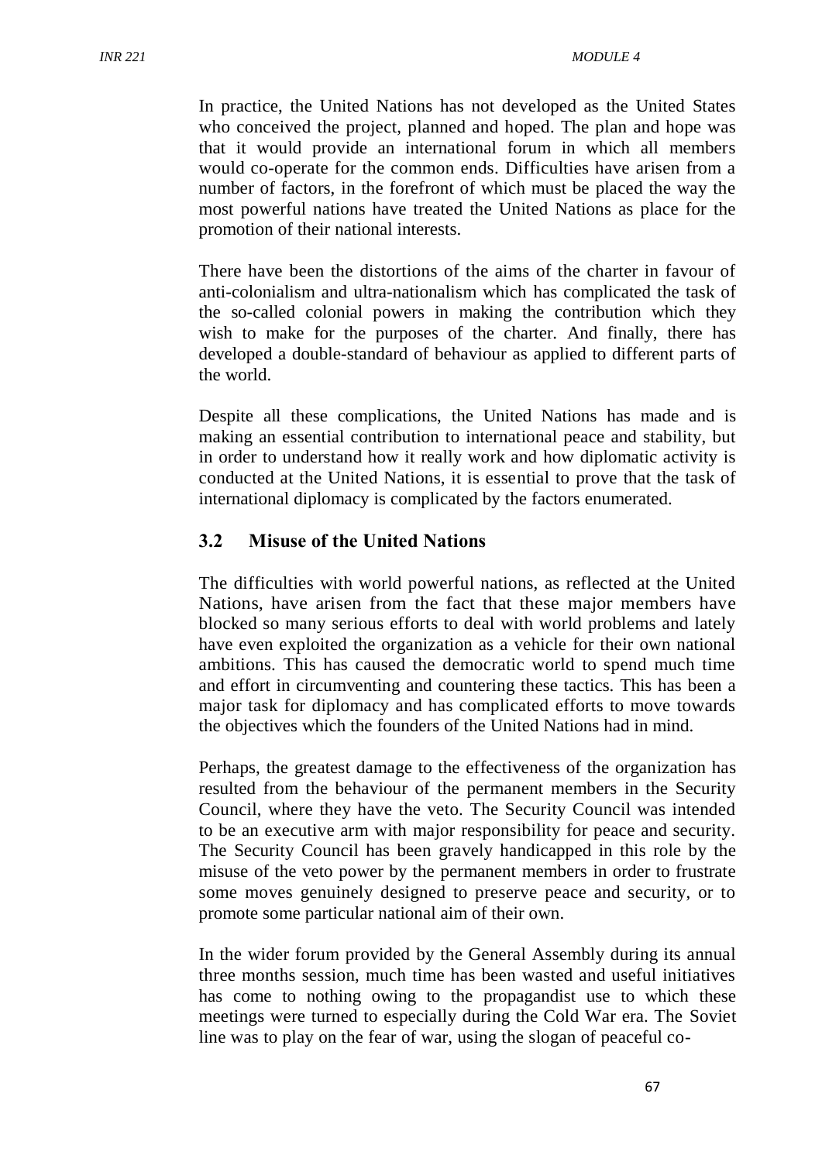In practice, the United Nations has not developed as the United States who conceived the project, planned and hoped. The plan and hope was that it would provide an international forum in which all members would co-operate for the common ends. Difficulties have arisen from a number of factors, in the forefront of which must be placed the way the most powerful nations have treated the United Nations as place for the promotion of their national interests.

There have been the distortions of the aims of the charter in favour of anti-colonialism and ultra-nationalism which has complicated the task of the so-called colonial powers in making the contribution which they wish to make for the purposes of the charter. And finally, there has developed a double-standard of behaviour as applied to different parts of the world.

Despite all these complications, the United Nations has made and is making an essential contribution to international peace and stability, but in order to understand how it really work and how diplomatic activity is conducted at the United Nations, it is essential to prove that the task of international diplomacy is complicated by the factors enumerated.

## **3.2 Misuse of the United Nations**

The difficulties with world powerful nations, as reflected at the United Nations, have arisen from the fact that these major members have blocked so many serious efforts to deal with world problems and lately have even exploited the organization as a vehicle for their own national ambitions. This has caused the democratic world to spend much time and effort in circumventing and countering these tactics. This has been a major task for diplomacy and has complicated efforts to move towards the objectives which the founders of the United Nations had in mind.

Perhaps, the greatest damage to the effectiveness of the organization has resulted from the behaviour of the permanent members in the Security Council, where they have the veto. The Security Council was intended to be an executive arm with major responsibility for peace and security. The Security Council has been gravely handicapped in this role by the misuse of the veto power by the permanent members in order to frustrate some moves genuinely designed to preserve peace and security, or to promote some particular national aim of their own.

In the wider forum provided by the General Assembly during its annual three months session, much time has been wasted and useful initiatives has come to nothing owing to the propagandist use to which these meetings were turned to especially during the Cold War era. The Soviet line was to play on the fear of war, using the slogan of peaceful co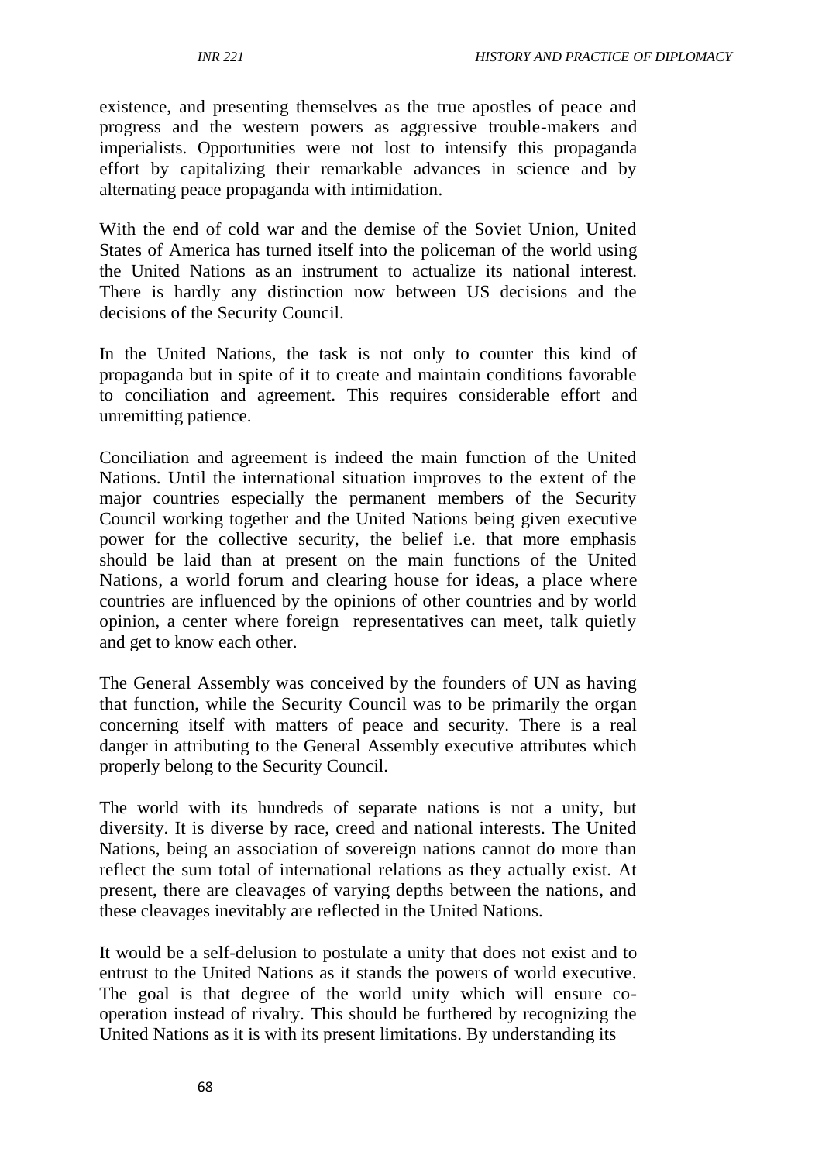existence, and presenting themselves as the true apostles of peace and progress and the western powers as aggressive trouble-makers and imperialists. Opportunities were not lost to intensify this propaganda effort by capitalizing their remarkable advances in science and by alternating peace propaganda with intimidation.

With the end of cold war and the demise of the Soviet Union, United States of America has turned itself into the policeman of the world using the United Nations as an instrument to actualize its national interest. There is hardly any distinction now between US decisions and the decisions of the Security Council.

In the United Nations, the task is not only to counter this kind of propaganda but in spite of it to create and maintain conditions favorable to conciliation and agreement. This requires considerable effort and unremitting patience.

Conciliation and agreement is indeed the main function of the United Nations. Until the international situation improves to the extent of the major countries especially the permanent members of the Security Council working together and the United Nations being given executive power for the collective security, the belief i.e. that more emphasis should be laid than at present on the main functions of the United Nations, a world forum and clearing house for ideas, a place where countries are influenced by the opinions of other countries and by world opinion, a center where foreign representatives can meet, talk quietly and get to know each other.

The General Assembly was conceived by the founders of UN as having that function, while the Security Council was to be primarily the organ concerning itself with matters of peace and security. There is a real danger in attributing to the General Assembly executive attributes which properly belong to the Security Council.

The world with its hundreds of separate nations is not a unity, but diversity. It is diverse by race, creed and national interests. The United Nations, being an association of sovereign nations cannot do more than reflect the sum total of international relations as they actually exist. At present, there are cleavages of varying depths between the nations, and these cleavages inevitably are reflected in the United Nations.

It would be a self-delusion to postulate a unity that does not exist and to entrust to the United Nations as it stands the powers of world executive. The goal is that degree of the world unity which will ensure cooperation instead of rivalry. This should be furthered by recognizing the United Nations as it is with its present limitations. By understanding its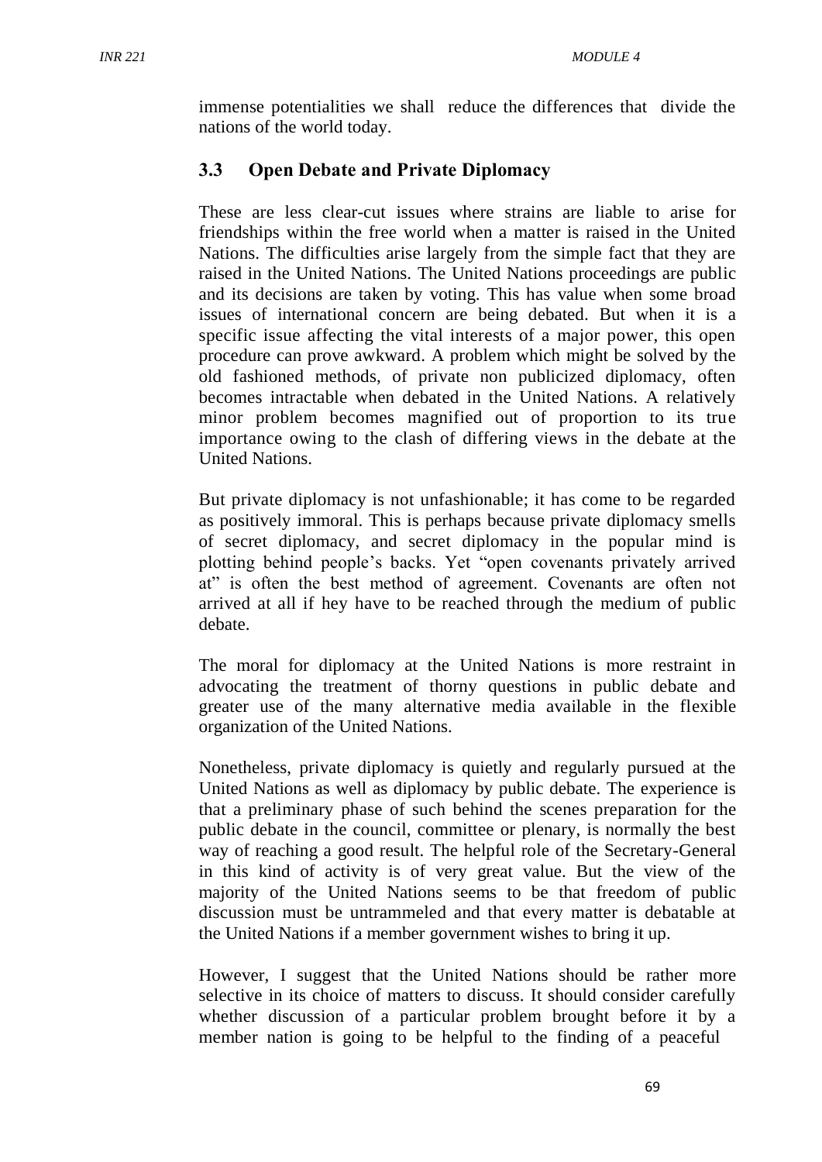immense potentialities we shall reduce the differences that divide the nations of the world today.

# **3.3 Open Debate and Private Diplomacy**

These are less clear-cut issues where strains are liable to arise for friendships within the free world when a matter is raised in the United Nations. The difficulties arise largely from the simple fact that they are raised in the United Nations. The United Nations proceedings are public and its decisions are taken by voting. This has value when some broad issues of international concern are being debated. But when it is a specific issue affecting the vital interests of a major power, this open procedure can prove awkward. A problem which might be solved by the old fashioned methods, of private non publicized diplomacy, often becomes intractable when debated in the United Nations. A relatively minor problem becomes magnified out of proportion to its true importance owing to the clash of differing views in the debate at the United Nations.

But private diplomacy is not unfashionable; it has come to be regarded as positively immoral. This is perhaps because private diplomacy smells of secret diplomacy, and secret diplomacy in the popular mind is plotting behind people's backs. Yet "open covenants privately arrived at" is often the best method of agreement. Covenants are often not arrived at all if hey have to be reached through the medium of public debate.

The moral for diplomacy at the United Nations is more restraint in advocating the treatment of thorny questions in public debate and greater use of the many alternative media available in the flexible organization of the United Nations.

Nonetheless, private diplomacy is quietly and regularly pursued at the United Nations as well as diplomacy by public debate. The experience is that a preliminary phase of such behind the scenes preparation for the public debate in the council, committee or plenary, is normally the best way of reaching a good result. The helpful role of the Secretary-General in this kind of activity is of very great value. But the view of the majority of the United Nations seems to be that freedom of public discussion must be untrammeled and that every matter is debatable at the United Nations if a member government wishes to bring it up.

However, I suggest that the United Nations should be rather more selective in its choice of matters to discuss. It should consider carefully whether discussion of a particular problem brought before it by a member nation is going to be helpful to the finding of a peaceful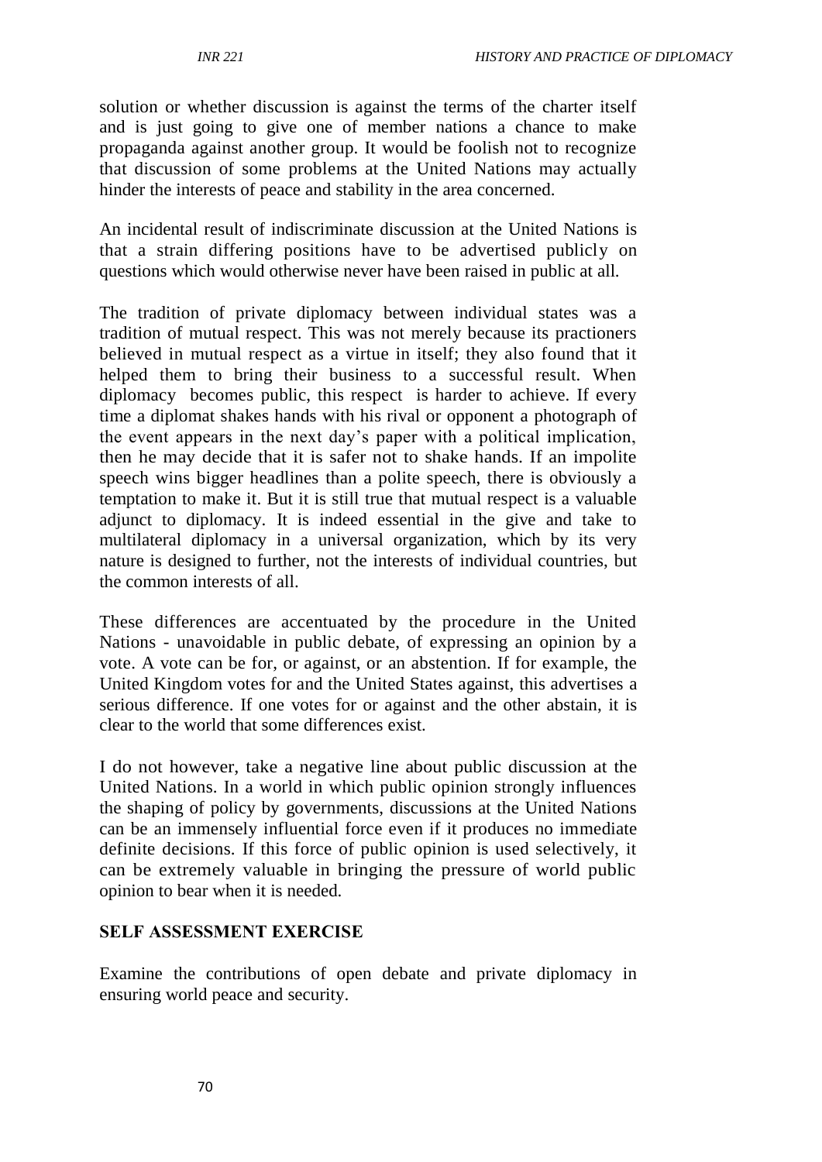solution or whether discussion is against the terms of the charter itself and is just going to give one of member nations a chance to make propaganda against another group. It would be foolish not to recognize that discussion of some problems at the United Nations may actually hinder the interests of peace and stability in the area concerned.

An incidental result of indiscriminate discussion at the United Nations is that a strain differing positions have to be advertised publicly on questions which would otherwise never have been raised in public at all.

The tradition of private diplomacy between individual states was a tradition of mutual respect. This was not merely because its practioners believed in mutual respect as a virtue in itself; they also found that it helped them to bring their business to a successful result. When diplomacy becomes public, this respect is harder to achieve. If every time a diplomat shakes hands with his rival or opponent a photograph of the event appears in the next day's paper with a political implication, then he may decide that it is safer not to shake hands. If an impolite speech wins bigger headlines than a polite speech, there is obviously a temptation to make it. But it is still true that mutual respect is a valuable adjunct to diplomacy. It is indeed essential in the give and take to multilateral diplomacy in a universal organization, which by its very nature is designed to further, not the interests of individual countries, but the common interests of all.

These differences are accentuated by the procedure in the United Nations - unavoidable in public debate, of expressing an opinion by a vote. A vote can be for, or against, or an abstention. If for example, the United Kingdom votes for and the United States against, this advertises a serious difference. If one votes for or against and the other abstain, it is clear to the world that some differences exist.

I do not however, take a negative line about public discussion at the United Nations. In a world in which public opinion strongly influences the shaping of policy by governments, discussions at the United Nations can be an immensely influential force even if it produces no immediate definite decisions. If this force of public opinion is used selectively, it can be extremely valuable in bringing the pressure of world public opinion to bear when it is needed.

#### **SELF ASSESSMENT EXERCISE**

Examine the contributions of open debate and private diplomacy in ensuring world peace and security.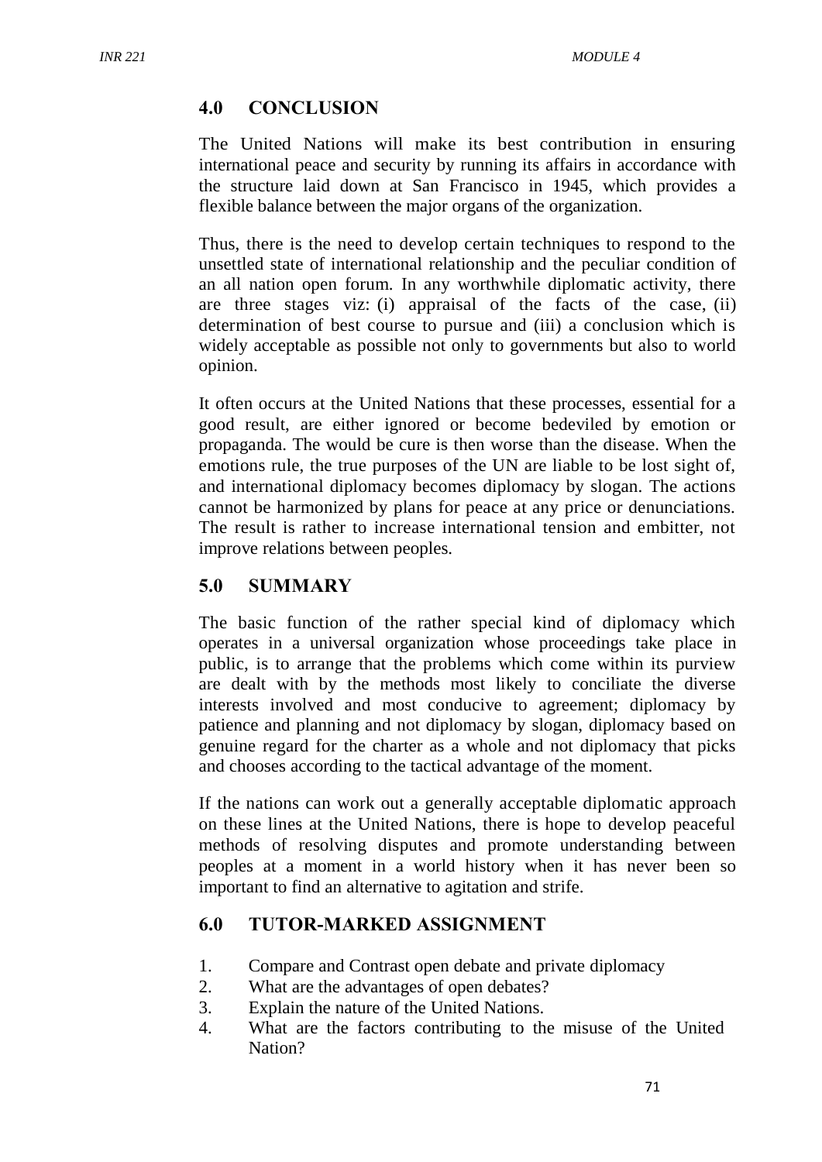## **4.0 CONCLUSION**

The United Nations will make its best contribution in ensuring international peace and security by running its affairs in accordance with the structure laid down at San Francisco in 1945, which provides a flexible balance between the major organs of the organization.

Thus, there is the need to develop certain techniques to respond to the unsettled state of international relationship and the peculiar condition of an all nation open forum. In any worthwhile diplomatic activity, there are three stages viz: (i) appraisal of the facts of the case, (ii) determination of best course to pursue and (iii) a conclusion which is widely acceptable as possible not only to governments but also to world opinion.

It often occurs at the United Nations that these processes, essential for a good result, are either ignored or become bedeviled by emotion or propaganda. The would be cure is then worse than the disease. When the emotions rule, the true purposes of the UN are liable to be lost sight of, and international diplomacy becomes diplomacy by slogan. The actions cannot be harmonized by plans for peace at any price or denunciations. The result is rather to increase international tension and embitter, not improve relations between peoples.

## **5.0 SUMMARY**

The basic function of the rather special kind of diplomacy which operates in a universal organization whose proceedings take place in public, is to arrange that the problems which come within its purview are dealt with by the methods most likely to conciliate the diverse interests involved and most conducive to agreement; diplomacy by patience and planning and not diplomacy by slogan, diplomacy based on genuine regard for the charter as a whole and not diplomacy that picks and chooses according to the tactical advantage of the moment.

If the nations can work out a generally acceptable diplomatic approach on these lines at the United Nations, there is hope to develop peaceful methods of resolving disputes and promote understanding between peoples at a moment in a world history when it has never been so important to find an alternative to agitation and strife.

## **6.0 TUTOR-MARKED ASSIGNMENT**

- 1. Compare and Contrast open debate and private diplomacy
- 2. What are the advantages of open debates?
- 3. Explain the nature of the United Nations.
- 4. What are the factors contributing to the misuse of the United Nation?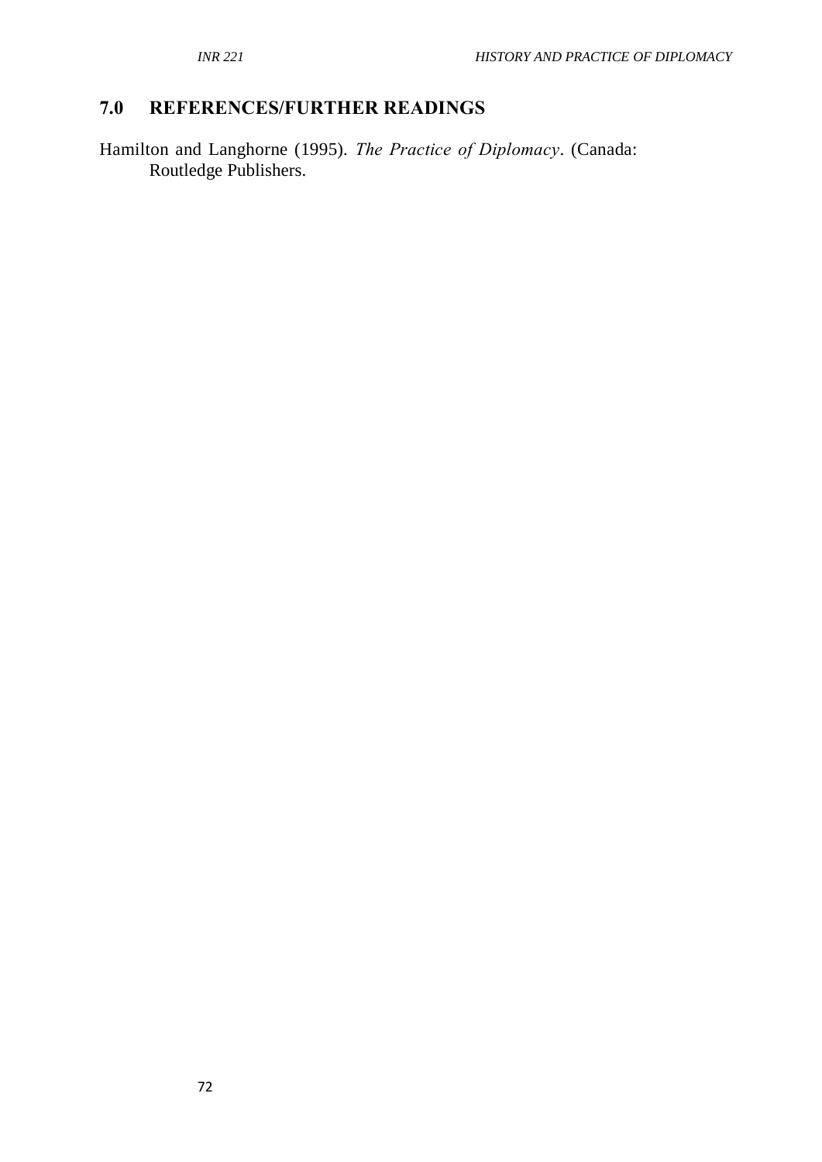# **7.0 REFERENCES/FURTHER READINGS**

Hamilton and Langhorne (1995). *The Practice of Diplomacy*. (Canada: Routledge Publishers.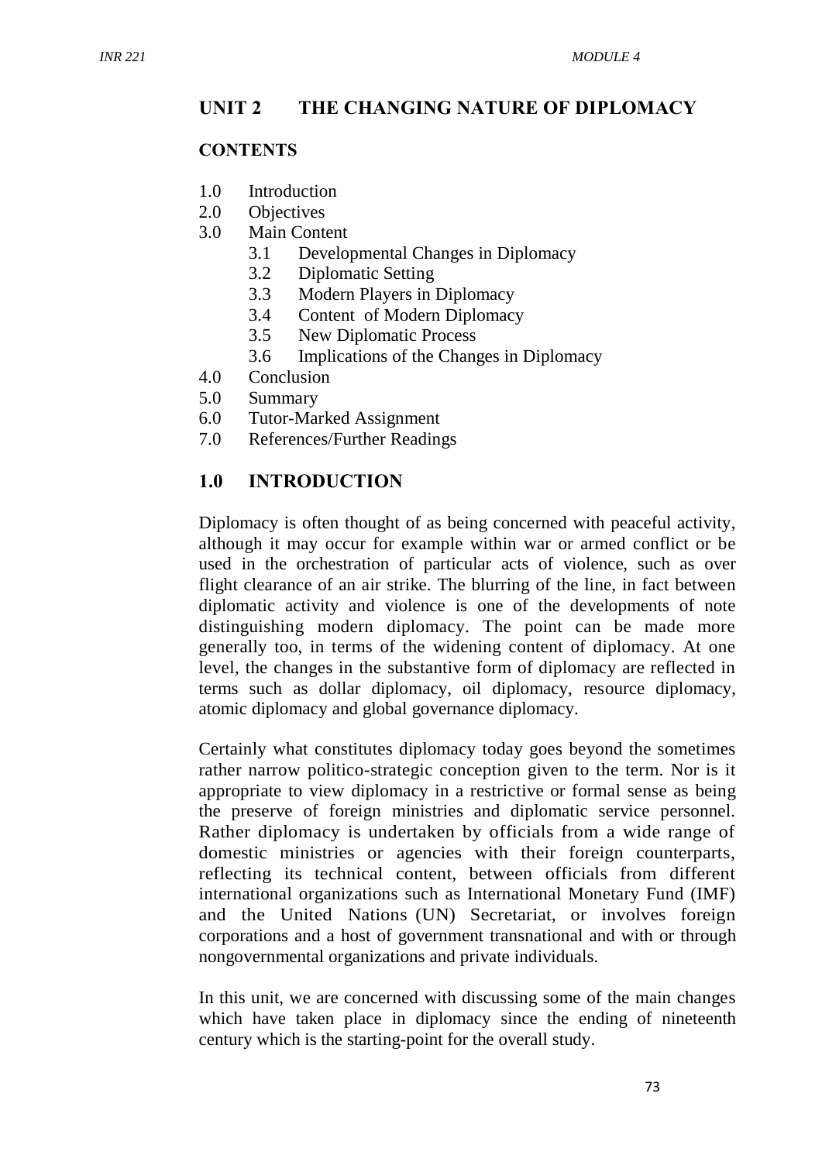### **UNIT 2 THE CHANGING NATURE OF DIPLOMACY**

#### **CONTENTS**

- 1.0 Introduction
- 2.0 Objectives
- 3.0 Main Content
	- 3.1 Developmental Changes in Diplomacy
	- 3.2 Diplomatic Setting
	- 3.3 Modern Players in Diplomacy
	- 3.4 Content of Modern Diplomacy
	- 3.5 New Diplomatic Process
	- 3.6 Implications of the Changes in Diplomacy
- 4.0 Conclusion
- 5.0 Summary
- 6.0 Tutor-Marked Assignment
- 7.0 References/Further Readings

#### **1.0 INTRODUCTION**

Diplomacy is often thought of as being concerned with peaceful activity, although it may occur for example within war or armed conflict or be used in the orchestration of particular acts of violence, such as over flight clearance of an air strike. The blurring of the line, in fact between diplomatic activity and violence is one of the developments of note distinguishing modern diplomacy. The point can be made more generally too, in terms of the widening content of diplomacy. At one level, the changes in the substantive form of diplomacy are reflected in terms such as dollar diplomacy, oil diplomacy, resource diplomacy, atomic diplomacy and global governance diplomacy.

Certainly what constitutes diplomacy today goes beyond the sometimes rather narrow politico-strategic conception given to the term. Nor is it appropriate to view diplomacy in a restrictive or formal sense as being the preserve of foreign ministries and diplomatic service personnel. Rather diplomacy is undertaken by officials from a wide range of domestic ministries or agencies with their foreign counterparts, reflecting its technical content, between officials from different international organizations such as International Monetary Fund (IMF) and the United Nations (UN) Secretariat, or involves foreign corporations and a host of government transnational and with or through nongovernmental organizations and private individuals.

In this unit, we are concerned with discussing some of the main changes which have taken place in diplomacy since the ending of nineteenth century which is the starting-point for the overall study.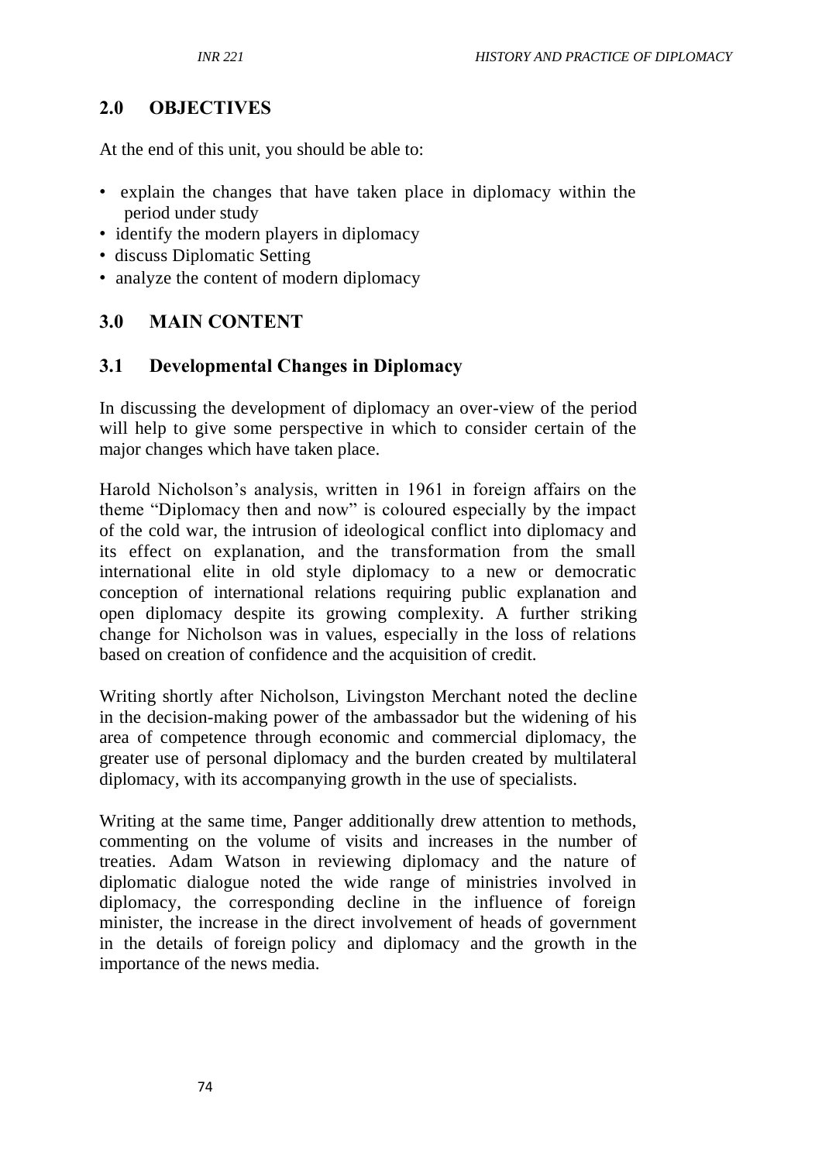### **2.0 OBJECTIVES**

At the end of this unit, you should be able to:

- explain the changes that have taken place in diplomacy within the period under study
- identify the modern players in diplomacy
- discuss Diplomatic Setting
- analyze the content of modern diplomacy

#### **3.0 MAIN CONTENT**

#### **3.1 Developmental Changes in Diplomacy**

In discussing the development of diplomacy an over-view of the period will help to give some perspective in which to consider certain of the major changes which have taken place.

Harold Nicholson's analysis, written in 1961 in foreign affairs on the theme "Diplomacy then and now" is coloured especially by the impact of the cold war, the intrusion of ideological conflict into diplomacy and its effect on explanation, and the transformation from the small international elite in old style diplomacy to a new or democratic conception of international relations requiring public explanation and open diplomacy despite its growing complexity. A further striking change for Nicholson was in values, especially in the loss of relations based on creation of confidence and the acquisition of credit.

Writing shortly after Nicholson, Livingston Merchant noted the decline in the decision-making power of the ambassador but the widening of his area of competence through economic and commercial diplomacy, the greater use of personal diplomacy and the burden created by multilateral diplomacy, with its accompanying growth in the use of specialists.

Writing at the same time, Panger additionally drew attention to methods, commenting on the volume of visits and increases in the number of treaties. Adam Watson in reviewing diplomacy and the nature of diplomatic dialogue noted the wide range of ministries involved in diplomacy, the corresponding decline in the influence of foreign minister, the increase in the direct involvement of heads of government in the details of foreign policy and diplomacy and the growth in the importance of the news media.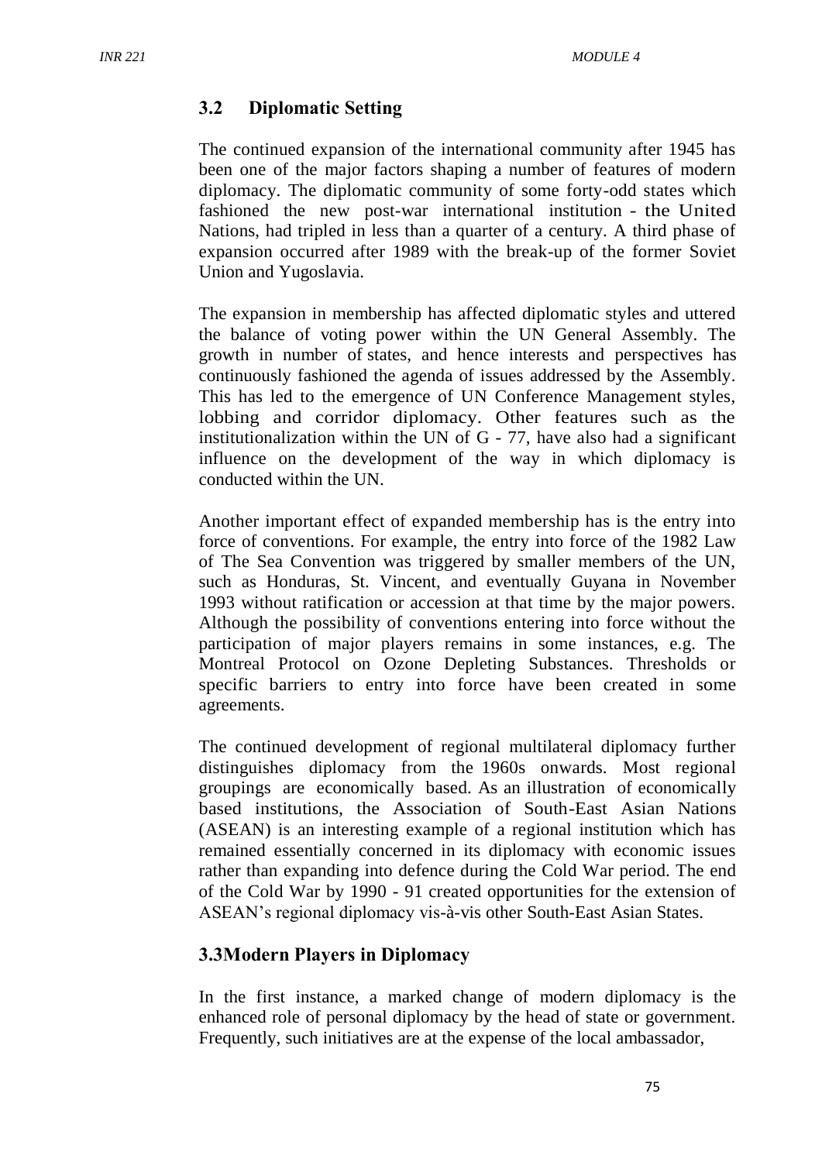### **3.2 Diplomatic Setting**

The continued expansion of the international community after 1945 has been one of the major factors shaping a number of features of modern diplomacy. The diplomatic community of some forty-odd states which fashioned the new post-war international institution - the United Nations, had tripled in less than a quarter of a century. A third phase of expansion occurred after 1989 with the break-up of the former Soviet Union and Yugoslavia.

The expansion in membership has affected diplomatic styles and uttered the balance of voting power within the UN General Assembly. The growth in number of states, and hence interests and perspectives has continuously fashioned the agenda of issues addressed by the Assembly. This has led to the emergence of UN Conference Management styles, lobbing and corridor diplomacy. Other features such as the institutionalization within the UN of G - 77, have also had a significant influence on the development of the way in which diplomacy is conducted within the UN.

Another important effect of expanded membership has is the entry into force of conventions. For example, the entry into force of the 1982 Law of The Sea Convention was triggered by smaller members of the UN, such as Honduras, St. Vincent, and eventually Guyana in November 1993 without ratification or accession at that time by the major powers. Although the possibility of conventions entering into force without the participation of major players remains in some instances, e.g. The Montreal Protocol on Ozone Depleting Substances. Thresholds or specific barriers to entry into force have been created in some agreements.

The continued development of regional multilateral diplomacy further distinguishes diplomacy from the 1960s onwards. Most regional groupings are economically based. As an illustration of economically based institutions, the Association of South-East Asian Nations (ASEAN) is an interesting example of a regional institution which has remained essentially concerned in its diplomacy with economic issues rather than expanding into defence during the Cold War period. The end of the Cold War by 1990 - 91 created opportunities for the extension of ASEAN's regional diplomacy vis-à-vis other South-East Asian States.

## **3.3Modern Players in Diplomacy**

In the first instance, a marked change of modern diplomacy is the enhanced role of personal diplomacy by the head of state or government. Frequently, such initiatives are at the expense of the local ambassador,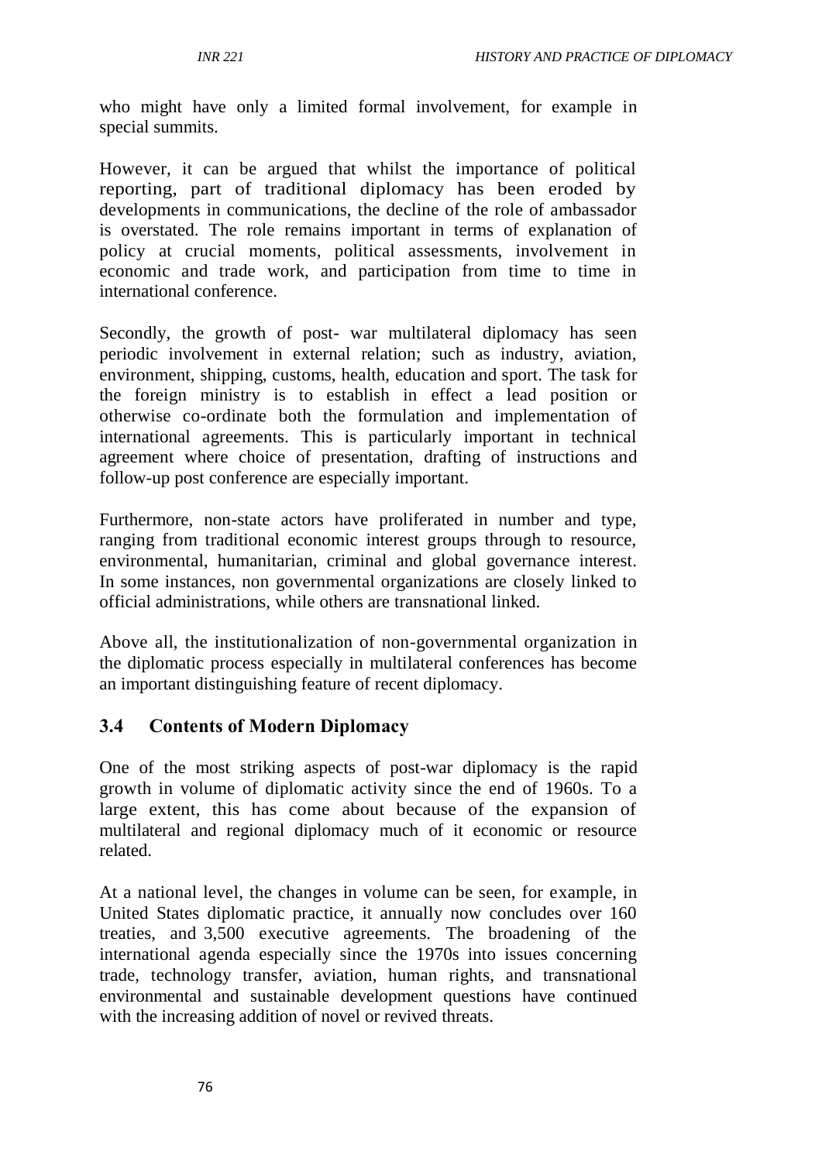who might have only a limited formal involvement, for example in special summits.

However, it can be argued that whilst the importance of political reporting, part of traditional diplomacy has been eroded by developments in communications, the decline of the role of ambassador is overstated. The role remains important in terms of explanation of policy at crucial moments, political assessments, involvement in economic and trade work, and participation from time to time in international conference.

Secondly, the growth of post- war multilateral diplomacy has seen periodic involvement in external relation; such as industry, aviation, environment, shipping, customs, health, education and sport. The task for the foreign ministry is to establish in effect a lead position or otherwise co-ordinate both the formulation and implementation of international agreements. This is particularly important in technical agreement where choice of presentation, drafting of instructions and follow-up post conference are especially important.

Furthermore, non-state actors have proliferated in number and type, ranging from traditional economic interest groups through to resource, environmental, humanitarian, criminal and global governance interest. In some instances, non governmental organizations are closely linked to official administrations, while others are transnational linked.

Above all, the institutionalization of non-governmental organization in the diplomatic process especially in multilateral conferences has become an important distinguishing feature of recent diplomacy.

## **3.4 Contents of Modern Diplomacy**

One of the most striking aspects of post-war diplomacy is the rapid growth in volume of diplomatic activity since the end of 1960s. To a large extent, this has come about because of the expansion of multilateral and regional diplomacy much of it economic or resource related.

At a national level, the changes in volume can be seen, for example, in United States diplomatic practice, it annually now concludes over 160 treaties, and 3,500 executive agreements. The broadening of the international agenda especially since the 1970s into issues concerning trade, technology transfer, aviation, human rights, and transnational environmental and sustainable development questions have continued with the increasing addition of novel or revived threats.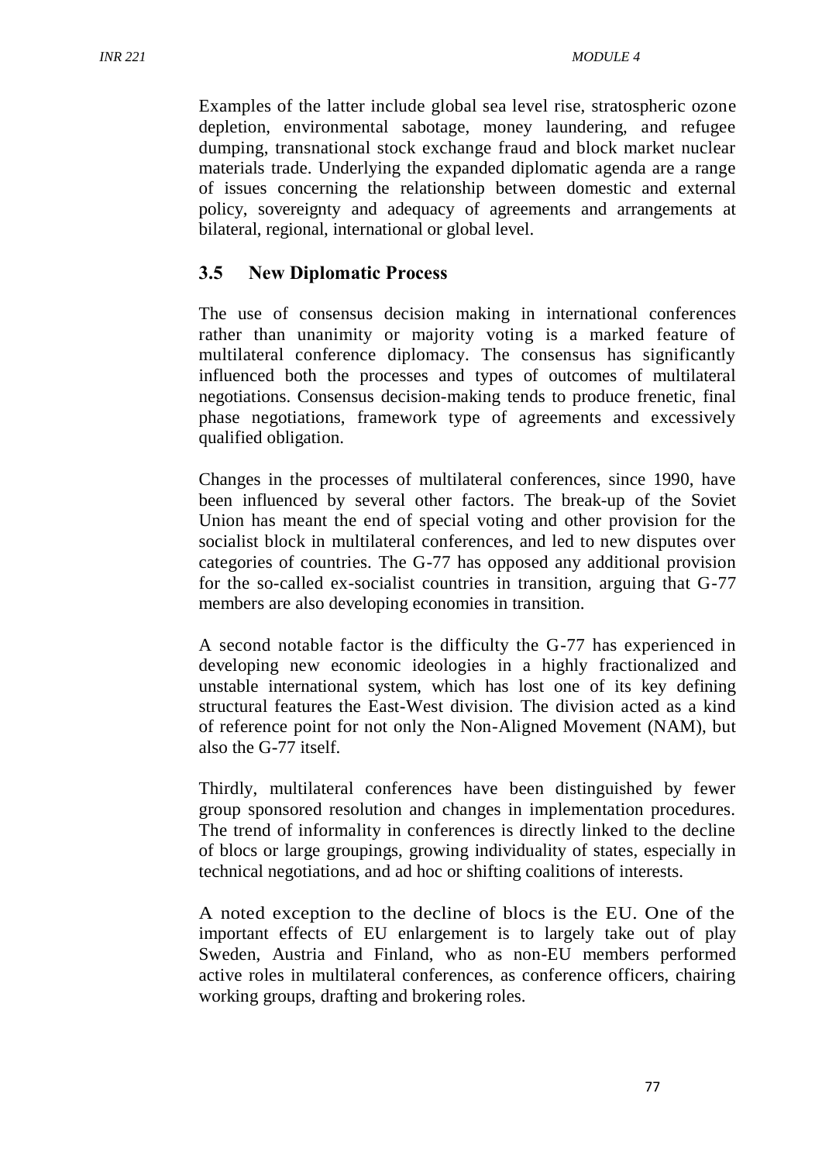Examples of the latter include global sea level rise, stratospheric ozone depletion, environmental sabotage, money laundering, and refugee dumping, transnational stock exchange fraud and block market nuclear materials trade. Underlying the expanded diplomatic agenda are a range of issues concerning the relationship between domestic and external policy, sovereignty and adequacy of agreements and arrangements at bilateral, regional, international or global level.

# **3.5 New Diplomatic Process**

The use of consensus decision making in international conferences rather than unanimity or majority voting is a marked feature of multilateral conference diplomacy. The consensus has significantly influenced both the processes and types of outcomes of multilateral negotiations. Consensus decision-making tends to produce frenetic, final phase negotiations, framework type of agreements and excessively qualified obligation.

Changes in the processes of multilateral conferences, since 1990, have been influenced by several other factors. The break-up of the Soviet Union has meant the end of special voting and other provision for the socialist block in multilateral conferences, and led to new disputes over categories of countries. The G-77 has opposed any additional provision for the so-called ex-socialist countries in transition, arguing that G-77 members are also developing economies in transition.

A second notable factor is the difficulty the G-77 has experienced in developing new economic ideologies in a highly fractionalized and unstable international system, which has lost one of its key defining structural features the East-West division. The division acted as a kind of reference point for not only the Non-Aligned Movement (NAM), but also the G-77 itself.

Thirdly, multilateral conferences have been distinguished by fewer group sponsored resolution and changes in implementation procedures. The trend of informality in conferences is directly linked to the decline of blocs or large groupings, growing individuality of states, especially in technical negotiations, and ad hoc or shifting coalitions of interests.

A noted exception to the decline of blocs is the EU. One of the important effects of EU enlargement is to largely take out of play Sweden, Austria and Finland, who as non-EU members performed active roles in multilateral conferences, as conference officers, chairing working groups, drafting and brokering roles.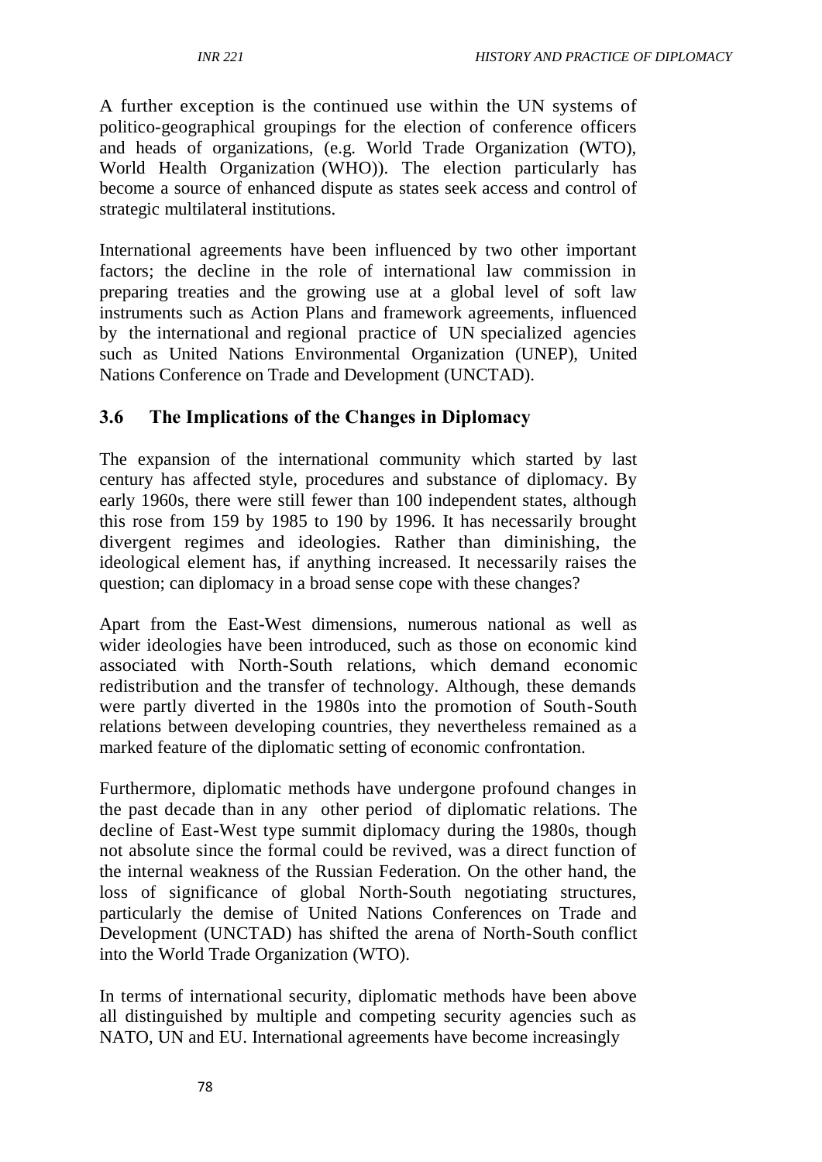A further exception is the continued use within the UN systems of politico-geographical groupings for the election of conference officers and heads of organizations, (e.g. World Trade Organization (WTO), World Health Organization (WHO)). The election particularly has become a source of enhanced dispute as states seek access and control of strategic multilateral institutions.

International agreements have been influenced by two other important factors; the decline in the role of international law commission in preparing treaties and the growing use at a global level of soft law instruments such as Action Plans and framework agreements, influenced by the international and regional practice of UN specialized agencies such as United Nations Environmental Organization (UNEP), United Nations Conference on Trade and Development (UNCTAD).

# **3.6 The Implications of the Changes in Diplomacy**

The expansion of the international community which started by last century has affected style, procedures and substance of diplomacy. By early 1960s, there were still fewer than 100 independent states, although this rose from 159 by 1985 to 190 by 1996. It has necessarily brought divergent regimes and ideologies. Rather than diminishing, the ideological element has, if anything increased. It necessarily raises the question; can diplomacy in a broad sense cope with these changes?

Apart from the East-West dimensions, numerous national as well as wider ideologies have been introduced, such as those on economic kind associated with North-South relations, which demand economic redistribution and the transfer of technology. Although, these demands were partly diverted in the 1980s into the promotion of South-South relations between developing countries, they nevertheless remained as a marked feature of the diplomatic setting of economic confrontation.

Furthermore, diplomatic methods have undergone profound changes in the past decade than in any other period of diplomatic relations. The decline of East-West type summit diplomacy during the 1980s, though not absolute since the formal could be revived, was a direct function of the internal weakness of the Russian Federation. On the other hand, the loss of significance of global North-South negotiating structures, particularly the demise of United Nations Conferences on Trade and Development (UNCTAD) has shifted the arena of North-South conflict into the World Trade Organization (WTO).

In terms of international security, diplomatic methods have been above all distinguished by multiple and competing security agencies such as NATO, UN and EU. International agreements have become increasingly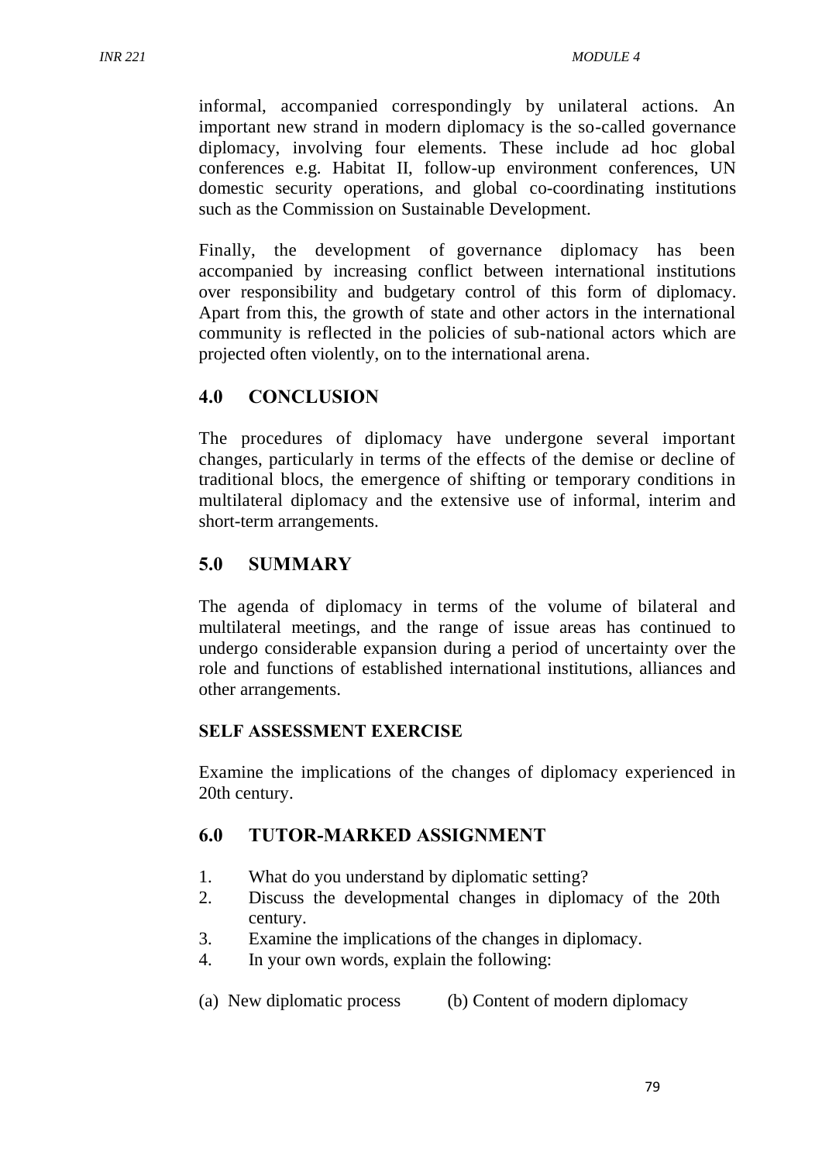informal, accompanied correspondingly by unilateral actions. An important new strand in modern diplomacy is the so-called governance diplomacy, involving four elements. These include ad hoc global conferences e.g. Habitat II, follow-up environment conferences, UN domestic security operations, and global co-coordinating institutions such as the Commission on Sustainable Development.

Finally, the development of governance diplomacy has been accompanied by increasing conflict between international institutions over responsibility and budgetary control of this form of diplomacy. Apart from this, the growth of state and other actors in the international community is reflected in the policies of sub-national actors which are projected often violently, on to the international arena.

## **4.0 CONCLUSION**

The procedures of diplomacy have undergone several important changes, particularly in terms of the effects of the demise or decline of traditional blocs, the emergence of shifting or temporary conditions in multilateral diplomacy and the extensive use of informal, interim and short-term arrangements.

#### **5.0 SUMMARY**

The agenda of diplomacy in terms of the volume of bilateral and multilateral meetings, and the range of issue areas has continued to undergo considerable expansion during a period of uncertainty over the role and functions of established international institutions, alliances and other arrangements.

#### **SELF ASSESSMENT EXERCISE**

Examine the implications of the changes of diplomacy experienced in 20th century.

## **6.0 TUTOR-MARKED ASSIGNMENT**

- 1. What do you understand by diplomatic setting?
- 2. Discuss the developmental changes in diplomacy of the 20th century.
- 3. Examine the implications of the changes in diplomacy.
- 4. In your own words, explain the following:
- (a) New diplomatic process (b) Content of modern diplomacy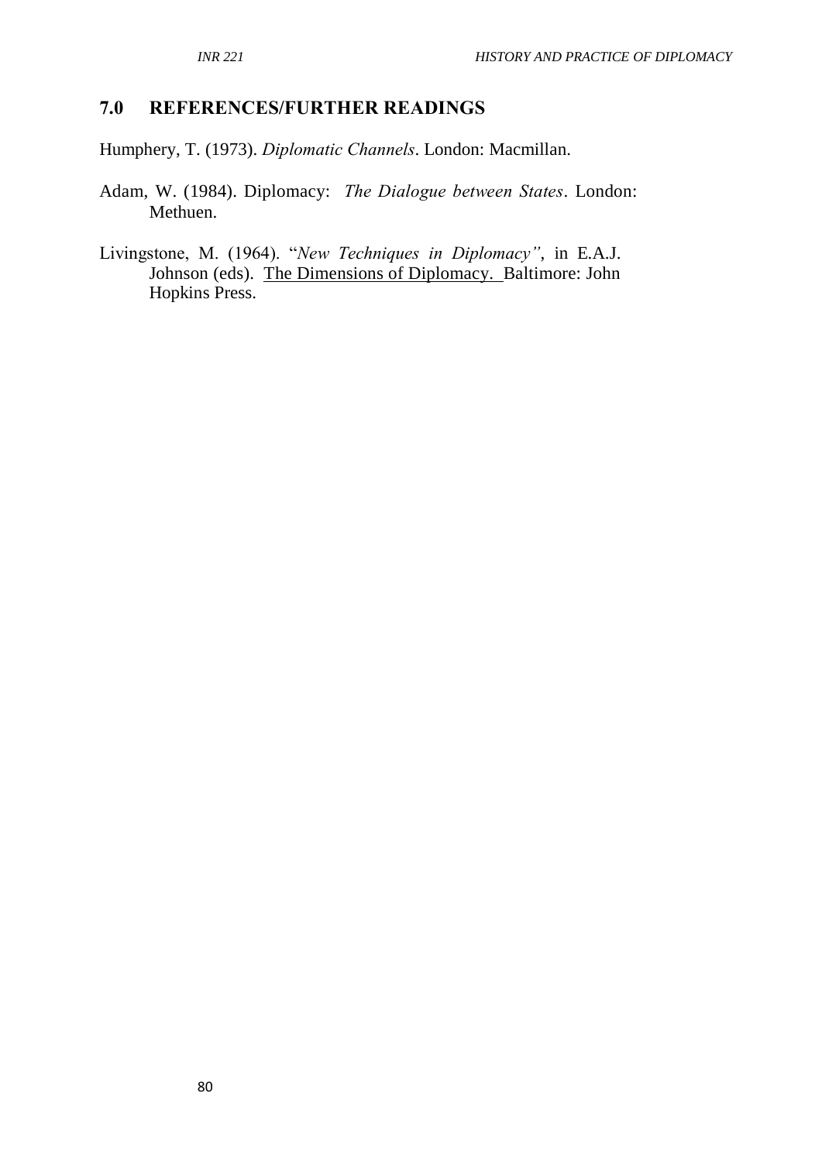#### **7.0 REFERENCES/FURTHER READINGS**

Humphery, T. (1973). *Diplomatic Channels*. London: Macmillan.

- Adam, W. (1984). Diplomacy: *The Dialogue between States*. London: Methuen.
- Livingstone, M. (1964). "*New Techniques in Diplomacy"*, in E.A.J. Johnson (eds). The Dimensions of Diplomacy. Baltimore: John Hopkins Press.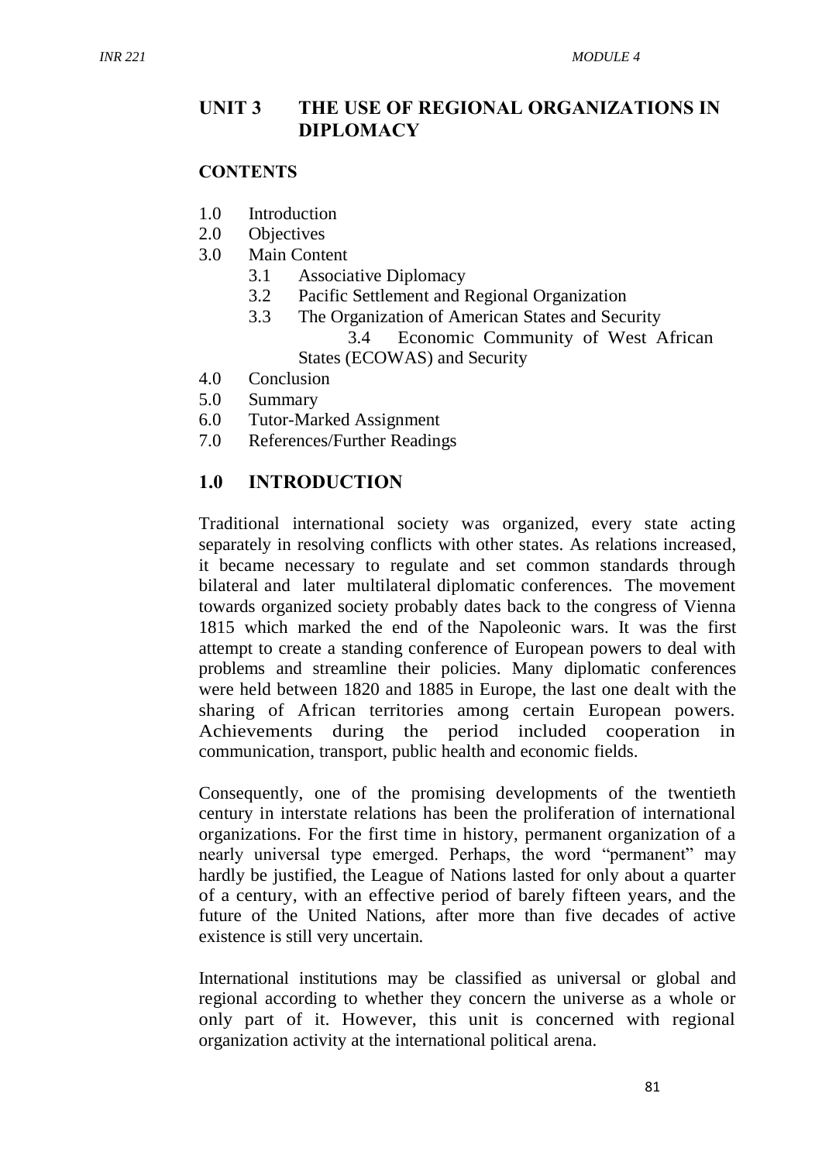#### **UNIT 3 THE USE OF REGIONAL ORGANIZATIONS IN DIPLOMACY**

#### **CONTENTS**

- 1.0 Introduction
- 2.0 Objectives
- 3.0 Main Content
	- 3.1 Associative Diplomacy
	- 3.2 Pacific Settlement and Regional Organization
	- 3.3 The Organization of American States and Security 3.4 Economic Community of West African States (ECOWAS) and Security
- 4.0 Conclusion
- 5.0 Summary
- 6.0 Tutor-Marked Assignment
- 7.0 References/Further Readings

#### **1.0 INTRODUCTION**

Traditional international society was organized, every state acting separately in resolving conflicts with other states. As relations increased, it became necessary to regulate and set common standards through bilateral and later multilateral diplomatic conferences. The movement towards organized society probably dates back to the congress of Vienna 1815 which marked the end of the Napoleonic wars. It was the first attempt to create a standing conference of European powers to deal with problems and streamline their policies. Many diplomatic conferences were held between 1820 and 1885 in Europe, the last one dealt with the sharing of African territories among certain European powers. Achievements during the period included cooperation in communication, transport, public health and economic fields.

Consequently, one of the promising developments of the twentieth century in interstate relations has been the proliferation of international organizations. For the first time in history, permanent organization of a nearly universal type emerged. Perhaps, the word "permanent" may hardly be justified, the League of Nations lasted for only about a quarter of a century, with an effective period of barely fifteen years, and the future of the United Nations, after more than five decades of active existence is still very uncertain.

International institutions may be classified as universal or global and regional according to whether they concern the universe as a whole or only part of it. However, this unit is concerned with regional organization activity at the international political arena.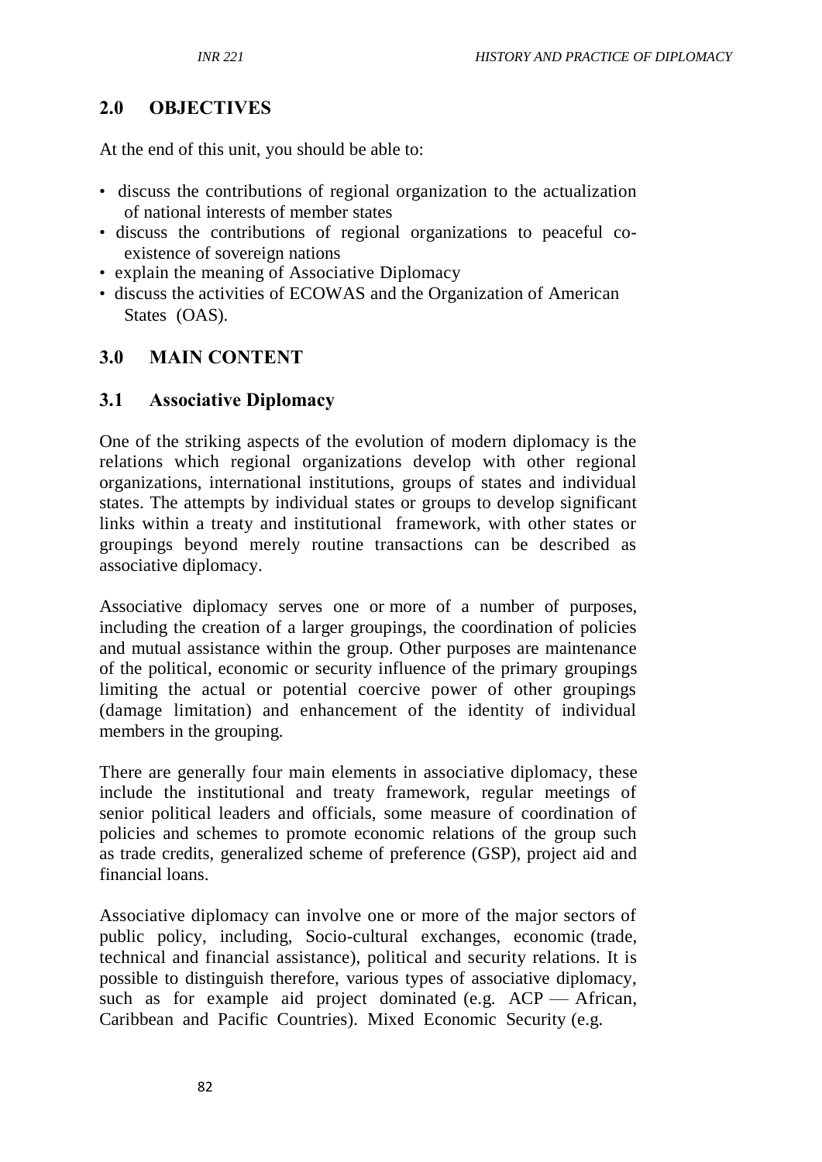# **2.0 OBJECTIVES**

At the end of this unit, you should be able to:

- discuss the contributions of regional organization to the actualization of national interests of member states
- discuss the contributions of regional organizations to peaceful coexistence of sovereign nations
- explain the meaning of Associative Diplomacy
- discuss the activities of ECOWAS and the Organization of American States (OAS).

# **3.0 MAIN CONTENT**

#### **3.1 Associative Diplomacy**

One of the striking aspects of the evolution of modern diplomacy is the relations which regional organizations develop with other regional organizations, international institutions, groups of states and individual states. The attempts by individual states or groups to develop significant links within a treaty and institutional framework, with other states or groupings beyond merely routine transactions can be described as associative diplomacy.

Associative diplomacy serves one or more of a number of purposes, including the creation of a larger groupings, the coordination of policies and mutual assistance within the group. Other purposes are maintenance of the political, economic or security influence of the primary groupings limiting the actual or potential coercive power of other groupings (damage limitation) and enhancement of the identity of individual members in the grouping.

There are generally four main elements in associative diplomacy, these include the institutional and treaty framework, regular meetings of senior political leaders and officials, some measure of coordination of policies and schemes to promote economic relations of the group such as trade credits, generalized scheme of preference (GSP), project aid and financial loans.

Associative diplomacy can involve one or more of the major sectors of public policy, including, Socio-cultural exchanges, economic (trade, technical and financial assistance), political and security relations. It is possible to distinguish therefore, various types of associative diplomacy, such as for example aid project dominated (e.g. ACP — African, Caribbean and Pacific Countries). Mixed Economic Security (e.g.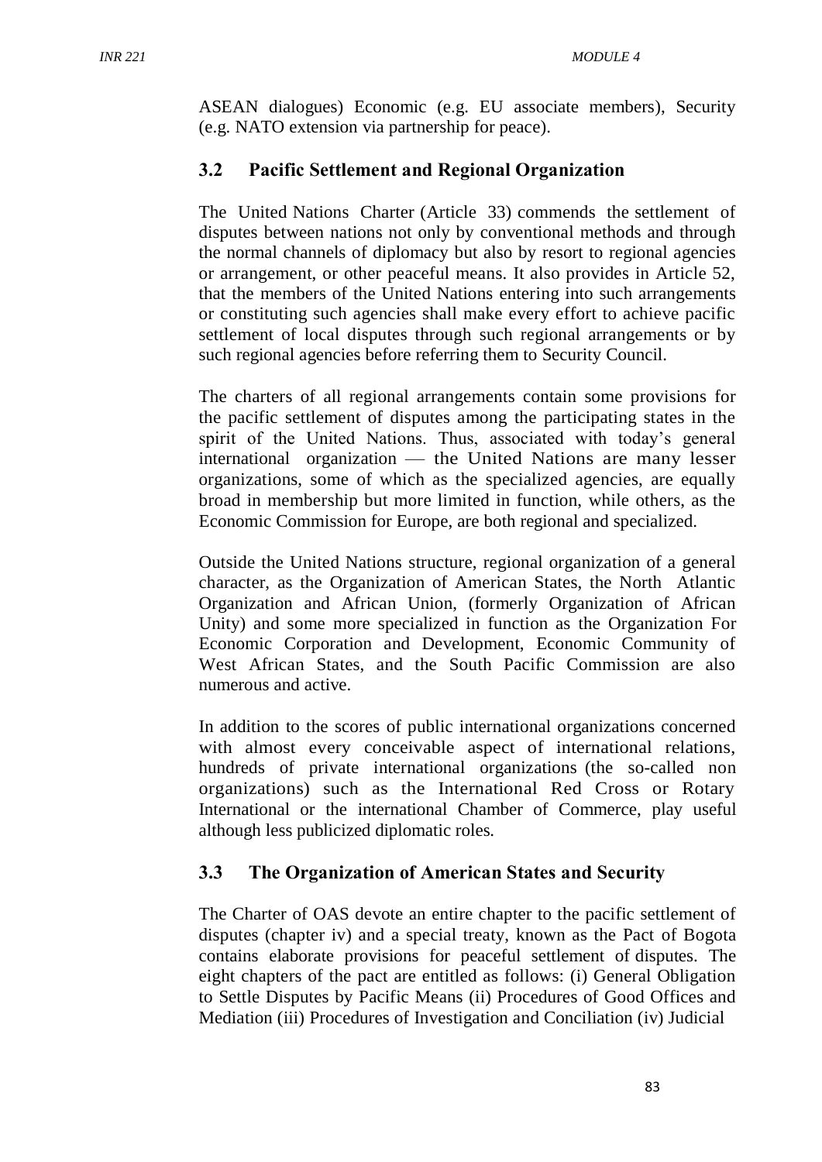ASEAN dialogues) Economic (e.g. EU associate members), Security (e.g. NATO extension via partnership for peace).

# **3.2 Pacific Settlement and Regional Organization**

The United Nations Charter (Article 33) commends the settlement of disputes between nations not only by conventional methods and through the normal channels of diplomacy but also by resort to regional agencies or arrangement, or other peaceful means. It also provides in Article 52, that the members of the United Nations entering into such arrangements or constituting such agencies shall make every effort to achieve pacific settlement of local disputes through such regional arrangements or by such regional agencies before referring them to Security Council.

The charters of all regional arrangements contain some provisions for the pacific settlement of disputes among the participating states in the spirit of the United Nations. Thus, associated with today's general international organization — the United Nations are many lesser organizations, some of which as the specialized agencies, are equally broad in membership but more limited in function, while others, as the Economic Commission for Europe, are both regional and specialized.

Outside the United Nations structure, regional organization of a general character, as the Organization of American States, the North Atlantic Organization and African Union, (formerly Organization of African Unity) and some more specialized in function as the Organization For Economic Corporation and Development, Economic Community of West African States, and the South Pacific Commission are also numerous and active.

In addition to the scores of public international organizations concerned with almost every conceivable aspect of international relations, hundreds of private international organizations (the so-called non organizations) such as the International Red Cross or Rotary International or the international Chamber of Commerce, play useful although less publicized diplomatic roles.

## **3.3 The Organization of American States and Security**

The Charter of OAS devote an entire chapter to the pacific settlement of disputes (chapter iv) and a special treaty, known as the Pact of Bogota contains elaborate provisions for peaceful settlement of disputes. The eight chapters of the pact are entitled as follows: (i) General Obligation to Settle Disputes by Pacific Means (ii) Procedures of Good Offices and Mediation (iii) Procedures of Investigation and Conciliation (iv) Judicial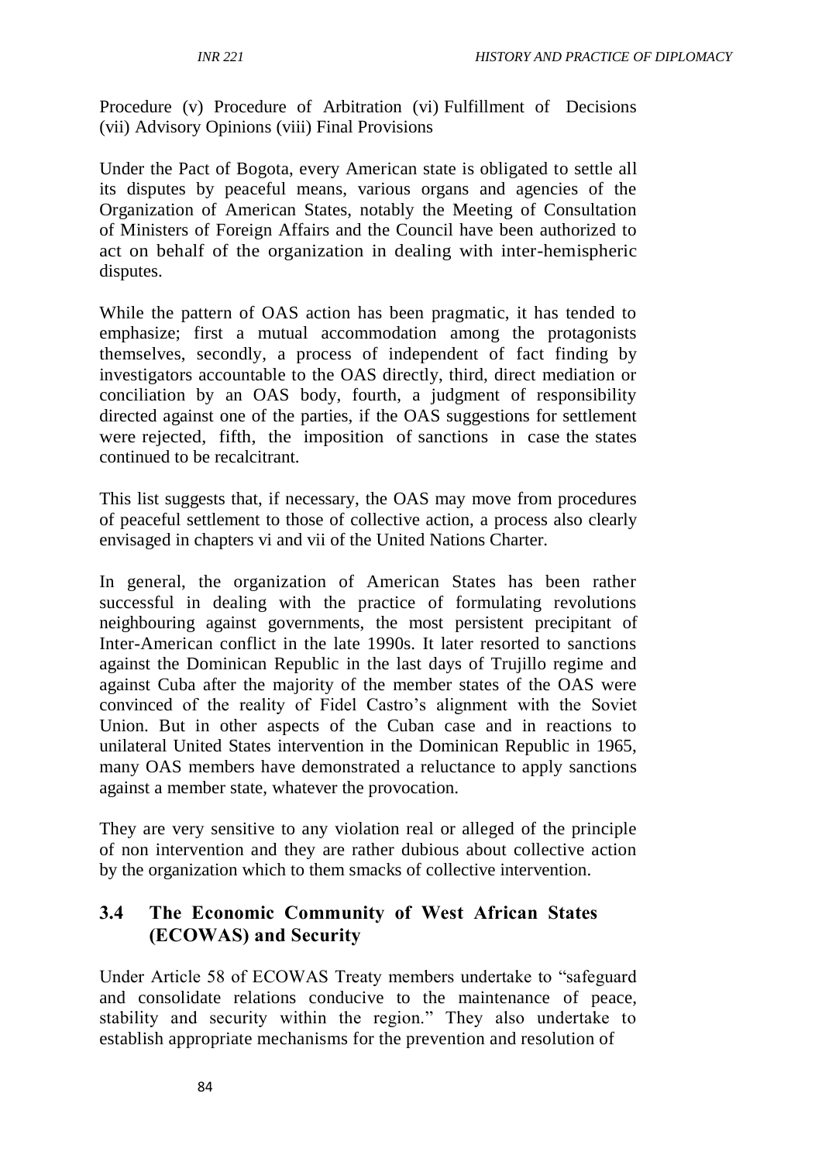Procedure (v) Procedure of Arbitration (vi) Fulfillment of Decisions (vii) Advisory Opinions (viii) Final Provisions

Under the Pact of Bogota, every American state is obligated to settle all its disputes by peaceful means, various organs and agencies of the Organization of American States, notably the Meeting of Consultation of Ministers of Foreign Affairs and the Council have been authorized to act on behalf of the organization in dealing with inter-hemispheric disputes.

While the pattern of OAS action has been pragmatic, it has tended to emphasize; first a mutual accommodation among the protagonists themselves, secondly, a process of independent of fact finding by investigators accountable to the OAS directly, third, direct mediation or conciliation by an OAS body, fourth, a judgment of responsibility directed against one of the parties, if the OAS suggestions for settlement were rejected, fifth, the imposition of sanctions in case the states continued to be recalcitrant.

This list suggests that, if necessary, the OAS may move from procedures of peaceful settlement to those of collective action, a process also clearly envisaged in chapters vi and vii of the United Nations Charter.

In general, the organization of American States has been rather successful in dealing with the practice of formulating revolutions neighbouring against governments, the most persistent precipitant of Inter-American conflict in the late 1990s. It later resorted to sanctions against the Dominican Republic in the last days of Trujillo regime and against Cuba after the majority of the member states of the OAS were convinced of the reality of Fidel Castro's alignment with the Soviet Union. But in other aspects of the Cuban case and in reactions to unilateral United States intervention in the Dominican Republic in 1965, many OAS members have demonstrated a reluctance to apply sanctions against a member state, whatever the provocation.

They are very sensitive to any violation real or alleged of the principle of non intervention and they are rather dubious about collective action by the organization which to them smacks of collective intervention.

## **3.4 The Economic Community of West African States (ECOWAS) and Security**

Under Article 58 of ECOWAS Treaty members undertake to "safeguard and consolidate relations conducive to the maintenance of peace, stability and security within the region." They also undertake to establish appropriate mechanisms for the prevention and resolution of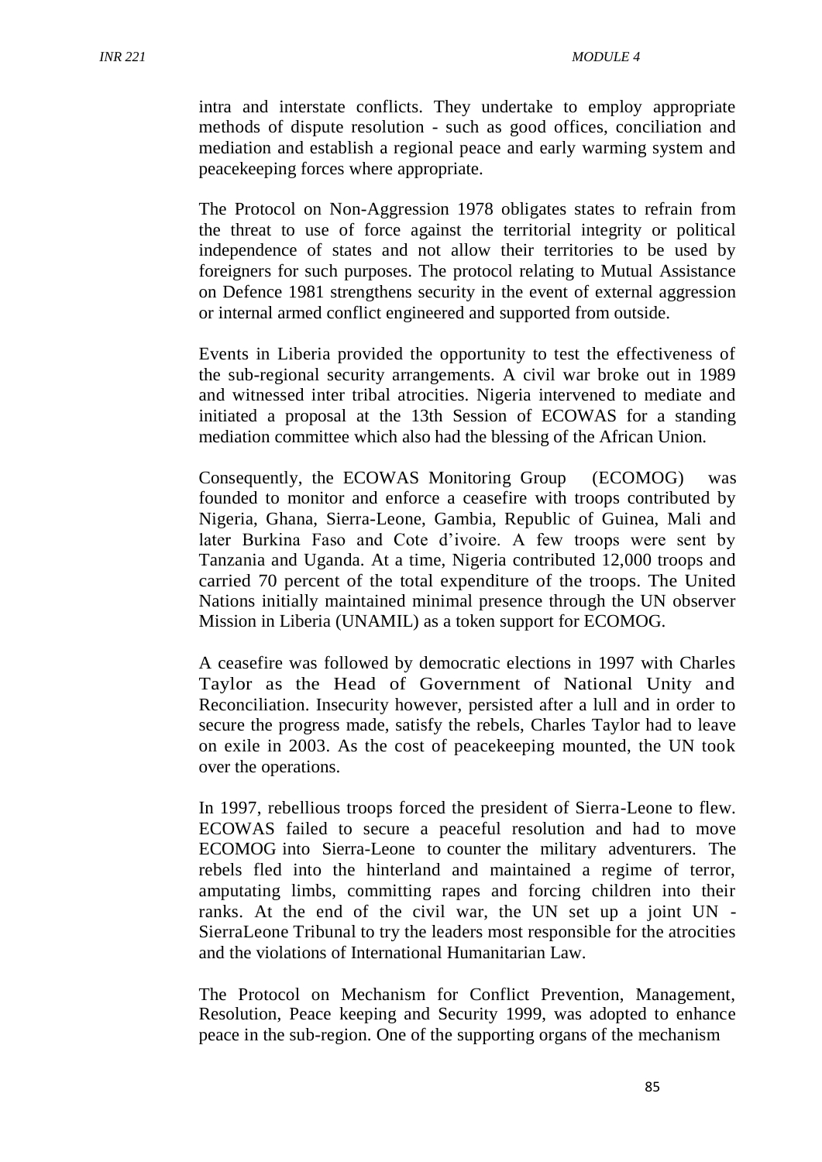intra and interstate conflicts. They undertake to employ appropriate methods of dispute resolution - such as good offices, conciliation and mediation and establish a regional peace and early warming system and peacekeeping forces where appropriate.

The Protocol on Non-Aggression 1978 obligates states to refrain from the threat to use of force against the territorial integrity or political independence of states and not allow their territories to be used by foreigners for such purposes. The protocol relating to Mutual Assistance on Defence 1981 strengthens security in the event of external aggression or internal armed conflict engineered and supported from outside.

Events in Liberia provided the opportunity to test the effectiveness of the sub-regional security arrangements. A civil war broke out in 1989 and witnessed inter tribal atrocities. Nigeria intervened to mediate and initiated a proposal at the 13th Session of ECOWAS for a standing mediation committee which also had the blessing of the African Union.

Consequently, the ECOWAS Monitoring Group (ECOMOG) was founded to monitor and enforce a ceasefire with troops contributed by Nigeria, Ghana, Sierra-Leone, Gambia, Republic of Guinea, Mali and later Burkina Faso and Cote d'ivoire. A few troops were sent by Tanzania and Uganda. At a time, Nigeria contributed 12,000 troops and carried 70 percent of the total expenditure of the troops. The United Nations initially maintained minimal presence through the UN observer Mission in Liberia (UNAMIL) as a token support for ECOMOG.

A ceasefire was followed by democratic elections in 1997 with Charles Taylor as the Head of Government of National Unity and Reconciliation. Insecurity however, persisted after a lull and in order to secure the progress made, satisfy the rebels, Charles Taylor had to leave on exile in 2003. As the cost of peacekeeping mounted, the UN took over the operations.

In 1997, rebellious troops forced the president of Sierra-Leone to flew. ECOWAS failed to secure a peaceful resolution and had to move ECOMOG into Sierra-Leone to counter the military adventurers. The rebels fled into the hinterland and maintained a regime of terror, amputating limbs, committing rapes and forcing children into their ranks. At the end of the civil war, the UN set up a joint UN - SierraLeone Tribunal to try the leaders most responsible for the atrocities and the violations of International Humanitarian Law.

The Protocol on Mechanism for Conflict Prevention, Management, Resolution, Peace keeping and Security 1999, was adopted to enhance peace in the sub-region. One of the supporting organs of the mechanism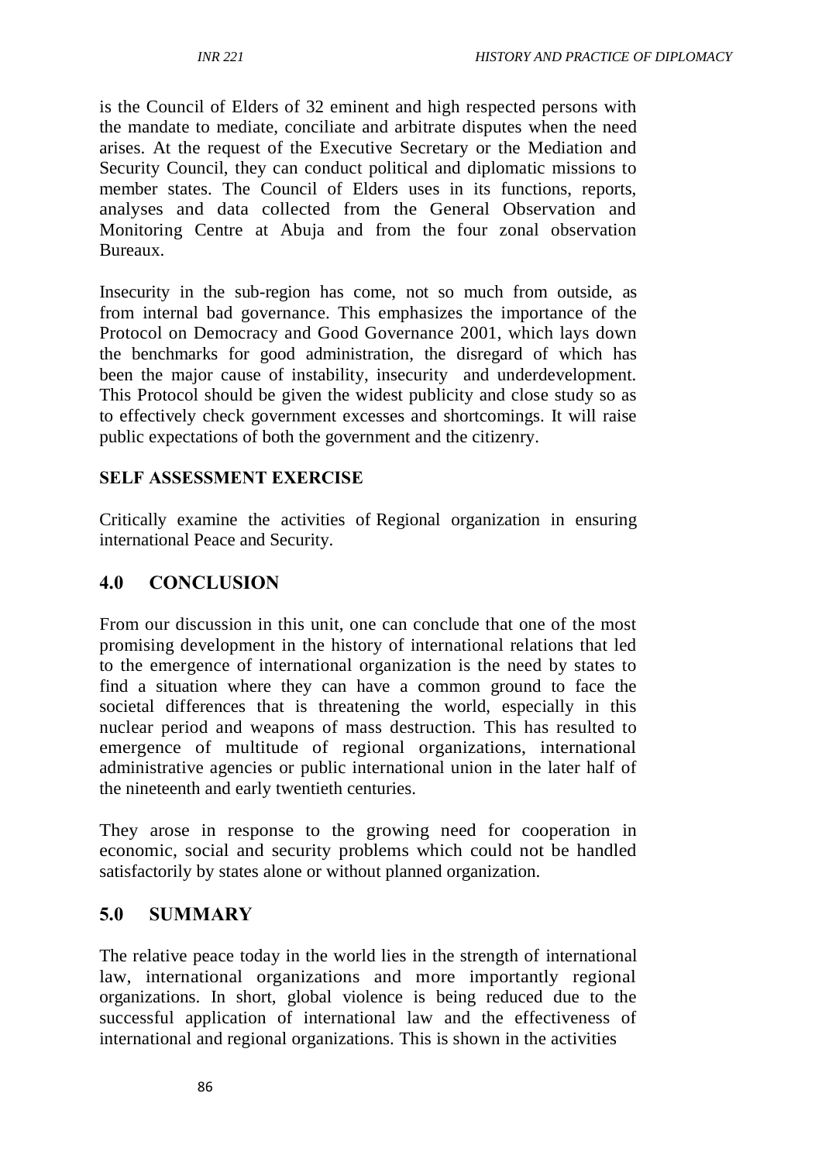is the Council of Elders of 32 eminent and high respected persons with the mandate to mediate, conciliate and arbitrate disputes when the need arises. At the request of the Executive Secretary or the Mediation and Security Council, they can conduct political and diplomatic missions to member states. The Council of Elders uses in its functions, reports, analyses and data collected from the General Observation and Monitoring Centre at Abuja and from the four zonal observation Bureaux.

Insecurity in the sub-region has come, not so much from outside, as from internal bad governance. This emphasizes the importance of the Protocol on Democracy and Good Governance 2001, which lays down the benchmarks for good administration, the disregard of which has been the major cause of instability, insecurity and underdevelopment. This Protocol should be given the widest publicity and close study so as to effectively check government excesses and shortcomings. It will raise public expectations of both the government and the citizenry.

#### **SELF ASSESSMENT EXERCISE**

Critically examine the activities of Regional organization in ensuring international Peace and Security.

## **4.0 CONCLUSION**

From our discussion in this unit, one can conclude that one of the most promising development in the history of international relations that led to the emergence of international organization is the need by states to find a situation where they can have a common ground to face the societal differences that is threatening the world, especially in this nuclear period and weapons of mass destruction. This has resulted to emergence of multitude of regional organizations, international administrative agencies or public international union in the later half of the nineteenth and early twentieth centuries.

They arose in response to the growing need for cooperation in economic, social and security problems which could not be handled satisfactorily by states alone or without planned organization.

## **5.0 SUMMARY**

The relative peace today in the world lies in the strength of international law, international organizations and more importantly regional organizations. In short, global violence is being reduced due to the successful application of international law and the effectiveness of international and regional organizations. This is shown in the activities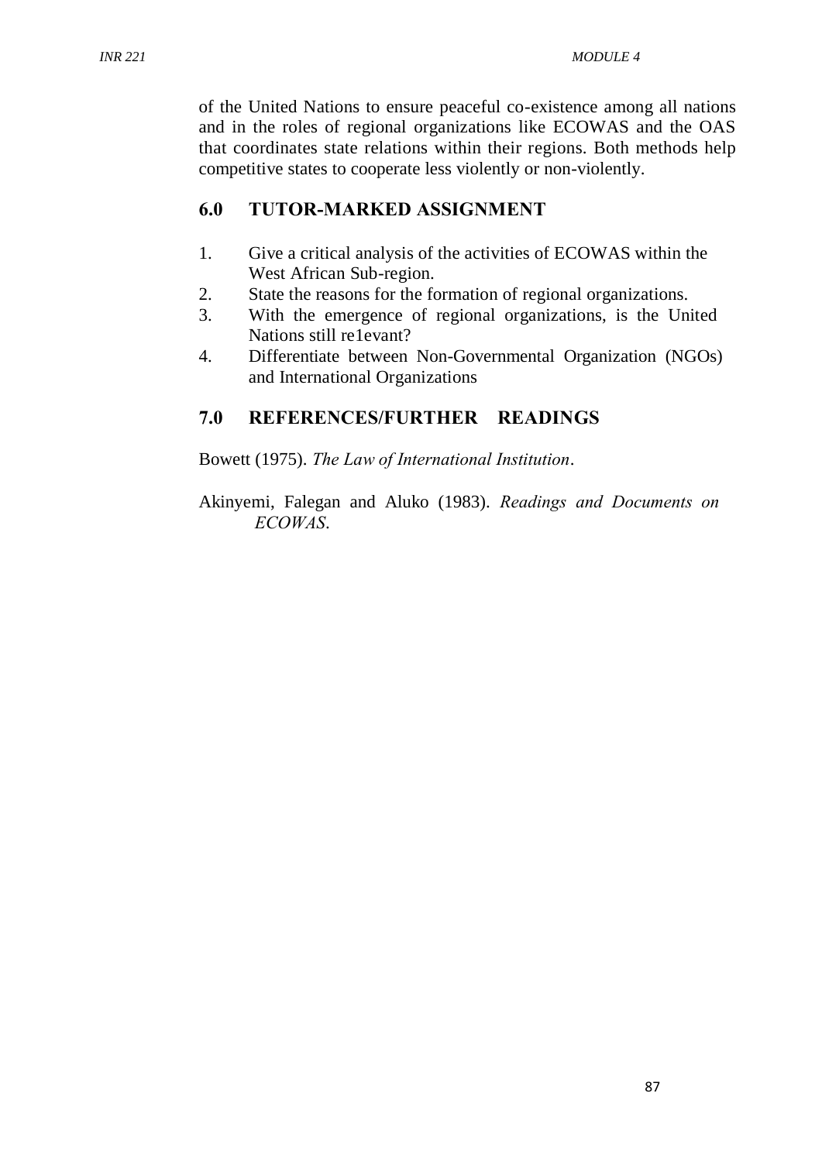of the United Nations to ensure peaceful co-existence among all nations and in the roles of regional organizations like ECOWAS and the OAS that coordinates state relations within their regions. Both methods help competitive states to cooperate less violently or non-violently.

#### **6.0 TUTOR-MARKED ASSIGNMENT**

- 1. Give a critical analysis of the activities of ECOWAS within the West African Sub-region.
- 2. State the reasons for the formation of regional organizations.
- 3. With the emergence of regional organizations, is the United Nations still re1evant?
- 4. Differentiate between Non-Governmental Organization (NGOs) and International Organizations

# **7.0 REFERENCES/FURTHER READINGS**

Bowett (1975). *The Law of International Institution*.

Akinyemi, Falegan and Aluko (1983). *Readings and Documents on ECOWAS*.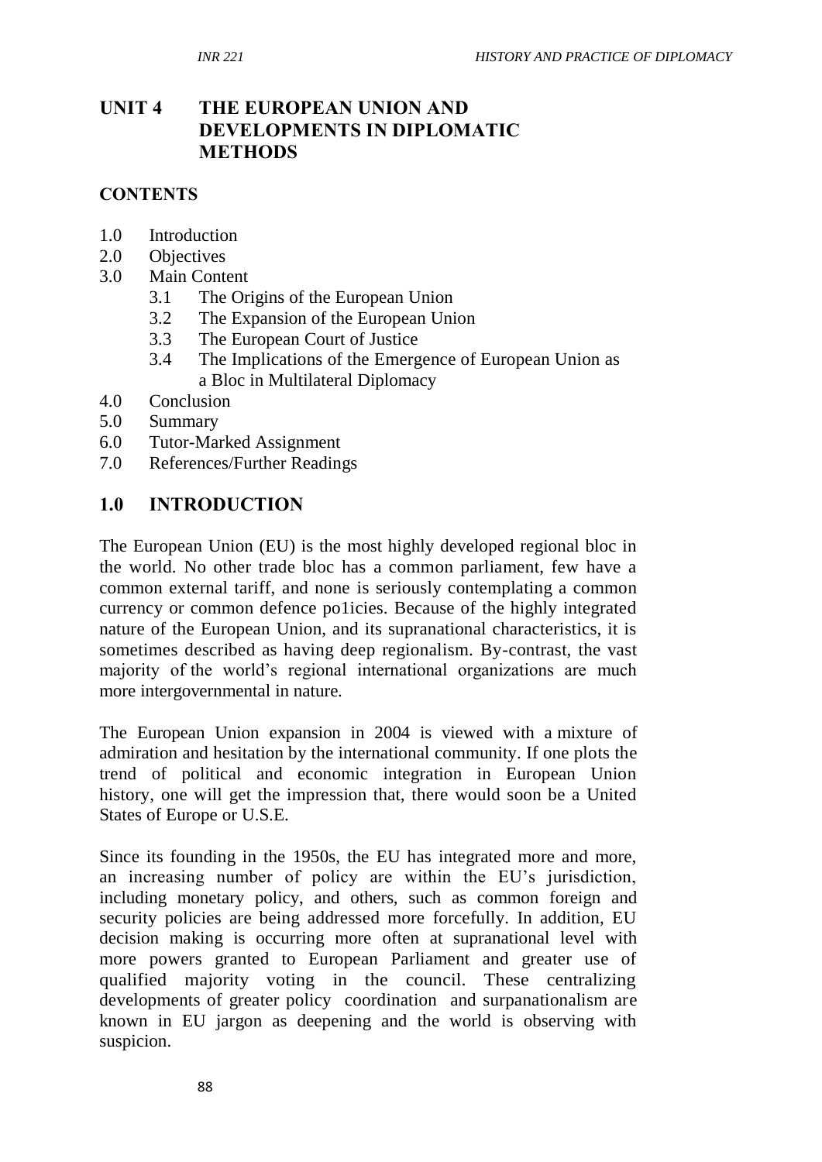# **UNIT 4 THE EUROPEAN UNION AND DEVELOPMENTS IN DIPLOMATIC METHODS**

#### **CONTENTS**

- 1.0 Introduction
- 2.0 Objectives
- 3.0 Main Content
	- 3.1 The Origins of the European Union
	- 3.2 The Expansion of the European Union
	- 3.3 The European Court of Justice
	- 3.4 The Implications of the Emergence of European Union as a Bloc in Multilateral Diplomacy
- 4.0 Conclusion
- 5.0 Summary
- 6.0 Tutor-Marked Assignment
- 7.0 References/Further Readings

#### **1.0 INTRODUCTION**

The European Union (EU) is the most highly developed regional bloc in the world. No other trade bloc has a common parliament, few have a common external tariff, and none is seriously contemplating a common currency or common defence po1icies. Because of the highly integrated nature of the European Union, and its supranational characteristics, it is sometimes described as having deep regionalism. By-contrast, the vast majority of the world's regional international organizations are much more intergovernmental in nature.

The European Union expansion in 2004 is viewed with a mixture of admiration and hesitation by the international community. If one plots the trend of political and economic integration in European Union history, one will get the impression that, there would soon be a United States of Europe or U.S.E.

Since its founding in the 1950s, the EU has integrated more and more, an increasing number of policy are within the EU's jurisdiction, including monetary policy, and others, such as common foreign and security policies are being addressed more forcefully. In addition, EU decision making is occurring more often at supranational level with more powers granted to European Parliament and greater use of qualified majority voting in the council. These centralizing developments of greater policy coordination and surpanationalism are known in EU jargon as deepening and the world is observing with suspicion.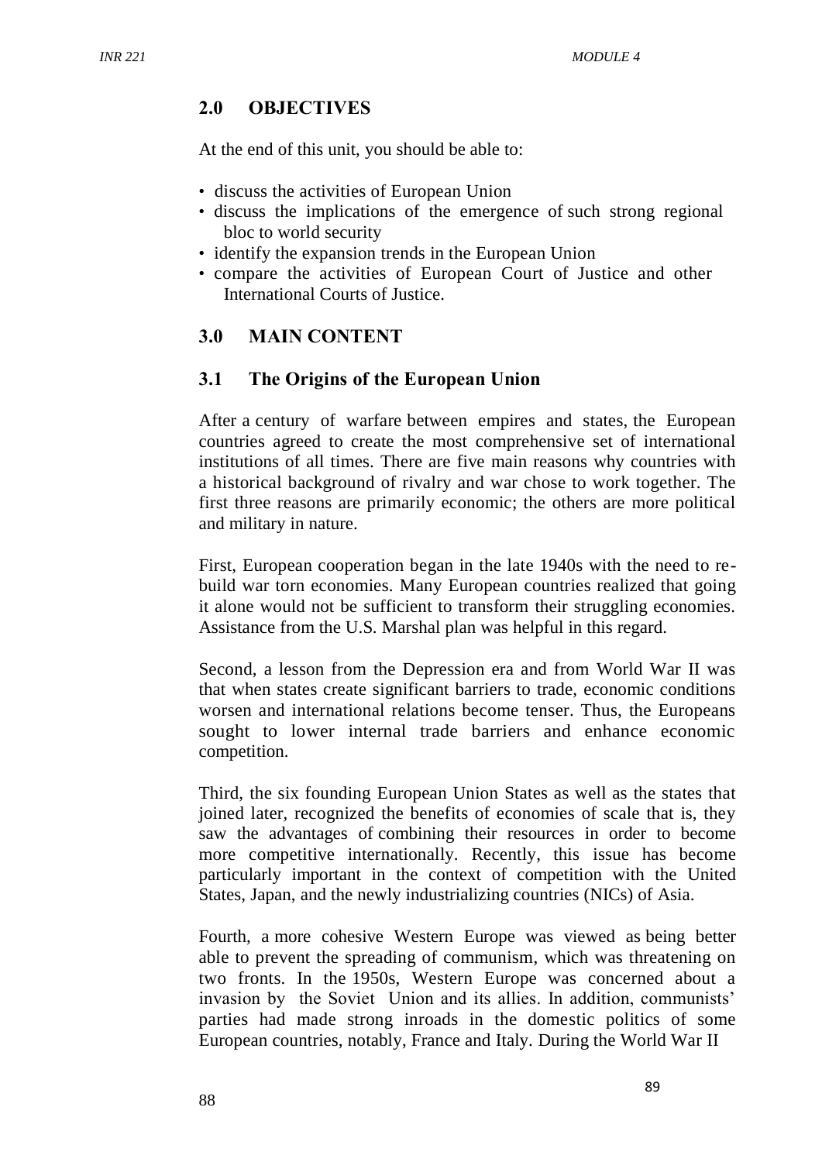# **2.0 OBJECTIVES**

At the end of this unit, you should be able to:

- discuss the activities of European Union
- discuss the implications of the emergence of such strong regional bloc to world security
- identify the expansion trends in the European Union
- compare the activities of European Court of Justice and other International Courts of Justice.

# **3.0 MAIN CONTENT**

## **3.1 The Origins of the European Union**

After a century of warfare between empires and states, the European countries agreed to create the most comprehensive set of international institutions of all times. There are five main reasons why countries with a historical background of rivalry and war chose to work together. The first three reasons are primarily economic; the others are more political and military in nature.

First, European cooperation began in the late 1940s with the need to rebuild war torn economies. Many European countries realized that going it alone would not be sufficient to transform their struggling economies. Assistance from the U.S. Marshal plan was helpful in this regard.

Second, a lesson from the Depression era and from World War II was that when states create significant barriers to trade, economic conditions worsen and international relations become tenser. Thus, the Europeans sought to lower internal trade barriers and enhance economic competition.

Third, the six founding European Union States as well as the states that joined later, recognized the benefits of economies of scale that is, they saw the advantages of combining their resources in order to become more competitive internationally. Recently, this issue has become particularly important in the context of competition with the United States, Japan, and the newly industrializing countries (NICs) of Asia.

Fourth, a more cohesive Western Europe was viewed as being better able to prevent the spreading of communism, which was threatening on two fronts. In the 1950s, Western Europe was concerned about a invasion by the Soviet Union and its allies. In addition, communists' parties had made strong inroads in the domestic politics of some European countries, notably, France and Italy. During the World War II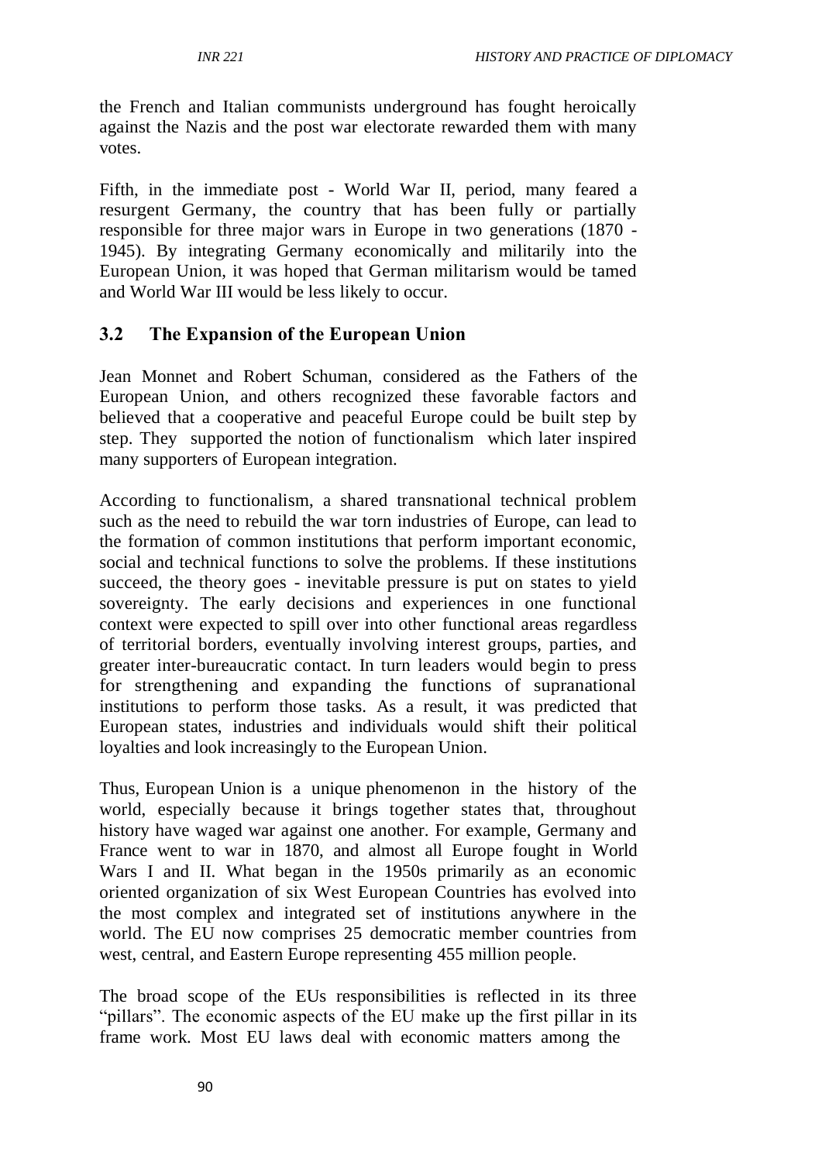the French and Italian communists underground has fought heroically against the Nazis and the post war electorate rewarded them with many votes.

Fifth, in the immediate post - World War II, period, many feared a resurgent Germany, the country that has been fully or partially responsible for three major wars in Europe in two generations (1870 - 1945). By integrating Germany economically and militarily into the European Union, it was hoped that German militarism would be tamed and World War III would be less likely to occur.

## **3.2 The Expansion of the European Union**

Jean Monnet and Robert Schuman, considered as the Fathers of the European Union, and others recognized these favorable factors and believed that a cooperative and peaceful Europe could be built step by step. They supported the notion of functionalism which later inspired many supporters of European integration.

According to functionalism, a shared transnational technical problem such as the need to rebuild the war torn industries of Europe, can lead to the formation of common institutions that perform important economic, social and technical functions to solve the problems. If these institutions succeed, the theory goes - inevitable pressure is put on states to yield sovereignty. The early decisions and experiences in one functional context were expected to spill over into other functional areas regardless of territorial borders, eventually involving interest groups, parties, and greater inter-bureaucratic contact. In turn leaders would begin to press for strengthening and expanding the functions of supranational institutions to perform those tasks. As a result, it was predicted that European states, industries and individuals would shift their political loyalties and look increasingly to the European Union.

Thus, European Union is a unique phenomenon in the history of the world, especially because it brings together states that, throughout history have waged war against one another. For example, Germany and France went to war in 1870, and almost all Europe fought in World Wars I and II. What began in the 1950s primarily as an economic oriented organization of six West European Countries has evolved into the most complex and integrated set of institutions anywhere in the world. The EU now comprises 25 democratic member countries from west, central, and Eastern Europe representing 455 million people.

The broad scope of the EUs responsibilities is reflected in its three "pillars". The economic aspects of the EU make up the first pillar in its frame work. Most EU laws deal with economic matters among the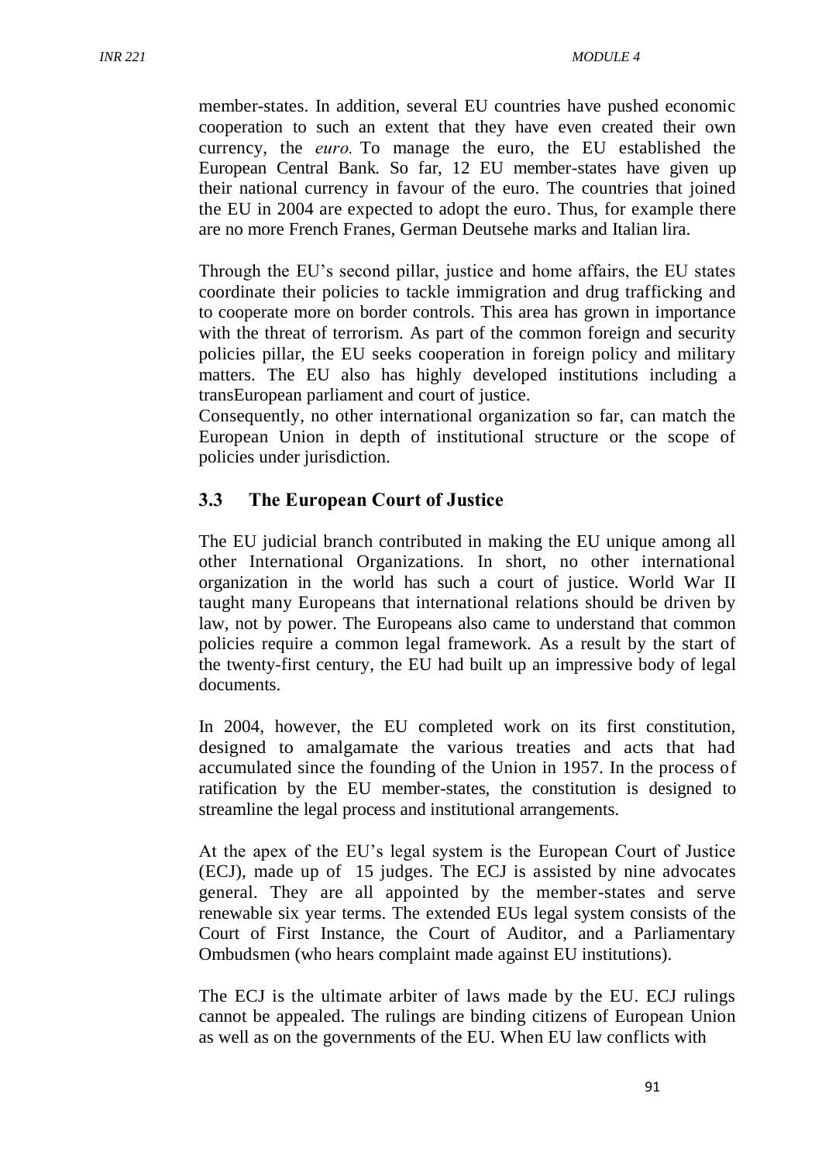member-states. In addition, several EU countries have pushed economic cooperation to such an extent that they have even created their own currency, the *euro.* To manage the euro, the EU established the European Central Bank. So far, 12 EU member-states have given up their national currency in favour of the euro. The countries that joined the EU in 2004 are expected to adopt the euro. Thus, for example there are no more French Franes, German Deutsehe marks and Italian lira.

Through the EU's second pillar, justice and home affairs, the EU states coordinate their policies to tackle immigration and drug trafficking and to cooperate more on border controls. This area has grown in importance with the threat of terrorism. As part of the common foreign and security policies pillar, the EU seeks cooperation in foreign policy and military matters. The EU also has highly developed institutions including a transEuropean parliament and court of justice.

Consequently, no other international organization so far, can match the European Union in depth of institutional structure or the scope of policies under jurisdiction.

## **3.3 The European Court of Justice**

The EU judicial branch contributed in making the EU unique among all other International Organizations. In short, no other international organization in the world has such a court of justice. World War II taught many Europeans that international relations should be driven by law, not by power. The Europeans also came to understand that common policies require a common legal framework. As a result by the start of the twenty-first century, the EU had built up an impressive body of legal documents.

In 2004, however, the EU completed work on its first constitution, designed to amalgamate the various treaties and acts that had accumulated since the founding of the Union in 1957. In the process of ratification by the EU member-states, the constitution is designed to streamline the legal process and institutional arrangements.

At the apex of the EU's legal system is the European Court of Justice (ECJ), made up of 15 judges. The ECJ is assisted by nine advocates general. They are all appointed by the member-states and serve renewable six year terms. The extended EUs legal system consists of the Court of First Instance, the Court of Auditor, and a Parliamentary Ombudsmen (who hears complaint made against EU institutions).

The ECJ is the ultimate arbiter of laws made by the EU. ECJ rulings cannot be appealed. The rulings are binding citizens of European Union as well as on the governments of the EU. When EU law conflicts with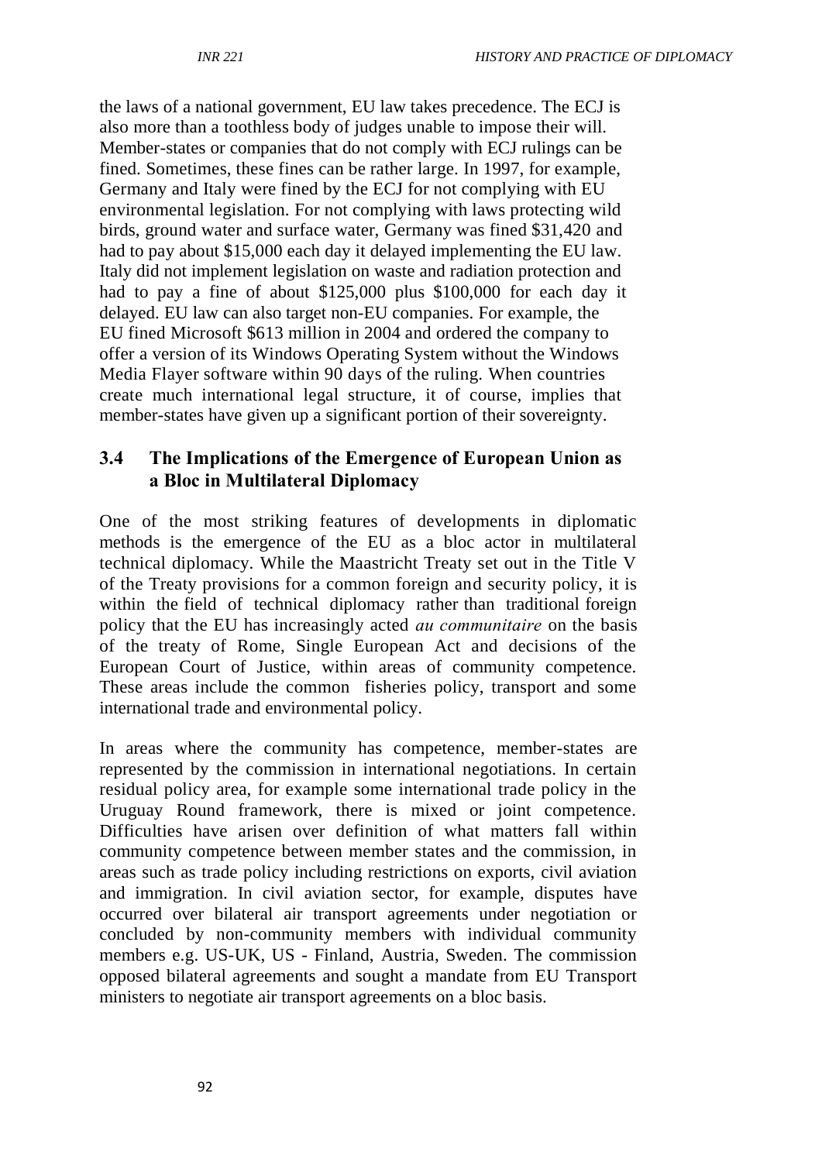the laws of a national government, EU law takes precedence. The ECJ is also more than a toothless body of judges unable to impose their will. Member-states or companies that do not comply with ECJ rulings can be fined. Sometimes, these fines can be rather large. In 1997, for example, Germany and Italy were fined by the ECJ for not complying with EU environmental legislation. For not complying with laws protecting wild birds, ground water and surface water, Germany was fined \$31,420 and had to pay about \$15,000 each day it delayed implementing the EU law. Italy did not implement legislation on waste and radiation protection and had to pay a fine of about \$125,000 plus \$100,000 for each day it delayed. EU law can also target non-EU companies. For example, the EU fined Microsoft \$613 million in 2004 and ordered the company to offer a version of its Windows Operating System without the Windows Media Flayer software within 90 days of the ruling. When countries create much international legal structure, it of course, implies that member-states have given up a significant portion of their sovereignty.

#### **3.4 The Implications of the Emergence of European Union as a Bloc in Multilateral Diplomacy**

One of the most striking features of developments in diplomatic methods is the emergence of the EU as a bloc actor in multilateral technical diplomacy. While the Maastricht Treaty set out in the Title V of the Treaty provisions for a common foreign and security policy, it is within the field of technical diplomacy rather than traditional foreign policy that the EU has increasingly acted *au communitaire* on the basis of the treaty of Rome, Single European Act and decisions of the European Court of Justice, within areas of community competence. These areas include the common fisheries policy, transport and some international trade and environmental policy.

In areas where the community has competence, member-states are represented by the commission in international negotiations. In certain residual policy area, for example some international trade policy in the Uruguay Round framework, there is mixed or joint competence. Difficulties have arisen over definition of what matters fall within community competence between member states and the commission, in areas such as trade policy including restrictions on exports, civil aviation and immigration. In civil aviation sector, for example, disputes have occurred over bilateral air transport agreements under negotiation or concluded by non-community members with individual community members e.g. US-UK, US - Finland, Austria, Sweden. The commission opposed bilateral agreements and sought a mandate from EU Transport ministers to negotiate air transport agreements on a bloc basis.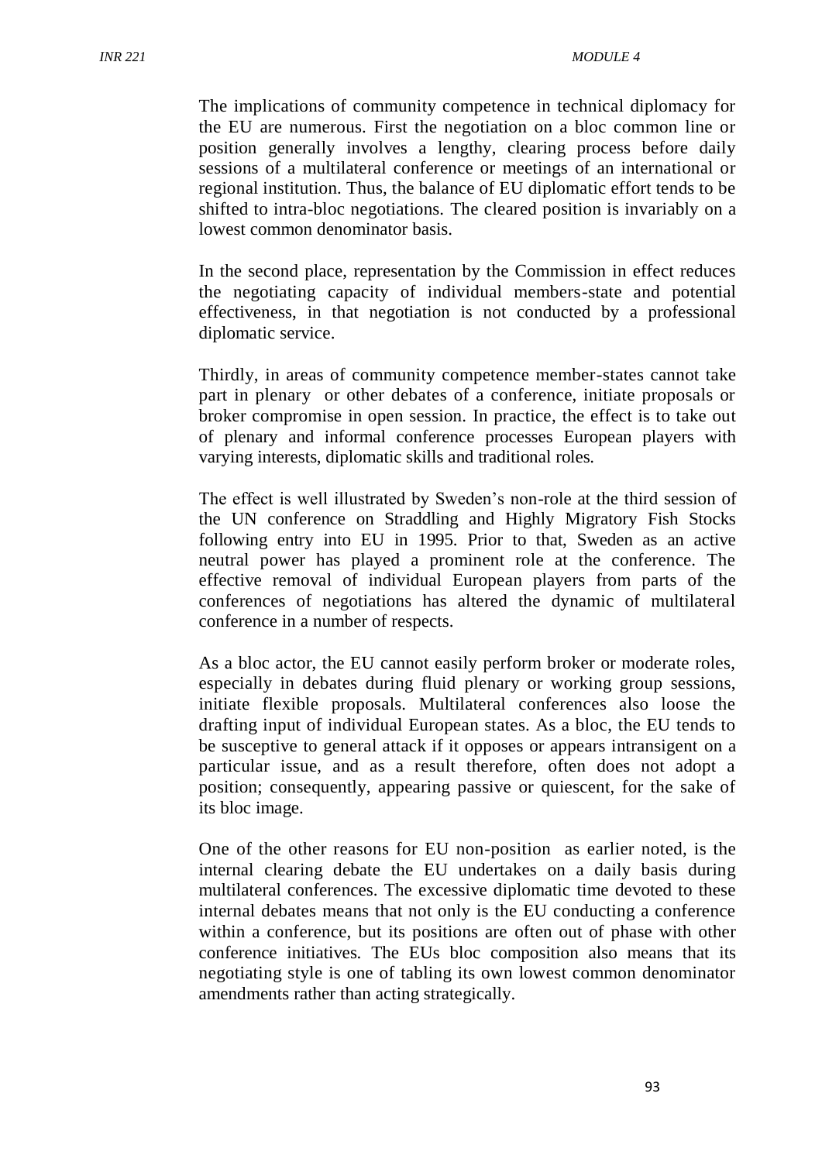The implications of community competence in technical diplomacy for the EU are numerous. First the negotiation on a bloc common line or position generally involves a lengthy, clearing process before daily sessions of a multilateral conference or meetings of an international or regional institution. Thus, the balance of EU diplomatic effort tends to be shifted to intra-bloc negotiations. The cleared position is invariably on a lowest common denominator basis.

In the second place, representation by the Commission in effect reduces the negotiating capacity of individual members-state and potential effectiveness, in that negotiation is not conducted by a professional diplomatic service.

Thirdly, in areas of community competence member-states cannot take part in plenary or other debates of a conference, initiate proposals or broker compromise in open session. In practice, the effect is to take out of plenary and informal conference processes European players with varying interests, diplomatic skills and traditional roles.

The effect is well illustrated by Sweden's non-role at the third session of the UN conference on Straddling and Highly Migratory Fish Stocks following entry into EU in 1995. Prior to that, Sweden as an active neutral power has played a prominent role at the conference. The effective removal of individual European players from parts of the conferences of negotiations has altered the dynamic of multilateral conference in a number of respects.

As a bloc actor, the EU cannot easily perform broker or moderate roles, especially in debates during fluid plenary or working group sessions, initiate flexible proposals. Multilateral conferences also loose the drafting input of individual European states. As a bloc, the EU tends to be susceptive to general attack if it opposes or appears intransigent on a particular issue, and as a result therefore, often does not adopt a position; consequently, appearing passive or quiescent, for the sake of its bloc image.

One of the other reasons for EU non-position as earlier noted, is the internal clearing debate the EU undertakes on a daily basis during multilateral conferences. The excessive diplomatic time devoted to these internal debates means that not only is the EU conducting a conference within a conference, but its positions are often out of phase with other conference initiatives. The EUs bloc composition also means that its negotiating style is one of tabling its own lowest common denominator amendments rather than acting strategically.